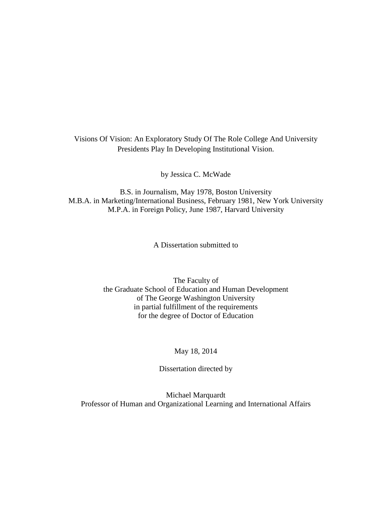# Visions Of Vision: An Exploratory Study Of The Role College And University Presidents Play In Developing Institutional Vision.

by Jessica C. McWade

B.S. in Journalism, May 1978, Boston University M.B.A. in Marketing/International Business, February 1981, New York University M.P.A. in Foreign Policy, June 1987, Harvard University

A Dissertation submitted to

The Faculty of the Graduate School of Education and Human Development of The George Washington University in partial fulfillment of the requirements for the degree of Doctor of Education

## May 18, 2014

Dissertation directed by

Michael Marquardt Professor of Human and Organizational Learning and International Affairs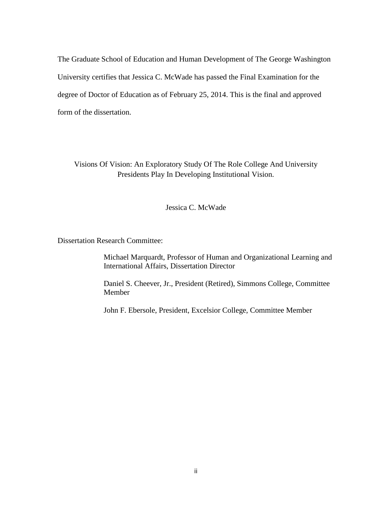The Graduate School of Education and Human Development of The George Washington University certifies that Jessica C. McWade has passed the Final Examination for the degree of Doctor of Education as of February 25, 2014. This is the final and approved form of the dissertation.

Visions Of Vision: An Exploratory Study Of The Role College And University Presidents Play In Developing Institutional Vision.

Jessica C. McWade

Dissertation Research Committee:

Michael Marquardt, Professor of Human and Organizational Learning and International Affairs, Dissertation Director

Daniel S. Cheever, Jr., President (Retired), Simmons College, Committee Member

John F. Ebersole, President, Excelsior College, Committee Member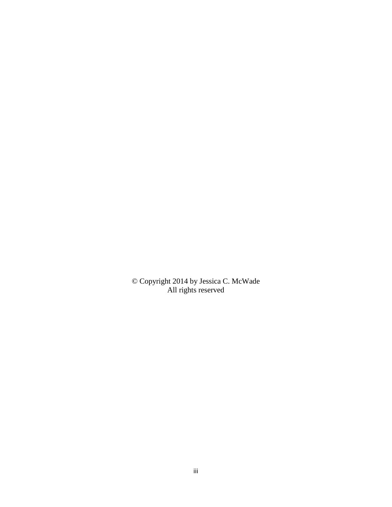© Copyright 2014 by Jessica C. McWade All rights reserved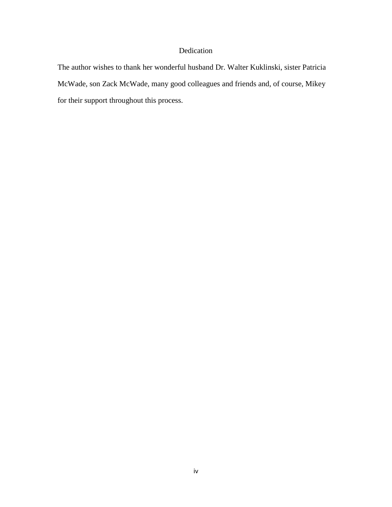# Dedication

The author wishes to thank her wonderful husband Dr. Walter Kuklinski, sister Patricia McWade, son Zack McWade, many good colleagues and friends and, of course, Mikey for their support throughout this process.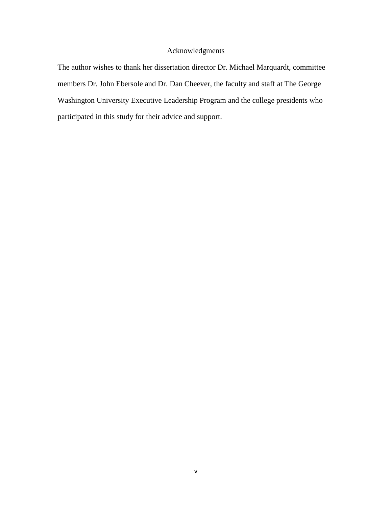# Acknowledgments

The author wishes to thank her dissertation director Dr. Michael Marquardt, committee members Dr. John Ebersole and Dr. Dan Cheever, the faculty and staff at The George Washington University Executive Leadership Program and the college presidents who participated in this study for their advice and support.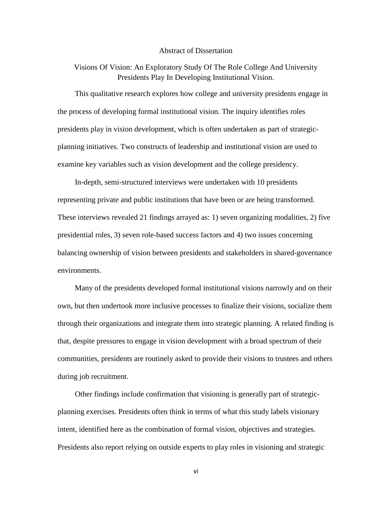## Abstract of Dissertation

Visions Of Vision: An Exploratory Study Of The Role College And University Presidents Play In Developing Institutional Vision.

This qualitative research explores how college and university presidents engage in the process of developing formal institutional vision. The inquiry identifies roles presidents play in vision development, which is often undertaken as part of strategicplanning initiatives. Two constructs of leadership and institutional vision are used to examine key variables such as vision development and the college presidency.

In-depth, semi-structured interviews were undertaken with 10 presidents representing private and public institutions that have been or are being transformed. These interviews revealed 21 findings arrayed as: 1) seven organizing modalities, 2) five presidential roles, 3) seven role-based success factors and 4) two issues concerning balancing ownership of vision between presidents and stakeholders in shared-governance environments.

Many of the presidents developed formal institutional visions narrowly and on their own, but then undertook more inclusive processes to finalize their visions, socialize them through their organizations and integrate them into strategic planning. A related finding is that, despite pressures to engage in vision development with a broad spectrum of their communities, presidents are routinely asked to provide their visions to trustees and others during job recruitment.

Other findings include confirmation that visioning is generally part of strategicplanning exercises. Presidents often think in terms of what this study labels visionary intent, identified here as the combination of formal vision, objectives and strategies. Presidents also report relying on outside experts to play roles in visioning and strategic

vi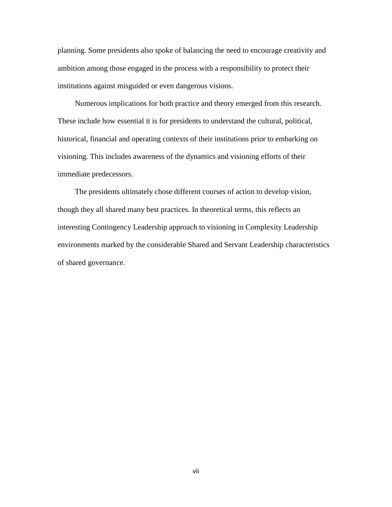planning. Some presidents also spoke of balancing the need to encourage creativity and ambition among those engaged in the process with a responsibility to protect their institutions against misguided or even dangerous visions.

Numerous implications for both practice and theory emerged from this research. These include how essential it is for presidents to understand the cultural, political, historical, financial and operating contexts of their institutions prior to embarking on visioning. This includes awareness of the dynamics and visioning efforts of their immediate predecessors.

The presidents ultimately chose different courses of action to develop vision, though they all shared many best practices. In theoretical terms, this reflects an interesting Contingency Leadership approach to visioning in Complexity Leadership environments marked by the considerable Shared and Servant Leadership characteristics of shared governance.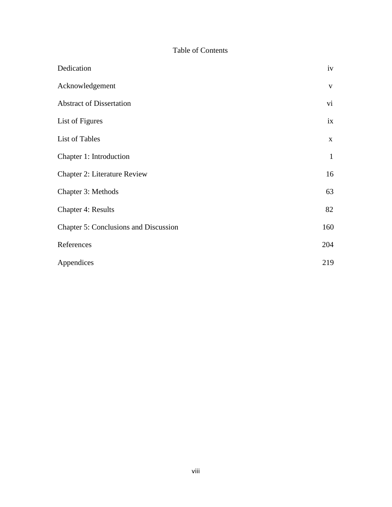# Table of Contents

| Dedication                                   | iv           |
|----------------------------------------------|--------------|
| Acknowledgement                              | $\mathbf{V}$ |
| <b>Abstract of Dissertation</b>              | vi           |
| List of Figures                              | ix           |
| List of Tables                               | $\mathbf X$  |
| Chapter 1: Introduction                      | $\mathbf{1}$ |
| <b>Chapter 2: Literature Review</b>          | 16           |
| Chapter 3: Methods                           | 63           |
| <b>Chapter 4: Results</b>                    | 82           |
| <b>Chapter 5: Conclusions and Discussion</b> | 160          |
| References                                   | 204          |
| Appendices                                   | 219          |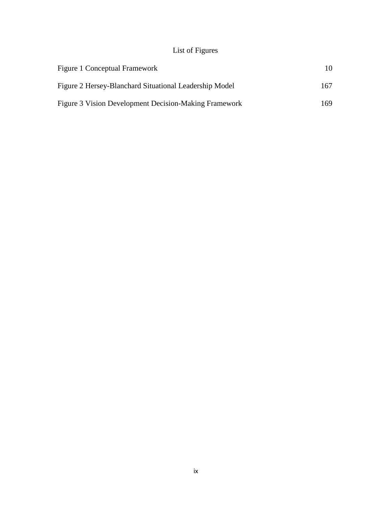# List of Figures

| Figure 1 Conceptual Framework                          | 10   |
|--------------------------------------------------------|------|
| Figure 2 Hersey-Blanchard Situational Leadership Model | 167. |
| Figure 3 Vision Development Decision-Making Framework  | 169  |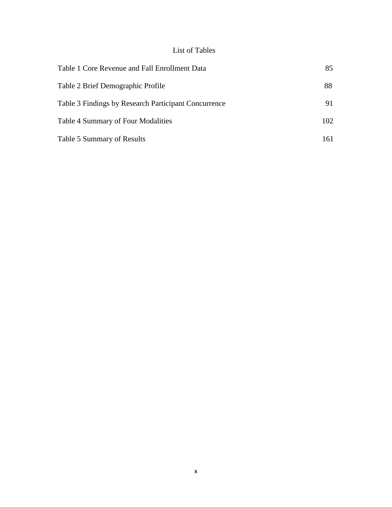# List of Tables

| Table 1 Core Revenue and Fall Enrollment Data        | 85  |
|------------------------------------------------------|-----|
| Table 2 Brief Demographic Profile                    | 88  |
| Table 3 Findings by Research Participant Concurrence | 91  |
| <b>Table 4 Summary of Four Modalities</b>            | 102 |
| Table 5 Summary of Results                           | 161 |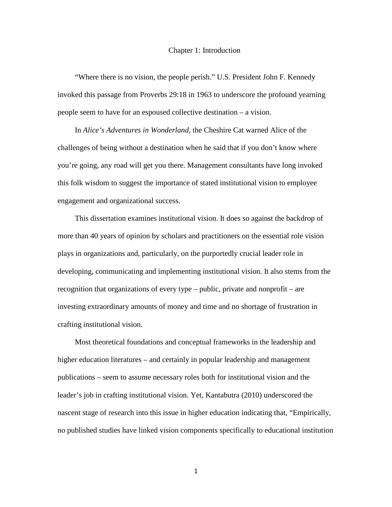#### Chapter 1: Introduction

"Where there is no vision, the people perish." U.S. President John F. Kennedy invoked this passage from Proverbs 29:18 in 1963 to underscore the profound yearning people seem to have for an espoused collective destination – a vision.

In *Alice's Adventures in Wonderland,* the Cheshire Cat warned Alice of the challenges of being without a destination when he said that if you don't know where you're going, any road will get you there. Management consultants have long invoked this folk wisdom to suggest the importance of stated institutional vision to employee engagement and organizational success.

This dissertation examines institutional vision. It does so against the backdrop of more than 40 years of opinion by scholars and practitioners on the essential role vision plays in organizations and, particularly, on the purportedly crucial leader role in developing, communicating and implementing institutional vision. It also stems from the recognition that organizations of every type – public, private and nonprofit – are investing extraordinary amounts of money and time and no shortage of frustration in crafting institutional vision.

Most theoretical foundations and conceptual frameworks in the leadership and higher education literatures – and certainly in popular leadership and management publications – seem to assume necessary roles both for institutional vision and the leader's job in crafting institutional vision. Yet, Kantabutra (2010) underscored the nascent stage of research into this issue in higher education indicating that, "Empirically, no published studies have linked vision components specifically to educational institution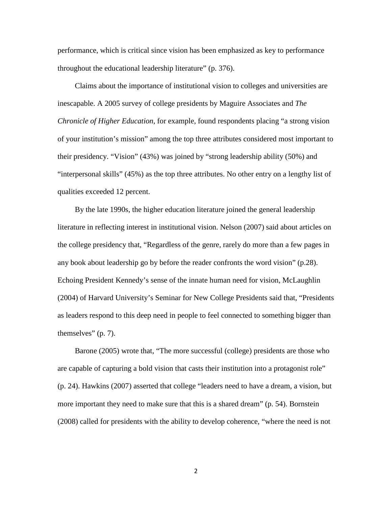performance, which is critical since vision has been emphasized as key to performance throughout the educational leadership literature" (p. 376).

Claims about the importance of institutional vision to colleges and universities are inescapable. A 2005 survey of college presidents by Maguire Associates and *The Chronicle of Higher Education*, for example, found respondents placing "a strong vision of your institution's mission" among the top three attributes considered most important to their presidency. "Vision" (43%) was joined by "strong leadership ability (50%) and "interpersonal skills" (45%) as the top three attributes. No other entry on a lengthy list of qualities exceeded 12 percent.

By the late 1990s, the higher education literature joined the general leadership literature in reflecting interest in institutional vision. Nelson (2007) said about articles on the college presidency that, "Regardless of the genre, rarely do more than a few pages in any book about leadership go by before the reader confronts the word vision" (p.28). Echoing President Kennedy's sense of the innate human need for vision, McLaughlin (2004) of Harvard University's Seminar for New College Presidents said that, "Presidents as leaders respond to this deep need in people to feel connected to something bigger than themselves" (p. 7).

Barone (2005) wrote that, "The more successful (college) presidents are those who are capable of capturing a bold vision that casts their institution into a protagonist role" (p. 24). Hawkins (2007) asserted that college "leaders need to have a dream, a vision, but more important they need to make sure that this is a shared dream" (p. 54). Bornstein (2008) called for presidents with the ability to develop coherence, "where the need is not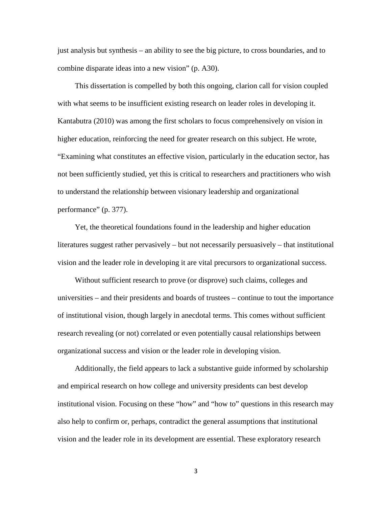just analysis but synthesis – an ability to see the big picture, to cross boundaries, and to combine disparate ideas into a new vision" (p. A30).

This dissertation is compelled by both this ongoing, clarion call for vision coupled with what seems to be insufficient existing research on leader roles in developing it. Kantabutra (2010) was among the first scholars to focus comprehensively on vision in higher education, reinforcing the need for greater research on this subject. He wrote, "Examining what constitutes an effective vision, particularly in the education sector, has not been sufficiently studied, yet this is critical to researchers and practitioners who wish to understand the relationship between visionary leadership and organizational performance" (p. 377).

Yet, the theoretical foundations found in the leadership and higher education literatures suggest rather pervasively – but not necessarily persuasively – that institutional vision and the leader role in developing it are vital precursors to organizational success.

Without sufficient research to prove (or disprove) such claims, colleges and universities – and their presidents and boards of trustees – continue to tout the importance of institutional vision, though largely in anecdotal terms. This comes without sufficient research revealing (or not) correlated or even potentially causal relationships between organizational success and vision or the leader role in developing vision.

Additionally, the field appears to lack a substantive guide informed by scholarship and empirical research on how college and university presidents can best develop institutional vision. Focusing on these "how" and "how to" questions in this research may also help to confirm or, perhaps, contradict the general assumptions that institutional vision and the leader role in its development are essential. These exploratory research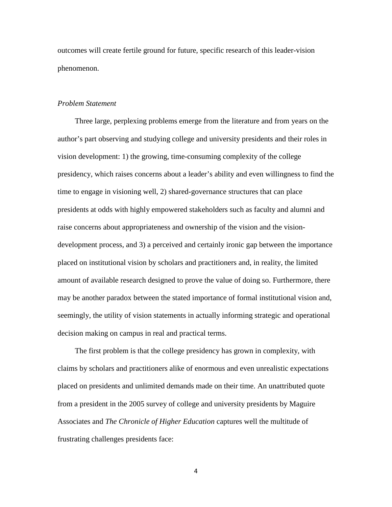outcomes will create fertile ground for future, specific research of this leader-vision phenomenon.

#### *Problem Statement*

Three large, perplexing problems emerge from the literature and from years on the author's part observing and studying college and university presidents and their roles in vision development: 1) the growing, time-consuming complexity of the college presidency, which raises concerns about a leader's ability and even willingness to find the time to engage in visioning well, 2) shared-governance structures that can place presidents at odds with highly empowered stakeholders such as faculty and alumni and raise concerns about appropriateness and ownership of the vision and the visiondevelopment process, and 3) a perceived and certainly ironic gap between the importance placed on institutional vision by scholars and practitioners and, in reality, the limited amount of available research designed to prove the value of doing so. Furthermore, there may be another paradox between the stated importance of formal institutional vision and, seemingly, the utility of vision statements in actually informing strategic and operational decision making on campus in real and practical terms.

The first problem is that the college presidency has grown in complexity, with claims by scholars and practitioners alike of enormous and even unrealistic expectations placed on presidents and unlimited demands made on their time. An unattributed quote from a president in the 2005 survey of college and university presidents by Maguire Associates and *The Chronicle of Higher Education* captures well the multitude of frustrating challenges presidents face: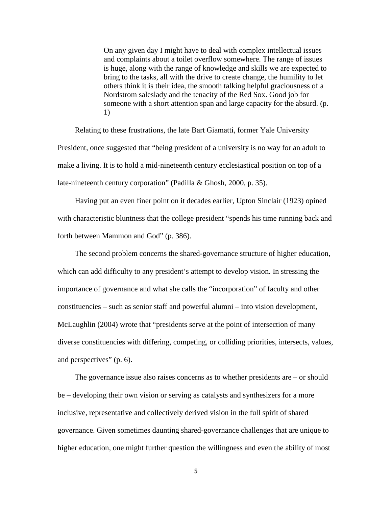On any given day I might have to deal with complex intellectual issues and complaints about a toilet overflow somewhere. The range of issues is huge, along with the range of knowledge and skills we are expected to bring to the tasks, all with the drive to create change, the humility to let others think it is their idea, the smooth talking helpful graciousness of a Nordstrom saleslady and the tenacity of the Red Sox. Good job for someone with a short attention span and large capacity for the absurd. (p. 1)

Relating to these frustrations, the late Bart Giamatti, former Yale University President, once suggested that "being president of a university is no way for an adult to make a living. It is to hold a mid-nineteenth century ecclesiastical position on top of a late-nineteenth century corporation" (Padilla & Ghosh, 2000, p. 35).

Having put an even finer point on it decades earlier, Upton Sinclair (1923) opined with characteristic bluntness that the college president "spends his time running back and forth between Mammon and God" (p. 386).

The second problem concerns the shared-governance structure of higher education, which can add difficulty to any president's attempt to develop vision. In stressing the importance of governance and what she calls the "incorporation" of faculty and other constituencies – such as senior staff and powerful alumni – into vision development, McLaughlin (2004) wrote that "presidents serve at the point of intersection of many diverse constituencies with differing, competing, or colliding priorities, intersects, values, and perspectives" (p. 6).

The governance issue also raises concerns as to whether presidents are – or should be – developing their own vision or serving as catalysts and synthesizers for a more inclusive, representative and collectively derived vision in the full spirit of shared governance. Given sometimes daunting shared-governance challenges that are unique to higher education, one might further question the willingness and even the ability of most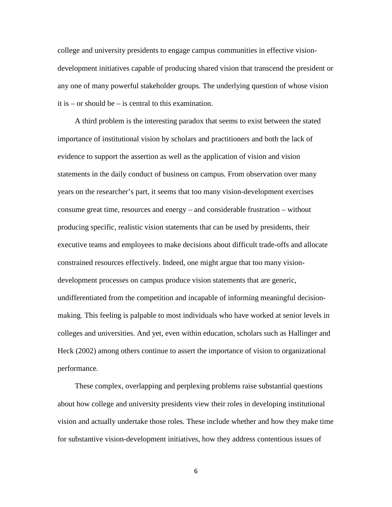college and university presidents to engage campus communities in effective visiondevelopment initiatives capable of producing shared vision that transcend the president or any one of many powerful stakeholder groups. The underlying question of whose vision it is – or should be – is central to this examination.

A third problem is the interesting paradox that seems to exist between the stated importance of institutional vision by scholars and practitioners and both the lack of evidence to support the assertion as well as the application of vision and vision statements in the daily conduct of business on campus. From observation over many years on the researcher's part, it seems that too many vision-development exercises consume great time, resources and energy – and considerable frustration – without producing specific, realistic vision statements that can be used by presidents, their executive teams and employees to make decisions about difficult trade-offs and allocate constrained resources effectively. Indeed, one might argue that too many visiondevelopment processes on campus produce vision statements that are generic, undifferentiated from the competition and incapable of informing meaningful decisionmaking. This feeling is palpable to most individuals who have worked at senior levels in colleges and universities. And yet, even within education, scholars such as Hallinger and Heck (2002) among others continue to assert the importance of vision to organizational performance.

These complex, overlapping and perplexing problems raise substantial questions about how college and university presidents view their roles in developing institutional vision and actually undertake those roles. These include whether and how they make time for substantive vision-development initiatives, how they address contentious issues of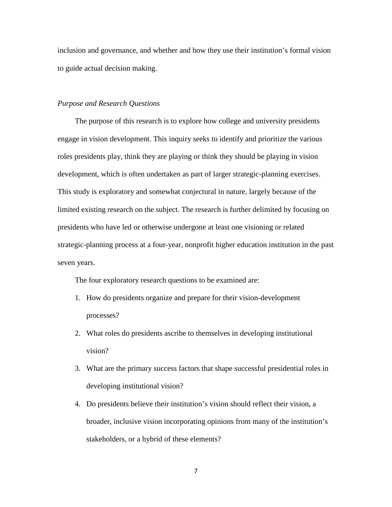inclusion and governance, and whether and how they use their institution's formal vision to guide actual decision making.

## *Purpose and Research Questions*

The purpose of this research is to explore how college and university presidents engage in vision development. This inquiry seeks to identify and prioritize the various roles presidents play, think they are playing or think they should be playing in vision development, which is often undertaken as part of larger strategic-planning exercises. This study is exploratory and somewhat conjectural in nature, largely because of the limited existing research on the subject. The research is further delimited by focusing on presidents who have led or otherwise undergone at least one visioning or related strategic-planning process at a four-year, nonprofit higher education institution in the past seven years.

The four exploratory research questions to be examined are:

- 1. How do presidents organize and prepare for their vision-development processes?
- 2. What roles do presidents ascribe to themselves in developing institutional vision?
- 3. What are the primary success factors that shape successful presidential roles in developing institutional vision?
- 4. Do presidents believe their institution's vision should reflect their vision, a broader, inclusive vision incorporating opinions from many of the institution's stakeholders, or a hybrid of these elements?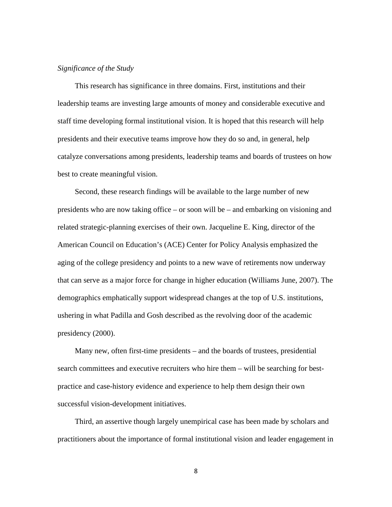## *Significance of the Study*

This research has significance in three domains. First, institutions and their leadership teams are investing large amounts of money and considerable executive and staff time developing formal institutional vision. It is hoped that this research will help presidents and their executive teams improve how they do so and, in general, help catalyze conversations among presidents, leadership teams and boards of trustees on how best to create meaningful vision.

Second, these research findings will be available to the large number of new presidents who are now taking office – or soon will be – and embarking on visioning and related strategic-planning exercises of their own. Jacqueline E. King, director of the American Council on Education's (ACE) Center for Policy Analysis emphasized the aging of the college presidency and points to a new wave of retirements now underway that can serve as a major force for change in higher education (Williams June, 2007). The demographics emphatically support widespread changes at the top of U.S. institutions, ushering in what Padilla and Gosh described as the revolving door of the academic presidency (2000).

Many new, often first-time presidents – and the boards of trustees, presidential search committees and executive recruiters who hire them – will be searching for bestpractice and case-history evidence and experience to help them design their own successful vision-development initiatives.

Third, an assertive though largely unempirical case has been made by scholars and practitioners about the importance of formal institutional vision and leader engagement in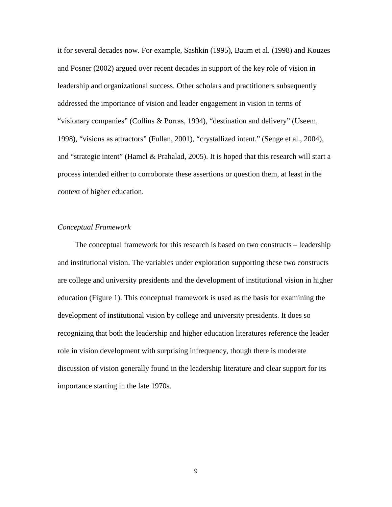it for several decades now. For example, Sashkin (1995), Baum et al. (1998) and Kouzes and Posner (2002) argued over recent decades in support of the key role of vision in leadership and organizational success. Other scholars and practitioners subsequently addressed the importance of vision and leader engagement in vision in terms of "visionary companies" (Collins & Porras, 1994), "destination and delivery" (Useem, 1998), "visions as attractors" (Fullan, 2001), "crystallized intent." (Senge et al., 2004), and "strategic intent" (Hamel & Prahalad, 2005). It is hoped that this research will start a process intended either to corroborate these assertions or question them, at least in the context of higher education.

#### *Conceptual Framework*

The conceptual framework for this research is based on two constructs – leadership and institutional vision. The variables under exploration supporting these two constructs are college and university presidents and the development of institutional vision in higher education (Figure 1). This conceptual framework is used as the basis for examining the development of institutional vision by college and university presidents. It does so recognizing that both the leadership and higher education literatures reference the leader role in vision development with surprising infrequency, though there is moderate discussion of vision generally found in the leadership literature and clear support for its importance starting in the late 1970s.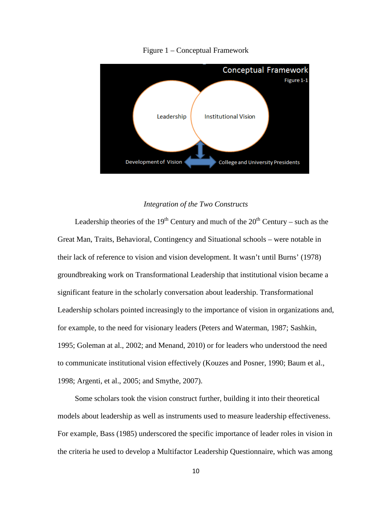

Figure 1 – Conceptual Framework

### *Integration of the Two Constructs*

Leadership theories of the 19<sup>th</sup> Century and much of the  $20<sup>th</sup>$  Century – such as the Great Man, Traits, Behavioral, Contingency and Situational schools – were notable in their lack of reference to vision and vision development. It wasn't until Burns' (1978) groundbreaking work on Transformational Leadership that institutional vision became a significant feature in the scholarly conversation about leadership. Transformational Leadership scholars pointed increasingly to the importance of vision in organizations and, for example, to the need for visionary leaders (Peters and Waterman, 1987; Sashkin, 1995; Goleman at al., 2002; and Menand, 2010) or for leaders who understood the need to communicate institutional vision effectively (Kouzes and Posner, 1990; Baum et al., 1998; Argenti, et al., 2005; and Smythe, 2007).

Some scholars took the vision construct further, building it into their theoretical models about leadership as well as instruments used to measure leadership effectiveness. For example, Bass (1985) underscored the specific importance of leader roles in vision in the criteria he used to develop a Multifactor Leadership Questionnaire, which was among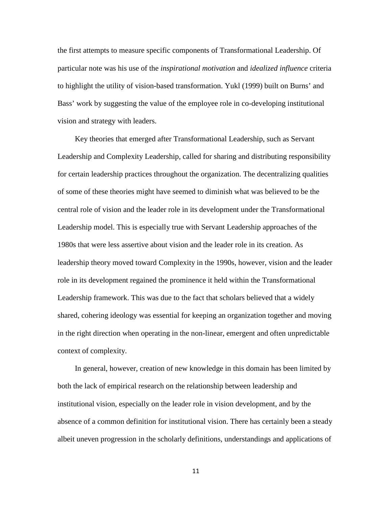the first attempts to measure specific components of Transformational Leadership. Of particular note was his use of the *inspirational motivation* and *idealized influence* criteria to highlight the utility of vision-based transformation. Yukl (1999) built on Burns' and Bass' work by suggesting the value of the employee role in co-developing institutional vision and strategy with leaders.

Key theories that emerged after Transformational Leadership, such as Servant Leadership and Complexity Leadership, called for sharing and distributing responsibility for certain leadership practices throughout the organization. The decentralizing qualities of some of these theories might have seemed to diminish what was believed to be the central role of vision and the leader role in its development under the Transformational Leadership model. This is especially true with Servant Leadership approaches of the 1980s that were less assertive about vision and the leader role in its creation. As leadership theory moved toward Complexity in the 1990s, however, vision and the leader role in its development regained the prominence it held within the Transformational Leadership framework. This was due to the fact that scholars believed that a widely shared, cohering ideology was essential for keeping an organization together and moving in the right direction when operating in the non-linear, emergent and often unpredictable context of complexity.

In general, however, creation of new knowledge in this domain has been limited by both the lack of empirical research on the relationship between leadership and institutional vision, especially on the leader role in vision development, and by the absence of a common definition for institutional vision. There has certainly been a steady albeit uneven progression in the scholarly definitions, understandings and applications of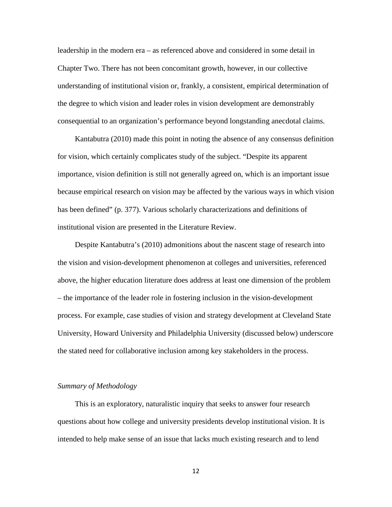leadership in the modern era – as referenced above and considered in some detail in Chapter Two. There has not been concomitant growth, however, in our collective understanding of institutional vision or, frankly, a consistent, empirical determination of the degree to which vision and leader roles in vision development are demonstrably consequential to an organization's performance beyond longstanding anecdotal claims.

Kantabutra (2010) made this point in noting the absence of any consensus definition for vision, which certainly complicates study of the subject. "Despite its apparent importance, vision definition is still not generally agreed on, which is an important issue because empirical research on vision may be affected by the various ways in which vision has been defined" (p. 377). Various scholarly characterizations and definitions of institutional vision are presented in the Literature Review.

Despite Kantabutra's (2010) admonitions about the nascent stage of research into the vision and vision-development phenomenon at colleges and universities, referenced above, the higher education literature does address at least one dimension of the problem – the importance of the leader role in fostering inclusion in the vision-development process. For example, case studies of vision and strategy development at Cleveland State University, Howard University and Philadelphia University (discussed below) underscore the stated need for collaborative inclusion among key stakeholders in the process.

#### *Summary of Methodology*

This is an exploratory, naturalistic inquiry that seeks to answer four research questions about how college and university presidents develop institutional vision. It is intended to help make sense of an issue that lacks much existing research and to lend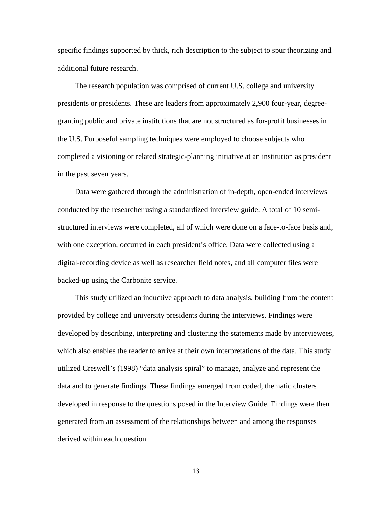specific findings supported by thick, rich description to the subject to spur theorizing and additional future research.

The research population was comprised of current U.S. college and university presidents or presidents. These are leaders from approximately 2,900 four-year, degreegranting public and private institutions that are not structured as for-profit businesses in the U.S. Purposeful sampling techniques were employed to choose subjects who completed a visioning or related strategic-planning initiative at an institution as president in the past seven years.

Data were gathered through the administration of in-depth, open-ended interviews conducted by the researcher using a standardized interview guide. A total of 10 semistructured interviews were completed, all of which were done on a face-to-face basis and, with one exception, occurred in each president's office. Data were collected using a digital-recording device as well as researcher field notes, and all computer files were backed-up using the Carbonite service.

This study utilized an inductive approach to data analysis, building from the content provided by college and university presidents during the interviews. Findings were developed by describing, interpreting and clustering the statements made by interviewees, which also enables the reader to arrive at their own interpretations of the data. This study utilized Creswell's (1998) "data analysis spiral" to manage, analyze and represent the data and to generate findings. These findings emerged from coded, thematic clusters developed in response to the questions posed in the Interview Guide. Findings were then generated from an assessment of the relationships between and among the responses derived within each question.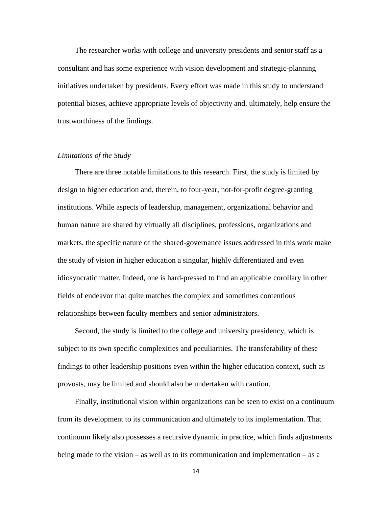The researcher works with college and university presidents and senior staff as a consultant and has some experience with vision development and strategic-planning initiatives undertaken by presidents. Every effort was made in this study to understand potential biases, achieve appropriate levels of objectivity and, ultimately, help ensure the trustworthiness of the findings.

### *Limitations of the Study*

There are three notable limitations to this research. First, the study is limited by design to higher education and, therein, to four-year, not-for-profit degree-granting institutions. While aspects of leadership, management, organizational behavior and human nature are shared by virtually all disciplines, professions, organizations and markets, the specific nature of the shared-governance issues addressed in this work make the study of vision in higher education a singular, highly differentiated and even idiosyncratic matter. Indeed, one is hard-pressed to find an applicable corollary in other fields of endeavor that quite matches the complex and sometimes contentious relationships between faculty members and senior administrators.

Second, the study is limited to the college and university presidency, which is subject to its own specific complexities and peculiarities. The transferability of these findings to other leadership positions even within the higher education context, such as provosts, may be limited and should also be undertaken with caution.

Finally, institutional vision within organizations can be seen to exist on a continuum from its development to its communication and ultimately to its implementation. That continuum likely also possesses a recursive dynamic in practice, which finds adjustments being made to the vision – as well as to its communication and implementation – as a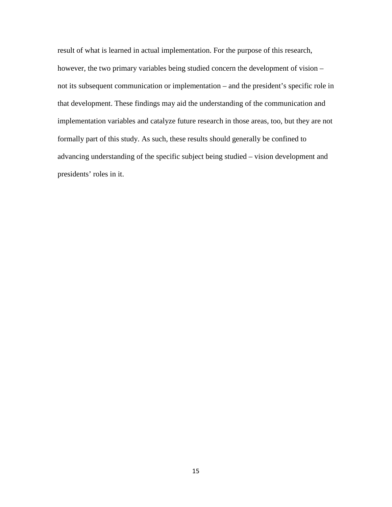result of what is learned in actual implementation. For the purpose of this research, however, the two primary variables being studied concern the development of vision – not its subsequent communication or implementation – and the president's specific role in that development. These findings may aid the understanding of the communication and implementation variables and catalyze future research in those areas, too, but they are not formally part of this study. As such, these results should generally be confined to advancing understanding of the specific subject being studied – vision development and presidents' roles in it.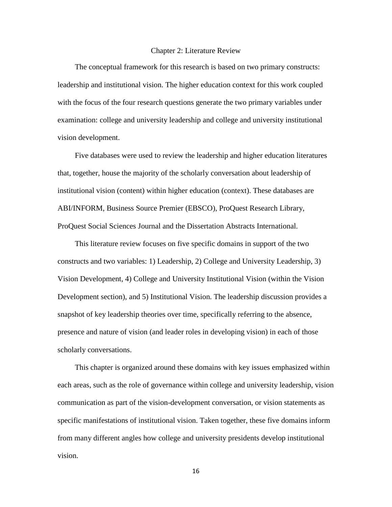#### Chapter 2: Literature Review

The conceptual framework for this research is based on two primary constructs: leadership and institutional vision. The higher education context for this work coupled with the focus of the four research questions generate the two primary variables under examination: college and university leadership and college and university institutional vision development.

Five databases were used to review the leadership and higher education literatures that, together, house the majority of the scholarly conversation about leadership of institutional vision (content) within higher education (context). These databases are ABI/INFORM, Business Source Premier (EBSCO), ProQuest Research Library, ProQuest Social Sciences Journal and the Dissertation Abstracts International.

This literature review focuses on five specific domains in support of the two constructs and two variables: 1) Leadership, 2) College and University Leadership, 3) Vision Development, 4) College and University Institutional Vision (within the Vision Development section), and 5) Institutional Vision. The leadership discussion provides a snapshot of key leadership theories over time, specifically referring to the absence, presence and nature of vision (and leader roles in developing vision) in each of those scholarly conversations.

This chapter is organized around these domains with key issues emphasized within each areas, such as the role of governance within college and university leadership, vision communication as part of the vision-development conversation, or vision statements as specific manifestations of institutional vision. Taken together, these five domains inform from many different angles how college and university presidents develop institutional vision.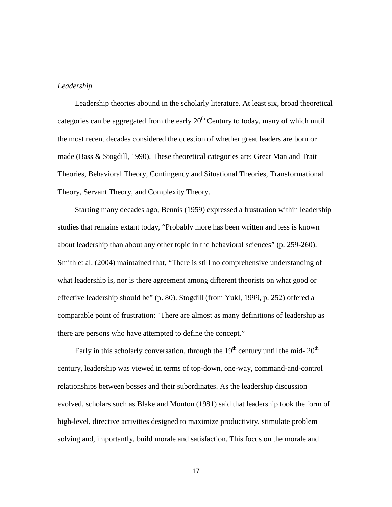#### *Leadership*

Leadership theories abound in the scholarly literature. At least six, broad theoretical categories can be aggregated from the early  $20<sup>th</sup>$  Century to today, many of which until the most recent decades considered the question of whether great leaders are born or made (Bass & Stogdill, 1990). These theoretical categories are: Great Man and Trait Theories, Behavioral Theory, Contingency and Situational Theories, Transformational Theory, Servant Theory, and Complexity Theory.

Starting many decades ago, Bennis (1959) expressed a frustration within leadership studies that remains extant today, "Probably more has been written and less is known about leadership than about any other topic in the behavioral sciences" (p. 259-260). Smith et al. (2004) maintained that, "There is still no comprehensive understanding of what leadership is, nor is there agreement among different theorists on what good or effective leadership should be" (p. 80). Stogdill (from Yukl, 1999, p. 252) offered a comparable point of frustration: "There are almost as many definitions of leadership as there are persons who have attempted to define the concept."

Early in this scholarly conversation, through the  $19<sup>th</sup>$  century until the mid-  $20<sup>th</sup>$ century, leadership was viewed in terms of top-down, one-way, command-and-control relationships between bosses and their subordinates. As the leadership discussion evolved, scholars such as Blake and Mouton (1981) said that leadership took the form of high-level, directive activities designed to maximize productivity, stimulate problem solving and, importantly, build morale and satisfaction. This focus on the morale and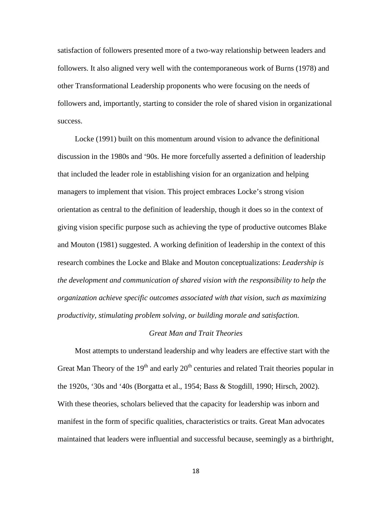satisfaction of followers presented more of a two-way relationship between leaders and followers. It also aligned very well with the contemporaneous work of Burns (1978) and other Transformational Leadership proponents who were focusing on the needs of followers and, importantly, starting to consider the role of shared vision in organizational success.

Locke (1991) built on this momentum around vision to advance the definitional discussion in the 1980s and '90s. He more forcefully asserted a definition of leadership that included the leader role in establishing vision for an organization and helping managers to implement that vision. This project embraces Locke's strong vision orientation as central to the definition of leadership, though it does so in the context of giving vision specific purpose such as achieving the type of productive outcomes Blake and Mouton (1981) suggested. A working definition of leadership in the context of this research combines the Locke and Blake and Mouton conceptualizations: *Leadership is the development and communication of shared vision with the responsibility to help the organization achieve specific outcomes associated with that vision, such as maximizing productivity, stimulating problem solving, or building morale and satisfaction.*

#### *Great Man and Trait Theories*

Most attempts to understand leadership and why leaders are effective start with the Great Man Theory of the  $19<sup>th</sup>$  and early  $20<sup>th</sup>$  centuries and related Trait theories popular in the 1920s, '30s and '40s (Borgatta et al., 1954; Bass & Stogdill, 1990; Hirsch, 2002). With these theories, scholars believed that the capacity for leadership was inborn and manifest in the form of specific qualities, characteristics or traits. Great Man advocates maintained that leaders were influential and successful because, seemingly as a birthright,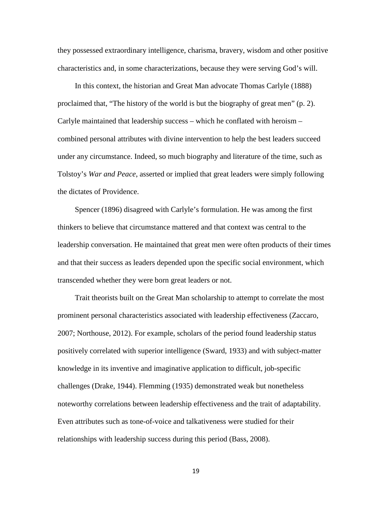they possessed extraordinary intelligence, charisma, bravery, wisdom and other positive characteristics and, in some characterizations, because they were serving God's will.

In this context, the historian and Great Man advocate Thomas Carlyle (1888) proclaimed that, "The history of the world is but the biography of great men" (p. 2). Carlyle maintained that leadership success – which he conflated with heroism – combined personal attributes with divine intervention to help the best leaders succeed under any circumstance. Indeed, so much biography and literature of the time, such as Tolstoy's *War and Peace*, asserted or implied that great leaders were simply following the dictates of Providence.

Spencer (1896) disagreed with Carlyle's formulation. He was among the first thinkers to believe that circumstance mattered and that context was central to the leadership conversation. He maintained that great men were often products of their times and that their success as leaders depended upon the specific social environment, which transcended whether they were born great leaders or not.

Trait theorists built on the Great Man scholarship to attempt to correlate the most prominent personal characteristics associated with leadership effectiveness (Zaccaro, 2007; Northouse, 2012). For example, scholars of the period found leadership status positively correlated with superior intelligence (Sward, 1933) and with subject-matter knowledge in its inventive and imaginative application to difficult, job-specific challenges (Drake, 1944). Flemming (1935) demonstrated weak but nonetheless noteworthy correlations between leadership effectiveness and the trait of adaptability. Even attributes such as tone-of-voice and talkativeness were studied for their relationships with leadership success during this period (Bass, 2008).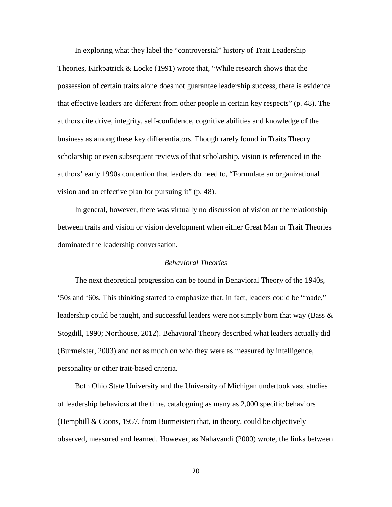In exploring what they label the "controversial" history of Trait Leadership Theories, Kirkpatrick & Locke (1991) wrote that, "While research shows that the possession of certain traits alone does not guarantee leadership success, there is evidence that effective leaders are different from other people in certain key respects" (p. 48). The authors cite drive, integrity, self-confidence, cognitive abilities and knowledge of the business as among these key differentiators. Though rarely found in Traits Theory scholarship or even subsequent reviews of that scholarship, vision is referenced in the authors' early 1990s contention that leaders do need to, "Formulate an organizational vision and an effective plan for pursuing it" (p. 48).

In general, however, there was virtually no discussion of vision or the relationship between traits and vision or vision development when either Great Man or Trait Theories dominated the leadership conversation.

#### *Behavioral Theories*

The next theoretical progression can be found in Behavioral Theory of the 1940s, '50s and '60s. This thinking started to emphasize that, in fact, leaders could be "made," leadership could be taught, and successful leaders were not simply born that way (Bass  $\&$ Stogdill, 1990; Northouse, 2012). Behavioral Theory described what leaders actually did (Burmeister, 2003) and not as much on who they were as measured by intelligence, personality or other trait-based criteria.

Both Ohio State University and the University of Michigan undertook vast studies of leadership behaviors at the time, cataloguing as many as 2,000 specific behaviors (Hemphill & Coons, 1957, from Burmeister) that, in theory, could be objectively observed, measured and learned. However, as Nahavandi (2000) wrote, the links between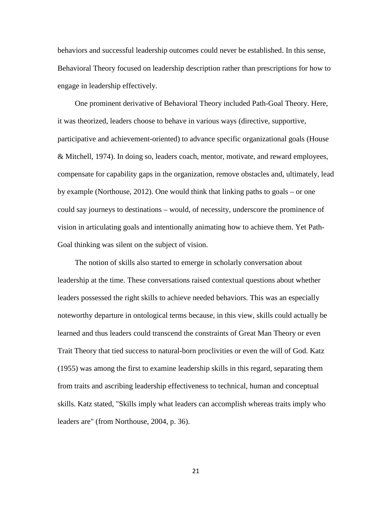behaviors and successful leadership outcomes could never be established. In this sense, Behavioral Theory focused on leadership description rather than prescriptions for how to engage in leadership effectively.

One prominent derivative of Behavioral Theory included Path-Goal Theory. Here, it was theorized, leaders choose to behave in various ways (directive, supportive, participative and achievement-oriented) to advance specific organizational goals (House & Mitchell, 1974). In doing so, leaders coach, mentor, motivate, and reward employees, compensate for capability gaps in the organization, remove obstacles and, ultimately, lead by example (Northouse, 2012). One would think that linking paths to goals – or one could say journeys to destinations – would, of necessity, underscore the prominence of vision in articulating goals and intentionally animating how to achieve them. Yet Path-Goal thinking was silent on the subject of vision.

The notion of skills also started to emerge in scholarly conversation about leadership at the time. These conversations raised contextual questions about whether leaders possessed the right skills to achieve needed behaviors. This was an especially noteworthy departure in ontological terms because, in this view, skills could actually be learned and thus leaders could transcend the constraints of Great Man Theory or even Trait Theory that tied success to natural-born proclivities or even the will of God. Katz (1955) was among the first to examine leadership skills in this regard, separating them from traits and ascribing leadership effectiveness to technical, human and conceptual skills. Katz stated, "Skills imply what leaders can accomplish whereas traits imply who leaders are" (from Northouse, 2004, p. 36).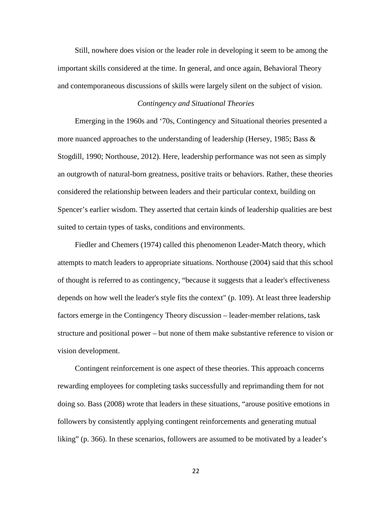Still, nowhere does vision or the leader role in developing it seem to be among the important skills considered at the time. In general, and once again, Behavioral Theory and contemporaneous discussions of skills were largely silent on the subject of vision.

## *Contingency and Situational Theories*

Emerging in the 1960s and '70s, Contingency and Situational theories presented a more nuanced approaches to the understanding of leadership (Hersey, 1985; Bass  $\&$ Stogdill, 1990; Northouse, 2012). Here, leadership performance was not seen as simply an outgrowth of natural-born greatness, positive traits or behaviors. Rather, these theories considered the relationship between leaders and their particular context, building on Spencer's earlier wisdom. They asserted that certain kinds of leadership qualities are best suited to certain types of tasks, conditions and environments.

Fiedler and Chemers (1974) called this phenomenon Leader-Match theory, which attempts to match leaders to appropriate situations. Northouse (2004) said that this school of thought is referred to as contingency, "because it suggests that a leader's effectiveness depends on how well the leader's style fits the context" (p. 109). At least three leadership factors emerge in the Contingency Theory discussion – leader-member relations, task structure and positional power – but none of them make substantive reference to vision or vision development.

Contingent reinforcement is one aspect of these theories. This approach concerns rewarding employees for completing tasks successfully and reprimanding them for not doing so. Bass (2008) wrote that leaders in these situations, "arouse positive emotions in followers by consistently applying contingent reinforcements and generating mutual liking" (p. 366). In these scenarios, followers are assumed to be motivated by a leader's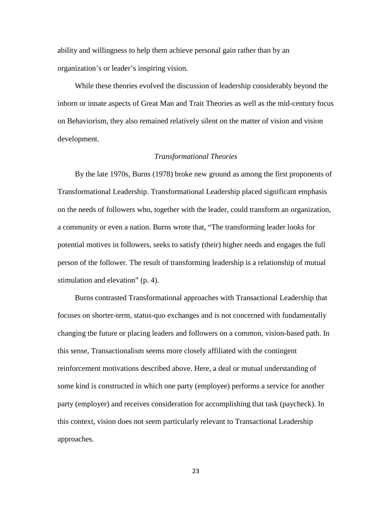ability and willingness to help them achieve personal gain rather than by an organization's or leader's inspiring vision.

While these theories evolved the discussion of leadership considerably beyond the inborn or innate aspects of Great Man and Trait Theories as well as the mid-century focus on Behaviorism, they also remained relatively silent on the matter of vision and vision development.

#### *Transformational Theories*

By the late 1970s, Burns (1978) broke new ground as among the first proponents of Transformational Leadership. Transformational Leadership placed significant emphasis on the needs of followers who, together with the leader, could transform an organization, a community or even a nation. Burns wrote that, "The transforming leader looks for potential motives in followers, seeks to satisfy (their) higher needs and engages the full person of the follower. The result of transforming leadership is a relationship of mutual stimulation and elevation" (p. 4).

Burns contrasted Transformational approaches with Transactional Leadership that focuses on shorter-term, status-quo exchanges and is not concerned with fundamentally changing the future or placing leaders and followers on a common, vision-based path. In this sense, Transactionalism seems more closely affiliated with the contingent reinforcement motivations described above. Here, a deal or mutual understanding of some kind is constructed in which one party (employee) performs a service for another party (employer) and receives consideration for accomplishing that task (paycheck). In this context, vision does not seem particularly relevant to Transactional Leadership approaches.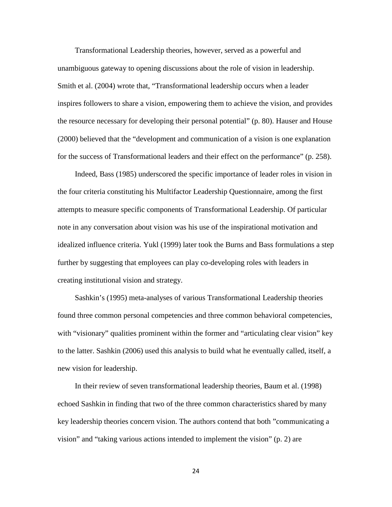Transformational Leadership theories, however, served as a powerful and unambiguous gateway to opening discussions about the role of vision in leadership. Smith et al. (2004) wrote that, "Transformational leadership occurs when a leader inspires followers to share a vision, empowering them to achieve the vision, and provides the resource necessary for developing their personal potential" (p. 80). Hauser and House (2000) believed that the "development and communication of a vision is one explanation for the success of Transformational leaders and their effect on the performance" (p. 258).

Indeed, Bass (1985) underscored the specific importance of leader roles in vision in the four criteria constituting his Multifactor Leadership Questionnaire, among the first attempts to measure specific components of Transformational Leadership. Of particular note in any conversation about vision was his use of the inspirational motivation and idealized influence criteria. Yukl (1999) later took the Burns and Bass formulations a step further by suggesting that employees can play co-developing roles with leaders in creating institutional vision and strategy.

Sashkin's (1995) meta-analyses of various Transformational Leadership theories found three common personal competencies and three common behavioral competencies, with "visionary" qualities prominent within the former and "articulating clear vision" key to the latter. Sashkin (2006) used this analysis to build what he eventually called, itself, a new vision for leadership.

In their review of seven transformational leadership theories, Baum et al. (1998) echoed Sashkin in finding that two of the three common characteristics shared by many key leadership theories concern vision. The authors contend that both "communicating a vision" and "taking various actions intended to implement the vision" (p. 2) are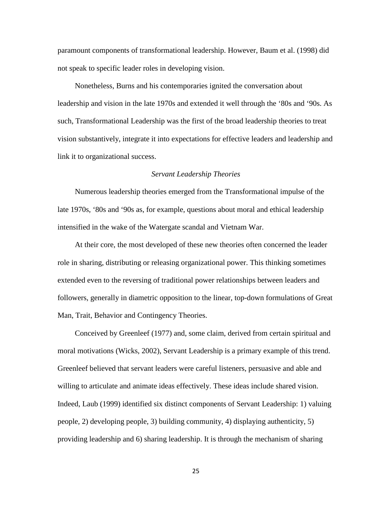paramount components of transformational leadership. However, Baum et al. (1998) did not speak to specific leader roles in developing vision.

Nonetheless, Burns and his contemporaries ignited the conversation about leadership and vision in the late 1970s and extended it well through the '80s and '90s. As such, Transformational Leadership was the first of the broad leadership theories to treat vision substantively, integrate it into expectations for effective leaders and leadership and link it to organizational success.

#### *Servant Leadership Theories*

Numerous leadership theories emerged from the Transformational impulse of the late 1970s, '80s and '90s as, for example, questions about moral and ethical leadership intensified in the wake of the Watergate scandal and Vietnam War.

At their core, the most developed of these new theories often concerned the leader role in sharing, distributing or releasing organizational power. This thinking sometimes extended even to the reversing of traditional power relationships between leaders and followers, generally in diametric opposition to the linear, top-down formulations of Great Man, Trait, Behavior and Contingency Theories.

Conceived by Greenleef (1977) and, some claim, derived from certain spiritual and moral motivations (Wicks, 2002), Servant Leadership is a primary example of this trend. Greenleef believed that servant leaders were careful listeners, persuasive and able and willing to articulate and animate ideas effectively. These ideas include shared vision. Indeed, Laub (1999) identified six distinct components of Servant Leadership: 1) valuing people, 2) developing people, 3) building community, 4) displaying authenticity, 5) providing leadership and 6) sharing leadership. It is through the mechanism of sharing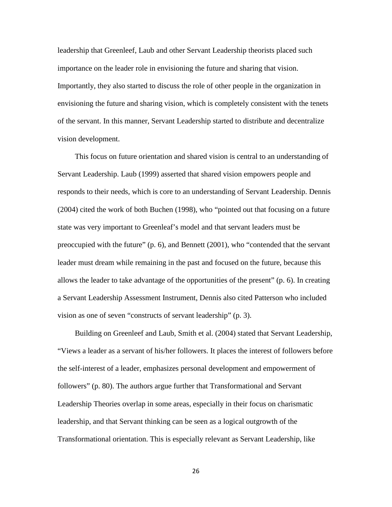leadership that Greenleef, Laub and other Servant Leadership theorists placed such importance on the leader role in envisioning the future and sharing that vision. Importantly, they also started to discuss the role of other people in the organization in envisioning the future and sharing vision, which is completely consistent with the tenets of the servant. In this manner, Servant Leadership started to distribute and decentralize vision development.

This focus on future orientation and shared vision is central to an understanding of Servant Leadership. Laub (1999) asserted that shared vision empowers people and responds to their needs, which is core to an understanding of Servant Leadership. Dennis (2004) cited the work of both Buchen (1998), who "pointed out that focusing on a future state was very important to Greenleaf's model and that servant leaders must be preoccupied with the future" (p. 6), and Bennett (2001), who "contended that the servant leader must dream while remaining in the past and focused on the future, because this allows the leader to take advantage of the opportunities of the present" (p. 6). In creating a Servant Leadership Assessment Instrument, Dennis also cited Patterson who included vision as one of seven "constructs of servant leadership" (p. 3).

Building on Greenleef and Laub, Smith et al. (2004) stated that Servant Leadership, "Views a leader as a servant of his/her followers. It places the interest of followers before the self-interest of a leader, emphasizes personal development and empowerment of followers" (p. 80). The authors argue further that Transformational and Servant Leadership Theories overlap in some areas, especially in their focus on charismatic leadership, and that Servant thinking can be seen as a logical outgrowth of the Transformational orientation. This is especially relevant as Servant Leadership, like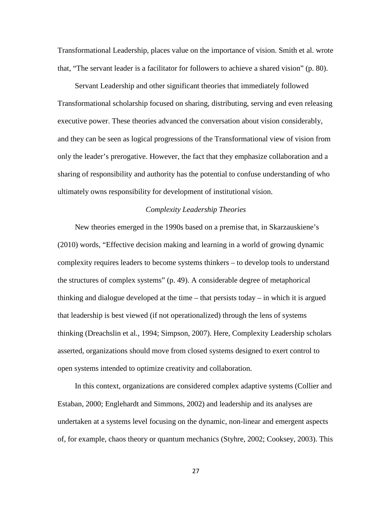Transformational Leadership, places value on the importance of vision. Smith et al. wrote that, "The servant leader is a facilitator for followers to achieve a shared vision" (p. 80).

Servant Leadership and other significant theories that immediately followed Transformational scholarship focused on sharing, distributing, serving and even releasing executive power. These theories advanced the conversation about vision considerably, and they can be seen as logical progressions of the Transformational view of vision from only the leader's prerogative. However, the fact that they emphasize collaboration and a sharing of responsibility and authority has the potential to confuse understanding of who ultimately owns responsibility for development of institutional vision.

# *Complexity Leadership Theories*

New theories emerged in the 1990s based on a premise that, in Skarzauskiene's (2010) words, "Effective decision making and learning in a world of growing dynamic complexity requires leaders to become systems thinkers – to develop tools to understand the structures of complex systems" (p. 49). A considerable degree of metaphorical thinking and dialogue developed at the time – that persists today – in which it is argued that leadership is best viewed (if not operationalized) through the lens of systems thinking (Dreachslin et al*.*, 1994; Simpson, 2007). Here, Complexity Leadership scholars asserted, organizations should move from closed systems designed to exert control to open systems intended to optimize creativity and collaboration.

In this context, organizations are considered complex adaptive systems (Collier and Estaban, 2000; Englehardt and Simmons, 2002) and leadership and its analyses are undertaken at a systems level focusing on the dynamic, non-linear and emergent aspects of, for example, chaos theory or quantum mechanics (Styhre, 2002; Cooksey, 2003). This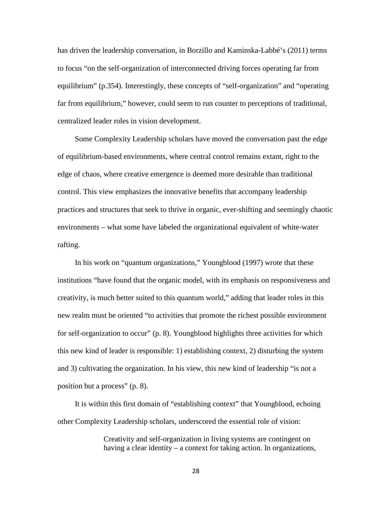has driven the leadership conversation, in Borzillo and Kaminska-Labbé's (2011) terms to focus "on the self-organization of interconnected driving forces operating far from equilibrium" (p.354). Interestingly, these concepts of "self-organization" and "operating far from equilibrium," however, could seem to run counter to perceptions of traditional, centralized leader roles in vision development.

Some Complexity Leadership scholars have moved the conversation past the edge of equilibrium-based environments, where central control remains extant, right to the edge of chaos, where creative emergence is deemed more desirable than traditional control. This view emphasizes the innovative benefits that accompany leadership practices and structures that seek to thrive in organic, ever-shifting and seemingly chaotic environments – what some have labeled the organizational equivalent of white-water rafting.

In his work on "quantum organizations," Youngblood (1997) wrote that these institutions "have found that the organic model, with its emphasis on responsiveness and creativity, is much better suited to this quantum world," adding that leader roles in this new realm must be oriented "to activities that promote the richest possible environment for self-organization to occur" (p. 8). Youngblood highlights three activities for which this new kind of leader is responsible: 1) establishing context, 2) disturbing the system and 3) cultivating the organization. In his view, this new kind of leadership "is not a position but a process" (p. 8).

It is within this first domain of "establishing context" that Youngblood, echoing other Complexity Leadership scholars, underscored the essential role of vision:

> Creativity and self-organization in living systems are contingent on having a clear identity – a context for taking action. In organizations,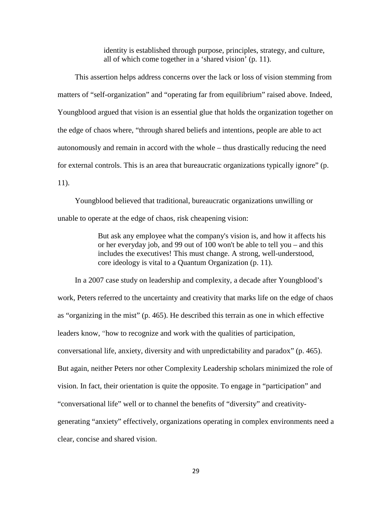identity is established through purpose, principles, strategy, and culture, all of which come together in a 'shared vision' (p. 11).

This assertion helps address concerns over the lack or loss of vision stemming from matters of "self-organization" and "operating far from equilibrium" raised above. Indeed, Youngblood argued that vision is an essential glue that holds the organization together on the edge of chaos where, "through shared beliefs and intentions, people are able to act autonomously and remain in accord with the whole – thus drastically reducing the need for external controls. This is an area that bureaucratic organizations typically ignore" (p. 11).

Youngblood believed that traditional, bureaucratic organizations unwilling or unable to operate at the edge of chaos, risk cheapening vision:

> But ask any employee what the company's vision is, and how it affects his or her everyday job, and 99 out of 100 won't be able to tell you – and this includes the executives! This must change. A strong, well-understood, core ideology is vital to a Quantum Organization (p. 11).

In a 2007 case study on leadership and complexity, a decade after Youngblood's work, Peters referred to the uncertainty and creativity that marks life on the edge of chaos as "organizing in the mist" (p. 465). He described this terrain as one in which effective leaders know, "how to recognize and work with the qualities of participation, conversational life, anxiety, diversity and with unpredictability and paradox" (p. 465). But again, neither Peters nor other Complexity Leadership scholars minimized the role of vision. In fact, their orientation is quite the opposite. To engage in "participation" and "conversational life" well or to channel the benefits of "diversity" and creativitygenerating "anxiety" effectively, organizations operating in complex environments need a clear, concise and shared vision.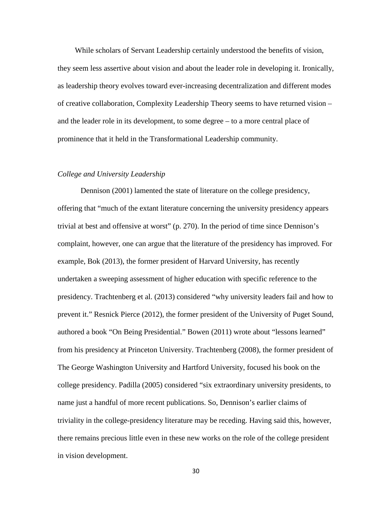While scholars of Servant Leadership certainly understood the benefits of vision, they seem less assertive about vision and about the leader role in developing it. Ironically, as leadership theory evolves toward ever-increasing decentralization and different modes of creative collaboration, Complexity Leadership Theory seems to have returned vision – and the leader role in its development, to some degree – to a more central place of prominence that it held in the Transformational Leadership community.

## *College and University Leadership*

Dennison (2001) lamented the state of literature on the college presidency, offering that "much of the extant literature concerning the university presidency appears trivial at best and offensive at worst" (p. 270). In the period of time since Dennison's complaint, however, one can argue that the literature of the presidency has improved. For example, Bok (2013), the former president of Harvard University, has recently undertaken a sweeping assessment of higher education with specific reference to the presidency. Trachtenberg et al. (2013) considered "why university leaders fail and how to prevent it." Resnick Pierce (2012), the former president of the University of Puget Sound, authored a book "On Being Presidential." Bowen (2011) wrote about "lessons learned" from his presidency at Princeton University. Trachtenberg (2008), the former president of The George Washington University and Hartford University, focused his book on the college presidency. Padilla (2005) considered "six extraordinary university presidents, to name just a handful of more recent publications. So, Dennison's earlier claims of triviality in the college-presidency literature may be receding. Having said this, however, there remains precious little even in these new works on the role of the college president in vision development.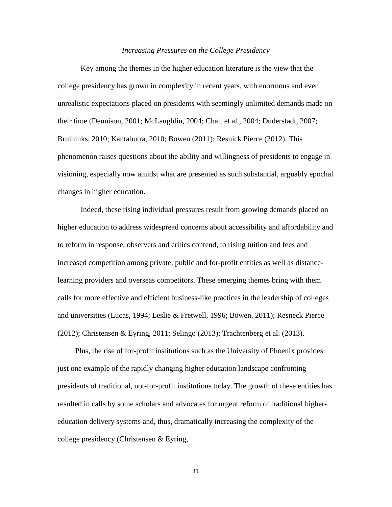#### *Increasing Pressures on the College Presidency*

Key among the themes in the higher education literature is the view that the college presidency has grown in complexity in recent years, with enormous and even unrealistic expectations placed on presidents with seemingly unlimited demands made on their time (Dennison, 2001; McLaughlin, 2004; Chait et al., 2004; Duderstadt, 2007; Bruininks, 2010; Kantabutra, 2010; Bowen (2011); Resnick Pierce (2012). This phenomenon raises questions about the ability and willingness of presidents to engage in visioning, especially now amidst what are presented as such substantial, arguably epochal changes in higher education.

Indeed, these rising individual pressures result from growing demands placed on higher education to address widespread concerns about accessibility and affordability and to reform in response, observers and critics contend, to rising tuition and fees and increased competition among private, public and for-profit entities as well as distancelearning providers and overseas competitors. These emerging themes bring with them calls for more effective and efficient business-like practices in the leadership of colleges and universities (Lucas, 1994; Leslie & Fretwell, 1996; Bowen, 2011); Resneck Pierce (2012); Christensen & Eyring, 2011; Selingo (2013); Trachtenberg et al. (2013).

Plus, the rise of for-profit institutions such as the University of Phoenix provides just one example of the rapidly changing higher education landscape confronting presidents of traditional, not-for-profit institutions today. The growth of these entities has resulted in calls by some scholars and advocates for urgent reform of traditional highereducation delivery systems and, thus, dramatically increasing the complexity of the college presidency (Christensen & Eyring,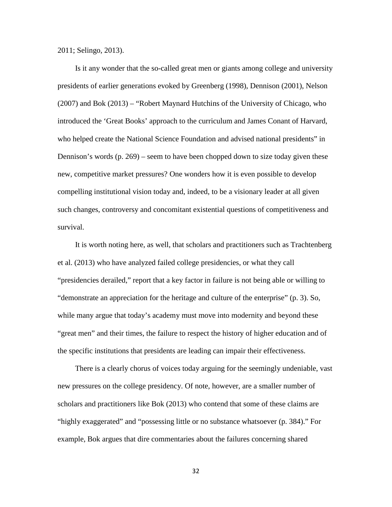2011; Selingo, 2013).

Is it any wonder that the so-called great men or giants among college and university presidents of earlier generations evoked by Greenberg (1998), Dennison (2001), Nelson (2007) and Bok (2013) – "Robert Maynard Hutchins of the University of Chicago, who introduced the 'Great Books' approach to the curriculum and James Conant of Harvard, who helped create the National Science Foundation and advised national presidents" in Dennison's words (p. 269) – seem to have been chopped down to size today given these new, competitive market pressures? One wonders how it is even possible to develop compelling institutional vision today and, indeed, to be a visionary leader at all given such changes, controversy and concomitant existential questions of competitiveness and survival.

It is worth noting here, as well, that scholars and practitioners such as Trachtenberg et al. (2013) who have analyzed failed college presidencies, or what they call "presidencies derailed," report that a key factor in failure is not being able or willing to "demonstrate an appreciation for the heritage and culture of the enterprise" (p. 3). So, while many argue that today's academy must move into modernity and beyond these "great men" and their times, the failure to respect the history of higher education and of the specific institutions that presidents are leading can impair their effectiveness.

There is a clearly chorus of voices today arguing for the seemingly undeniable, vast new pressures on the college presidency. Of note, however, are a smaller number of scholars and practitioners like Bok (2013) who contend that some of these claims are "highly exaggerated" and "possessing little or no substance whatsoever (p. 384)." For example, Bok argues that dire commentaries about the failures concerning shared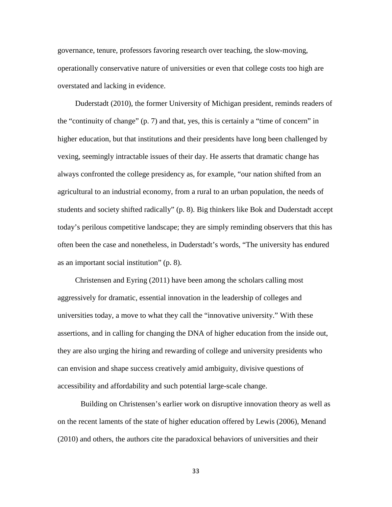governance, tenure, professors favoring research over teaching, the slow-moving, operationally conservative nature of universities or even that college costs too high are overstated and lacking in evidence.

Duderstadt (2010), the former University of Michigan president, reminds readers of the "continuity of change" (p. 7) and that, yes, this is certainly a "time of concern" in higher education, but that institutions and their presidents have long been challenged by vexing, seemingly intractable issues of their day. He asserts that dramatic change has always confronted the college presidency as, for example, "our nation shifted from an agricultural to an industrial economy, from a rural to an urban population, the needs of students and society shifted radically" (p. 8). Big thinkers like Bok and Duderstadt accept today's perilous competitive landscape; they are simply reminding observers that this has often been the case and nonetheless, in Duderstadt's words, "The university has endured as an important social institution" (p. 8).

Christensen and Eyring (2011) have been among the scholars calling most aggressively for dramatic, essential innovation in the leadership of colleges and universities today, a move to what they call the "innovative university." With these assertions, and in calling for changing the DNA of higher education from the inside out, they are also urging the hiring and rewarding of college and university presidents who can envision and shape success creatively amid ambiguity, divisive questions of accessibility and affordability and such potential large-scale change.

Building on Christensen's earlier work on disruptive innovation theory as well as on the recent laments of the state of higher education offered by Lewis (2006), Menand (2010) and others, the authors cite the paradoxical behaviors of universities and their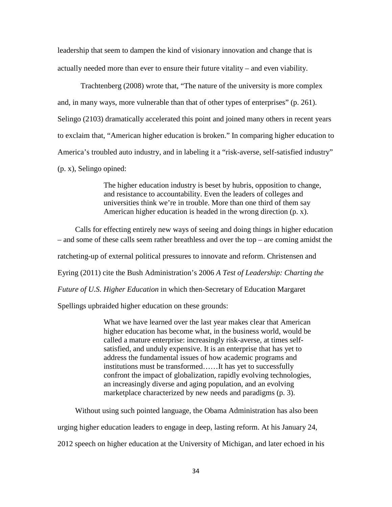leadership that seem to dampen the kind of visionary innovation and change that is actually needed more than ever to ensure their future vitality – and even viability.

Trachtenberg (2008) wrote that, "The nature of the university is more complex and, in many ways, more vulnerable than that of other types of enterprises" (p. 261). Selingo (2103) dramatically accelerated this point and joined many others in recent years to exclaim that, "American higher education is broken." In comparing higher education to America's troubled auto industry, and in labeling it a "risk-averse, self-satisfied industry" (p. x), Selingo opined:

> The higher education industry is beset by hubris, opposition to change, and resistance to accountability. Even the leaders of colleges and universities think we're in trouble. More than one third of them say American higher education is headed in the wrong direction (p. x).

Calls for effecting entirely new ways of seeing and doing things in higher education – and some of these calls seem rather breathless and over the top – are coming amidst the ratcheting-up of external political pressures to innovate and reform. Christensen and Eyring (2011) cite the Bush Administration's 2006 *A Test of Leadership: Charting the Future of U.S. Higher Education* in which then-Secretary of Education Margaret

Spellings upbraided higher education on these grounds:

What we have learned over the last year makes clear that American higher education has become what, in the business world, would be called a mature enterprise: increasingly risk-averse, at times selfsatisfied, and unduly expensive. It is an enterprise that has yet to address the fundamental issues of how academic programs and institutions must be transformed……It has yet to successfully confront the impact of globalization, rapidly evolving technologies, an increasingly diverse and aging population, and an evolving marketplace characterized by new needs and paradigms (p. 3).

Without using such pointed language, the Obama Administration has also been urging higher education leaders to engage in deep, lasting reform. At his January 24, 2012 speech on higher education at the University of Michigan, and later echoed in his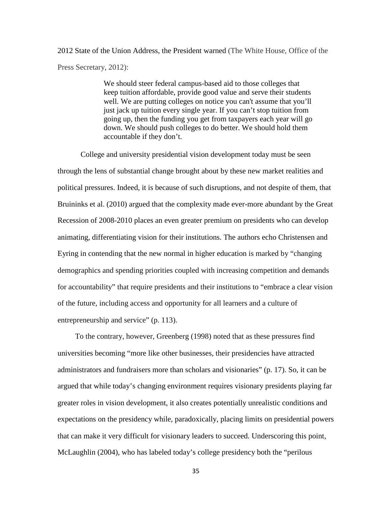2012 State of the Union Address, the President warned (The White House, Office of the Press Secretary, 2012):

> We should steer federal campus-based aid to those colleges that keep tuition affordable, provide good value and serve their students well. We are putting colleges on notice you can't assume that you'll just jack up tuition every single year. If you can't stop tuition from going up, then the funding you get from taxpayers each year will go down. We should push colleges to do better. We should hold them accountable if they don't.

College and university presidential vision development today must be seen through the lens of substantial change brought about by these new market realities and political pressures. Indeed, it is because of such disruptions, and not despite of them, that Bruininks et al. (2010) argued that the complexity made ever-more abundant by the Great Recession of 2008-2010 places an even greater premium on presidents who can develop animating, differentiating vision for their institutions. The authors echo Christensen and Eyring in contending that the new normal in higher education is marked by "changing demographics and spending priorities coupled with increasing competition and demands for accountability" that require presidents and their institutions to "embrace a clear vision of the future, including access and opportunity for all learners and a culture of entrepreneurship and service" (p. 113).

To the contrary, however, Greenberg (1998) noted that as these pressures find universities becoming "more like other businesses, their presidencies have attracted administrators and fundraisers more than scholars and visionaries" (p. 17). So, it can be argued that while today's changing environment requires visionary presidents playing far greater roles in vision development, it also creates potentially unrealistic conditions and expectations on the presidency while, paradoxically, placing limits on presidential powers that can make it very difficult for visionary leaders to succeed. Underscoring this point, McLaughlin (2004), who has labeled today's college presidency both the "perilous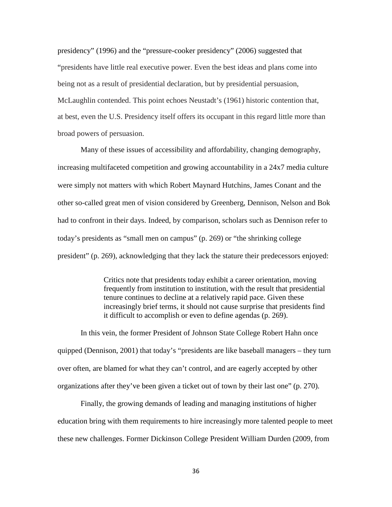presidency" (1996) and the "pressure-cooker presidency" (2006) suggested that "presidents have little real executive power. Even the best ideas and plans come into being not as a result of presidential declaration, but by presidential persuasion, McLaughlin contended. This point echoes Neustadt's (1961) historic contention that, at best, even the U.S. Presidency itself offers its occupant in this regard little more than broad powers of persuasion.

Many of these issues of accessibility and affordability, changing demography, increasing multifaceted competition and growing accountability in a 24x7 media culture were simply not matters with which Robert Maynard Hutchins, James Conant and the other so-called great men of vision considered by Greenberg, Dennison, Nelson and Bok had to confront in their days. Indeed, by comparison, scholars such as Dennison refer to today's presidents as "small men on campus" (p. 269) or "the shrinking college president" (p. 269), acknowledging that they lack the stature their predecessors enjoyed:

> Critics note that presidents today exhibit a career orientation, moving frequently from institution to institution, with the result that presidential tenure continues to decline at a relatively rapid pace. Given these increasingly brief terms, it should not cause surprise that presidents find it difficult to accomplish or even to define agendas (p. 269).

In this vein, the former President of Johnson State College Robert Hahn once quipped (Dennison, 2001) that today's "presidents are like baseball managers – they turn over often, are blamed for what they can't control, and are eagerly accepted by other organizations after they've been given a ticket out of town by their last one" (p. 270).

Finally, the growing demands of leading and managing institutions of higher education bring with them requirements to hire increasingly more talented people to meet these new challenges. Former Dickinson College President William Durden (2009, from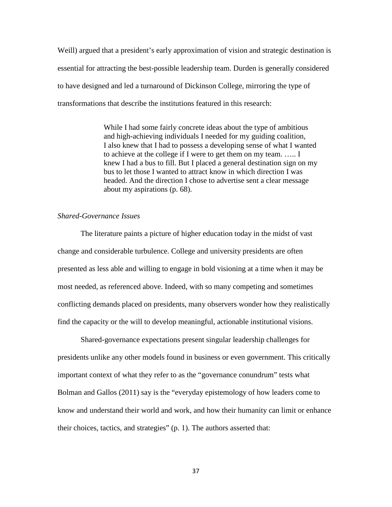Weill) argued that a president's early approximation of vision and strategic destination is essential for attracting the best-possible leadership team. Durden is generally considered to have designed and led a turnaround of Dickinson College, mirroring the type of transformations that describe the institutions featured in this research:

> While I had some fairly concrete ideas about the type of ambitious and high-achieving individuals I needed for my guiding coalition, I also knew that I had to possess a developing sense of what I wanted to achieve at the college if I were to get them on my team. ….. I knew I had a bus to fill. But I placed a general destination sign on my bus to let those I wanted to attract know in which direction I was headed. And the direction I chose to advertise sent a clear message about my aspirations (p. 68).

## *Shared-Governance Issues*

The literature paints a picture of higher education today in the midst of vast change and considerable turbulence. College and university presidents are often presented as less able and willing to engage in bold visioning at a time when it may be most needed, as referenced above. Indeed, with so many competing and sometimes conflicting demands placed on presidents, many observers wonder how they realistically find the capacity or the will to develop meaningful, actionable institutional visions.

Shared-governance expectations present singular leadership challenges for presidents unlike any other models found in business or even government. This critically important context of what they refer to as the "governance conundrum" tests what Bolman and Gallos (2011) say is the "everyday epistemology of how leaders come to know and understand their world and work, and how their humanity can limit or enhance their choices, tactics, and strategies" (p. 1). The authors asserted that: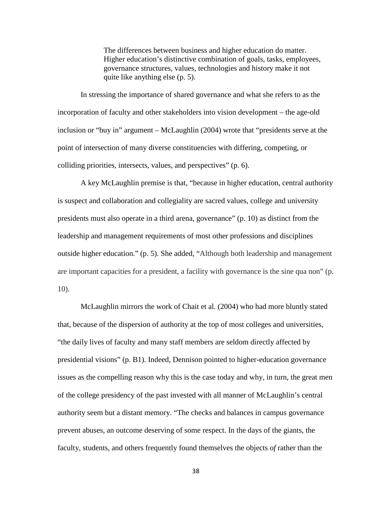The differences between business and higher education do matter. Higher education's distinctive combination of goals, tasks, employees, governance structures, values, technologies and history make it not quite like anything else (p. 5).

In stressing the importance of shared governance and what she refers to as the incorporation of faculty and other stakeholders into vision development – the age-old inclusion or "buy in" argument – McLaughlin (2004) wrote that "presidents serve at the point of intersection of many diverse constituencies with differing, competing, or colliding priorities, intersects, values, and perspectives" (p. 6).

A key McLaughlin premise is that, "because in higher education, central authority is suspect and collaboration and collegiality are sacred values, college and university presidents must also operate in a third arena, governance" (p. 10) as distinct from the leadership and management requirements of most other professions and disciplines outside higher education." (p. 5). She added, "Although both leadership and management are important capacities for a president, a facility with governance is the sine qua non" (p. 10).

McLaughlin mirrors the work of Chait et al. (2004) who had more bluntly stated that, because of the dispersion of authority at the top of most colleges and universities, "the daily lives of faculty and many staff members are seldom directly affected by presidential visions" (p. B1). Indeed, Dennison pointed to higher-education governance issues as the compelling reason why this is the case today and why, in turn, the great men of the college presidency of the past invested with all manner of McLaughlin's central authority seem but a distant memory. "The checks and balances in campus governance prevent abuses, an outcome deserving of some respect. In the days of the giants, the faculty, students, and others frequently found themselves the objects *of* rather than the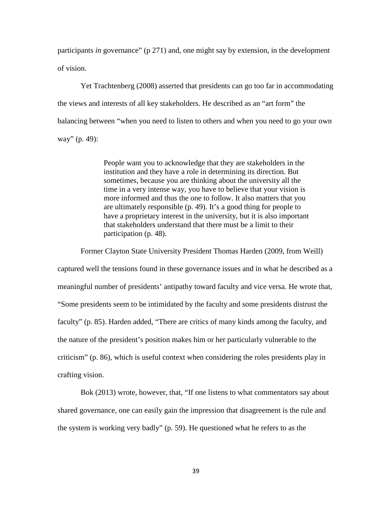participants *in* governance" (p 271) and, one might say by extension, in the development of vision.

Yet Trachtenberg (2008) asserted that presidents can go too far in accommodating the views and interests of all key stakeholders. He described as an "art form" the balancing between "when you need to listen to others and when you need to go your own way" (p. 49):

> People want you to acknowledge that they are stakeholders in the institution and they have a role in determining its direction. But sometimes, because you are thinking about the university all the time in a very intense way, you have to believe that your vision is more informed and thus the one to follow. It also matters that you are ultimately responsible (p. 49). It's a good thing for people to have a proprietary interest in the university, but it is also important that stakeholders understand that there must be a limit to their participation (p. 48).

Former Clayton State University President Thomas Harden (2009, from Weill) captured well the tensions found in these governance issues and in what he described as a meaningful number of presidents' antipathy toward faculty and vice versa. He wrote that, "Some presidents seem to be intimidated by the faculty and some presidents distrust the faculty" (p. 85). Harden added, "There are critics of many kinds among the faculty, and the nature of the president's position makes him or her particularly vulnerable to the criticism" (p. 86), which is useful context when considering the roles presidents play in crafting vision.

Bok (2013) wrote, however, that, "If one listens to what commentators say about shared governance, one can easily gain the impression that disagreement is the rule and the system is working very badly" (p. 59). He questioned what he refers to as the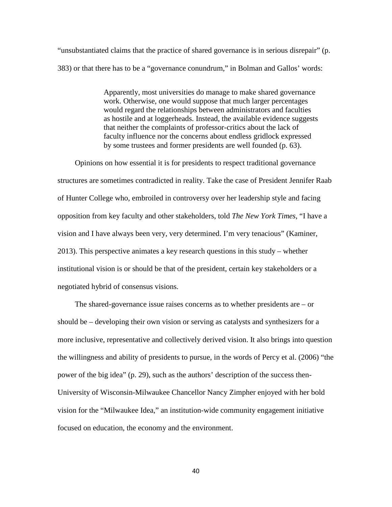"unsubstantiated claims that the practice of shared governance is in serious disrepair" (p. 383) or that there has to be a "governance conundrum," in Bolman and Gallos' words:

> Apparently, most universities do manage to make shared governance work. Otherwise, one would suppose that much larger percentages would regard the relationships between administrators and faculties as hostile and at loggerheads. Instead, the available evidence suggests that neither the complaints of professor-critics about the lack of faculty influence nor the concerns about endless gridlock expressed by some trustees and former presidents are well founded (p. 63).

Opinions on how essential it is for presidents to respect traditional governance structures are sometimes contradicted in reality. Take the case of President Jennifer Raab of Hunter College who, embroiled in controversy over her leadership style and facing opposition from key faculty and other stakeholders, told *The New York Times*, "I have a vision and I have always been very, very determined. I'm very tenacious" (Kaminer, 2013). This perspective animates a key research questions in this study – whether institutional vision is or should be that of the president, certain key stakeholders or a negotiated hybrid of consensus visions.

The shared-governance issue raises concerns as to whether presidents are – or should be – developing their own vision or serving as catalysts and synthesizers for a more inclusive, representative and collectively derived vision. It also brings into question the willingness and ability of presidents to pursue, in the words of Percy et al. (2006) "the power of the big idea" (p. 29), such as the authors' description of the success then-University of Wisconsin-Milwaukee Chancellor Nancy Zimpher enjoyed with her bold vision for the "Milwaukee Idea," an institution-wide community engagement initiative focused on education, the economy and the environment.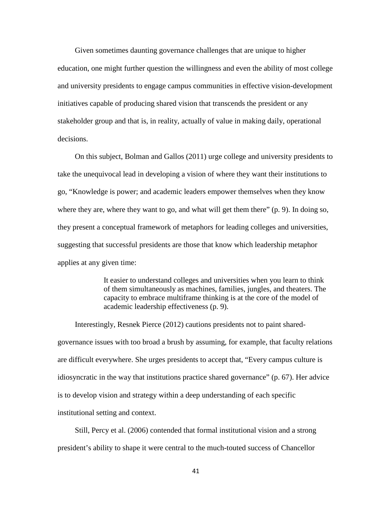Given sometimes daunting governance challenges that are unique to higher education, one might further question the willingness and even the ability of most college and university presidents to engage campus communities in effective vision-development initiatives capable of producing shared vision that transcends the president or any stakeholder group and that is, in reality, actually of value in making daily, operational decisions.

On this subject, Bolman and Gallos (2011) urge college and university presidents to take the unequivocal lead in developing a vision of where they want their institutions to go, "Knowledge is power; and academic leaders empower themselves when they know where they are, where they want to go, and what will get them there" (p. 9). In doing so, they present a conceptual framework of metaphors for leading colleges and universities, suggesting that successful presidents are those that know which leadership metaphor applies at any given time:

> It easier to understand colleges and universities when you learn to think of them simultaneously as machines, families, jungles, and theaters. The capacity to embrace multiframe thinking is at the core of the model of academic leadership effectiveness (p. 9).

Interestingly, Resnek Pierce (2012) cautions presidents not to paint sharedgovernance issues with too broad a brush by assuming, for example, that faculty relations are difficult everywhere. She urges presidents to accept that, "Every campus culture is idiosyncratic in the way that institutions practice shared governance" (p. 67). Her advice is to develop vision and strategy within a deep understanding of each specific institutional setting and context.

Still, Percy et al. (2006) contended that formal institutional vision and a strong president's ability to shape it were central to the much-touted success of Chancellor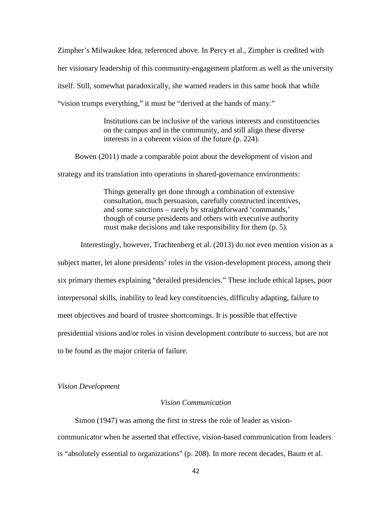Zimpher's Milwaukee Idea, referenced above. In Percy et al., Zimpher is credited with her visionary leadership of this community-engagement platform as well as the university itself. Still, somewhat paradoxically, she warned readers in this same book that while "vision trumps everything," it must be "derived at the hands of many."

> Institutions can be inclusive of the various interests and constituencies on the campus and in the community, and still align these diverse interests in a coherent vision of the future (p. 224).

Bowen (2011) made a comparable point about the development of vision and

strategy and its translation into operations in shared-governance environments:

Things generally get done through a combination of extensive consultation, much persuasion, carefully constructed incentives, and some sanctions – rarely by straightforward 'commands,' though of course presidents and others with executive authority must make decisions and take responsibility for them (p. 5).

Interestingly, however, Trachtenberg et al. (2013) do not even mention vision as a subject matter, let alone presidents' roles in the vision-development process, among their six primary themes explaining "derailed presidencies." These include ethical lapses, poor interpersonal skills, inability to lead key constituencies, difficulty adapting, failure to meet objectives and board of trustee shortcomings. It is possible that effective presidential visions and/or roles in vision development contribute to success, but are not to be found as the major criteria of failure.

#### *Vision Development*

# *Vision Communication*

Simon (1947) was among the first to stress the role of leader as visioncommunicator when he asserted that effective, vision-based communication from leaders is "absolutely essential to organizations" (p. 208). In more recent decades, Baum et al.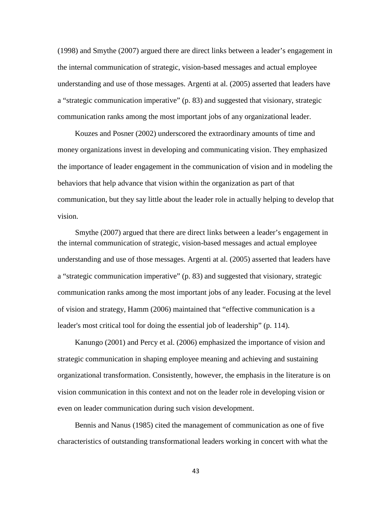(1998) and Smythe (2007) argued there are direct links between a leader's engagement in the internal communication of strategic, vision-based messages and actual employee understanding and use of those messages. Argenti at al. (2005) asserted that leaders have a "strategic communication imperative" (p. 83) and suggested that visionary, strategic communication ranks among the most important jobs of any organizational leader.

Kouzes and Posner (2002) underscored the extraordinary amounts of time and money organizations invest in developing and communicating vision. They emphasized the importance of leader engagement in the communication of vision and in modeling the behaviors that help advance that vision within the organization as part of that communication, but they say little about the leader role in actually helping to develop that vision.

Smythe (2007) argued that there are direct links between a leader's engagement in the internal communication of strategic, vision-based messages and actual employee understanding and use of those messages. Argenti at al. (2005) asserted that leaders have a "strategic communication imperative" (p. 83) and suggested that visionary, strategic communication ranks among the most important jobs of any leader. Focusing at the level of vision and strategy, Hamm (2006) maintained that "effective communication is a leader's most critical tool for doing the essential job of leadership" (p. 114).

Kanungo (2001) and Percy et al. (2006) emphasized the importance of vision and strategic communication in shaping employee meaning and achieving and sustaining organizational transformation. Consistently, however, the emphasis in the literature is on vision communication in this context and not on the leader role in developing vision or even on leader communication during such vision development.

Bennis and Nanus (1985) cited the management of communication as one of five characteristics of outstanding transformational leaders working in concert with what the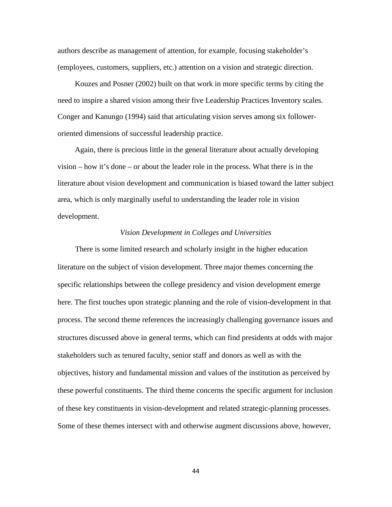authors describe as management of attention, for example, focusing stakeholder's (employees, customers, suppliers, etc.) attention on a vision and strategic direction.

Kouzes and Posner (2002) built on that work in more specific terms by citing the need to inspire a shared vision among their five Leadership Practices Inventory scales. Conger and Kanungo (1994) said that articulating vision serves among six followeroriented dimensions of successful leadership practice.

Again, there is precious little in the general literature about actually developing vision – how it's done – or about the leader role in the process. What there is in the literature about vision development and communication is biased toward the latter subject area, which is only marginally useful to understanding the leader role in vision development.

#### *Vision Development in Colleges and Universities*

There is some limited research and scholarly insight in the higher education literature on the subject of vision development. Three major themes concerning the specific relationships between the college presidency and vision development emerge here. The first touches upon strategic planning and the role of vision-development in that process. The second theme references the increasingly challenging governance issues and structures discussed above in general terms, which can find presidents at odds with major stakeholders such as tenured faculty, senior staff and donors as well as with the objectives, history and fundamental mission and values of the institution as perceived by these powerful constituents. The third theme concerns the specific argument for inclusion of these key constituents in vision-development and related strategic-planning processes. Some of these themes intersect with and otherwise augment discussions above, however,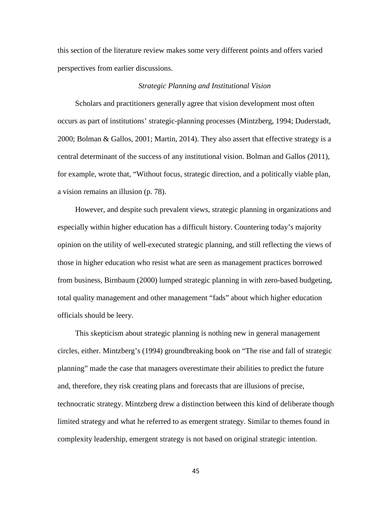this section of the literature review makes some very different points and offers varied perspectives from earlier discussions.

## *Strategic Planning and Institutional Vision*

Scholars and practitioners generally agree that vision development most often occurs as part of institutions' strategic-planning processes (Mintzberg, 1994; Duderstadt, 2000; Bolman & Gallos, 2001; Martin, 2014). They also assert that effective strategy is a central determinant of the success of any institutional vision. Bolman and Gallos (2011), for example, wrote that, "Without focus, strategic direction, and a politically viable plan, a vision remains an illusion (p. 78).

However, and despite such prevalent views, strategic planning in organizations and especially within higher education has a difficult history. Countering today's majority opinion on the utility of well-executed strategic planning, and still reflecting the views of those in higher education who resist what are seen as management practices borrowed from business, Birnbaum (2000) lumped strategic planning in with zero-based budgeting, total quality management and other management "fads" about which higher education officials should be leery.

This skepticism about strategic planning is nothing new in general management circles, either. Mintzberg's (1994) groundbreaking book on "The rise and fall of strategic planning" made the case that managers overestimate their abilities to predict the future and, therefore, they risk creating plans and forecasts that are illusions of precise, technocratic strategy. Mintzberg drew a distinction between this kind of deliberate though limited strategy and what he referred to as emergent strategy. Similar to themes found in complexity leadership, emergent strategy is not based on original strategic intention.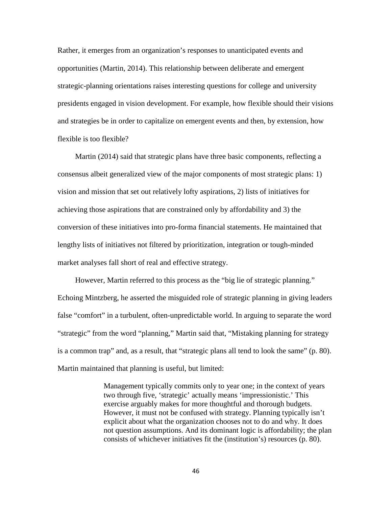Rather, it emerges from an organization's responses to unanticipated events and opportunities (Martin, 2014). This relationship between deliberate and emergent strategic-planning orientations raises interesting questions for college and university presidents engaged in vision development. For example, how flexible should their visions and strategies be in order to capitalize on emergent events and then, by extension, how flexible is too flexible?

Martin (2014) said that strategic plans have three basic components, reflecting a consensus albeit generalized view of the major components of most strategic plans: 1) vision and mission that set out relatively lofty aspirations, 2) lists of initiatives for achieving those aspirations that are constrained only by affordability and 3) the conversion of these initiatives into pro-forma financial statements. He maintained that lengthy lists of initiatives not filtered by prioritization, integration or tough-minded market analyses fall short of real and effective strategy.

However, Martin referred to this process as the "big lie of strategic planning." Echoing Mintzberg, he asserted the misguided role of strategic planning in giving leaders false "comfort" in a turbulent, often-unpredictable world. In arguing to separate the word "strategic" from the word "planning," Martin said that, "Mistaking planning for strategy is a common trap" and, as a result, that "strategic plans all tend to look the same" (p. 80). Martin maintained that planning is useful, but limited:

> Management typically commits only to year one; in the context of years two through five, 'strategic' actually means 'impressionistic.' This exercise arguably makes for more thoughtful and thorough budgets. However, it must not be confused with strategy. Planning typically isn't explicit about what the organization chooses not to do and why. It does not question assumptions. And its dominant logic is affordability; the plan consists of whichever initiatives fit the (institution's) resources (p. 80).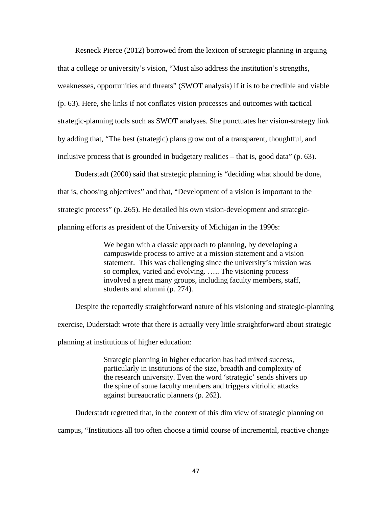Resneck Pierce (2012) borrowed from the lexicon of strategic planning in arguing that a college or university's vision, "Must also address the institution's strengths, weaknesses, opportunities and threats" (SWOT analysis) if it is to be credible and viable (p. 63). Here, she links if not conflates vision processes and outcomes with tactical strategic-planning tools such as SWOT analyses. She punctuates her vision-strategy link by adding that, "The best (strategic) plans grow out of a transparent, thoughtful, and inclusive process that is grounded in budgetary realities – that is, good data" (p. 63).

Duderstadt (2000) said that strategic planning is "deciding what should be done, that is, choosing objectives" and that, "Development of a vision is important to the strategic process" (p. 265). He detailed his own vision-development and strategicplanning efforts as president of the University of Michigan in the 1990s:

> We began with a classic approach to planning, by developing a campuswide process to arrive at a mission statement and a vision statement. This was challenging since the university's mission was so complex, varied and evolving. ….. The visioning process involved a great many groups, including faculty members, staff, students and alumni (p. 274).

Despite the reportedly straightforward nature of his visioning and strategic-planning exercise, Duderstadt wrote that there is actually very little straightforward about strategic planning at institutions of higher education:

> Strategic planning in higher education has had mixed success, particularly in institutions of the size, breadth and complexity of the research university. Even the word 'strategic' sends shivers up the spine of some faculty members and triggers vitriolic attacks against bureaucratic planners (p. 262).

Duderstadt regretted that, in the context of this dim view of strategic planning on campus, "Institutions all too often choose a timid course of incremental, reactive change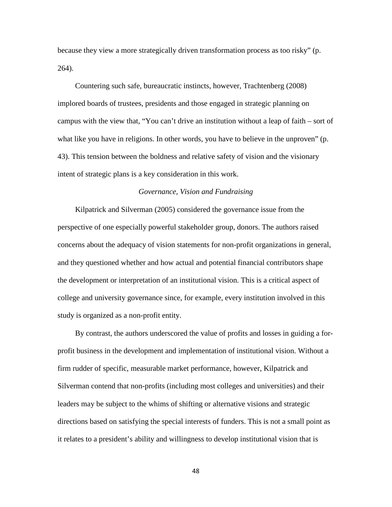because they view a more strategically driven transformation process as too risky" (p. 264).

Countering such safe, bureaucratic instincts, however, Trachtenberg (2008) implored boards of trustees, presidents and those engaged in strategic planning on campus with the view that, "You can't drive an institution without a leap of faith – sort of what like you have in religions. In other words, you have to believe in the unproven" (p. 43). This tension between the boldness and relative safety of vision and the visionary intent of strategic plans is a key consideration in this work.

# *Governance, Vision and Fundraising*

Kilpatrick and Silverman (2005) considered the governance issue from the perspective of one especially powerful stakeholder group, donors. The authors raised concerns about the adequacy of vision statements for non-profit organizations in general, and they questioned whether and how actual and potential financial contributors shape the development or interpretation of an institutional vision. This is a critical aspect of college and university governance since, for example, every institution involved in this study is organized as a non-profit entity.

By contrast, the authors underscored the value of profits and losses in guiding a forprofit business in the development and implementation of institutional vision. Without a firm rudder of specific, measurable market performance, however, Kilpatrick and Silverman contend that non-profits (including most colleges and universities) and their leaders may be subject to the whims of shifting or alternative visions and strategic directions based on satisfying the special interests of funders. This is not a small point as it relates to a president's ability and willingness to develop institutional vision that is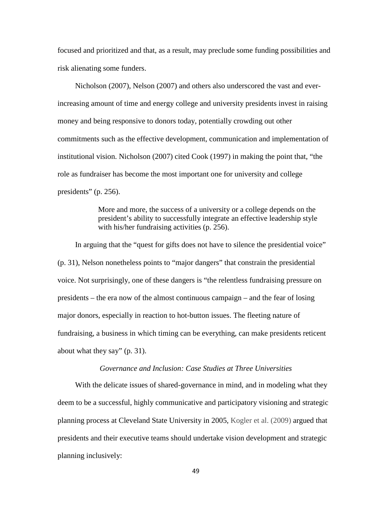focused and prioritized and that, as a result, may preclude some funding possibilities and risk alienating some funders.

Nicholson (2007), Nelson (2007) and others also underscored the vast and everincreasing amount of time and energy college and university presidents invest in raising money and being responsive to donors today, potentially crowding out other commitments such as the effective development, communication and implementation of institutional vision. Nicholson (2007) cited Cook (1997) in making the point that, "the role as fundraiser has become the most important one for university and college presidents" (p. 256).

> More and more, the success of a university or a college depends on the president's ability to successfully integrate an effective leadership style with his/her fundraising activities (p. 256).

In arguing that the "quest for gifts does not have to silence the presidential voice" (p. 31), Nelson nonetheless points to "major dangers" that constrain the presidential voice. Not surprisingly, one of these dangers is "the relentless fundraising pressure on presidents – the era now of the almost continuous campaign – and the fear of losing major donors, especially in reaction to hot-button issues. The fleeting nature of fundraising, a business in which timing can be everything, can make presidents reticent about what they say" (p. 31).

# *Governance and Inclusion: Case Studies at Three Universities*

With the delicate issues of shared-governance in mind, and in modeling what they deem to be a successful, highly communicative and participatory visioning and strategic planning process at Cleveland State University in 2005, Kogler et al. (2009) argued that presidents and their executive teams should undertake vision development and strategic planning inclusively: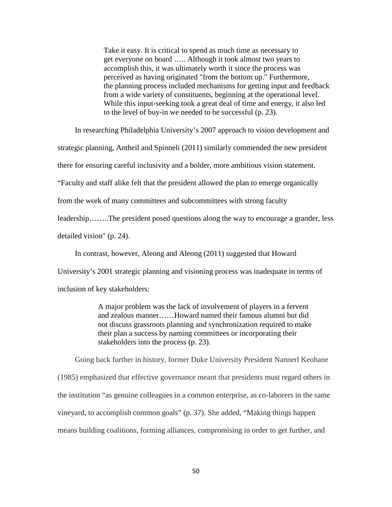Take it easy. It is critical to spend as much time as necessary to get everyone on board ….. Although it took almost two years to accomplish this, it was ultimately worth it since the process was perceived as having originated "from the bottom up." Furthermore, the planning process included mechanisms for getting input and feedback from a wide variety of constituents, beginning at the operational level. While this input-seeking took a great deal of time and energy, it also led to the level of buy-in we needed to be successful (p. 23).

In researching Philadelphia University's 2007 approach to vision development and

strategic planning, Antheil and Spinneli (2011) similarly commended the new president

there for ensuring careful inclusivity and a bolder, more ambitious vision statement.

"Faculty and staff alike felt that the president allowed the plan to emerge organically

from the work of many committees and subcommittees with strong faculty

leadership……..The president posed questions along the way to encourage a grander, less

detailed vision" (p. 24).

In contrast, however, Aleong and Aleong (2011) suggested that Howard

University's 2001 strategic planning and visioning process was inadequate in terms of

inclusion of key stakeholders:

A major problem was the lack of involvement of players in a fervent and zealous manner……Howard named their famous alumni but did not discuss grassroots planning and synchronization required to make their plan a success by naming committees or incorporating their stakeholders into the process (p. 23).

Going back further in history, former Duke University President Nannerl Keohane (1985) emphasized that effective governance meant that presidents must regard others in the institution "as genuine colleagues in a common enterprise, as co-laborers in the same vineyard, to accomplish common goals" (p. 37). She added, "Making things happen means building coalitions, forming alliances, compromising in order to get further, and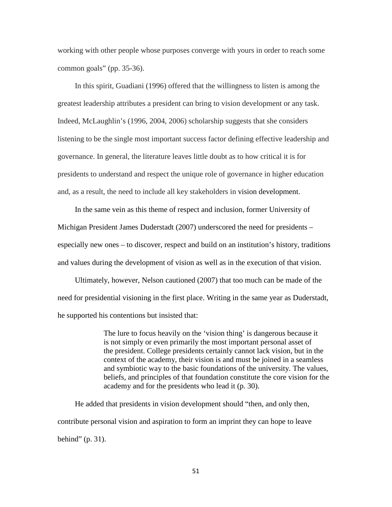working with other people whose purposes converge with yours in order to reach some common goals" (pp. 35-36).

In this spirit, Guadiani (1996) offered that the willingness to listen is among the greatest leadership attributes a president can bring to vision development or any task. Indeed, McLaughlin's (1996, 2004, 2006) scholarship suggests that she considers listening to be the single most important success factor defining effective leadership and governance. In general, the literature leaves little doubt as to how critical it is for presidents to understand and respect the unique role of governance in higher education and, as a result, the need to include all key stakeholders in vision development.

In the same vein as this theme of respect and inclusion, former University of Michigan President James Duderstadt (2007) underscored the need for presidents – especially new ones – to discover, respect and build on an institution's history, traditions and values during the development of vision as well as in the execution of that vision.

Ultimately, however, Nelson cautioned (2007) that too much can be made of the need for presidential visioning in the first place. Writing in the same year as Duderstadt, he supported his contentions but insisted that:

> The lure to focus heavily on the 'vision thing' is dangerous because it is not simply or even primarily the most important personal asset of the president. College presidents certainly cannot lack vision, but in the context of the academy, their vision is and must be joined in a seamless and symbiotic way to the basic foundations of the university. The values, beliefs, and principles of that foundation constitute the core vision for the academy and for the presidents who lead it (p. 30).

He added that presidents in vision development should "then, and only then, contribute personal vision and aspiration to form an imprint they can hope to leave behind" (p. 31).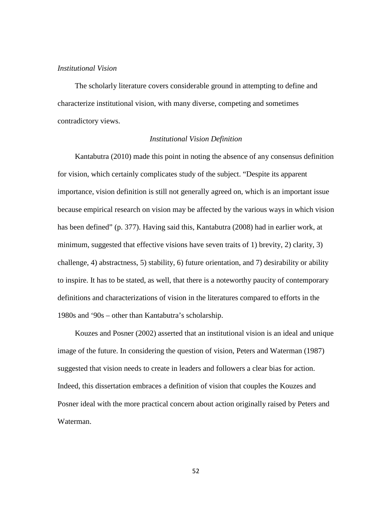## *Institutional Vision*

The scholarly literature covers considerable ground in attempting to define and characterize institutional vision, with many diverse, competing and sometimes contradictory views.

# *Institutional Vision Definition*

Kantabutra (2010) made this point in noting the absence of any consensus definition for vision, which certainly complicates study of the subject. "Despite its apparent importance, vision definition is still not generally agreed on, which is an important issue because empirical research on vision may be affected by the various ways in which vision has been defined" (p. 377). Having said this, Kantabutra (2008) had in earlier work, at minimum, suggested that effective visions have seven traits of 1) brevity, 2) clarity, 3) challenge, 4) abstractness, 5) stability, 6) future orientation, and 7) desirability or ability to inspire. It has to be stated, as well, that there is a noteworthy paucity of contemporary definitions and characterizations of vision in the literatures compared to efforts in the 1980s and '90s – other than Kantabutra's scholarship.

Kouzes and Posner (2002) asserted that an institutional vision is an ideal and unique image of the future. In considering the question of vision, Peters and Waterman (1987) suggested that vision needs to create in leaders and followers a clear bias for action. Indeed, this dissertation embraces a definition of vision that couples the Kouzes and Posner ideal with the more practical concern about action originally raised by Peters and Waterman.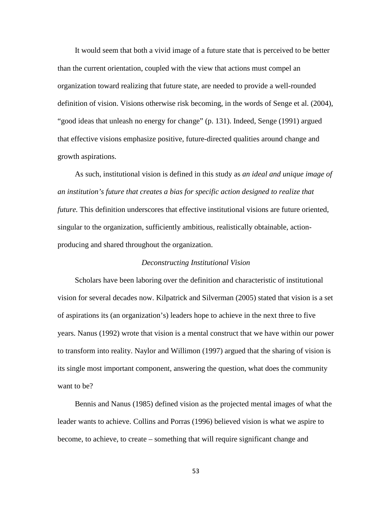It would seem that both a vivid image of a future state that is perceived to be better than the current orientation, coupled with the view that actions must compel an organization toward realizing that future state, are needed to provide a well-rounded definition of vision. Visions otherwise risk becoming, in the words of Senge et al. (2004), "good ideas that unleash no energy for change" (p. 131). Indeed, Senge (1991) argued that effective visions emphasize positive, future-directed qualities around change and growth aspirations.

As such, institutional vision is defined in this study as *an ideal and unique image of an institution's future that creates a bias for specific action designed to realize that future.* This definition underscores that effective institutional visions are future oriented, singular to the organization, sufficiently ambitious, realistically obtainable, actionproducing and shared throughout the organization.

## *Deconstructing Institutional Vision*

Scholars have been laboring over the definition and characteristic of institutional vision for several decades now. Kilpatrick and Silverman (2005) stated that vision is a set of aspirations its (an organization's) leaders hope to achieve in the next three to five years. Nanus (1992) wrote that vision is a mental construct that we have within our power to transform into reality. Naylor and Willimon (1997) argued that the sharing of vision is its single most important component, answering the question, what does the community want to be?

Bennis and Nanus (1985) defined vision as the projected mental images of what the leader wants to achieve. Collins and Porras (1996) believed vision is what we aspire to become, to achieve, to create – something that will require significant change and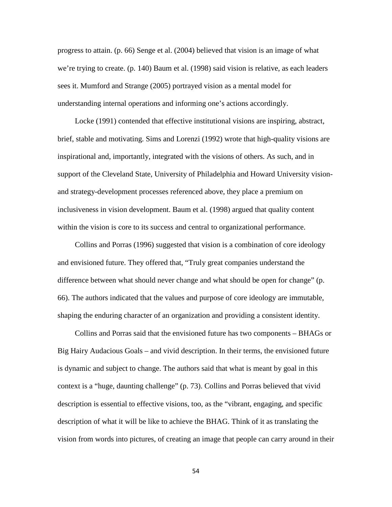progress to attain. (p. 66) Senge et al. (2004) believed that vision is an image of what we're trying to create. (p. 140) Baum et al. (1998) said vision is relative, as each leaders sees it. Mumford and Strange (2005) portrayed vision as a mental model for understanding internal operations and informing one's actions accordingly.

Locke (1991) contended that effective institutional visions are inspiring, abstract, brief, stable and motivating. Sims and Lorenzi (1992) wrote that high-quality visions are inspirational and, importantly, integrated with the visions of others. As such, and in support of the Cleveland State, University of Philadelphia and Howard University visionand strategy-development processes referenced above, they place a premium on inclusiveness in vision development. Baum et al. (1998) argued that quality content within the vision is core to its success and central to organizational performance.

Collins and Porras (1996) suggested that vision is a combination of core ideology and envisioned future. They offered that, "Truly great companies understand the difference between what should never change and what should be open for change" (p. 66). The authors indicated that the values and purpose of core ideology are immutable, shaping the enduring character of an organization and providing a consistent identity.

Collins and Porras said that the envisioned future has two components – BHAGs or Big Hairy Audacious Goals – and vivid description. In their terms, the envisioned future is dynamic and subject to change. The authors said that what is meant by goal in this context is a "huge, daunting challenge" (p. 73). Collins and Porras believed that vivid description is essential to effective visions, too, as the "vibrant, engaging, and specific description of what it will be like to achieve the BHAG. Think of it as translating the vision from words into pictures, of creating an image that people can carry around in their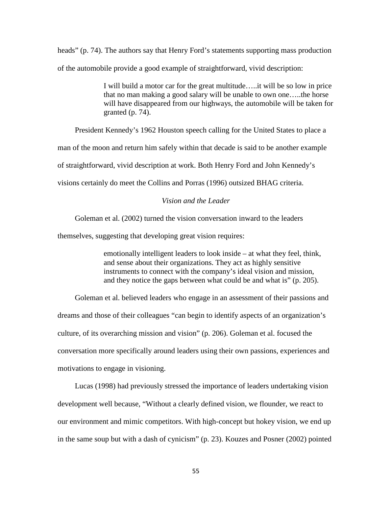heads" (p. 74). The authors say that Henry Ford's statements supporting mass production of the automobile provide a good example of straightforward, vivid description:

> I will build a motor car for the great multitude…..it will be so low in price that no man making a good salary will be unable to own one…..the horse will have disappeared from our highways, the automobile will be taken for granted (p. 74).

President Kennedy's 1962 Houston speech calling for the United States to place a

man of the moon and return him safely within that decade is said to be another example

of straightforward, vivid description at work. Both Henry Ford and John Kennedy's

visions certainly do meet the Collins and Porras (1996) outsized BHAG criteria.

# *Vision and the Leader*

Goleman et al. (2002) turned the vision conversation inward to the leaders

themselves, suggesting that developing great vision requires:

emotionally intelligent leaders to look inside – at what they feel, think, and sense about their organizations. They act as highly sensitive instruments to connect with the company's ideal vision and mission, and they notice the gaps between what could be and what is" (p. 205).

Goleman et al. believed leaders who engage in an assessment of their passions and dreams and those of their colleagues "can begin to identify aspects of an organization's culture, of its overarching mission and vision" (p. 206). Goleman et al. focused the conversation more specifically around leaders using their own passions, experiences and motivations to engage in visioning.

Lucas (1998) had previously stressed the importance of leaders undertaking vision development well because, "Without a clearly defined vision, we flounder, we react to our environment and mimic competitors. With high-concept but hokey vision, we end up in the same soup but with a dash of cynicism" (p. 23). Kouzes and Posner (2002) pointed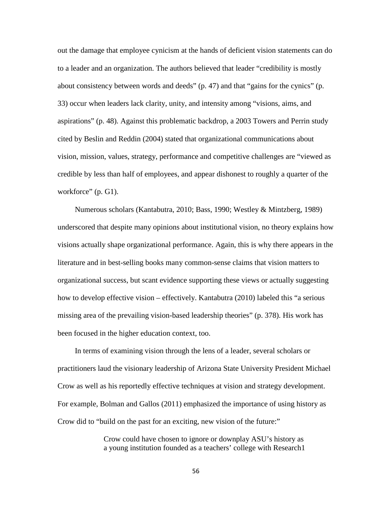out the damage that employee cynicism at the hands of deficient vision statements can do to a leader and an organization. The authors believed that leader "credibility is mostly about consistency between words and deeds" (p. 47) and that "gains for the cynics" (p. 33) occur when leaders lack clarity, unity, and intensity among "visions, aims, and aspirations" (p. 48). Against this problematic backdrop, a 2003 Towers and Perrin study cited by Beslin and Reddin (2004) stated that organizational communications about vision, mission, values, strategy, performance and competitive challenges are "viewed as credible by less than half of employees, and appear dishonest to roughly a quarter of the workforce" (p. G1).

Numerous scholars (Kantabutra, 2010; Bass, 1990; Westley & Mintzberg, 1989) underscored that despite many opinions about institutional vision, no theory explains how visions actually shape organizational performance. Again, this is why there appears in the literature and in best-selling books many common-sense claims that vision matters to organizational success, but scant evidence supporting these views or actually suggesting how to develop effective vision – effectively. Kantabutra (2010) labeled this "a serious missing area of the prevailing vision-based leadership theories" (p. 378). His work has been focused in the higher education context, too.

In terms of examining vision through the lens of a leader, several scholars or practitioners laud the visionary leadership of Arizona State University President Michael Crow as well as his reportedly effective techniques at vision and strategy development. For example, Bolman and Gallos (2011) emphasized the importance of using history as Crow did to "build on the past for an exciting, new vision of the future:"

> Crow could have chosen to ignore or downplay ASU's history as a young institution founded as a teachers' college with Research1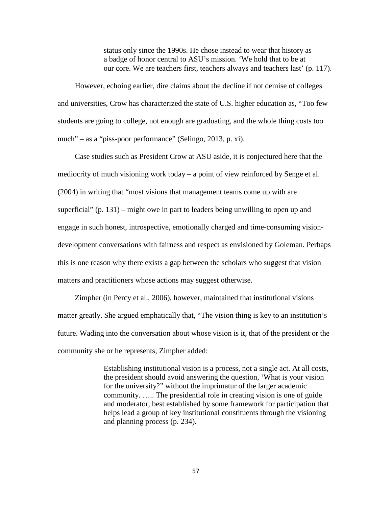status only since the 1990s. He chose instead to wear that history as a badge of honor central to ASU's mission. 'We hold that to be at our core. We are teachers first, teachers always and teachers last' (p. 117).

However, echoing earlier, dire claims about the decline if not demise of colleges and universities, Crow has characterized the state of U.S. higher education as, "Too few students are going to college, not enough are graduating, and the whole thing costs too much" – as a "piss-poor performance" (Selingo, 2013, p. xi).

Case studies such as President Crow at ASU aside, it is conjectured here that the mediocrity of much visioning work today – a point of view reinforced by Senge et al. (2004) in writing that "most visions that management teams come up with are superficial" (p. 131) – might owe in part to leaders being unwilling to open up and engage in such honest, introspective, emotionally charged and time-consuming visiondevelopment conversations with fairness and respect as envisioned by Goleman. Perhaps this is one reason why there exists a gap between the scholars who suggest that vision matters and practitioners whose actions may suggest otherwise.

Zimpher (in Percy et al., 2006), however, maintained that institutional visions matter greatly. She argued emphatically that, "The vision thing is key to an institution's future. Wading into the conversation about whose vision is it, that of the president or the community she or he represents, Zimpher added:

> Establishing institutional vision is a process, not a single act. At all costs, the president should avoid answering the question, 'What is your vision for the university?" without the imprimatur of the larger academic community. ….. The presidential role in creating vision is one of guide and moderator, best established by some framework for participation that helps lead a group of key institutional constituents through the visioning and planning process (p. 234).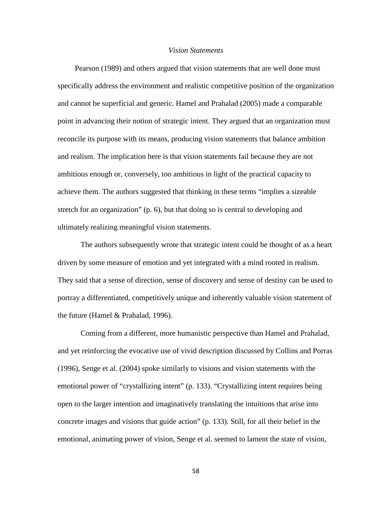#### *Vision Statements*

Pearson (1989) and others argued that vision statements that are well done must specifically address the environment and realistic competitive position of the organization and cannot be superficial and generic. Hamel and Prahalad (2005) made a comparable point in advancing their notion of strategic intent. They argued that an organization must reconcile its purpose with its means, producing vision statements that balance ambition and realism. The implication here is that vision statements fail because they are not ambitious enough or, conversely, too ambitious in light of the practical capacity to achieve them. The authors suggested that thinking in these terms "implies a sizeable stretch for an organization" (p. 6), but that doing so is central to developing and ultimately realizing meaningful vision statements.

The authors subsequently wrote that strategic intent could be thought of as a heart driven by some measure of emotion and yet integrated with a mind rooted in realism. They said that a sense of direction, sense of discovery and sense of destiny can be used to portray a differentiated, competitively unique and inherently valuable vision statement of the future (Hamel & Prahalad, 1996).

Coming from a different, more humanistic perspective than Hamel and Prahalad, and yet reinforcing the evocative use of vivid description discussed by Collins and Porras (1996), Senge et al. (2004) spoke similarly to visions and vision statements with the emotional power of "crystallizing intent" (p. 133). "Crystallizing intent requires being open to the larger intention and imaginatively translating the intuitions that arise into concrete images and visions that guide action" (p. 133). Still, for all their belief in the emotional, animating power of vision, Senge et al. seemed to lament the state of vision,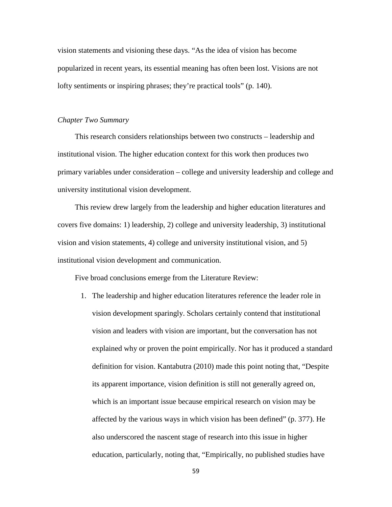vision statements and visioning these days. "As the idea of vision has become popularized in recent years, its essential meaning has often been lost. Visions are not lofty sentiments or inspiring phrases; they're practical tools" (p. 140).

### *Chapter Two Summary*

This research considers relationships between two constructs – leadership and institutional vision. The higher education context for this work then produces two primary variables under consideration – college and university leadership and college and university institutional vision development.

This review drew largely from the leadership and higher education literatures and covers five domains: 1) leadership, 2) college and university leadership, 3) institutional vision and vision statements, 4) college and university institutional vision, and 5) institutional vision development and communication.

Five broad conclusions emerge from the Literature Review:

1. The leadership and higher education literatures reference the leader role in vision development sparingly. Scholars certainly contend that institutional vision and leaders with vision are important, but the conversation has not explained why or proven the point empirically. Nor has it produced a standard definition for vision. Kantabutra (2010) made this point noting that, "Despite its apparent importance, vision definition is still not generally agreed on, which is an important issue because empirical research on vision may be affected by the various ways in which vision has been defined" (p. 377). He also underscored the nascent stage of research into this issue in higher education, particularly, noting that, "Empirically, no published studies have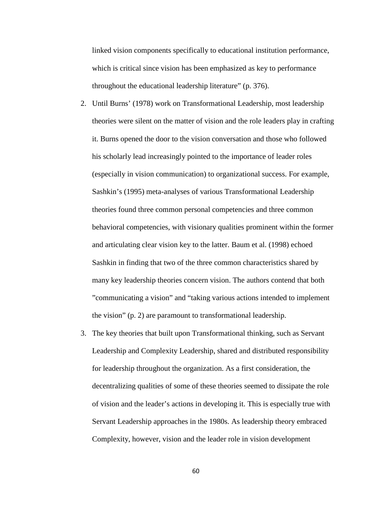linked vision components specifically to educational institution performance, which is critical since vision has been emphasized as key to performance throughout the educational leadership literature" (p. 376).

- 2. Until Burns' (1978) work on Transformational Leadership, most leadership theories were silent on the matter of vision and the role leaders play in crafting it. Burns opened the door to the vision conversation and those who followed his scholarly lead increasingly pointed to the importance of leader roles (especially in vision communication) to organizational success. For example, Sashkin's (1995) meta-analyses of various Transformational Leadership theories found three common personal competencies and three common behavioral competencies, with visionary qualities prominent within the former and articulating clear vision key to the latter. Baum et al. (1998) echoed Sashkin in finding that two of the three common characteristics shared by many key leadership theories concern vision. The authors contend that both "communicating a vision" and "taking various actions intended to implement the vision" (p. 2) are paramount to transformational leadership.
- 3. The key theories that built upon Transformational thinking, such as Servant Leadership and Complexity Leadership, shared and distributed responsibility for leadership throughout the organization. As a first consideration, the decentralizing qualities of some of these theories seemed to dissipate the role of vision and the leader's actions in developing it. This is especially true with Servant Leadership approaches in the 1980s. As leadership theory embraced Complexity, however, vision and the leader role in vision development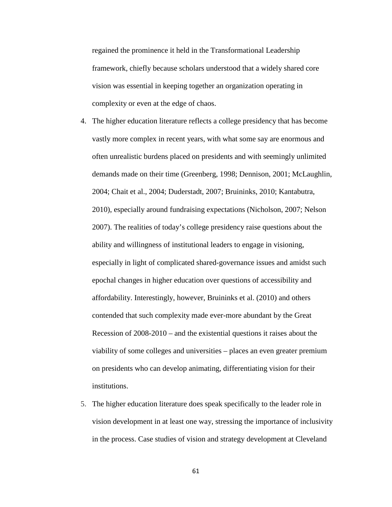regained the prominence it held in the Transformational Leadership framework, chiefly because scholars understood that a widely shared core vision was essential in keeping together an organization operating in complexity or even at the edge of chaos.

- 4. The higher education literature reflects a college presidency that has become vastly more complex in recent years, with what some say are enormous and often unrealistic burdens placed on presidents and with seemingly unlimited demands made on their time (Greenberg, 1998; Dennison, 2001; McLaughlin, 2004; Chait et al., 2004; Duderstadt, 2007; Bruininks, 2010; Kantabutra, 2010), especially around fundraising expectations (Nicholson, 2007; Nelson 2007). The realities of today's college presidency raise questions about the ability and willingness of institutional leaders to engage in visioning, especially in light of complicated shared-governance issues and amidst such epochal changes in higher education over questions of accessibility and affordability. Interestingly, however, Bruininks et al. (2010) and others contended that such complexity made ever-more abundant by the Great Recession of 2008-2010 – and the existential questions it raises about the viability of some colleges and universities – places an even greater premium on presidents who can develop animating, differentiating vision for their institutions.
- 5. The higher education literature does speak specifically to the leader role in vision development in at least one way, stressing the importance of inclusivity in the process. Case studies of vision and strategy development at Cleveland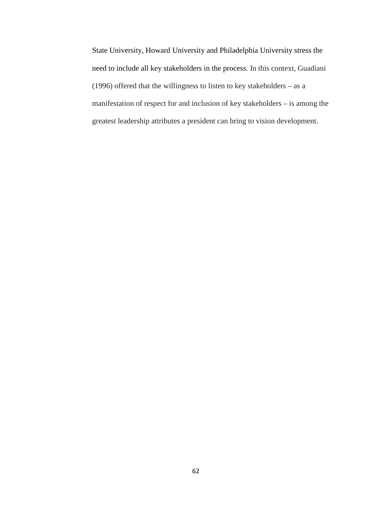State University, Howard University and Philadelphia University stress the need to include all key stakeholders in the process. In this context, Guadiani (1996) offered that the willingness to listen to key stakeholders – as a manifestation of respect for and inclusion of key stakeholders – is among the greatest leadership attributes a president can bring to vision development.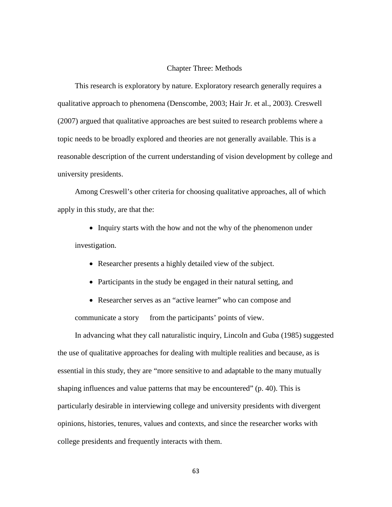#### Chapter Three: Methods

This research is exploratory by nature. Exploratory research generally requires a qualitative approach to phenomena (Denscombe, 2003; Hair Jr. et al., 2003). Creswell (2007) argued that qualitative approaches are best suited to research problems where a topic needs to be broadly explored and theories are not generally available. This is a reasonable description of the current understanding of vision development by college and university presidents.

Among Creswell's other criteria for choosing qualitative approaches, all of which apply in this study, are that the:

• Inquiry starts with the how and not the why of the phenomenon under investigation.

- Researcher presents a highly detailed view of the subject.
- Participants in the study be engaged in their natural setting, and

• Researcher serves as an "active learner" who can compose and communicate a story from the participants' points of view.

In advancing what they call naturalistic inquiry, Lincoln and Guba (1985) suggested the use of qualitative approaches for dealing with multiple realities and because, as is essential in this study, they are "more sensitive to and adaptable to the many mutually shaping influences and value patterns that may be encountered" (p. 40). This is particularly desirable in interviewing college and university presidents with divergent opinions, histories, tenures, values and contexts, and since the researcher works with college presidents and frequently interacts with them.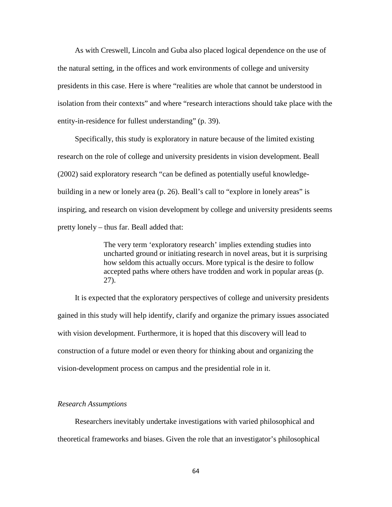As with Creswell, Lincoln and Guba also placed logical dependence on the use of the natural setting, in the offices and work environments of college and university presidents in this case. Here is where "realities are whole that cannot be understood in isolation from their contexts" and where "research interactions should take place with the entity-in-residence for fullest understanding" (p. 39).

Specifically, this study is exploratory in nature because of the limited existing research on the role of college and university presidents in vision development. Beall (2002) said exploratory research "can be defined as potentially useful knowledgebuilding in a new or lonely area (p. 26). Beall's call to "explore in lonely areas" is inspiring, and research on vision development by college and university presidents seems pretty lonely – thus far. Beall added that:

> The very term 'exploratory research' implies extending studies into uncharted ground or initiating research in novel areas, but it is surprising how seldom this actually occurs. More typical is the desire to follow accepted paths where others have trodden and work in popular areas (p. 27).

It is expected that the exploratory perspectives of college and university presidents gained in this study will help identify, clarify and organize the primary issues associated with vision development. Furthermore, it is hoped that this discovery will lead to construction of a future model or even theory for thinking about and organizing the vision-development process on campus and the presidential role in it.

#### *Research Assumptions*

Researchers inevitably undertake investigations with varied philosophical and theoretical frameworks and biases. Given the role that an investigator's philosophical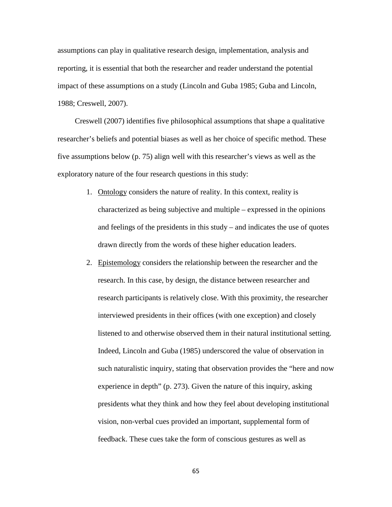assumptions can play in qualitative research design, implementation, analysis and reporting, it is essential that both the researcher and reader understand the potential impact of these assumptions on a study (Lincoln and Guba 1985; Guba and Lincoln, 1988; Creswell, 2007).

Creswell (2007) identifies five philosophical assumptions that shape a qualitative researcher's beliefs and potential biases as well as her choice of specific method. These five assumptions below (p. 75) align well with this researcher's views as well as the exploratory nature of the four research questions in this study:

- 1. Ontology considers the nature of reality. In this context, reality is characterized as being subjective and multiple – expressed in the opinions and feelings of the presidents in this study – and indicates the use of quotes drawn directly from the words of these higher education leaders.
- 2. Epistemology considers the relationship between the researcher and the research. In this case, by design, the distance between researcher and research participants is relatively close. With this proximity, the researcher interviewed presidents in their offices (with one exception) and closely listened to and otherwise observed them in their natural institutional setting. Indeed, Lincoln and Guba (1985) underscored the value of observation in such naturalistic inquiry, stating that observation provides the "here and now experience in depth" (p. 273). Given the nature of this inquiry, asking presidents what they think and how they feel about developing institutional vision, non-verbal cues provided an important, supplemental form of feedback. These cues take the form of conscious gestures as well as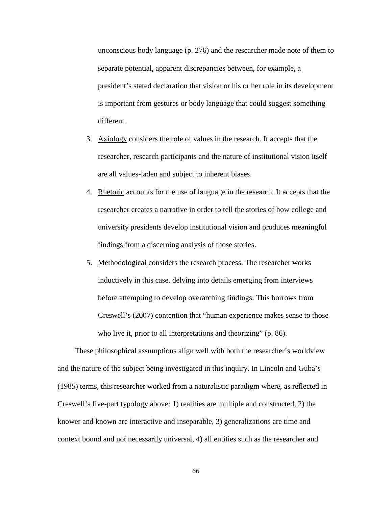unconscious body language (p. 276) and the researcher made note of them to separate potential, apparent discrepancies between, for example, a president's stated declaration that vision or his or her role in its development is important from gestures or body language that could suggest something different.

- 3. Axiology considers the role of values in the research. It accepts that the researcher, research participants and the nature of institutional vision itself are all values-laden and subject to inherent biases.
- 4. Rhetoric accounts for the use of language in the research. It accepts that the researcher creates a narrative in order to tell the stories of how college and university presidents develop institutional vision and produces meaningful findings from a discerning analysis of those stories.
- 5. Methodological considers the research process. The researcher works inductively in this case, delving into details emerging from interviews before attempting to develop overarching findings. This borrows from Creswell's (2007) contention that "human experience makes sense to those who live it, prior to all interpretations and theorizing" (p. 86).

These philosophical assumptions align well with both the researcher's worldview and the nature of the subject being investigated in this inquiry. In Lincoln and Guba's (1985) terms, this researcher worked from a naturalistic paradigm where, as reflected in Creswell's five-part typology above: 1) realities are multiple and constructed, 2) the knower and known are interactive and inseparable, 3) generalizations are time and context bound and not necessarily universal, 4) all entities such as the researcher and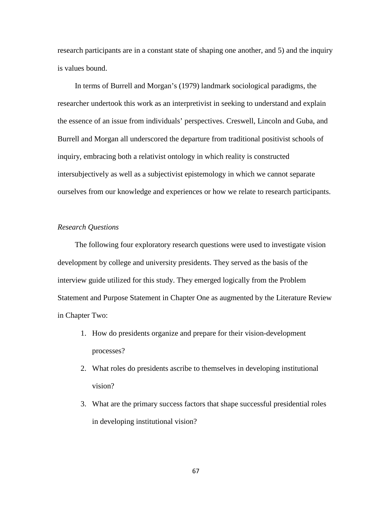research participants are in a constant state of shaping one another, and 5) and the inquiry is values bound.

In terms of Burrell and Morgan's (1979) landmark sociological paradigms, the researcher undertook this work as an interpretivist in seeking to understand and explain the essence of an issue from individuals' perspectives. Creswell, Lincoln and Guba, and Burrell and Morgan all underscored the departure from traditional positivist schools of inquiry, embracing both a relativist ontology in which reality is constructed intersubjectively as well as a subjectivist epistemology in which we cannot separate ourselves from our knowledge and experiences or how we relate to research participants.

# *Research Questions*

The following four exploratory research questions were used to investigate vision development by college and university presidents. They served as the basis of the interview guide utilized for this study. They emerged logically from the Problem Statement and Purpose Statement in Chapter One as augmented by the Literature Review in Chapter Two:

- 1. How do presidents organize and prepare for their vision-development processes?
- 2. What roles do presidents ascribe to themselves in developing institutional vision?
- 3. What are the primary success factors that shape successful presidential roles in developing institutional vision?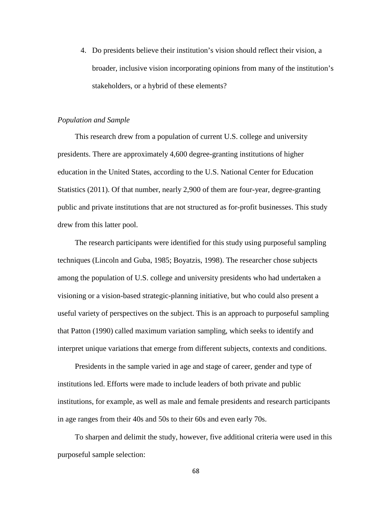4. Do presidents believe their institution's vision should reflect their vision, a broader, inclusive vision incorporating opinions from many of the institution's stakeholders, or a hybrid of these elements?

## *Population and Sample*

This research drew from a population of current U.S. college and university presidents. There are approximately 4,600 degree-granting institutions of higher education in the United States, according to the U.S. National Center for Education Statistics (2011). Of that number, nearly 2,900 of them are four-year, degree-granting public and private institutions that are not structured as for-profit businesses. This study drew from this latter pool.

The research participants were identified for this study using purposeful sampling techniques (Lincoln and Guba, 1985; Boyatzis, 1998). The researcher chose subjects among the population of U.S. college and university presidents who had undertaken a visioning or a vision-based strategic-planning initiative, but who could also present a useful variety of perspectives on the subject. This is an approach to purposeful sampling that Patton (1990) called maximum variation sampling, which seeks to identify and interpret unique variations that emerge from different subjects, contexts and conditions.

Presidents in the sample varied in age and stage of career, gender and type of institutions led. Efforts were made to include leaders of both private and public institutions, for example, as well as male and female presidents and research participants in age ranges from their 40s and 50s to their 60s and even early 70s.

To sharpen and delimit the study, however, five additional criteria were used in this purposeful sample selection: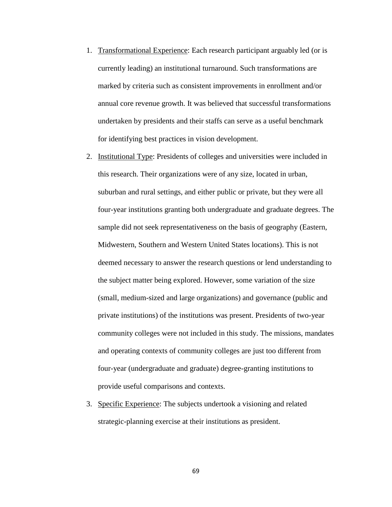- 1. Transformational Experience: Each research participant arguably led (or is currently leading) an institutional turnaround. Such transformations are marked by criteria such as consistent improvements in enrollment and/or annual core revenue growth. It was believed that successful transformations undertaken by presidents and their staffs can serve as a useful benchmark for identifying best practices in vision development.
- 2. Institutional Type: Presidents of colleges and universities were included in this research. Their organizations were of any size, located in urban, suburban and rural settings, and either public or private, but they were all four-year institutions granting both undergraduate and graduate degrees. The sample did not seek representativeness on the basis of geography (Eastern, Midwestern, Southern and Western United States locations). This is not deemed necessary to answer the research questions or lend understanding to the subject matter being explored. However, some variation of the size (small, medium-sized and large organizations) and governance (public and private institutions) of the institutions was present. Presidents of two-year community colleges were not included in this study. The missions, mandates and operating contexts of community colleges are just too different from four-year (undergraduate and graduate) degree-granting institutions to provide useful comparisons and contexts.
- 3. Specific Experience: The subjects undertook a visioning and related strategic-planning exercise at their institutions as president.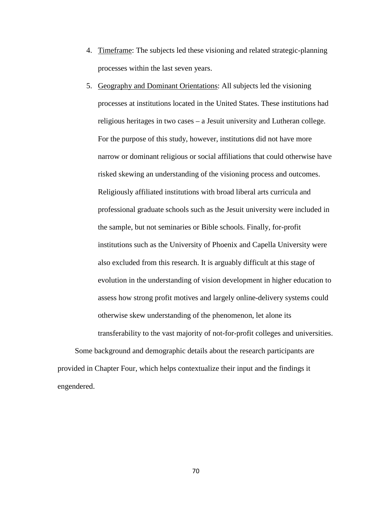- 4. Timeframe: The subjects led these visioning and related strategic-planning processes within the last seven years.
- 5. Geography and Dominant Orientations: All subjects led the visioning processes at institutions located in the United States. These institutions had religious heritages in two cases – a Jesuit university and Lutheran college. For the purpose of this study, however, institutions did not have more narrow or dominant religious or social affiliations that could otherwise have risked skewing an understanding of the visioning process and outcomes. Religiously affiliated institutions with broad liberal arts curricula and professional graduate schools such as the Jesuit university were included in the sample, but not seminaries or Bible schools. Finally, for-profit institutions such as the University of Phoenix and Capella University were also excluded from this research. It is arguably difficult at this stage of evolution in the understanding of vision development in higher education to assess how strong profit motives and largely online-delivery systems could otherwise skew understanding of the phenomenon, let alone its transferability to the vast majority of not-for-profit colleges and universities.

Some background and demographic details about the research participants are provided in Chapter Four, which helps contextualize their input and the findings it engendered.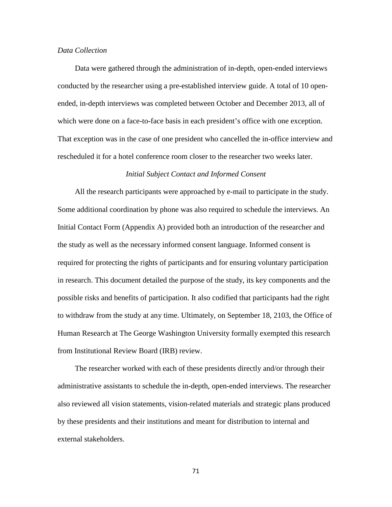## *Data Collection*

Data were gathered through the administration of in-depth, open-ended interviews conducted by the researcher using a pre-established interview guide. A total of 10 openended, in-depth interviews was completed between October and December 2013, all of which were done on a face-to-face basis in each president's office with one exception. That exception was in the case of one president who cancelled the in-office interview and rescheduled it for a hotel conference room closer to the researcher two weeks later.

#### *Initial Subject Contact and Informed Consent*

All the research participants were approached by e-mail to participate in the study. Some additional coordination by phone was also required to schedule the interviews. An Initial Contact Form (Appendix A) provided both an introduction of the researcher and the study as well as the necessary informed consent language. Informed consent is required for protecting the rights of participants and for ensuring voluntary participation in research. This document detailed the purpose of the study, its key components and the possible risks and benefits of participation. It also codified that participants had the right to withdraw from the study at any time. Ultimately, on September 18, 2103, the Office of Human Research at The George Washington University formally exempted this research from Institutional Review Board (IRB) review.

The researcher worked with each of these presidents directly and/or through their administrative assistants to schedule the in-depth, open-ended interviews. The researcher also reviewed all vision statements, vision-related materials and strategic plans produced by these presidents and their institutions and meant for distribution to internal and external stakeholders.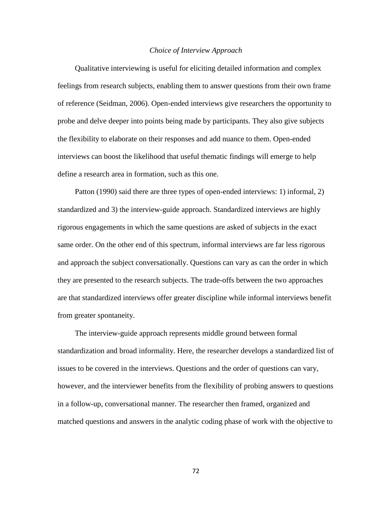#### *Choice of Interview Approach*

Qualitative interviewing is useful for eliciting detailed information and complex feelings from research subjects, enabling them to answer questions from their own frame of reference (Seidman, 2006). Open-ended interviews give researchers the opportunity to probe and delve deeper into points being made by participants. They also give subjects the flexibility to elaborate on their responses and add nuance to them. Open-ended interviews can boost the likelihood that useful thematic findings will emerge to help define a research area in formation, such as this one.

Patton (1990) said there are three types of open-ended interviews: 1) informal, 2) standardized and 3) the interview-guide approach. Standardized interviews are highly rigorous engagements in which the same questions are asked of subjects in the exact same order. On the other end of this spectrum, informal interviews are far less rigorous and approach the subject conversationally. Questions can vary as can the order in which they are presented to the research subjects. The trade-offs between the two approaches are that standardized interviews offer greater discipline while informal interviews benefit from greater spontaneity.

The interview-guide approach represents middle ground between formal standardization and broad informality. Here, the researcher develops a standardized list of issues to be covered in the interviews. Questions and the order of questions can vary, however, and the interviewer benefits from the flexibility of probing answers to questions in a follow-up, conversational manner. The researcher then framed, organized and matched questions and answers in the analytic coding phase of work with the objective to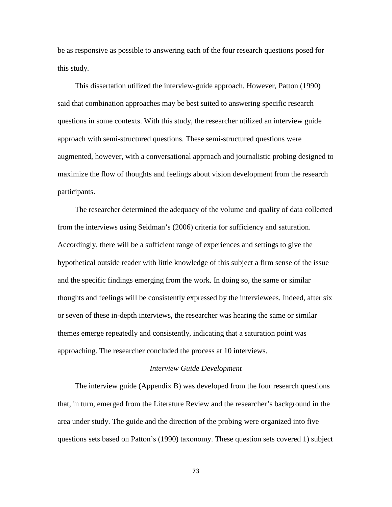be as responsive as possible to answering each of the four research questions posed for this study.

This dissertation utilized the interview-guide approach. However, Patton (1990) said that combination approaches may be best suited to answering specific research questions in some contexts. With this study, the researcher utilized an interview guide approach with semi-structured questions. These semi-structured questions were augmented, however, with a conversational approach and journalistic probing designed to maximize the flow of thoughts and feelings about vision development from the research participants.

The researcher determined the adequacy of the volume and quality of data collected from the interviews using Seidman's (2006) criteria for sufficiency and saturation. Accordingly, there will be a sufficient range of experiences and settings to give the hypothetical outside reader with little knowledge of this subject a firm sense of the issue and the specific findings emerging from the work. In doing so, the same or similar thoughts and feelings will be consistently expressed by the interviewees. Indeed, after six or seven of these in-depth interviews, the researcher was hearing the same or similar themes emerge repeatedly and consistently, indicating that a saturation point was approaching. The researcher concluded the process at 10 interviews.

#### *Interview Guide Development*

The interview guide (Appendix B) was developed from the four research questions that, in turn, emerged from the Literature Review and the researcher's background in the area under study. The guide and the direction of the probing were organized into five questions sets based on Patton's (1990) taxonomy. These question sets covered 1) subject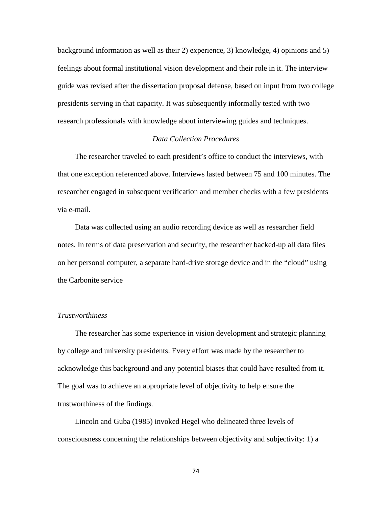background information as well as their 2) experience, 3) knowledge, 4) opinions and 5) feelings about formal institutional vision development and their role in it. The interview guide was revised after the dissertation proposal defense, based on input from two college presidents serving in that capacity. It was subsequently informally tested with two research professionals with knowledge about interviewing guides and techniques.

# *Data Collection Procedures*

The researcher traveled to each president's office to conduct the interviews, with that one exception referenced above. Interviews lasted between 75 and 100 minutes. The researcher engaged in subsequent verification and member checks with a few presidents via e-mail.

Data was collected using an audio recording device as well as researcher field notes. In terms of data preservation and security, the researcher backed-up all data files on her personal computer, a separate hard-drive storage device and in the "cloud" using the Carbonite service

# *Trustworthiness*

The researcher has some experience in vision development and strategic planning by college and university presidents. Every effort was made by the researcher to acknowledge this background and any potential biases that could have resulted from it. The goal was to achieve an appropriate level of objectivity to help ensure the trustworthiness of the findings.

Lincoln and Guba (1985) invoked Hegel who delineated three levels of consciousness concerning the relationships between objectivity and subjectivity: 1) a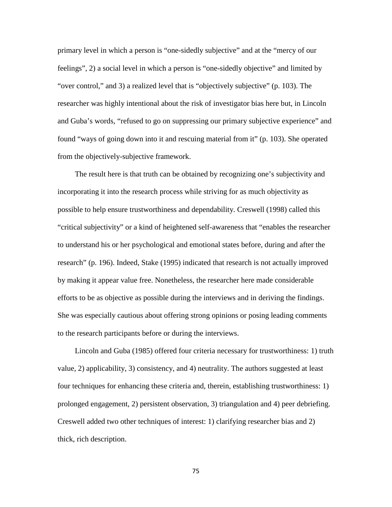primary level in which a person is "one-sidedly subjective" and at the "mercy of our feelings", 2) a social level in which a person is "one-sidedly objective" and limited by "over control," and 3) a realized level that is "objectively subjective" (p. 103). The researcher was highly intentional about the risk of investigator bias here but, in Lincoln and Guba's words, "refused to go on suppressing our primary subjective experience" and found "ways of going down into it and rescuing material from it" (p. 103). She operated from the objectively-subjective framework.

The result here is that truth can be obtained by recognizing one's subjectivity and incorporating it into the research process while striving for as much objectivity as possible to help ensure trustworthiness and dependability. Creswell (1998) called this "critical subjectivity" or a kind of heightened self-awareness that "enables the researcher to understand his or her psychological and emotional states before, during and after the research" (p. 196). Indeed, Stake (1995) indicated that research is not actually improved by making it appear value free. Nonetheless, the researcher here made considerable efforts to be as objective as possible during the interviews and in deriving the findings. She was especially cautious about offering strong opinions or posing leading comments to the research participants before or during the interviews.

Lincoln and Guba (1985) offered four criteria necessary for trustworthiness: 1) truth value, 2) applicability, 3) consistency, and 4) neutrality. The authors suggested at least four techniques for enhancing these criteria and, therein, establishing trustworthiness: 1) prolonged engagement, 2) persistent observation, 3) triangulation and 4) peer debriefing. Creswell added two other techniques of interest: 1) clarifying researcher bias and 2) thick, rich description.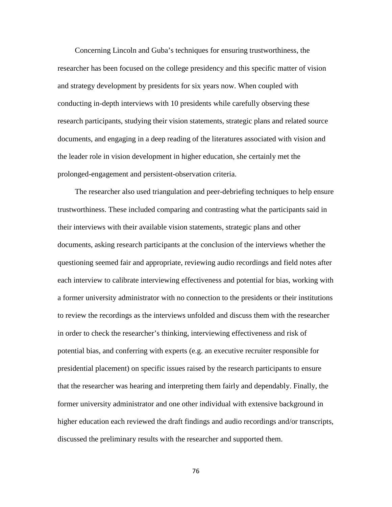Concerning Lincoln and Guba's techniques for ensuring trustworthiness, the researcher has been focused on the college presidency and this specific matter of vision and strategy development by presidents for six years now. When coupled with conducting in-depth interviews with 10 presidents while carefully observing these research participants, studying their vision statements, strategic plans and related source documents, and engaging in a deep reading of the literatures associated with vision and the leader role in vision development in higher education, she certainly met the prolonged-engagement and persistent-observation criteria.

The researcher also used triangulation and peer-debriefing techniques to help ensure trustworthiness. These included comparing and contrasting what the participants said in their interviews with their available vision statements, strategic plans and other documents, asking research participants at the conclusion of the interviews whether the questioning seemed fair and appropriate, reviewing audio recordings and field notes after each interview to calibrate interviewing effectiveness and potential for bias, working with a former university administrator with no connection to the presidents or their institutions to review the recordings as the interviews unfolded and discuss them with the researcher in order to check the researcher's thinking, interviewing effectiveness and risk of potential bias, and conferring with experts (e.g. an executive recruiter responsible for presidential placement) on specific issues raised by the research participants to ensure that the researcher was hearing and interpreting them fairly and dependably. Finally, the former university administrator and one other individual with extensive background in higher education each reviewed the draft findings and audio recordings and/or transcripts, discussed the preliminary results with the researcher and supported them.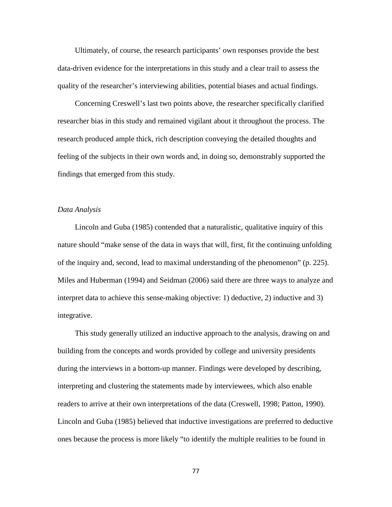Ultimately, of course, the research participants' own responses provide the best data-driven evidence for the interpretations in this study and a clear trail to assess the quality of the researcher's interviewing abilities, potential biases and actual findings.

Concerning Creswell's last two points above, the researcher specifically clarified researcher bias in this study and remained vigilant about it throughout the process. The research produced ample thick, rich description conveying the detailed thoughts and feeling of the subjects in their own words and, in doing so, demonstrably supported the findings that emerged from this study.

#### *Data Analysis*

Lincoln and Guba (1985) contended that a naturalistic, qualitative inquiry of this nature should "make sense of the data in ways that will, first, fit the continuing unfolding of the inquiry and, second, lead to maximal understanding of the phenomenon" (p. 225). Miles and Huberman (1994) and Seidman (2006) said there are three ways to analyze and interpret data to achieve this sense-making objective: 1) deductive, 2) inductive and 3) integrative.

This study generally utilized an inductive approach to the analysis, drawing on and building from the concepts and words provided by college and university presidents during the interviews in a bottom-up manner. Findings were developed by describing, interpreting and clustering the statements made by interviewees, which also enable readers to arrive at their own interpretations of the data (Creswell, 1998; Patton, 1990). Lincoln and Guba (1985) believed that inductive investigations are preferred to deductive ones because the process is more likely "to identify the multiple realities to be found in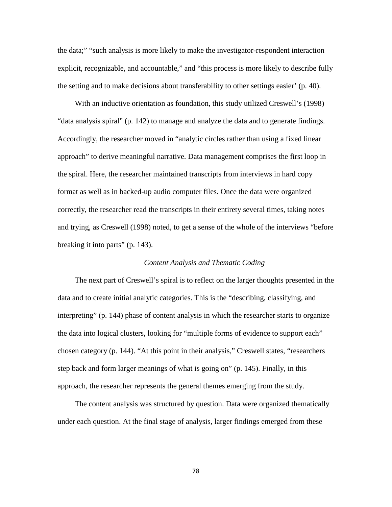the data;" "such analysis is more likely to make the investigator-respondent interaction explicit, recognizable, and accountable," and "this process is more likely to describe fully the setting and to make decisions about transferability to other settings easier' (p. 40).

With an inductive orientation as foundation, this study utilized Creswell's (1998) "data analysis spiral" (p. 142) to manage and analyze the data and to generate findings. Accordingly, the researcher moved in "analytic circles rather than using a fixed linear approach" to derive meaningful narrative. Data management comprises the first loop in the spiral. Here, the researcher maintained transcripts from interviews in hard copy format as well as in backed-up audio computer files. Once the data were organized correctly, the researcher read the transcripts in their entirety several times, taking notes and trying, as Creswell (1998) noted, to get a sense of the whole of the interviews "before breaking it into parts" (p. 143).

## *Content Analysis and Thematic Coding*

The next part of Creswell's spiral is to reflect on the larger thoughts presented in the data and to create initial analytic categories. This is the "describing, classifying, and interpreting" (p. 144) phase of content analysis in which the researcher starts to organize the data into logical clusters, looking for "multiple forms of evidence to support each" chosen category (p. 144). "At this point in their analysis," Creswell states, "researchers step back and form larger meanings of what is going on" (p. 145). Finally, in this approach, the researcher represents the general themes emerging from the study.

The content analysis was structured by question. Data were organized thematically under each question. At the final stage of analysis, larger findings emerged from these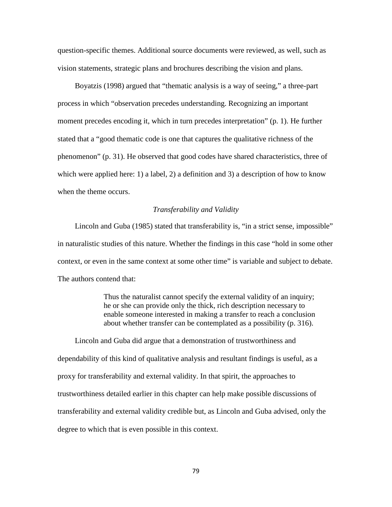question-specific themes. Additional source documents were reviewed, as well, such as vision statements, strategic plans and brochures describing the vision and plans.

Boyatzis (1998) argued that "thematic analysis is a way of seeing," a three-part process in which "observation precedes understanding. Recognizing an important moment precedes encoding it, which in turn precedes interpretation" (p. 1). He further stated that a "good thematic code is one that captures the qualitative richness of the phenomenon" (p. 31). He observed that good codes have shared characteristics, three of which were applied here: 1) a label, 2) a definition and 3) a description of how to know when the theme occurs.

## *Transferability and Validity*

Lincoln and Guba (1985) stated that transferability is, "in a strict sense, impossible" in naturalistic studies of this nature. Whether the findings in this case "hold in some other context, or even in the same context at some other time" is variable and subject to debate. The authors contend that:

> Thus the naturalist cannot specify the external validity of an inquiry; he or she can provide only the thick, rich description necessary to enable someone interested in making a transfer to reach a conclusion about whether transfer can be contemplated as a possibility (p. 316).

Lincoln and Guba did argue that a demonstration of trustworthiness and dependability of this kind of qualitative analysis and resultant findings is useful, as a proxy for transferability and external validity. In that spirit, the approaches to trustworthiness detailed earlier in this chapter can help make possible discussions of transferability and external validity credible but, as Lincoln and Guba advised, only the degree to which that is even possible in this context.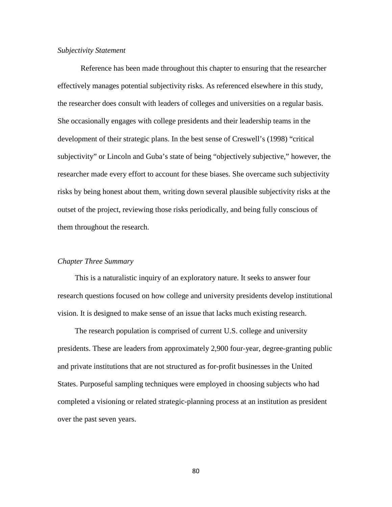#### *Subjectivity Statement*

Reference has been made throughout this chapter to ensuring that the researcher effectively manages potential subjectivity risks. As referenced elsewhere in this study, the researcher does consult with leaders of colleges and universities on a regular basis. She occasionally engages with college presidents and their leadership teams in the development of their strategic plans. In the best sense of Creswell's (1998) "critical subjectivity" or Lincoln and Guba's state of being "objectively subjective," however, the researcher made every effort to account for these biases. She overcame such subjectivity risks by being honest about them, writing down several plausible subjectivity risks at the outset of the project, reviewing those risks periodically, and being fully conscious of them throughout the research.

# *Chapter Three Summary*

This is a naturalistic inquiry of an exploratory nature. It seeks to answer four research questions focused on how college and university presidents develop institutional vision. It is designed to make sense of an issue that lacks much existing research.

The research population is comprised of current U.S. college and university presidents. These are leaders from approximately 2,900 four-year, degree-granting public and private institutions that are not structured as for-profit businesses in the United States. Purposeful sampling techniques were employed in choosing subjects who had completed a visioning or related strategic-planning process at an institution as president over the past seven years.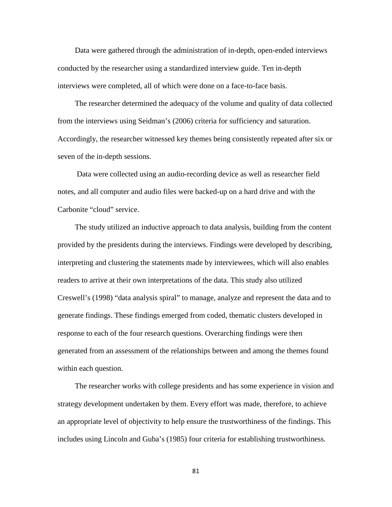Data were gathered through the administration of in-depth, open-ended interviews conducted by the researcher using a standardized interview guide. Ten in-depth interviews were completed, all of which were done on a face-to-face basis.

The researcher determined the adequacy of the volume and quality of data collected from the interviews using Seidman's (2006) criteria for sufficiency and saturation. Accordingly, the researcher witnessed key themes being consistently repeated after six or seven of the in-depth sessions.

Data were collected using an audio-recording device as well as researcher field notes, and all computer and audio files were backed-up on a hard drive and with the Carbonite "cloud" service.

The study utilized an inductive approach to data analysis, building from the content provided by the presidents during the interviews. Findings were developed by describing, interpreting and clustering the statements made by interviewees, which will also enables readers to arrive at their own interpretations of the data. This study also utilized Creswell's (1998) "data analysis spiral" to manage, analyze and represent the data and to generate findings. These findings emerged from coded, thematic clusters developed in response to each of the four research questions. Overarching findings were then generated from an assessment of the relationships between and among the themes found within each question.

The researcher works with college presidents and has some experience in vision and strategy development undertaken by them. Every effort was made, therefore, to achieve an appropriate level of objectivity to help ensure the trustworthiness of the findings. This includes using Lincoln and Guba's (1985) four criteria for establishing trustworthiness.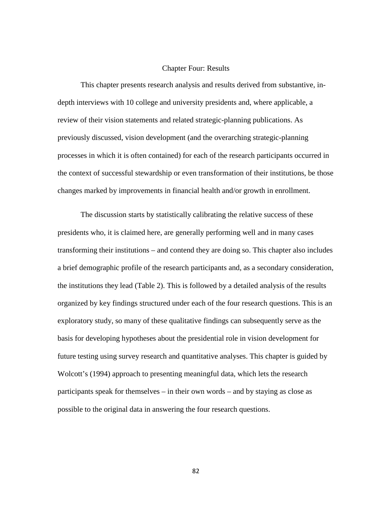## Chapter Four: Results

This chapter presents research analysis and results derived from substantive, indepth interviews with 10 college and university presidents and, where applicable, a review of their vision statements and related strategic-planning publications. As previously discussed, vision development (and the overarching strategic-planning processes in which it is often contained) for each of the research participants occurred in the context of successful stewardship or even transformation of their institutions, be those changes marked by improvements in financial health and/or growth in enrollment.

The discussion starts by statistically calibrating the relative success of these presidents who, it is claimed here, are generally performing well and in many cases transforming their institutions – and contend they are doing so. This chapter also includes a brief demographic profile of the research participants and, as a secondary consideration, the institutions they lead (Table 2). This is followed by a detailed analysis of the results organized by key findings structured under each of the four research questions. This is an exploratory study, so many of these qualitative findings can subsequently serve as the basis for developing hypotheses about the presidential role in vision development for future testing using survey research and quantitative analyses. This chapter is guided by Wolcott's (1994) approach to presenting meaningful data, which lets the research participants speak for themselves – in their own words – and by staying as close as possible to the original data in answering the four research questions.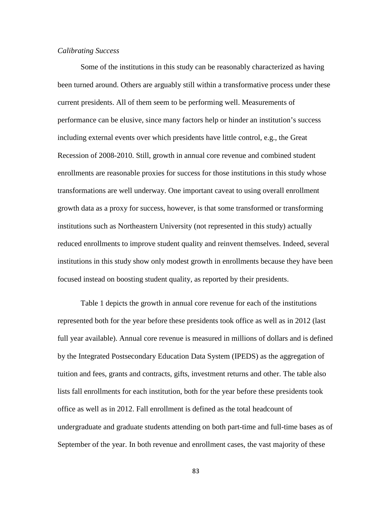# *Calibrating Success*

Some of the institutions in this study can be reasonably characterized as having been turned around. Others are arguably still within a transformative process under these current presidents. All of them seem to be performing well. Measurements of performance can be elusive, since many factors help or hinder an institution's success including external events over which presidents have little control, e.g., the Great Recession of 2008-2010. Still, growth in annual core revenue and combined student enrollments are reasonable proxies for success for those institutions in this study whose transformations are well underway. One important caveat to using overall enrollment growth data as a proxy for success, however, is that some transformed or transforming institutions such as Northeastern University (not represented in this study) actually reduced enrollments to improve student quality and reinvent themselves. Indeed, several institutions in this study show only modest growth in enrollments because they have been focused instead on boosting student quality, as reported by their presidents.

Table 1 depicts the growth in annual core revenue for each of the institutions represented both for the year before these presidents took office as well as in 2012 (last full year available). Annual core revenue is measured in millions of dollars and is defined by the Integrated Postsecondary Education Data System (IPEDS) as the aggregation of tuition and fees, grants and contracts, gifts, investment returns and other. The table also lists fall enrollments for each institution, both for the year before these presidents took office as well as in 2012. Fall enrollment is defined as the total headcount of undergraduate and graduate students attending on both part-time and full-time bases as of September of the year. In both revenue and enrollment cases, the vast majority of these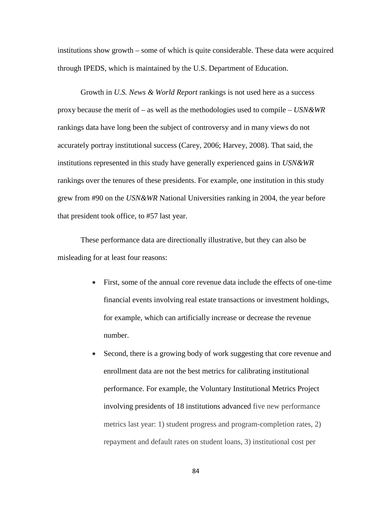institutions show growth – some of which is quite considerable. These data were acquired through IPEDS, which is maintained by the U.S. Department of Education.

Growth in *U.S. News & World Report* rankings is not used here as a success proxy because the merit of – as well as the methodologies used to compile – *USN&WR* rankings data have long been the subject of controversy and in many views do not accurately portray institutional success (Carey, 2006; Harvey, 2008). That said, the institutions represented in this study have generally experienced gains in *USN&WR* rankings over the tenures of these presidents. For example, one institution in this study grew from #90 on the *USN&WR* National Universities ranking in 2004, the year before that president took office, to #57 last year.

These performance data are directionally illustrative, but they can also be misleading for at least four reasons:

- First, some of the annual core revenue data include the effects of one-time financial events involving real estate transactions or investment holdings, for example, which can artificially increase or decrease the revenue number.
- Second, there is a growing body of work suggesting that core revenue and enrollment data are not the best metrics for calibrating institutional performance. For example, the Voluntary Institutional Metrics Project involving presidents of 18 institutions advanced five new performance metrics last year: 1) student progress and program-completion rates, 2) repayment and default rates on student loans, 3) institutional cost per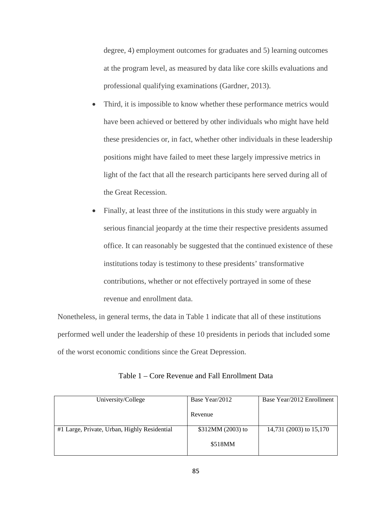degree, 4) employment outcomes for graduates and 5) learning outcomes at the program level, as measured by data like core skills evaluations and professional qualifying examinations (Gardner, 2013).

- Third, it is impossible to know whether these performance metrics would have been achieved or bettered by other individuals who might have held these presidencies or, in fact, whether other individuals in these leadership positions might have failed to meet these largely impressive metrics in light of the fact that all the research participants here served during all of the Great Recession.
- Finally, at least three of the institutions in this study were arguably in serious financial jeopardy at the time their respective presidents assumed office. It can reasonably be suggested that the continued existence of these institutions today is testimony to these presidents' transformative contributions, whether or not effectively portrayed in some of these revenue and enrollment data.

Nonetheless, in general terms, the data in Table 1 indicate that all of these institutions performed well under the leadership of these 10 presidents in periods that included some of the worst economic conditions since the Great Depression.

| University/College                           | Base Year/2012    | Base Year/2012 Enrollment |
|----------------------------------------------|-------------------|---------------------------|
|                                              | Revenue           |                           |
| #1 Large, Private, Urban, Highly Residential | \$312MM (2003) to | 14,731 (2003) to 15,170   |
|                                              | \$518MM           |                           |

| Table 1 – Core Revenue and Fall Enrollment Data |  |
|-------------------------------------------------|--|
|-------------------------------------------------|--|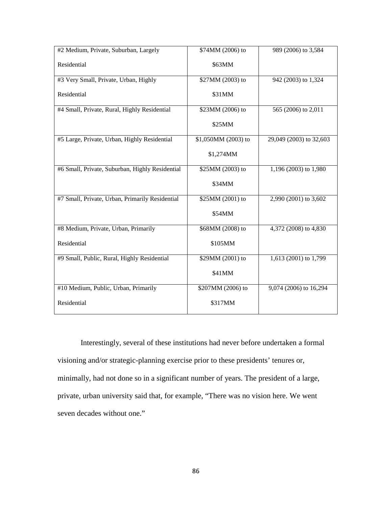| #2 Medium, Private, Suburban, Largely           | \$74MM (2006) to    | 989 (2006) to 3,584     |
|-------------------------------------------------|---------------------|-------------------------|
| Residential                                     | \$63MM              |                         |
| #3 Very Small, Private, Urban, Highly           | \$27MM (2003) to    | 942 (2003) to 1,324     |
| Residential                                     | \$31MM              |                         |
| #4 Small, Private, Rural, Highly Residential    | \$23MM (2006) to    | 565 (2006) to 2,011     |
|                                                 | \$25MM              |                         |
| #5 Large, Private, Urban, Highly Residential    | \$1,050MM (2003) to | 29,049 (2003) to 32,603 |
|                                                 | \$1,274MM           |                         |
| #6 Small, Private, Suburban, Highly Residential | \$25MM (2003) to    | 1,196 (2003) to 1,980   |
|                                                 | \$34MM              |                         |
| #7 Small, Private, Urban, Primarily Residential | \$25MM (2001) to    | 2,990 (2001) to 3,602   |
|                                                 | \$54MM              |                         |
| #8 Medium, Private, Urban, Primarily            | \$68MM (2008) to    | 4,372 (2008) to 4,830   |
| Residential                                     | \$105MM             |                         |
| #9 Small, Public, Rural, Highly Residential     | \$29MM (2001) to    | 1,613 (2001) to 1,799   |
|                                                 | \$41MM              |                         |
| #10 Medium, Public, Urban, Primarily            | \$207MM (2006) to   | 9,074 (2006) to 16,294  |
| Residential                                     | \$317MM             |                         |

Interestingly, several of these institutions had never before undertaken a formal visioning and/or strategic-planning exercise prior to these presidents' tenures or, minimally, had not done so in a significant number of years. The president of a large, private, urban university said that, for example, "There was no vision here. We went seven decades without one."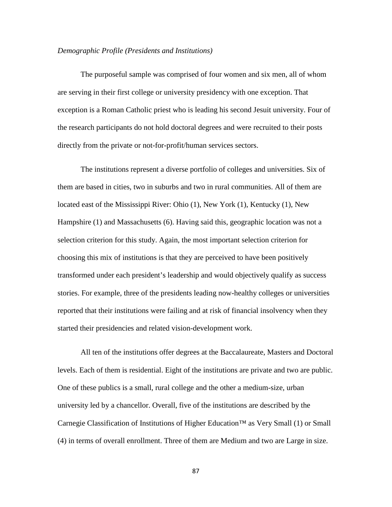#### *Demographic Profile (Presidents and Institutions)*

The purposeful sample was comprised of four women and six men, all of whom are serving in their first college or university presidency with one exception. That exception is a Roman Catholic priest who is leading his second Jesuit university. Four of the research participants do not hold doctoral degrees and were recruited to their posts directly from the private or not-for-profit/human services sectors.

The institutions represent a diverse portfolio of colleges and universities. Six of them are based in cities, two in suburbs and two in rural communities. All of them are located east of the Mississippi River: Ohio (1), New York (1), Kentucky (1), New Hampshire (1) and Massachusetts (6). Having said this, geographic location was not a selection criterion for this study. Again, the most important selection criterion for choosing this mix of institutions is that they are perceived to have been positively transformed under each president's leadership and would objectively qualify as success stories. For example, three of the presidents leading now-healthy colleges or universities reported that their institutions were failing and at risk of financial insolvency when they started their presidencies and related vision-development work.

All ten of the institutions offer degrees at the Baccalaureate, Masters and Doctoral levels. Each of them is residential. Eight of the institutions are private and two are public. One of these publics is a small, rural college and the other a medium-size, urban university led by a chancellor. Overall, five of the institutions are described by the Carnegie Classification of Institutions of Higher Education™ as Very Small (1) or Small (4) in terms of overall enrollment. Three of them are Medium and two are Large in size.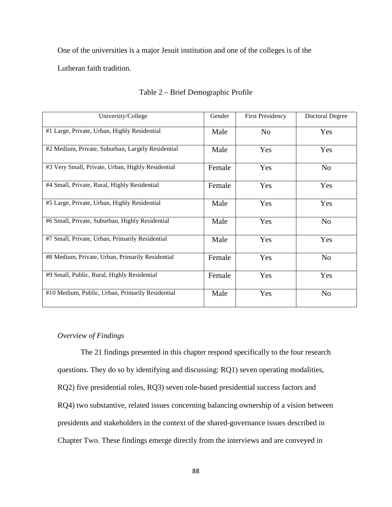One of the universities is a major Jesuit institution and one of the colleges is of the

Lutheran faith tradition.

| University/College                                | Gender | <b>First Presidency</b> | <b>Doctoral Degree</b> |
|---------------------------------------------------|--------|-------------------------|------------------------|
| #1 Large, Private, Urban, Highly Residential      | Male   | No                      | Yes                    |
| #2 Medium, Private, Suburban, Largely Residential | Male   | Yes                     | Yes                    |
| #3 Very Small, Private, Urban, Highly Residential | Female | Yes                     | N <sub>o</sub>         |
| #4 Small, Private, Rural, Highly Residential      | Female | Yes                     | Yes                    |
| #5 Large, Private, Urban, Highly Residential      | Male   | Yes                     | Yes                    |
| #6 Small, Private, Suburban, Highly Residential   | Male   | Yes                     | N <sub>o</sub>         |
| #7 Small, Private, Urban, Primarily Residential   | Male   | Yes                     | Yes                    |
| #8 Medium, Private, Urban, Primarily Residential  | Female | Yes                     | N <sub>o</sub>         |
| #9 Small, Public, Rural, Highly Residential       | Female | Yes                     | Yes                    |
| #10 Medium, Public, Urban, Primarily Residential  | Male   | Yes                     | N <sub>o</sub>         |

## Table 2 – Brief Demographic Profile

# *Overview of Findings*

The 21 findings presented in this chapter respond specifically to the four research questions. They do so by identifying and discussing: RQ1) seven operating modalities, RQ2) five presidential roles, RQ3) seven role-based presidential success factors and RQ4) two substantive, related issues concerning balancing ownership of a vision between presidents and stakeholders in the context of the shared-governance issues described in Chapter Two. These findings emerge directly from the interviews and are conveyed in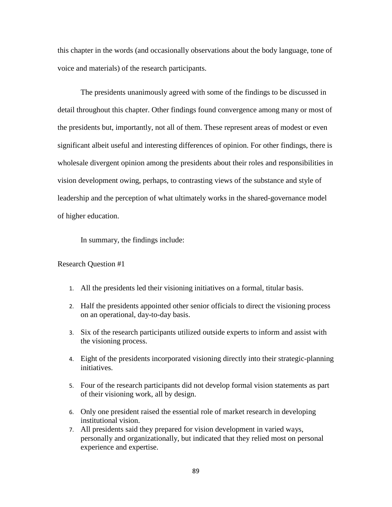this chapter in the words (and occasionally observations about the body language, tone of voice and materials) of the research participants.

The presidents unanimously agreed with some of the findings to be discussed in detail throughout this chapter. Other findings found convergence among many or most of the presidents but, importantly, not all of them. These represent areas of modest or even significant albeit useful and interesting differences of opinion. For other findings, there is wholesale divergent opinion among the presidents about their roles and responsibilities in vision development owing, perhaps, to contrasting views of the substance and style of leadership and the perception of what ultimately works in the shared-governance model of higher education.

In summary, the findings include:

## Research Question #1

- 1. All the presidents led their visioning initiatives on a formal, titular basis.
- 2. Half the presidents appointed other senior officials to direct the visioning process on an operational, day-to-day basis.
- 3. Six of the research participants utilized outside experts to inform and assist with the visioning process.
- 4. Eight of the presidents incorporated visioning directly into their strategic-planning initiatives.
- 5. Four of the research participants did not develop formal vision statements as part of their visioning work, all by design.
- 6. Only one president raised the essential role of market research in developing institutional vision.
- 7. All presidents said they prepared for vision development in varied ways, personally and organizationally, but indicated that they relied most on personal experience and expertise.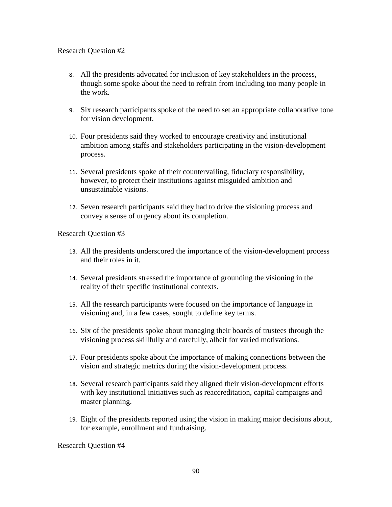# Research Question #2

- 8. All the presidents advocated for inclusion of key stakeholders in the process, though some spoke about the need to refrain from including too many people in the work.
- 9. Six research participants spoke of the need to set an appropriate collaborative tone for vision development.
- 10. Four presidents said they worked to encourage creativity and institutional ambition among staffs and stakeholders participating in the vision-development process.
- 11. Several presidents spoke of their countervailing, fiduciary responsibility, however, to protect their institutions against misguided ambition and unsustainable visions.
- 12. Seven research participants said they had to drive the visioning process and convey a sense of urgency about its completion.

Research Question #3

- 13. All the presidents underscored the importance of the vision-development process and their roles in it.
- 14. Several presidents stressed the importance of grounding the visioning in the reality of their specific institutional contexts.
- 15. All the research participants were focused on the importance of language in visioning and, in a few cases, sought to define key terms.
- 16. Six of the presidents spoke about managing their boards of trustees through the visioning process skillfully and carefully, albeit for varied motivations.
- 17. Four presidents spoke about the importance of making connections between the vision and strategic metrics during the vision-development process.
- 18. Several research participants said they aligned their vision-development efforts with key institutional initiatives such as reaccreditation, capital campaigns and master planning.
- 19. Eight of the presidents reported using the vision in making major decisions about, for example, enrollment and fundraising.

Research Question #4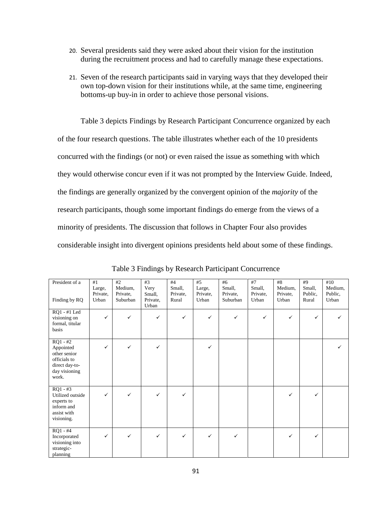- 20. Several presidents said they were asked about their vision for the institution during the recruitment process and had to carefully manage these expectations.
- 21. Seven of the research participants said in varying ways that they developed their own top-down vision for their institutions while, at the same time, engineering bottoms-up buy-in in order to achieve those personal visions.

Table 3 depicts Findings by Research Participant Concurrence organized by each of the four research questions. The table illustrates whether each of the 10 presidents concurred with the findings (or not) or even raised the issue as something with which they would otherwise concur even if it was not prompted by the Interview Guide. Indeed, the findings are generally organized by the convergent opinion of the *majority* of the research participants, though some important findings do emerge from the views of a minority of presidents. The discussion that follows in Chapter Four also provides considerable insight into divergent opinions presidents held about some of these findings.

| President of a<br>Finding by RQ                                                                     | #1<br>Large,<br>Private,<br>Urban | #2<br>Medium,<br>Private,<br>Suburban | #3<br>Very<br>Small,<br>Private,<br>Urban | #4<br>Small,<br>Private,<br>Rural | #5<br>Large,<br>Private,<br>Urban | #6<br>Small,<br>Private,<br>Suburban | #7<br>Small,<br>Private,<br>Urban | $\#8$<br>Medium,<br>Private,<br>Urban | #9<br>Small,<br>Public,<br>Rural | #10<br>Medium,<br>Public,<br>Urban |
|-----------------------------------------------------------------------------------------------------|-----------------------------------|---------------------------------------|-------------------------------------------|-----------------------------------|-----------------------------------|--------------------------------------|-----------------------------------|---------------------------------------|----------------------------------|------------------------------------|
| RQ1 - #1 Led<br>visioning on<br>formal, titular<br>basis                                            | ✓                                 | ✓                                     | $\checkmark$                              | $\checkmark$                      | $\checkmark$                      | $\checkmark$                         | $\checkmark$                      | ✓                                     | ✓                                |                                    |
| $RQ1 - #2$<br>Appointed<br>other senior<br>officials to<br>direct day-to-<br>day visioning<br>work. | ✓                                 | $\checkmark$                          | ✓                                         |                                   | $\checkmark$                      |                                      |                                   |                                       |                                  | ✓                                  |
| $RQ1 - #3$<br>Utilized outside<br>experts to<br>inform and<br>assist with<br>visioning.             | ✓                                 | ✓                                     | ✓                                         | ✓                                 |                                   |                                      |                                   | ✓                                     | ✓                                |                                    |
| $RQ1 - #4$<br>Incorporated<br>visioning into<br>strategic-<br>planning                              | $\checkmark$                      | ✓                                     | ✓                                         | ✓                                 | $\checkmark$                      | $\checkmark$                         |                                   | ✓                                     | ✓                                |                                    |

Table 3 Findings by Research Participant Concurrence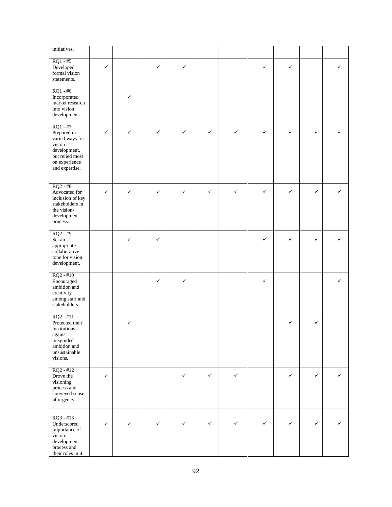| initiatives.                                                                                                                 |              |   |              |              |              |              |              |   |              |   |
|------------------------------------------------------------------------------------------------------------------------------|--------------|---|--------------|--------------|--------------|--------------|--------------|---|--------------|---|
| $RQ1 - #5$<br>Developed<br>formal vision<br>statements.                                                                      | $\checkmark$ |   | ✓            | $\checkmark$ |              |              | ✓            | ✓ |              | ✓ |
| $RQ1 - #6$<br>Incorporated<br>market research<br>into vision<br>development.                                                 |              | ✓ |              |              |              |              |              |   |              |   |
| $RQ1 - #7$<br>Prepared in<br>varied ways for<br>vision<br>development,<br>but relied most<br>on experience<br>and expertise. | ✓            | ✓ | ✓            | $\checkmark$ | $\checkmark$ | $\checkmark$ | $\checkmark$ | ✓ | $\checkmark$ | ✓ |
| $RQ2 - #8$<br>Advocated for<br>inclusion of key<br>stakeholders in<br>the vision-<br>development<br>process.                 | ✓            | ✓ | ✓            | $\checkmark$ | $\checkmark$ | ✓            | ✓            | ✓ | ✓            | ✓ |
| $RQ2 - #9$<br>Set an<br>appropriate<br>collaborative<br>tone for vision<br>development.                                      |              | ✓ | ✓            |              |              |              | ✓            | ✓ | ✓            | ✓ |
| $RQ2 - #10$<br>Encouraged<br>ambition and<br>creativity<br>among staff and<br>stakeholders.                                  |              |   | ✓            | $\checkmark$ |              |              | $\checkmark$ |   |              | ✓ |
| $RQ2 - #11$<br>Protected their<br>institutions<br>against<br>misguided<br>ambition and<br>unsustainable<br>visions.          |              | ✓ |              |              |              |              |              | ✓ | ✓            |   |
| $RQ2 - #12$<br>Drove the<br>visioning<br>process and<br>conveyed sense<br>of urgency.                                        | $\checkmark$ |   |              | $\checkmark$ | $\checkmark$ | $\checkmark$ |              | ✓ | $\checkmark$ | ✓ |
| $RQ3 - #13$<br>Underscored<br>importance of<br>vision-<br>development<br>process and<br>their roles in it.                   | ✓            | ✓ | $\checkmark$ | $\checkmark$ | $\checkmark$ | $\checkmark$ | $\checkmark$ | ✓ | ✓            | ✓ |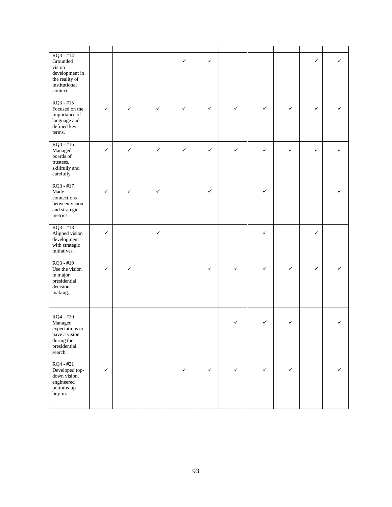| $RQ3 - #14$<br>Grounded<br>vision<br>development in<br>the reality of<br>institutional<br>context.  |              |   |              | $\checkmark$ | $\checkmark$ |              |              |              | ✓ | ✓ |
|-----------------------------------------------------------------------------------------------------|--------------|---|--------------|--------------|--------------|--------------|--------------|--------------|---|---|
| $RQ3 - #15$<br>Focused on the<br>importance of<br>language and<br>defined key<br>terms.             | ✓            | ✓ | $\checkmark$ | $\checkmark$ | $\checkmark$ | $\checkmark$ | $\checkmark$ | ✓            | ✓ | ✓ |
| $RQ3 - #16$<br>Managed<br>boards of<br>trustees,<br>skillfully and<br>carefully.                    | ✓            | ✓ | ✓            | $\checkmark$ | $\checkmark$ | $\checkmark$ | ✓            | $\checkmark$ | ✓ | ✓ |
| $RQ3 - #17$<br>Made<br>connections<br>between vision<br>and strategic<br>metrics.                   | ✓            | ✓ | $\checkmark$ |              | $\checkmark$ |              | $\checkmark$ |              |   | ✓ |
| $RQ3 - #18$<br>Aligned vision<br>development<br>with strategic<br>initiatives.                      | ✓            |   | $\checkmark$ |              |              |              | $\checkmark$ |              | ✓ |   |
| $RQ3 - #19$<br>Use the vision<br>in major<br>presidential<br>decision<br>making.                    | ✓            | ✓ |              |              | ✓            | $\checkmark$ | $\checkmark$ | $\checkmark$ | ✓ | ✓ |
| $RQ4 - #20$<br>Managed<br>expectations to<br>have a vision<br>during the<br>presidential<br>search. |              |   |              |              |              | ✓            | ✓            | ✓            |   | ✓ |
| $RQ4 - #21$<br>Developed top-<br>down vision,<br>engineered<br>bottoms-up<br>buy-in.                | $\checkmark$ |   |              | $\checkmark$ | $\checkmark$ | $\checkmark$ | $\checkmark$ | $\checkmark$ |   | ✓ |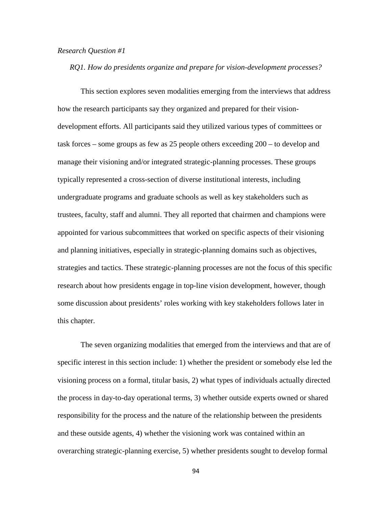## *Research Question #1*

*RQ1. How do presidents organize and prepare for vision-development processes?*

This section explores seven modalities emerging from the interviews that address how the research participants say they organized and prepared for their visiondevelopment efforts. All participants said they utilized various types of committees or task forces – some groups as few as 25 people others exceeding 200 – to develop and manage their visioning and/or integrated strategic-planning processes. These groups typically represented a cross-section of diverse institutional interests, including undergraduate programs and graduate schools as well as key stakeholders such as trustees, faculty, staff and alumni. They all reported that chairmen and champions were appointed for various subcommittees that worked on specific aspects of their visioning and planning initiatives, especially in strategic-planning domains such as objectives, strategies and tactics. These strategic-planning processes are not the focus of this specific research about how presidents engage in top-line vision development, however, though some discussion about presidents' roles working with key stakeholders follows later in this chapter.

The seven organizing modalities that emerged from the interviews and that are of specific interest in this section include: 1) whether the president or somebody else led the visioning process on a formal, titular basis, 2) what types of individuals actually directed the process in day-to-day operational terms, 3) whether outside experts owned or shared responsibility for the process and the nature of the relationship between the presidents and these outside agents, 4) whether the visioning work was contained within an overarching strategic-planning exercise, 5) whether presidents sought to develop formal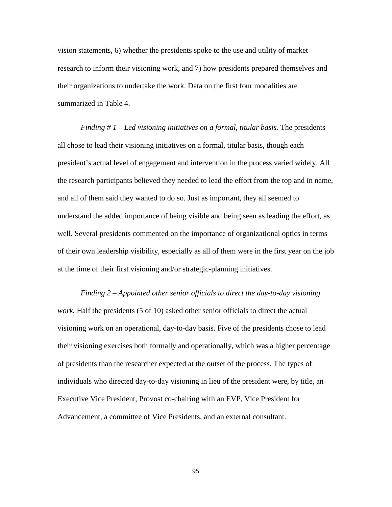vision statements, 6) whether the presidents spoke to the use and utility of market research to inform their visioning work, and 7) how presidents prepared themselves and their organizations to undertake the work. Data on the first four modalities are summarized in Table 4.

*Finding # 1 – Led visioning initiatives on a formal, titular basis.* The presidents all chose to lead their visioning initiatives on a formal, titular basis, though each president's actual level of engagement and intervention in the process varied widely. All the research participants believed they needed to lead the effort from the top and in name, and all of them said they wanted to do so. Just as important, they all seemed to understand the added importance of being visible and being seen as leading the effort, as well. Several presidents commented on the importance of organizational optics in terms of their own leadership visibility, especially as all of them were in the first year on the job at the time of their first visioning and/or strategic-planning initiatives.

*Finding 2 – Appointed other senior officials to direct the day-to-day visioning work.* Half the presidents (5 of 10) asked other senior officials to direct the actual visioning work on an operational, day-to-day basis. Five of the presidents chose to lead their visioning exercises both formally and operationally, which was a higher percentage of presidents than the researcher expected at the outset of the process. The types of individuals who directed day-to-day visioning in lieu of the president were, by title, an Executive Vice President, Provost co-chairing with an EVP, Vice President for Advancement, a committee of Vice Presidents, and an external consultant.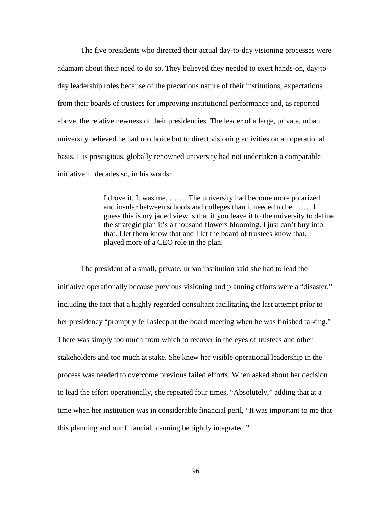The five presidents who directed their actual day-to-day visioning processes were adamant about their need to do so. They believed they needed to exert hands-on, day-today leadership roles because of the precarious nature of their institutions, expectations from their boards of trustees for improving institutional performance and, as reported above, the relative newness of their presidencies. The leader of a large, private, urban university believed he had no choice but to direct visioning activities on an operational basis. His prestigious, globally renowned university had not undertaken a comparable initiative in decades so, in his words:

> I drove it. It was me. ……. The university had become more polarized and insular between schools and colleges than it needed to be. …… I guess this is my jaded view is that if you leave it to the university to define the strategic plan it's a thousand flowers blooming. I just can't buy into that. I let them know that and I let the board of trustees know that. I played more of a CEO role in the plan.

The president of a small, private, urban institution said she had to lead the initiative operationally because previous visioning and planning efforts were a "disaster," including the fact that a highly regarded consultant facilitating the last attempt prior to her presidency "promptly fell asleep at the board meeting when he was finished talking." There was simply too much from which to recover in the eyes of trustees and other stakeholders and too much at stake. She knew her visible operational leadership in the process was needed to overcome previous failed efforts. When asked about her decision to lead the effort operationally, she repeated four times, "Absolutely," adding that at a time when her institution was in considerable financial peril, "It was important to me that this planning and our financial planning be tightly integrated."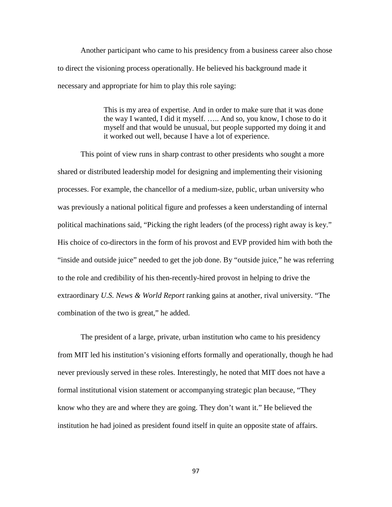Another participant who came to his presidency from a business career also chose to direct the visioning process operationally. He believed his background made it necessary and appropriate for him to play this role saying:

> This is my area of expertise. And in order to make sure that it was done the way I wanted, I did it myself. ….. And so, you know, I chose to do it myself and that would be unusual, but people supported my doing it and it worked out well, because I have a lot of experience.

This point of view runs in sharp contrast to other presidents who sought a more shared or distributed leadership model for designing and implementing their visioning processes. For example, the chancellor of a medium-size, public, urban university who was previously a national political figure and professes a keen understanding of internal political machinations said, "Picking the right leaders (of the process) right away is key." His choice of co-directors in the form of his provost and EVP provided him with both the "inside and outside juice" needed to get the job done. By "outside juice," he was referring to the role and credibility of his then-recently-hired provost in helping to drive the extraordinary *U.S. News & World Report* ranking gains at another, rival university. "The combination of the two is great," he added.

The president of a large, private, urban institution who came to his presidency from MIT led his institution's visioning efforts formally and operationally, though he had never previously served in these roles. Interestingly, he noted that MIT does not have a formal institutional vision statement or accompanying strategic plan because, "They know who they are and where they are going. They don't want it." He believed the institution he had joined as president found itself in quite an opposite state of affairs.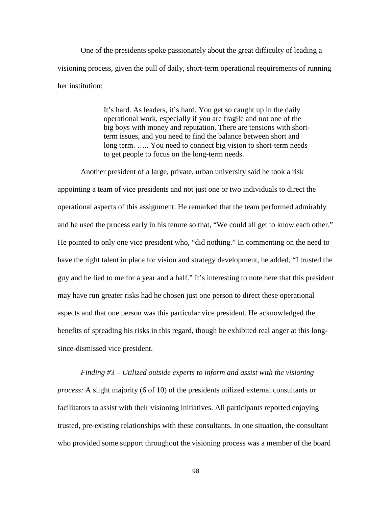One of the presidents spoke passionately about the great difficulty of leading a visioning process, given the pull of daily, short-term operational requirements of running her institution:

> It's hard. As leaders, it's hard. You get so caught up in the daily operational work, especially if you are fragile and not one of the big boys with money and reputation. There are tensions with shortterm issues, and you need to find the balance between short and long term. ….. You need to connect big vision to short-term needs to get people to focus on the long-term needs.

Another president of a large, private, urban university said he took a risk appointing a team of vice presidents and not just one or two individuals to direct the operational aspects of this assignment. He remarked that the team performed admirably and he used the process early in his tenure so that, "We could all get to know each other." He pointed to only one vice president who, "did nothing." In commenting on the need to have the right talent in place for vision and strategy development, he added, "I trusted the guy and he lied to me for a year and a half." It's interesting to note here that this president may have run greater risks had he chosen just one person to direct these operational aspects and that one person was this particular vice president. He acknowledged the benefits of spreading his risks in this regard, though he exhibited real anger at this longsince-dismissed vice president.

*Finding #3 – Utilized outside experts to inform and assist with the visioning process:* A slight majority (6 of 10) of the presidents utilized external consultants or facilitators to assist with their visioning initiatives. All participants reported enjoying trusted, pre-existing relationships with these consultants. In one situation, the consultant who provided some support throughout the visioning process was a member of the board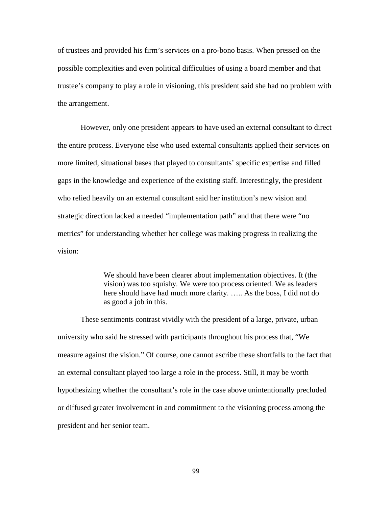of trustees and provided his firm's services on a pro-bono basis. When pressed on the possible complexities and even political difficulties of using a board member and that trustee's company to play a role in visioning, this president said she had no problem with the arrangement.

However, only one president appears to have used an external consultant to direct the entire process. Everyone else who used external consultants applied their services on more limited, situational bases that played to consultants' specific expertise and filled gaps in the knowledge and experience of the existing staff. Interestingly, the president who relied heavily on an external consultant said her institution's new vision and strategic direction lacked a needed "implementation path" and that there were "no metrics" for understanding whether her college was making progress in realizing the vision:

> We should have been clearer about implementation objectives. It (the vision) was too squishy. We were too process oriented. We as leaders here should have had much more clarity. ….. As the boss, I did not do as good a job in this.

These sentiments contrast vividly with the president of a large, private, urban university who said he stressed with participants throughout his process that, "We measure against the vision." Of course, one cannot ascribe these shortfalls to the fact that an external consultant played too large a role in the process. Still, it may be worth hypothesizing whether the consultant's role in the case above unintentionally precluded or diffused greater involvement in and commitment to the visioning process among the president and her senior team.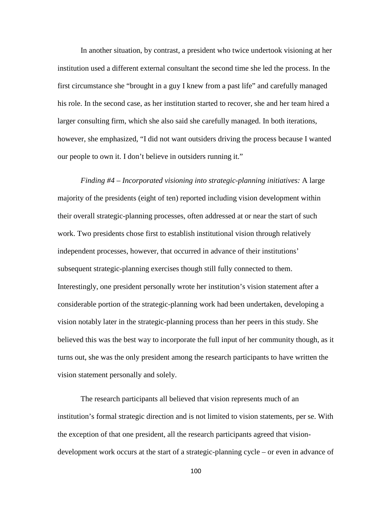In another situation, by contrast, a president who twice undertook visioning at her institution used a different external consultant the second time she led the process. In the first circumstance she "brought in a guy I knew from a past life" and carefully managed his role. In the second case, as her institution started to recover, she and her team hired a larger consulting firm, which she also said she carefully managed. In both iterations, however, she emphasized, "I did not want outsiders driving the process because I wanted our people to own it. I don't believe in outsiders running it."

*Finding #4 – Incorporated visioning into strategic-planning initiatives:* A large majority of the presidents (eight of ten) reported including vision development within their overall strategic-planning processes, often addressed at or near the start of such work. Two presidents chose first to establish institutional vision through relatively independent processes, however, that occurred in advance of their institutions' subsequent strategic-planning exercises though still fully connected to them. Interestingly, one president personally wrote her institution's vision statement after a considerable portion of the strategic-planning work had been undertaken, developing a vision notably later in the strategic-planning process than her peers in this study. She believed this was the best way to incorporate the full input of her community though, as it turns out, she was the only president among the research participants to have written the vision statement personally and solely.

The research participants all believed that vision represents much of an institution's formal strategic direction and is not limited to vision statements, per se. With the exception of that one president, all the research participants agreed that visiondevelopment work occurs at the start of a strategic-planning cycle – or even in advance of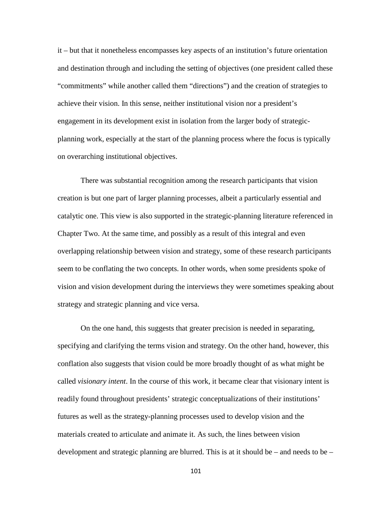it – but that it nonetheless encompasses key aspects of an institution's future orientation and destination through and including the setting of objectives (one president called these "commitments" while another called them "directions") and the creation of strategies to achieve their vision. In this sense, neither institutional vision nor a president's engagement in its development exist in isolation from the larger body of strategicplanning work, especially at the start of the planning process where the focus is typically on overarching institutional objectives.

There was substantial recognition among the research participants that vision creation is but one part of larger planning processes, albeit a particularly essential and catalytic one. This view is also supported in the strategic-planning literature referenced in Chapter Two. At the same time, and possibly as a result of this integral and even overlapping relationship between vision and strategy, some of these research participants seem to be conflating the two concepts. In other words, when some presidents spoke of vision and vision development during the interviews they were sometimes speaking about strategy and strategic planning and vice versa.

On the one hand, this suggests that greater precision is needed in separating, specifying and clarifying the terms vision and strategy. On the other hand, however, this conflation also suggests that vision could be more broadly thought of as what might be called *visionary intent*. In the course of this work, it became clear that visionary intent is readily found throughout presidents' strategic conceptualizations of their institutions' futures as well as the strategy-planning processes used to develop vision and the materials created to articulate and animate it. As such, the lines between vision development and strategic planning are blurred. This is at it should be – and needs to be –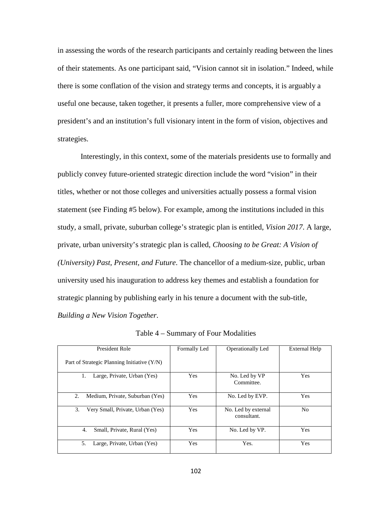in assessing the words of the research participants and certainly reading between the lines of their statements. As one participant said, "Vision cannot sit in isolation." Indeed, while there is some conflation of the vision and strategy terms and concepts, it is arguably a useful one because, taken together, it presents a fuller, more comprehensive view of a president's and an institution's full visionary intent in the form of vision, objectives and strategies.

Interestingly, in this context, some of the materials presidents use to formally and publicly convey future-oriented strategic direction include the word "vision" in their titles, whether or not those colleges and universities actually possess a formal vision statement (see Finding #5 below). For example, among the institutions included in this study, a small, private, suburban college's strategic plan is entitled, *Vision 2017*. A large, private, urban university's strategic plan is called, *Choosing to be Great: A Vision of (University) Past, Present, and Future*. The chancellor of a medium-size, public, urban university used his inauguration to address key themes and establish a foundation for strategic planning by publishing early in his tenure a document with the sub-title, *Building a New Vision Together*.

| <b>President Role</b>                         | Formally Led | Operationally Led                  | External Help |
|-----------------------------------------------|--------------|------------------------------------|---------------|
| Part of Strategic Planning Initiative $(Y/N)$ |              |                                    |               |
| Large, Private, Urban (Yes)<br>1.             | <b>Yes</b>   | No. Led by VP<br>Committee.        | Yes           |
| 2.<br>Medium, Private, Suburban (Yes)         | Yes          | No. Led by EVP.                    | Yes           |
| 3.<br>Very Small, Private, Urban (Yes)        | <b>Yes</b>   | No. Led by external<br>consultant. | No            |
| 4.<br>Small, Private, Rural (Yes)             | Yes          | No. Led by VP.                     | <b>Yes</b>    |
| 5.<br>Large, Private, Urban (Yes)             | <b>Yes</b>   | Yes.                               | <b>Yes</b>    |

Table 4 – Summary of Four Modalities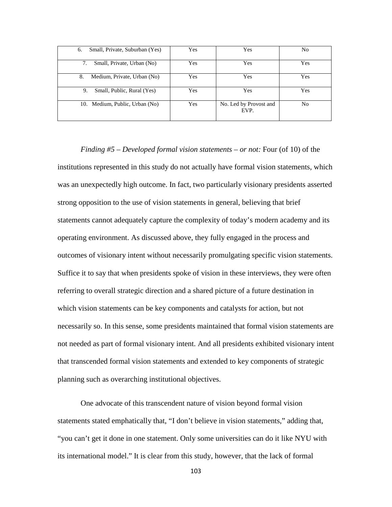| Small, Private, Suburban (Yes)<br>6. | Yes | Yes                            | No  |
|--------------------------------------|-----|--------------------------------|-----|
| Small, Private, Urban (No)<br>7.     | Yes | Yes                            | Yes |
| 8.<br>Medium, Private, Urban (No)    | Yes | Yes                            | Yes |
| Small, Public, Rural (Yes)<br>9.     | Yes | Yes                            | Yes |
| 10. Medium, Public, Urban (No)       | Yes | No. Led by Provost and<br>EVP. | No  |

*Finding #5 – Developed formal vision statements – or not:* Four (of 10) of the institutions represented in this study do not actually have formal vision statements, which was an unexpectedly high outcome. In fact, two particularly visionary presidents asserted strong opposition to the use of vision statements in general, believing that brief statements cannot adequately capture the complexity of today's modern academy and its operating environment. As discussed above, they fully engaged in the process and outcomes of visionary intent without necessarily promulgating specific vision statements. Suffice it to say that when presidents spoke of vision in these interviews, they were often referring to overall strategic direction and a shared picture of a future destination in which vision statements can be key components and catalysts for action, but not necessarily so. In this sense, some presidents maintained that formal vision statements are not needed as part of formal visionary intent. And all presidents exhibited visionary intent that transcended formal vision statements and extended to key components of strategic planning such as overarching institutional objectives.

One advocate of this transcendent nature of vision beyond formal vision statements stated emphatically that, "I don't believe in vision statements," adding that, "you can't get it done in one statement. Only some universities can do it like NYU with its international model." It is clear from this study, however, that the lack of formal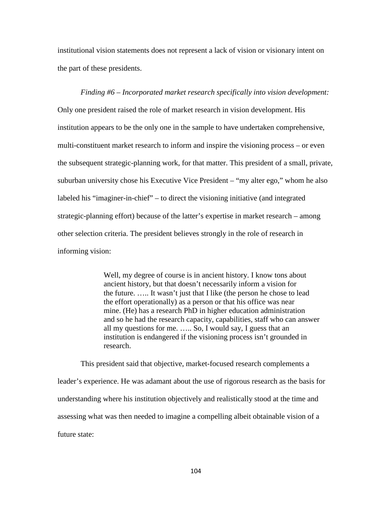institutional vision statements does not represent a lack of vision or visionary intent on the part of these presidents.

*Finding #6 – Incorporated market research specifically into vision development:*  Only one president raised the role of market research in vision development. His institution appears to be the only one in the sample to have undertaken comprehensive, multi-constituent market research to inform and inspire the visioning process – or even the subsequent strategic-planning work, for that matter. This president of a small, private, suburban university chose his Executive Vice President – "my alter ego," whom he also labeled his "imaginer-in-chief" – to direct the visioning initiative (and integrated strategic-planning effort) because of the latter's expertise in market research – among other selection criteria. The president believes strongly in the role of research in informing vision:

> Well, my degree of course is in ancient history. I know tons about ancient history, but that doesn't necessarily inform a vision for the future. ….. It wasn't just that I like (the person he chose to lead the effort operationally) as a person or that his office was near mine. (He) has a research PhD in higher education administration and so he had the research capacity, capabilities, staff who can answer all my questions for me. ….. So, I would say, I guess that an institution is endangered if the visioning process isn't grounded in research.

This president said that objective, market-focused research complements a leader's experience. He was adamant about the use of rigorous research as the basis for understanding where his institution objectively and realistically stood at the time and assessing what was then needed to imagine a compelling albeit obtainable vision of a future state: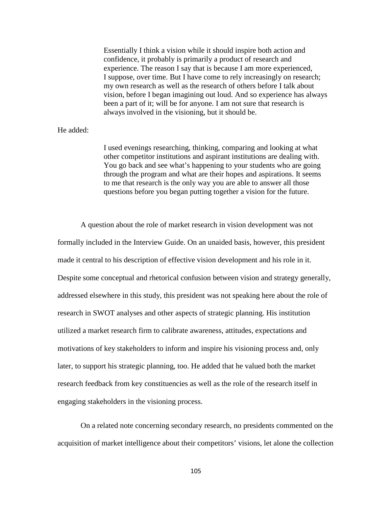Essentially I think a vision while it should inspire both action and confidence, it probably is primarily a product of research and experience. The reason I say that is because I am more experienced, I suppose, over time. But I have come to rely increasingly on research; my own research as well as the research of others before I talk about vision, before I began imagining out loud. And so experience has always been a part of it; will be for anyone. I am not sure that research is always involved in the visioning, but it should be.

## He added:

I used evenings researching, thinking, comparing and looking at what other competitor institutions and aspirant institutions are dealing with. You go back and see what's happening to your students who are going through the program and what are their hopes and aspirations. It seems to me that research is the only way you are able to answer all those questions before you began putting together a vision for the future.

A question about the role of market research in vision development was not formally included in the Interview Guide. On an unaided basis, however, this president made it central to his description of effective vision development and his role in it. Despite some conceptual and rhetorical confusion between vision and strategy generally, addressed elsewhere in this study, this president was not speaking here about the role of research in SWOT analyses and other aspects of strategic planning. His institution utilized a market research firm to calibrate awareness, attitudes, expectations and motivations of key stakeholders to inform and inspire his visioning process and, only later, to support his strategic planning, too. He added that he valued both the market research feedback from key constituencies as well as the role of the research itself in engaging stakeholders in the visioning process.

On a related note concerning secondary research, no presidents commented on the acquisition of market intelligence about their competitors' visions, let alone the collection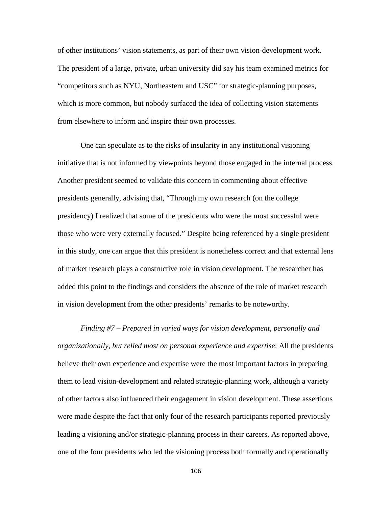of other institutions' vision statements, as part of their own vision-development work. The president of a large, private, urban university did say his team examined metrics for "competitors such as NYU, Northeastern and USC" for strategic-planning purposes, which is more common, but nobody surfaced the idea of collecting vision statements from elsewhere to inform and inspire their own processes.

One can speculate as to the risks of insularity in any institutional visioning initiative that is not informed by viewpoints beyond those engaged in the internal process. Another president seemed to validate this concern in commenting about effective presidents generally, advising that, "Through my own research (on the college presidency) I realized that some of the presidents who were the most successful were those who were very externally focused." Despite being referenced by a single president in this study, one can argue that this president is nonetheless correct and that external lens of market research plays a constructive role in vision development. The researcher has added this point to the findings and considers the absence of the role of market research in vision development from the other presidents' remarks to be noteworthy.

*Finding #7 – Prepared in varied ways for vision development, personally and organizationally, but relied most on personal experience and expertise*: All the presidents believe their own experience and expertise were the most important factors in preparing them to lead vision-development and related strategic-planning work, although a variety of other factors also influenced their engagement in vision development. These assertions were made despite the fact that only four of the research participants reported previously leading a visioning and/or strategic-planning process in their careers. As reported above, one of the four presidents who led the visioning process both formally and operationally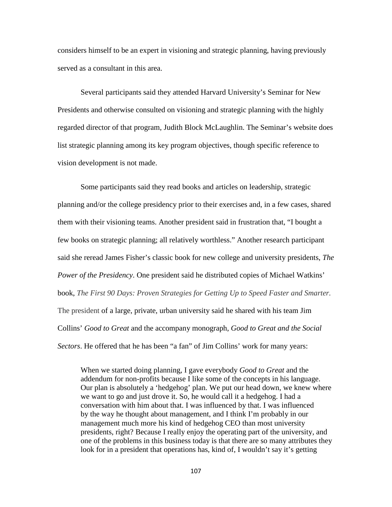considers himself to be an expert in visioning and strategic planning, having previously served as a consultant in this area.

Several participants said they attended Harvard University's Seminar for New Presidents and otherwise consulted on visioning and strategic planning with the highly regarded director of that program, Judith Block McLaughlin. The Seminar's website does list strategic planning among its key program objectives, though specific reference to vision development is not made.

Some participants said they read books and articles on leadership, strategic planning and/or the college presidency prior to their exercises and, in a few cases, shared them with their visioning teams. Another president said in frustration that, "I bought a few books on strategic planning; all relatively worthless." Another research participant said she reread James Fisher's classic book for new college and university presidents, *The Power of the Presidency*. One president said he distributed copies of Michael Watkins' book, *The First 90 Days: Proven Strategies for Getting Up to Speed Faster and Smarter.*  The president of a large, private, urban university said he shared with his team Jim Collins' *Good to Great* and the accompany monograph, *Good to Great and the Social Sectors*. He offered that he has been "a fan" of Jim Collins' work for many years:

When we started doing planning, I gave everybody *Good to Great* and the addendum for non-profits because I like some of the concepts in his language. Our plan is absolutely a 'hedgehog' plan. We put our head down, we knew where we want to go and just drove it. So, he would call it a hedgehog. I had a conversation with him about that. I was influenced by that. I was influenced by the way he thought about management, and I think I'm probably in our management much more his kind of hedgehog CEO than most university presidents, right? Because I really enjoy the operating part of the university, and one of the problems in this business today is that there are so many attributes they look for in a president that operations has, kind of, I wouldn't say it's getting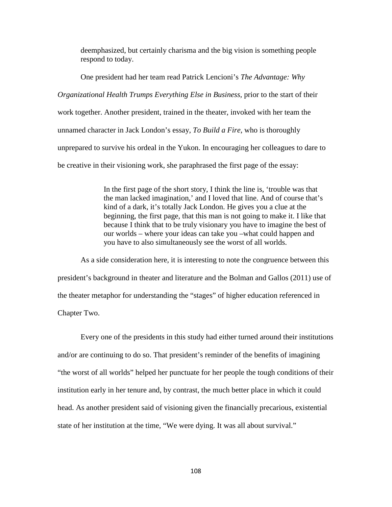deemphasized, but certainly charisma and the big vision is something people respond to today.

One president had her team read Patrick Lencioni's *The Advantage: Why Organizational Health Trumps Everything Else in Business,* prior to the start of their work together. Another president, trained in the theater, invoked with her team the unnamed character in Jack London's essay, *To Build a Fire*, who is thoroughly unprepared to survive his ordeal in the Yukon. In encouraging her colleagues to dare to be creative in their visioning work, she paraphrased the first page of the essay:

> In the first page of the short story, I think the line is, 'trouble was that the man lacked imagination,' and I loved that line. And of course that's kind of a dark, it's totally Jack London. He gives you a clue at the beginning, the first page, that this man is not going to make it. I like that because I think that to be truly visionary you have to imagine the best of our worlds – where your ideas can take you –what could happen and you have to also simultaneously see the worst of all worlds.

As a side consideration here, it is interesting to note the congruence between this president's background in theater and literature and the Bolman and Gallos (2011) use of the theater metaphor for understanding the "stages" of higher education referenced in Chapter Two.

Every one of the presidents in this study had either turned around their institutions and/or are continuing to do so. That president's reminder of the benefits of imagining "the worst of all worlds" helped her punctuate for her people the tough conditions of their institution early in her tenure and, by contrast, the much better place in which it could head. As another president said of visioning given the financially precarious, existential state of her institution at the time, "We were dying. It was all about survival."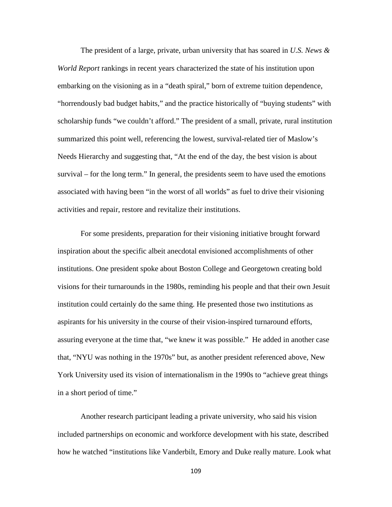The president of a large, private, urban university that has soared in *U.S. News & World Report* rankings in recent years characterized the state of his institution upon embarking on the visioning as in a "death spiral," born of extreme tuition dependence, "horrendously bad budget habits," and the practice historically of "buying students" with scholarship funds "we couldn't afford." The president of a small, private, rural institution summarized this point well, referencing the lowest, survival-related tier of Maslow's Needs Hierarchy and suggesting that, "At the end of the day, the best vision is about survival – for the long term." In general, the presidents seem to have used the emotions associated with having been "in the worst of all worlds" as fuel to drive their visioning activities and repair, restore and revitalize their institutions.

For some presidents, preparation for their visioning initiative brought forward inspiration about the specific albeit anecdotal envisioned accomplishments of other institutions. One president spoke about Boston College and Georgetown creating bold visions for their turnarounds in the 1980s, reminding his people and that their own Jesuit institution could certainly do the same thing. He presented those two institutions as aspirants for his university in the course of their vision-inspired turnaround efforts, assuring everyone at the time that, "we knew it was possible." He added in another case that, "NYU was nothing in the 1970s" but, as another president referenced above, New York University used its vision of internationalism in the 1990s to "achieve great things in a short period of time."

Another research participant leading a private university, who said his vision included partnerships on economic and workforce development with his state, described how he watched "institutions like Vanderbilt, Emory and Duke really mature. Look what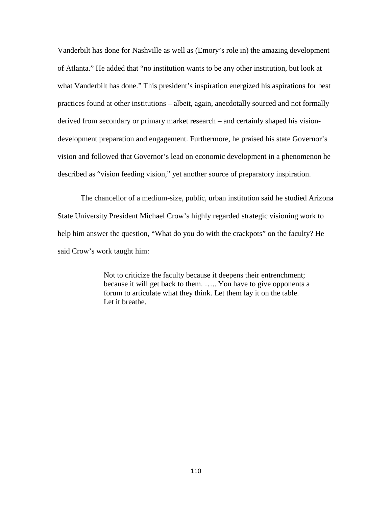Vanderbilt has done for Nashville as well as (Emory's role in) the amazing development of Atlanta." He added that "no institution wants to be any other institution, but look at what Vanderbilt has done." This president's inspiration energized his aspirations for best practices found at other institutions – albeit, again, anecdotally sourced and not formally derived from secondary or primary market research – and certainly shaped his visiondevelopment preparation and engagement. Furthermore, he praised his state Governor's vision and followed that Governor's lead on economic development in a phenomenon he described as "vision feeding vision," yet another source of preparatory inspiration.

The chancellor of a medium-size, public, urban institution said he studied Arizona State University President Michael Crow's highly regarded strategic visioning work to help him answer the question, "What do you do with the crackpots" on the faculty? He said Crow's work taught him:

> Not to criticize the faculty because it deepens their entrenchment; because it will get back to them. ….. You have to give opponents a forum to articulate what they think. Let them lay it on the table. Let it breathe.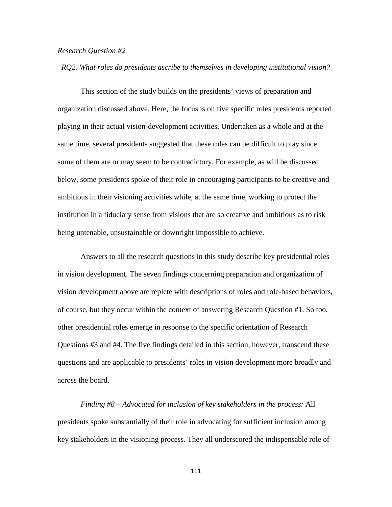#### *Research Question #2*

*RQ2. What roles do presidents ascribe to themselves in developing institutional vision?*

This section of the study builds on the presidents' views of preparation and organization discussed above. Here, the focus is on five specific roles presidents reported playing in their actual vision-development activities. Undertaken as a whole and at the same time, several presidents suggested that these roles can be difficult to play since some of them are or may seem to be contradictory. For example, as will be discussed below, some presidents spoke of their role in encouraging participants to be creative and ambitious in their visioning activities while, at the same time, working to protect the institution in a fiduciary sense from visions that are so creative and ambitious as to risk being untenable, unsustainable or downright impossible to achieve.

Answers to all the research questions in this study describe key presidential roles in vision development. The seven findings concerning preparation and organization of vision development above are replete with descriptions of roles and role-based behaviors, of course, but they occur within the context of answering Research Question #1. So too, other presidential roles emerge in response to the specific orientation of Research Questions #3 and #4. The five findings detailed in this section, however, transcend these questions and are applicable to presidents' roles in vision development more broadly and across the board.

*Finding #8 – Advocated for inclusion of key stakeholders in the process:* All presidents spoke substantially of their role in advocating for sufficient inclusion among key stakeholders in the visioning process. They all underscored the indispensable role of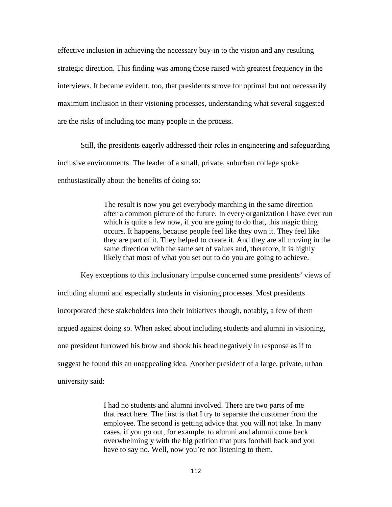effective inclusion in achieving the necessary buy-in to the vision and any resulting strategic direction. This finding was among those raised with greatest frequency in the interviews. It became evident, too, that presidents strove for optimal but not necessarily maximum inclusion in their visioning processes, understanding what several suggested are the risks of including too many people in the process.

Still, the presidents eagerly addressed their roles in engineering and safeguarding inclusive environments. The leader of a small, private, suburban college spoke enthusiastically about the benefits of doing so:

> The result is now you get everybody marching in the same direction after a common picture of the future. In every organization I have ever run which is quite a few now, if you are going to do that, this magic thing occurs. It happens, because people feel like they own it. They feel like they are part of it. They helped to create it. And they are all moving in the same direction with the same set of values and, therefore, it is highly likely that most of what you set out to do you are going to achieve.

Key exceptions to this inclusionary impulse concerned some presidents' views of including alumni and especially students in visioning processes. Most presidents incorporated these stakeholders into their initiatives though, notably, a few of them argued against doing so. When asked about including students and alumni in visioning, one president furrowed his brow and shook his head negatively in response as if to suggest he found this an unappealing idea. Another president of a large, private, urban university said:

> I had no students and alumni involved. There are two parts of me that react here. The first is that I try to separate the customer from the employee. The second is getting advice that you will not take. In many cases, if you go out, for example, to alumni and alumni come back overwhelmingly with the big petition that puts football back and you have to say no. Well, now you're not listening to them.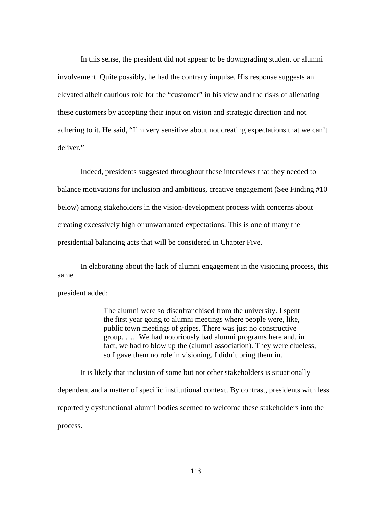In this sense, the president did not appear to be downgrading student or alumni involvement. Quite possibly, he had the contrary impulse. His response suggests an elevated albeit cautious role for the "customer" in his view and the risks of alienating these customers by accepting their input on vision and strategic direction and not adhering to it. He said, "I'm very sensitive about not creating expectations that we can't deliver."

Indeed, presidents suggested throughout these interviews that they needed to balance motivations for inclusion and ambitious, creative engagement (See Finding #10 below) among stakeholders in the vision-development process with concerns about creating excessively high or unwarranted expectations. This is one of many the presidential balancing acts that will be considered in Chapter Five.

In elaborating about the lack of alumni engagement in the visioning process, this same

president added:

The alumni were so disenfranchised from the university. I spent the first year going to alumni meetings where people were, like, public town meetings of gripes. There was just no constructive group. ….. We had notoriously bad alumni programs here and, in fact, we had to blow up the (alumni association). They were clueless, so I gave them no role in visioning. I didn't bring them in.

It is likely that inclusion of some but not other stakeholders is situationally dependent and a matter of specific institutional context. By contrast, presidents with less reportedly dysfunctional alumni bodies seemed to welcome these stakeholders into the process.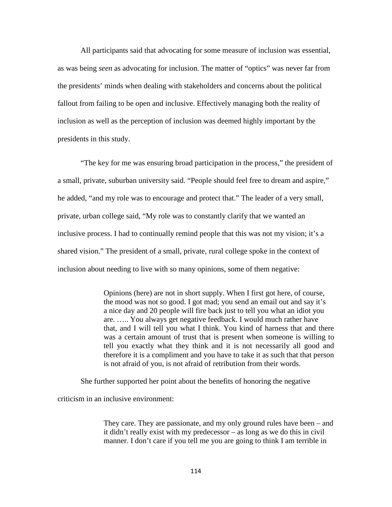All participants said that advocating for some measure of inclusion was essential, as was being *seen* as advocating for inclusion. The matter of "optics" was never far from the presidents' minds when dealing with stakeholders and concerns about the political fallout from failing to be open and inclusive. Effectively managing both the reality of inclusion as well as the perception of inclusion was deemed highly important by the presidents in this study.

"The key for me was ensuring broad participation in the process," the president of a small, private, suburban university said. "People should feel free to dream and aspire," he added, "and my role was to encourage and protect that." The leader of a very small, private, urban college said, "My role was to constantly clarify that we wanted an inclusive process. I had to continually remind people that this was not my vision; it's a shared vision." The president of a small, private, rural college spoke in the context of inclusion about needing to live with so many opinions, some of them negative:

> Opinions (here) are not in short supply. When I first got here, of course, the mood was not so good. I got mad; you send an email out and say it's a nice day and 20 people will fire back just to tell you what an idiot you are. ….. You always get negative feedback. I would much rather have that, and I will tell you what I think. You kind of harness that and there was a certain amount of trust that is present when someone is willing to tell you exactly what they think and it is not necessarily all good and therefore it is a compliment and you have to take it as such that that person is not afraid of you, is not afraid of retribution from their words.

She further supported her point about the benefits of honoring the negative

criticism in an inclusive environment:

They care. They are passionate, and my only ground rules have been – and it didn't really exist with my predecessor – as long as we do this in civil manner. I don't care if you tell me you are going to think I am terrible in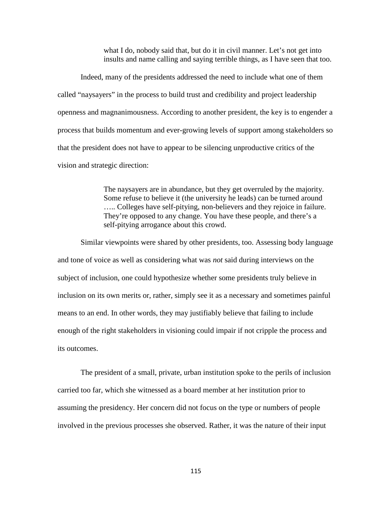what I do, nobody said that, but do it in civil manner. Let's not get into insults and name calling and saying terrible things, as I have seen that too.

Indeed, many of the presidents addressed the need to include what one of them called "naysayers" in the process to build trust and credibility and project leadership openness and magnanimousness. According to another president, the key is to engender a process that builds momentum and ever-growing levels of support among stakeholders so that the president does not have to appear to be silencing unproductive critics of the vision and strategic direction:

> The naysayers are in abundance, but they get overruled by the majority. Some refuse to believe it (the university he leads) can be turned around ….. Colleges have self-pitying, non-believers and they rejoice in failure. They're opposed to any change. You have these people, and there's a self-pitying arrogance about this crowd.

Similar viewpoints were shared by other presidents, too. Assessing body language and tone of voice as well as considering what was *not* said during interviews on the subject of inclusion, one could hypothesize whether some presidents truly believe in inclusion on its own merits or, rather, simply see it as a necessary and sometimes painful means to an end. In other words, they may justifiably believe that failing to include enough of the right stakeholders in visioning could impair if not cripple the process and its outcomes.

The president of a small, private, urban institution spoke to the perils of inclusion carried too far, which she witnessed as a board member at her institution prior to assuming the presidency. Her concern did not focus on the type or numbers of people involved in the previous processes she observed. Rather, it was the nature of their input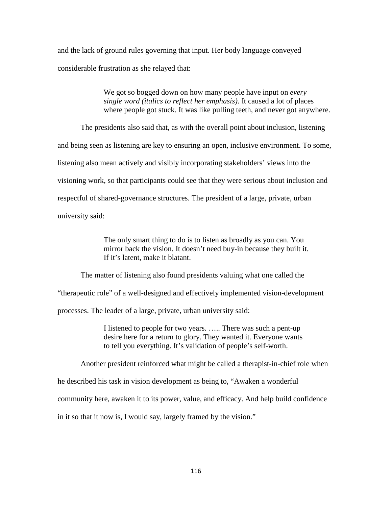and the lack of ground rules governing that input. Her body language conveyed considerable frustration as she relayed that:

> We got so bogged down on how many people have input on *every single word (italics to reflect her emphasis)*. It caused a lot of places where people got stuck. It was like pulling teeth, and never got anywhere.

The presidents also said that, as with the overall point about inclusion, listening and being seen as listening are key to ensuring an open, inclusive environment. To some, listening also mean actively and visibly incorporating stakeholders' views into the visioning work, so that participants could see that they were serious about inclusion and respectful of shared-governance structures. The president of a large, private, urban university said:

> The only smart thing to do is to listen as broadly as you can. You mirror back the vision. It doesn't need buy-in because they built it. If it's latent, make it blatant.

The matter of listening also found presidents valuing what one called the "therapeutic role" of a well-designed and effectively implemented vision-development processes. The leader of a large, private, urban university said:

> I listened to people for two years. ….. There was such a pent-up desire here for a return to glory. They wanted it. Everyone wants to tell you everything. It's validation of people's self-worth.

Another president reinforced what might be called a therapist-in-chief role when

he described his task in vision development as being to, "Awaken a wonderful

community here, awaken it to its power, value, and efficacy. And help build confidence

in it so that it now is, I would say, largely framed by the vision."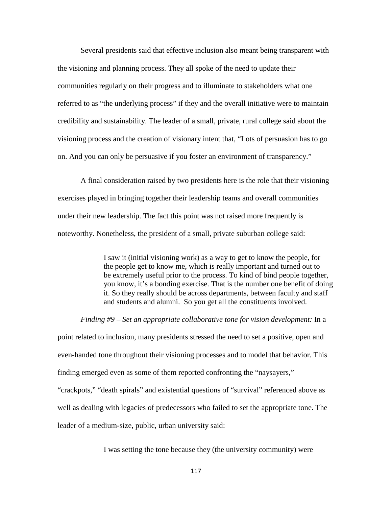Several presidents said that effective inclusion also meant being transparent with the visioning and planning process. They all spoke of the need to update their communities regularly on their progress and to illuminate to stakeholders what one referred to as "the underlying process" if they and the overall initiative were to maintain credibility and sustainability. The leader of a small, private, rural college said about the visioning process and the creation of visionary intent that, "Lots of persuasion has to go on. And you can only be persuasive if you foster an environment of transparency."

A final consideration raised by two presidents here is the role that their visioning exercises played in bringing together their leadership teams and overall communities under their new leadership. The fact this point was not raised more frequently is noteworthy. Nonetheless, the president of a small, private suburban college said:

> I saw it (initial visioning work) as a way to get to know the people, for the people get to know me, which is really important and turned out to be extremely useful prior to the process. To kind of bind people together, you know, it's a bonding exercise. That is the number one benefit of doing it. So they really should be across departments, between faculty and staff and students and alumni. So you get all the constituents involved.

#### *Finding #9 – Set an appropriate collaborative tone for vision development:* In a

point related to inclusion, many presidents stressed the need to set a positive, open and even-handed tone throughout their visioning processes and to model that behavior. This finding emerged even as some of them reported confronting the "naysayers," "crackpots," "death spirals" and existential questions of "survival" referenced above as well as dealing with legacies of predecessors who failed to set the appropriate tone. The leader of a medium-size, public, urban university said:

I was setting the tone because they (the university community) were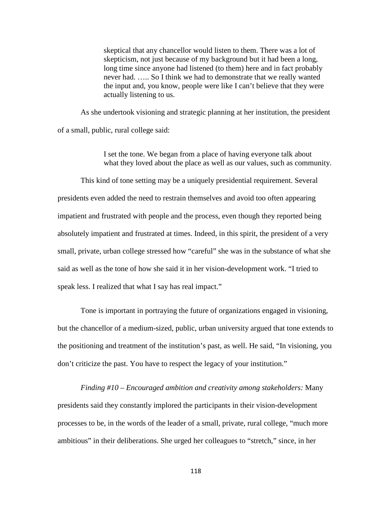skeptical that any chancellor would listen to them. There was a lot of skepticism, not just because of my background but it had been a long, long time since anyone had listened (to them) here and in fact probably never had. ….. So I think we had to demonstrate that we really wanted the input and, you know, people were like I can't believe that they were actually listening to us.

As she undertook visioning and strategic planning at her institution, the president of a small, public, rural college said:

> I set the tone. We began from a place of having everyone talk about what they loved about the place as well as our values, such as community.

This kind of tone setting may be a uniquely presidential requirement. Several presidents even added the need to restrain themselves and avoid too often appearing impatient and frustrated with people and the process, even though they reported being absolutely impatient and frustrated at times. Indeed, in this spirit, the president of a very small, private, urban college stressed how "careful" she was in the substance of what she said as well as the tone of how she said it in her vision-development work. "I tried to speak less. I realized that what I say has real impact."

Tone is important in portraying the future of organizations engaged in visioning, but the chancellor of a medium-sized, public, urban university argued that tone extends to the positioning and treatment of the institution's past, as well. He said, "In visioning, you don't criticize the past. You have to respect the legacy of your institution."

*Finding #10 – Encouraged ambition and creativity among stakeholders:* Many presidents said they constantly implored the participants in their vision-development processes to be, in the words of the leader of a small, private, rural college, "much more ambitious" in their deliberations. She urged her colleagues to "stretch," since, in her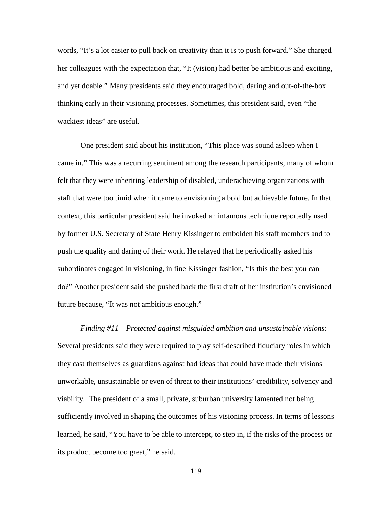words, "It's a lot easier to pull back on creativity than it is to push forward." She charged her colleagues with the expectation that, "It (vision) had better be ambitious and exciting, and yet doable." Many presidents said they encouraged bold, daring and out-of-the-box thinking early in their visioning processes. Sometimes, this president said, even "the wackiest ideas" are useful.

One president said about his institution, "This place was sound asleep when I came in." This was a recurring sentiment among the research participants, many of whom felt that they were inheriting leadership of disabled, underachieving organizations with staff that were too timid when it came to envisioning a bold but achievable future. In that context, this particular president said he invoked an infamous technique reportedly used by former U.S. Secretary of State Henry Kissinger to embolden his staff members and to push the quality and daring of their work. He relayed that he periodically asked his subordinates engaged in visioning, in fine Kissinger fashion, "Is this the best you can do?" Another president said she pushed back the first draft of her institution's envisioned future because, "It was not ambitious enough."

*Finding #11 – Protected against misguided ambition and unsustainable visions:*  Several presidents said they were required to play self-described fiduciary roles in which they cast themselves as guardians against bad ideas that could have made their visions unworkable, unsustainable or even of threat to their institutions' credibility, solvency and viability.The president of a small, private, suburban university lamented not being sufficiently involved in shaping the outcomes of his visioning process. In terms of lessons learned, he said, "You have to be able to intercept, to step in, if the risks of the process or its product become too great," he said.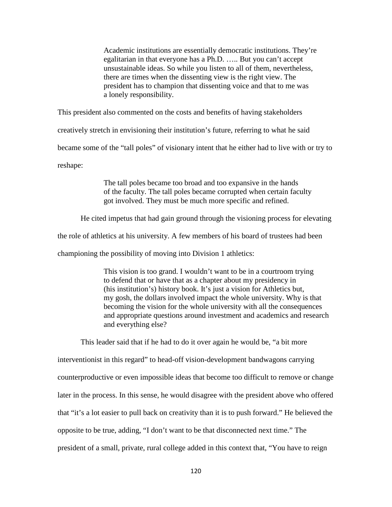Academic institutions are essentially democratic institutions. They're egalitarian in that everyone has a Ph.D. ….. But you can't accept unsustainable ideas. So while you listen to all of them, nevertheless, there are times when the dissenting view is the right view. The president has to champion that dissenting voice and that to me was a lonely responsibility.

This president also commented on the costs and benefits of having stakeholders

creatively stretch in envisioning their institution's future, referring to what he said

became some of the "tall poles" of visionary intent that he either had to live with or try to

reshape:

The tall poles became too broad and too expansive in the hands of the faculty. The tall poles became corrupted when certain faculty got involved. They must be much more specific and refined.

He cited impetus that had gain ground through the visioning process for elevating

the role of athletics at his university. A few members of his board of trustees had been

championing the possibility of moving into Division 1 athletics:

This vision is too grand. I wouldn't want to be in a courtroom trying to defend that or have that as a chapter about my presidency in (his institution's) history book. It's just a vision for Athletics but, my gosh, the dollars involved impact the whole university. Why is that becoming the vision for the whole university with all the consequences and appropriate questions around investment and academics and research and everything else?

This leader said that if he had to do it over again he would be, "a bit more interventionist in this regard" to head-off vision-development bandwagons carrying counterproductive or even impossible ideas that become too difficult to remove or change later in the process. In this sense, he would disagree with the president above who offered that "it's a lot easier to pull back on creativity than it is to push forward." He believed the opposite to be true, adding, "I don't want to be that disconnected next time." The president of a small, private, rural college added in this context that, "You have to reign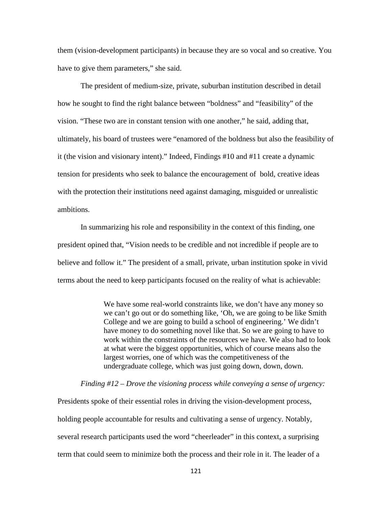them (vision-development participants) in because they are so vocal and so creative. You have to give them parameters," she said.

The president of medium-size, private, suburban institution described in detail how he sought to find the right balance between "boldness" and "feasibility" of the vision. "These two are in constant tension with one another," he said, adding that, ultimately, his board of trustees were "enamored of the boldness but also the feasibility of it (the vision and visionary intent)." Indeed, Findings #10 and #11 create a dynamic tension for presidents who seek to balance the encouragement of bold, creative ideas with the protection their institutions need against damaging, misguided or unrealistic ambitions.

In summarizing his role and responsibility in the context of this finding, one president opined that, "Vision needs to be credible and not incredible if people are to believe and follow it." The president of a small, private, urban institution spoke in vivid terms about the need to keep participants focused on the reality of what is achievable:

> We have some real-world constraints like, we don't have any money so we can't go out or do something like, 'Oh, we are going to be like Smith College and we are going to build a school of engineering.' We didn't have money to do something novel like that. So we are going to have to work within the constraints of the resources we have. We also had to look at what were the biggest opportunities, which of course means also the largest worries, one of which was the competitiveness of the undergraduate college, which was just going down, down, down.

### *Finding #12 – Drove the visioning process while conveying a sense of urgency:*

Presidents spoke of their essential roles in driving the vision-development process, holding people accountable for results and cultivating a sense of urgency. Notably, several research participants used the word "cheerleader" in this context, a surprising term that could seem to minimize both the process and their role in it. The leader of a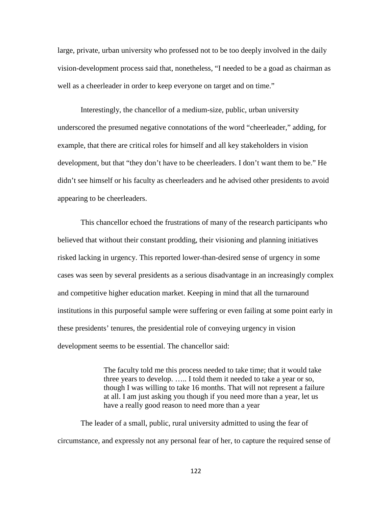large, private, urban university who professed not to be too deeply involved in the daily vision-development process said that, nonetheless, "I needed to be a goad as chairman as well as a cheerleader in order to keep everyone on target and on time."

Interestingly, the chancellor of a medium-size, public, urban university underscored the presumed negative connotations of the word "cheerleader," adding, for example, that there are critical roles for himself and all key stakeholders in vision development, but that "they don't have to be cheerleaders. I don't want them to be." He didn't see himself or his faculty as cheerleaders and he advised other presidents to avoid appearing to be cheerleaders.

This chancellor echoed the frustrations of many of the research participants who believed that without their constant prodding, their visioning and planning initiatives risked lacking in urgency. This reported lower-than-desired sense of urgency in some cases was seen by several presidents as a serious disadvantage in an increasingly complex and competitive higher education market. Keeping in mind that all the turnaround institutions in this purposeful sample were suffering or even failing at some point early in these presidents' tenures, the presidential role of conveying urgency in vision development seems to be essential. The chancellor said:

> The faculty told me this process needed to take time; that it would take three years to develop. ….. I told them it needed to take a year or so, though I was willing to take 16 months. That will not represent a failure at all. I am just asking you though if you need more than a year, let us have a really good reason to need more than a year

The leader of a small, public, rural university admitted to using the fear of circumstance, and expressly not any personal fear of her, to capture the required sense of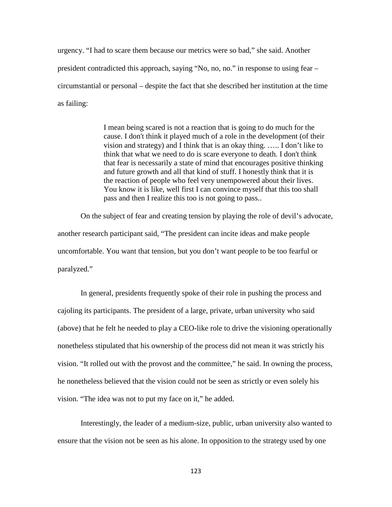urgency. "I had to scare them because our metrics were so bad," she said. Another president contradicted this approach, saying "No, no, no." in response to using fear – circumstantial or personal – despite the fact that she described her institution at the time as failing:

> I mean being scared is not a reaction that is going to do much for the cause. I don't think it played much of a role in the development (of their vision and strategy) and I think that is an okay thing. ….. I don't like to think that what we need to do is scare everyone to death. I don't think that fear is necessarily a state of mind that encourages positive thinking and future growth and all that kind of stuff. I honestly think that it is the reaction of people who feel very unempowered about their lives. You know it is like, well first I can convince myself that this too shall pass and then I realize this too is not going to pass..

On the subject of fear and creating tension by playing the role of devil's advocate, another research participant said, "The president can incite ideas and make people uncomfortable. You want that tension, but you don't want people to be too fearful or paralyzed."

In general, presidents frequently spoke of their role in pushing the process and cajoling its participants. The president of a large, private, urban university who said (above) that he felt he needed to play a CEO-like role to drive the visioning operationally nonetheless stipulated that his ownership of the process did not mean it was strictly his vision. "It rolled out with the provost and the committee," he said. In owning the process, he nonetheless believed that the vision could not be seen as strictly or even solely his vision. "The idea was not to put my face on it," he added.

Interestingly, the leader of a medium-size, public, urban university also wanted to ensure that the vision not be seen as his alone. In opposition to the strategy used by one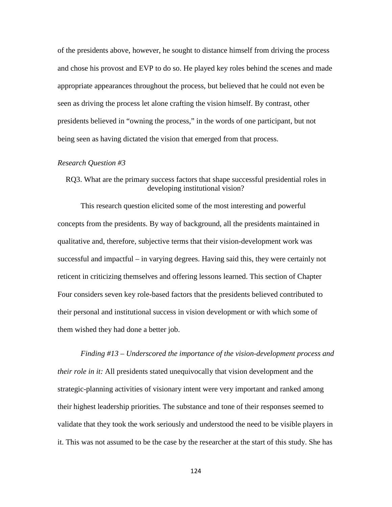of the presidents above, however, he sought to distance himself from driving the process and chose his provost and EVP to do so. He played key roles behind the scenes and made appropriate appearances throughout the process, but believed that he could not even be seen as driving the process let alone crafting the vision himself. By contrast, other presidents believed in "owning the process," in the words of one participant, but not being seen as having dictated the vision that emerged from that process.

#### *Research Question #3*

## RQ3. What are the primary success factors that shape successful presidential roles in developing institutional vision?

This research question elicited some of the most interesting and powerful concepts from the presidents. By way of background, all the presidents maintained in qualitative and, therefore, subjective terms that their vision-development work was successful and impactful – in varying degrees. Having said this, they were certainly not reticent in criticizing themselves and offering lessons learned. This section of Chapter Four considers seven key role-based factors that the presidents believed contributed to their personal and institutional success in vision development or with which some of them wished they had done a better job.

# *Finding #13 – Underscored the importance of the vision-development process and their role in it:* All presidents stated unequivocally that vision development and the strategic-planning activities of visionary intent were very important and ranked among their highest leadership priorities. The substance and tone of their responses seemed to validate that they took the work seriously and understood the need to be visible players in it. This was not assumed to be the case by the researcher at the start of this study. She has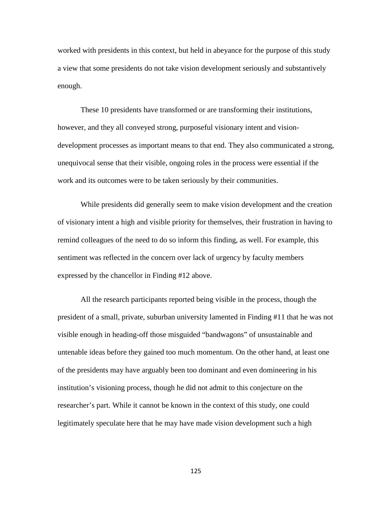worked with presidents in this context, but held in abeyance for the purpose of this study a view that some presidents do not take vision development seriously and substantively enough.

These 10 presidents have transformed or are transforming their institutions, however, and they all conveyed strong, purposeful visionary intent and visiondevelopment processes as important means to that end. They also communicated a strong, unequivocal sense that their visible, ongoing roles in the process were essential if the work and its outcomes were to be taken seriously by their communities.

While presidents did generally seem to make vision development and the creation of visionary intent a high and visible priority for themselves, their frustration in having to remind colleagues of the need to do so inform this finding, as well. For example, this sentiment was reflected in the concern over lack of urgency by faculty members expressed by the chancellor in Finding #12 above.

All the research participants reported being visible in the process, though the president of a small, private, suburban university lamented in Finding #11 that he was not visible enough in heading-off those misguided "bandwagons" of unsustainable and untenable ideas before they gained too much momentum. On the other hand, at least one of the presidents may have arguably been too dominant and even domineering in his institution's visioning process, though he did not admit to this conjecture on the researcher's part. While it cannot be known in the context of this study, one could legitimately speculate here that he may have made vision development such a high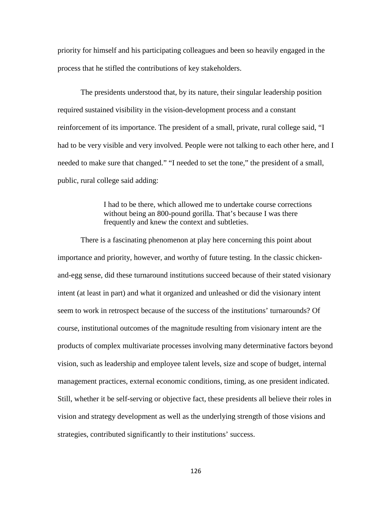priority for himself and his participating colleagues and been so heavily engaged in the process that he stifled the contributions of key stakeholders.

The presidents understood that, by its nature, their singular leadership position required sustained visibility in the vision-development process and a constant reinforcement of its importance. The president of a small, private, rural college said, "I had to be very visible and very involved. People were not talking to each other here, and I needed to make sure that changed." "I needed to set the tone," the president of a small, public, rural college said adding:

> I had to be there, which allowed me to undertake course corrections without being an 800-pound gorilla. That's because I was there frequently and knew the context and subtleties.

There is a fascinating phenomenon at play here concerning this point about importance and priority, however, and worthy of future testing. In the classic chickenand-egg sense, did these turnaround institutions succeed because of their stated visionary intent (at least in part) and what it organized and unleashed or did the visionary intent seem to work in retrospect because of the success of the institutions' turnarounds? Of course, institutional outcomes of the magnitude resulting from visionary intent are the products of complex multivariate processes involving many determinative factors beyond vision, such as leadership and employee talent levels, size and scope of budget, internal management practices, external economic conditions, timing, as one president indicated. Still, whether it be self-serving or objective fact, these presidents all believe their roles in vision and strategy development as well as the underlying strength of those visions and strategies, contributed significantly to their institutions' success.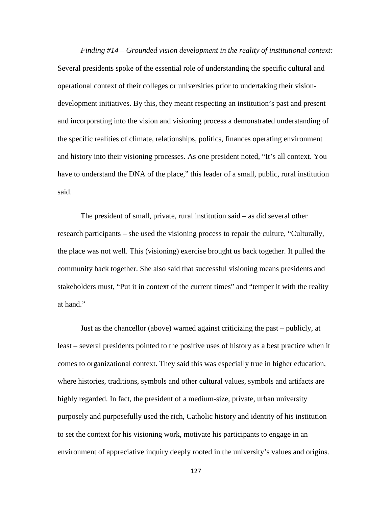*Finding #14 – Grounded vision development in the reality of institutional context:*  Several presidents spoke of the essential role of understanding the specific cultural and operational context of their colleges or universities prior to undertaking their visiondevelopment initiatives. By this, they meant respecting an institution's past and present and incorporating into the vision and visioning process a demonstrated understanding of the specific realities of climate, relationships, politics, finances operating environment and history into their visioning processes. As one president noted, "It's all context. You have to understand the DNA of the place," this leader of a small, public, rural institution said.

The president of small, private, rural institution said – as did several other research participants – she used the visioning process to repair the culture, "Culturally, the place was not well. This (visioning) exercise brought us back together. It pulled the community back together. She also said that successful visioning means presidents and stakeholders must, "Put it in context of the current times" and "temper it with the reality at hand."

Just as the chancellor (above) warned against criticizing the past – publicly, at least – several presidents pointed to the positive uses of history as a best practice when it comes to organizational context. They said this was especially true in higher education, where histories, traditions, symbols and other cultural values, symbols and artifacts are highly regarded. In fact, the president of a medium-size, private, urban university purposely and purposefully used the rich, Catholic history and identity of his institution to set the context for his visioning work, motivate his participants to engage in an environment of appreciative inquiry deeply rooted in the university's values and origins.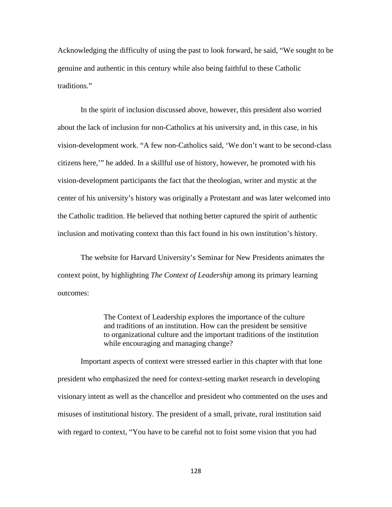Acknowledging the difficulty of using the past to look forward, he said, "We sought to be genuine and authentic in this century while also being faithful to these Catholic traditions."

In the spirit of inclusion discussed above, however, this president also worried about the lack of inclusion for non-Catholics at his university and, in this case, in his vision-development work. "A few non-Catholics said, 'We don't want to be second-class citizens here,'" he added. In a skillful use of history, however, he promoted with his vision-development participants the fact that the theologian, writer and mystic at the center of his university's history was originally a Protestant and was later welcomed into the Catholic tradition. He believed that nothing better captured the spirit of authentic inclusion and motivating context than this fact found in his own institution's history.

The website for Harvard University's Seminar for New Presidents animates the context point, by highlighting *The Context of Leadership* among its primary learning outcomes:

> The Context of Leadership explores the importance of the culture and traditions of an institution. How can the president be sensitive to organizational culture and the important traditions of the institution while encouraging and managing change?

Important aspects of context were stressed earlier in this chapter with that lone president who emphasized the need for context-setting market research in developing visionary intent as well as the chancellor and president who commented on the uses and misuses of institutional history. The president of a small, private, rural institution said with regard to context, "You have to be careful not to foist some vision that you had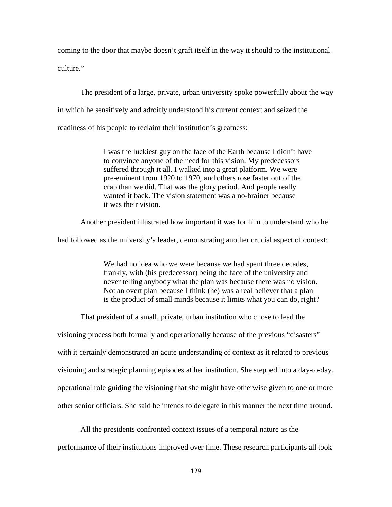coming to the door that maybe doesn't graft itself in the way it should to the institutional culture."

The president of a large, private, urban university spoke powerfully about the way in which he sensitively and adroitly understood his current context and seized the readiness of his people to reclaim their institution's greatness:

> I was the luckiest guy on the face of the Earth because I didn't have to convince anyone of the need for this vision. My predecessors suffered through it all. I walked into a great platform. We were pre-eminent from 1920 to 1970, and others rose faster out of the crap than we did. That was the glory period. And people really wanted it back. The vision statement was a no-brainer because it was their vision.

Another president illustrated how important it was for him to understand who he

had followed as the university's leader, demonstrating another crucial aspect of context:

We had no idea who we were because we had spent three decades, frankly, with (his predecessor) being the face of the university and never telling anybody what the plan was because there was no vision. Not an overt plan because I think (he) was a real believer that a plan is the product of small minds because it limits what you can do, right?

That president of a small, private, urban institution who chose to lead the

visioning process both formally and operationally because of the previous "disasters" with it certainly demonstrated an acute understanding of context as it related to previous visioning and strategic planning episodes at her institution. She stepped into a day-to-day, operational role guiding the visioning that she might have otherwise given to one or more other senior officials. She said he intends to delegate in this manner the next time around.

All the presidents confronted context issues of a temporal nature as the performance of their institutions improved over time. These research participants all took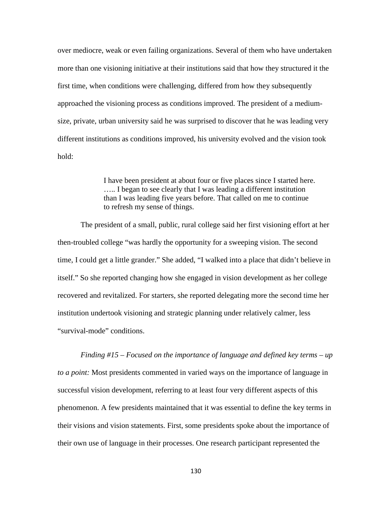over mediocre, weak or even failing organizations. Several of them who have undertaken more than one visioning initiative at their institutions said that how they structured it the first time, when conditions were challenging, differed from how they subsequently approached the visioning process as conditions improved. The president of a mediumsize, private, urban university said he was surprised to discover that he was leading very different institutions as conditions improved, his university evolved and the vision took hold:

> I have been president at about four or five places since I started here. ….. I began to see clearly that I was leading a different institution than I was leading five years before. That called on me to continue to refresh my sense of things.

The president of a small, public, rural college said her first visioning effort at her then-troubled college "was hardly the opportunity for a sweeping vision. The second time, I could get a little grander." She added, "I walked into a place that didn't believe in itself." So she reported changing how she engaged in vision development as her college recovered and revitalized. For starters, she reported delegating more the second time her institution undertook visioning and strategic planning under relatively calmer, less "survival-mode" conditions.

*Finding #15 – Focused on the importance of language and defined key terms – up to a point:* Most presidents commented in varied ways on the importance of language in successful vision development, referring to at least four very different aspects of this phenomenon. A few presidents maintained that it was essential to define the key terms in their visions and vision statements. First, some presidents spoke about the importance of their own use of language in their processes. One research participant represented the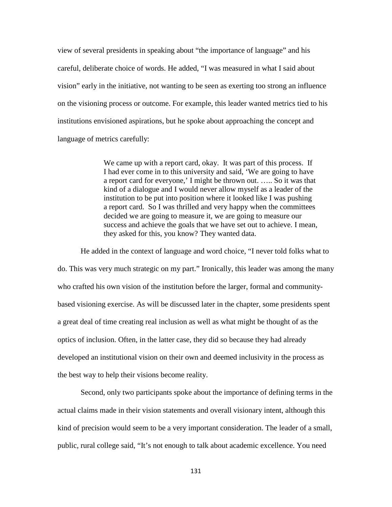view of several presidents in speaking about "the importance of language" and his careful, deliberate choice of words. He added, "I was measured in what I said about vision" early in the initiative, not wanting to be seen as exerting too strong an influence on the visioning process or outcome. For example, this leader wanted metrics tied to his institutions envisioned aspirations, but he spoke about approaching the concept and language of metrics carefully:

> We came up with a report card, okay. It was part of this process. If I had ever come in to this university and said, 'We are going to have a report card for everyone,' I might be thrown out. ….. So it was that kind of a dialogue and I would never allow myself as a leader of the institution to be put into position where it looked like I was pushing a report card. So I was thrilled and very happy when the committees decided we are going to measure it, we are going to measure our success and achieve the goals that we have set out to achieve. I mean, they asked for this, you know? They wanted data.

He added in the context of language and word choice, "I never told folks what to do. This was very much strategic on my part." Ironically, this leader was among the many who crafted his own vision of the institution before the larger, formal and communitybased visioning exercise. As will be discussed later in the chapter, some presidents spent a great deal of time creating real inclusion as well as what might be thought of as the optics of inclusion. Often, in the latter case, they did so because they had already developed an institutional vision on their own and deemed inclusivity in the process as the best way to help their visions become reality.

Second, only two participants spoke about the importance of defining terms in the actual claims made in their vision statements and overall visionary intent, although this kind of precision would seem to be a very important consideration. The leader of a small, public, rural college said, "It's not enough to talk about academic excellence. You need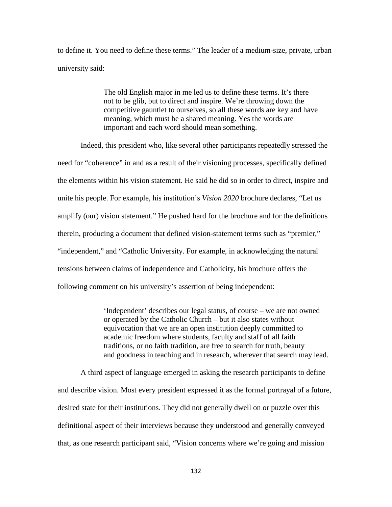to define it. You need to define these terms." The leader of a medium-size, private, urban university said:

> The old English major in me led us to define these terms. It's there not to be glib, but to direct and inspire. We're throwing down the competitive gauntlet to ourselves, so all these words are key and have meaning, which must be a shared meaning. Yes the words are important and each word should mean something.

Indeed, this president who, like several other participants repeatedly stressed the need for "coherence" in and as a result of their visioning processes, specifically defined the elements within his vision statement. He said he did so in order to direct, inspire and unite his people. For example, his institution's *Vision 2020* brochure declares, "Let us amplify (our) vision statement." He pushed hard for the brochure and for the definitions therein, producing a document that defined vision-statement terms such as "premier," "independent," and "Catholic University. For example, in acknowledging the natural tensions between claims of independence and Catholicity, his brochure offers the following comment on his university's assertion of being independent:

> 'Independent' describes our legal status, of course – we are not owned or operated by the Catholic Church – but it also states without equivocation that we are an open institution deeply committed to academic freedom where students, faculty and staff of all faith traditions, or no faith tradition, are free to search for truth, beauty and goodness in teaching and in research, wherever that search may lead.

A third aspect of language emerged in asking the research participants to define and describe vision. Most every president expressed it as the formal portrayal of a future, desired state for their institutions. They did not generally dwell on or puzzle over this definitional aspect of their interviews because they understood and generally conveyed that, as one research participant said, "Vision concerns where we're going and mission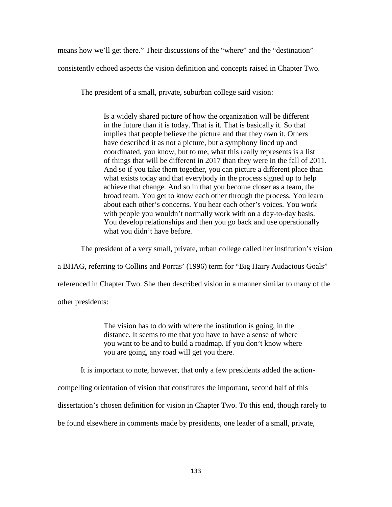means how we'll get there." Their discussions of the "where" and the "destination"

consistently echoed aspects the vision definition and concepts raised in Chapter Two.

The president of a small, private, suburban college said vision:

Is a widely shared picture of how the organization will be different in the future than it is today. That is it. That is basically it. So that implies that people believe the picture and that they own it. Others have described it as not a picture, but a symphony lined up and coordinated, you know, but to me, what this really represents is a list of things that will be different in 2017 than they were in the fall of 2011. And so if you take them together, you can picture a different place than what exists today and that everybody in the process signed up to help achieve that change. And so in that you become closer as a team, the broad team. You get to know each other through the process. You learn about each other's concerns. You hear each other's voices. You work with people you wouldn't normally work with on a day-to-day basis. You develop relationships and then you go back and use operationally what you didn't have before.

The president of a very small, private, urban college called her institution's vision

a BHAG, referring to Collins and Porras' (1996) term for "Big Hairy Audacious Goals"

referenced in Chapter Two. She then described vision in a manner similar to many of the

other presidents:

The vision has to do with where the institution is going, in the distance. It seems to me that you have to have a sense of where you want to be and to build a roadmap. If you don't know where you are going, any road will get you there.

It is important to note, however, that only a few presidents added the action-

compelling orientation of vision that constitutes the important, second half of this

dissertation's chosen definition for vision in Chapter Two. To this end, though rarely to

be found elsewhere in comments made by presidents, one leader of a small, private,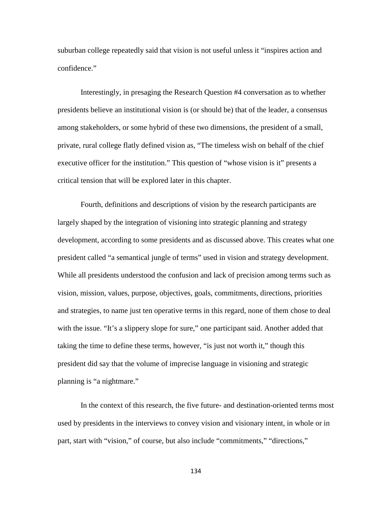suburban college repeatedly said that vision is not useful unless it "inspires action and confidence."

Interestingly, in presaging the Research Question #4 conversation as to whether presidents believe an institutional vision is (or should be) that of the leader, a consensus among stakeholders, or some hybrid of these two dimensions, the president of a small, private, rural college flatly defined vision as, "The timeless wish on behalf of the chief executive officer for the institution." This question of "whose vision is it" presents a critical tension that will be explored later in this chapter.

Fourth, definitions and descriptions of vision by the research participants are largely shaped by the integration of visioning into strategic planning and strategy development, according to some presidents and as discussed above. This creates what one president called "a semantical jungle of terms" used in vision and strategy development. While all presidents understood the confusion and lack of precision among terms such as vision, mission, values, purpose, objectives, goals, commitments, directions, priorities and strategies, to name just ten operative terms in this regard, none of them chose to deal with the issue. "It's a slippery slope for sure," one participant said. Another added that taking the time to define these terms, however, "is just not worth it," though this president did say that the volume of imprecise language in visioning and strategic planning is "a nightmare."

In the context of this research, the five future- and destination-oriented terms most used by presidents in the interviews to convey vision and visionary intent, in whole or in part, start with "vision," of course, but also include "commitments," "directions,"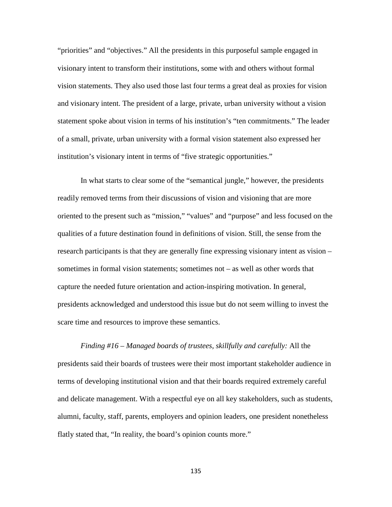"priorities" and "objectives." All the presidents in this purposeful sample engaged in visionary intent to transform their institutions, some with and others without formal vision statements. They also used those last four terms a great deal as proxies for vision and visionary intent. The president of a large, private, urban university without a vision statement spoke about vision in terms of his institution's "ten commitments." The leader of a small, private, urban university with a formal vision statement also expressed her institution's visionary intent in terms of "five strategic opportunities."

In what starts to clear some of the "semantical jungle," however, the presidents readily removed terms from their discussions of vision and visioning that are more oriented to the present such as "mission," "values" and "purpose" and less focused on the qualities of a future destination found in definitions of vision. Still, the sense from the research participants is that they are generally fine expressing visionary intent as vision – sometimes in formal vision statements; sometimes not – as well as other words that capture the needed future orientation and action-inspiring motivation. In general, presidents acknowledged and understood this issue but do not seem willing to invest the scare time and resources to improve these semantics.

*Finding #16 – Managed boards of trustees, skillfully and carefully:* All the presidents said their boards of trustees were their most important stakeholder audience in terms of developing institutional vision and that their boards required extremely careful and delicate management. With a respectful eye on all key stakeholders, such as students, alumni, faculty, staff, parents, employers and opinion leaders, one president nonetheless flatly stated that, "In reality, the board's opinion counts more."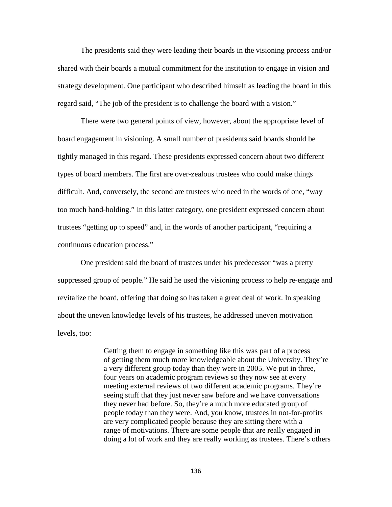The presidents said they were leading their boards in the visioning process and/or shared with their boards a mutual commitment for the institution to engage in vision and strategy development. One participant who described himself as leading the board in this regard said, "The job of the president is to challenge the board with a vision."

There were two general points of view, however, about the appropriate level of board engagement in visioning. A small number of presidents said boards should be tightly managed in this regard. These presidents expressed concern about two different types of board members. The first are over-zealous trustees who could make things difficult. And, conversely, the second are trustees who need in the words of one, "way too much hand-holding." In this latter category, one president expressed concern about trustees "getting up to speed" and, in the words of another participant, "requiring a continuous education process."

One president said the board of trustees under his predecessor "was a pretty suppressed group of people." He said he used the visioning process to help re-engage and revitalize the board, offering that doing so has taken a great deal of work. In speaking about the uneven knowledge levels of his trustees, he addressed uneven motivation levels, too:

> Getting them to engage in something like this was part of a process of getting them much more knowledgeable about the University. They're a very different group today than they were in 2005. We put in three, four years on academic program reviews so they now see at every meeting external reviews of two different academic programs. They're seeing stuff that they just never saw before and we have conversations they never had before. So, they're a much more educated group of people today than they were. And, you know, trustees in not-for-profits are very complicated people because they are sitting there with a range of motivations. There are some people that are really engaged in doing a lot of work and they are really working as trustees. There's others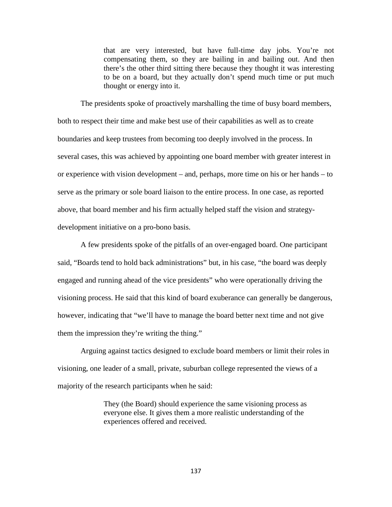that are very interested, but have full-time day jobs. You're not compensating them, so they are bailing in and bailing out. And then there's the other third sitting there because they thought it was interesting to be on a board, but they actually don't spend much time or put much thought or energy into it.

The presidents spoke of proactively marshalling the time of busy board members, both to respect their time and make best use of their capabilities as well as to create boundaries and keep trustees from becoming too deeply involved in the process. In several cases, this was achieved by appointing one board member with greater interest in or experience with vision development – and, perhaps, more time on his or her hands – to serve as the primary or sole board liaison to the entire process. In one case, as reported above, that board member and his firm actually helped staff the vision and strategydevelopment initiative on a pro-bono basis.

A few presidents spoke of the pitfalls of an over-engaged board. One participant said, "Boards tend to hold back administrations" but, in his case, "the board was deeply engaged and running ahead of the vice presidents" who were operationally driving the visioning process. He said that this kind of board exuberance can generally be dangerous, however, indicating that "we'll have to manage the board better next time and not give them the impression they're writing the thing."

Arguing against tactics designed to exclude board members or limit their roles in visioning, one leader of a small, private, suburban college represented the views of a majority of the research participants when he said:

> They (the Board) should experience the same visioning process as everyone else. It gives them a more realistic understanding of the experiences offered and received.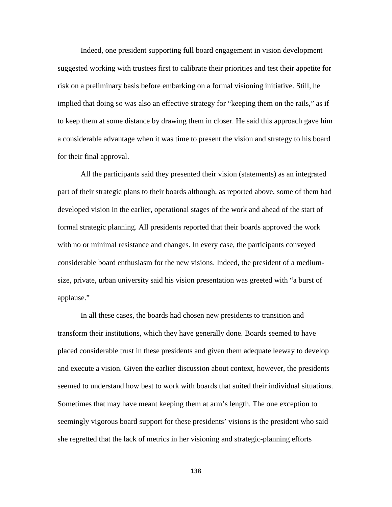Indeed, one president supporting full board engagement in vision development suggested working with trustees first to calibrate their priorities and test their appetite for risk on a preliminary basis before embarking on a formal visioning initiative. Still, he implied that doing so was also an effective strategy for "keeping them on the rails," as if to keep them at some distance by drawing them in closer. He said this approach gave him a considerable advantage when it was time to present the vision and strategy to his board for their final approval.

All the participants said they presented their vision (statements) as an integrated part of their strategic plans to their boards although, as reported above, some of them had developed vision in the earlier, operational stages of the work and ahead of the start of formal strategic planning. All presidents reported that their boards approved the work with no or minimal resistance and changes. In every case, the participants conveyed considerable board enthusiasm for the new visions. Indeed, the president of a mediumsize, private, urban university said his vision presentation was greeted with "a burst of applause."

In all these cases, the boards had chosen new presidents to transition and transform their institutions, which they have generally done. Boards seemed to have placed considerable trust in these presidents and given them adequate leeway to develop and execute a vision. Given the earlier discussion about context, however, the presidents seemed to understand how best to work with boards that suited their individual situations. Sometimes that may have meant keeping them at arm's length. The one exception to seemingly vigorous board support for these presidents' visions is the president who said she regretted that the lack of metrics in her visioning and strategic-planning efforts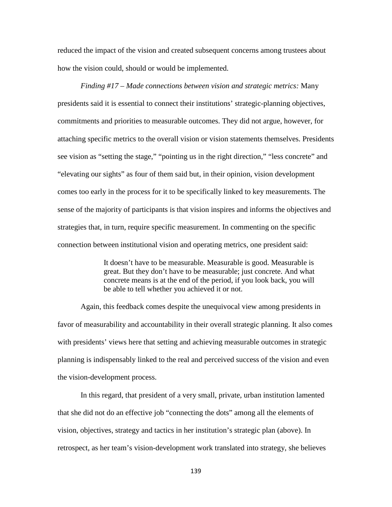reduced the impact of the vision and created subsequent concerns among trustees about how the vision could, should or would be implemented.

*Finding #17 – Made connections between vision and strategic metrics:* Many presidents said it is essential to connect their institutions' strategic-planning objectives, commitments and priorities to measurable outcomes. They did not argue, however, for attaching specific metrics to the overall vision or vision statements themselves. Presidents see vision as "setting the stage," "pointing us in the right direction," "less concrete" and "elevating our sights" as four of them said but, in their opinion, vision development comes too early in the process for it to be specifically linked to key measurements. The sense of the majority of participants is that vision inspires and informs the objectives and strategies that, in turn, require specific measurement. In commenting on the specific connection between institutional vision and operating metrics, one president said:

> It doesn't have to be measurable. Measurable is good. Measurable is great. But they don't have to be measurable; just concrete. And what concrete means is at the end of the period, if you look back, you will be able to tell whether you achieved it or not.

Again, this feedback comes despite the unequivocal view among presidents in favor of measurability and accountability in their overall strategic planning. It also comes with presidents' views here that setting and achieving measurable outcomes in strategic planning is indispensably linked to the real and perceived success of the vision and even the vision-development process.

In this regard, that president of a very small, private, urban institution lamented that she did not do an effective job "connecting the dots" among all the elements of vision, objectives, strategy and tactics in her institution's strategic plan (above). In retrospect, as her team's vision-development work translated into strategy, she believes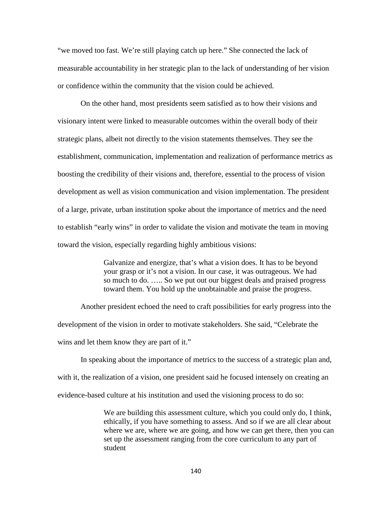"we moved too fast. We're still playing catch up here." She connected the lack of measurable accountability in her strategic plan to the lack of understanding of her vision or confidence within the community that the vision could be achieved.

On the other hand, most presidents seem satisfied as to how their visions and visionary intent were linked to measurable outcomes within the overall body of their strategic plans, albeit not directly to the vision statements themselves. They see the establishment, communication, implementation and realization of performance metrics as boosting the credibility of their visions and, therefore, essential to the process of vision development as well as vision communication and vision implementation. The president of a large, private, urban institution spoke about the importance of metrics and the need to establish "early wins" in order to validate the vision and motivate the team in moving toward the vision, especially regarding highly ambitious visions:

> Galvanize and energize, that's what a vision does. It has to be beyond your grasp or it's not a vision. In our case, it was outrageous. We had so much to do. ….. So we put out our biggest deals and praised progress toward them. You hold up the unobtainable and praise the progress.

Another president echoed the need to craft possibilities for early progress into the development of the vision in order to motivate stakeholders. She said, "Celebrate the wins and let them know they are part of it."

In speaking about the importance of metrics to the success of a strategic plan and, with it, the realization of a vision, one president said he focused intensely on creating an evidence-based culture at his institution and used the visioning process to do so:

> We are building this assessment culture, which you could only do, I think, ethically, if you have something to assess. And so if we are all clear about where we are, where we are going, and how we can get there, then you can set up the assessment ranging from the core curriculum to any part of student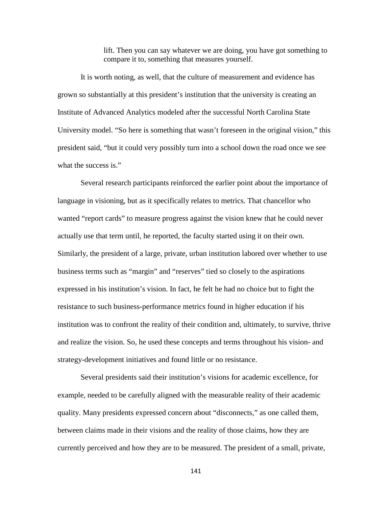lift. Then you can say whatever we are doing, you have got something to compare it to, something that measures yourself.

It is worth noting, as well, that the culture of measurement and evidence has grown so substantially at this president's institution that the university is creating an Institute of Advanced Analytics modeled after the successful North Carolina State University model. "So here is something that wasn't foreseen in the original vision," this president said, "but it could very possibly turn into a school down the road once we see what the success is."

Several research participants reinforced the earlier point about the importance of language in visioning, but as it specifically relates to metrics. That chancellor who wanted "report cards" to measure progress against the vision knew that he could never actually use that term until, he reported, the faculty started using it on their own. Similarly, the president of a large, private, urban institution labored over whether to use business terms such as "margin" and "reserves" tied so closely to the aspirations expressed in his institution's vision. In fact, he felt he had no choice but to fight the resistance to such business-performance metrics found in higher education if his institution was to confront the reality of their condition and, ultimately, to survive, thrive and realize the vision. So, he used these concepts and terms throughout his vision- and strategy-development initiatives and found little or no resistance.

Several presidents said their institution's visions for academic excellence, for example, needed to be carefully aligned with the measurable reality of their academic quality. Many presidents expressed concern about "disconnects," as one called them, between claims made in their visions and the reality of those claims, how they are currently perceived and how they are to be measured. The president of a small, private,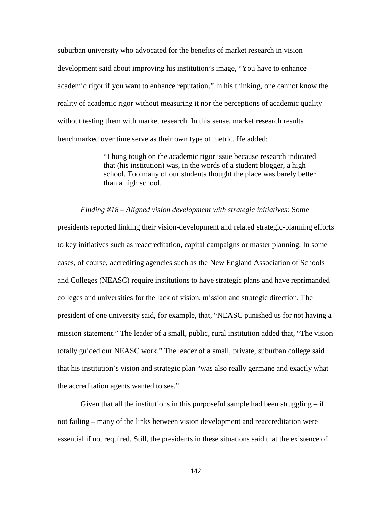suburban university who advocated for the benefits of market research in vision development said about improving his institution's image, "You have to enhance academic rigor if you want to enhance reputation." In his thinking, one cannot know the reality of academic rigor without measuring it nor the perceptions of academic quality without testing them with market research. In this sense, market research results benchmarked over time serve as their own type of metric. He added:

> "I hung tough on the academic rigor issue because research indicated that (his institution) was, in the words of a student blogger, a high school. Too many of our students thought the place was barely better than a high school.

#### *Finding #18 – Aligned vision development with strategic initiatives:* Some

presidents reported linking their vision-development and related strategic-planning efforts to key initiatives such as reaccreditation, capital campaigns or master planning. In some cases, of course, accrediting agencies such as the New England Association of Schools and Colleges (NEASC) require institutions to have strategic plans and have reprimanded colleges and universities for the lack of vision, mission and strategic direction. The president of one university said, for example, that, "NEASC punished us for not having a mission statement." The leader of a small, public, rural institution added that, "The vision totally guided our NEASC work." The leader of a small, private, suburban college said that his institution's vision and strategic plan "was also really germane and exactly what the accreditation agents wanted to see."

Given that all the institutions in this purposeful sample had been struggling  $-$  if not failing – many of the links between vision development and reaccreditation were essential if not required. Still, the presidents in these situations said that the existence of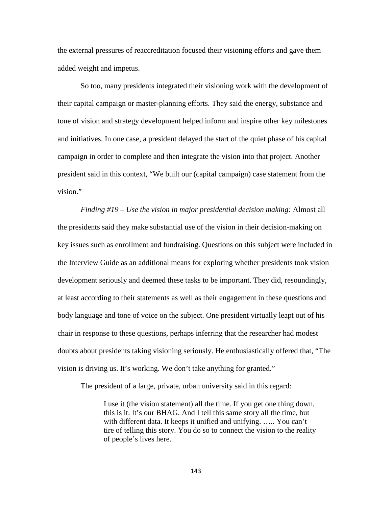the external pressures of reaccreditation focused their visioning efforts and gave them added weight and impetus.

So too, many presidents integrated their visioning work with the development of their capital campaign or master-planning efforts. They said the energy, substance and tone of vision and strategy development helped inform and inspire other key milestones and initiatives. In one case, a president delayed the start of the quiet phase of his capital campaign in order to complete and then integrate the vision into that project. Another president said in this context, "We built our (capital campaign) case statement from the vision."

*Finding #19 – Use the vision in major presidential decision making:* Almost all the presidents said they make substantial use of the vision in their decision-making on key issues such as enrollment and fundraising. Questions on this subject were included in the Interview Guide as an additional means for exploring whether presidents took vision development seriously and deemed these tasks to be important. They did, resoundingly, at least according to their statements as well as their engagement in these questions and body language and tone of voice on the subject. One president virtually leapt out of his chair in response to these questions, perhaps inferring that the researcher had modest doubts about presidents taking visioning seriously. He enthusiastically offered that, "The vision is driving us. It's working. We don't take anything for granted."

The president of a large, private, urban university said in this regard:

I use it (the vision statement) all the time. If you get one thing down, this is it. It's our BHAG. And I tell this same story all the time, but with different data. It keeps it unified and unifying. ….. You can't tire of telling this story. You do so to connect the vision to the reality of people's lives here.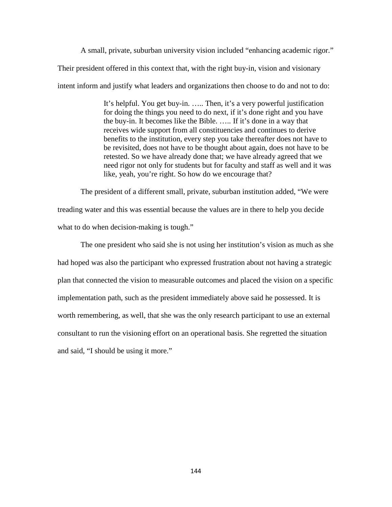A small, private, suburban university vision included "enhancing academic rigor." Their president offered in this context that, with the right buy-in, vision and visionary intent inform and justify what leaders and organizations then choose to do and not to do:

> It's helpful. You get buy-in. ….. Then, it's a very powerful justification for doing the things you need to do next, if it's done right and you have the buy-in. It becomes like the Bible. ….. If it's done in a way that receives wide support from all constituencies and continues to derive benefits to the institution, every step you take thereafter does not have to be revisited, does not have to be thought about again, does not have to be retested. So we have already done that; we have already agreed that we need rigor not only for students but for faculty and staff as well and it was like, yeah, you're right. So how do we encourage that?

The president of a different small, private, suburban institution added, "We were treading water and this was essential because the values are in there to help you decide what to do when decision-making is tough."

The one president who said she is not using her institution's vision as much as she had hoped was also the participant who expressed frustration about not having a strategic plan that connected the vision to measurable outcomes and placed the vision on a specific implementation path, such as the president immediately above said he possessed. It is worth remembering, as well, that she was the only research participant to use an external consultant to run the visioning effort on an operational basis. She regretted the situation and said, "I should be using it more."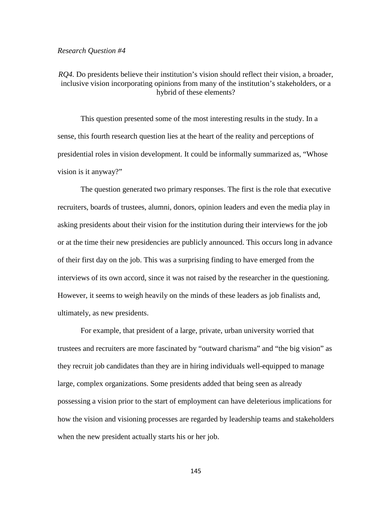### *Research Question #4*

*RQ4.* Do presidents believe their institution's vision should reflect their vision, a broader, inclusive vision incorporating opinions from many of the institution's stakeholders, or a hybrid of these elements?

This question presented some of the most interesting results in the study. In a sense, this fourth research question lies at the heart of the reality and perceptions of presidential roles in vision development. It could be informally summarized as, "Whose vision is it anyway?"

The question generated two primary responses. The first is the role that executive recruiters, boards of trustees, alumni, donors, opinion leaders and even the media play in asking presidents about their vision for the institution during their interviews for the job or at the time their new presidencies are publicly announced. This occurs long in advance of their first day on the job. This was a surprising finding to have emerged from the interviews of its own accord, since it was not raised by the researcher in the questioning. However, it seems to weigh heavily on the minds of these leaders as job finalists and, ultimately, as new presidents.

For example, that president of a large, private, urban university worried that trustees and recruiters are more fascinated by "outward charisma" and "the big vision" as they recruit job candidates than they are in hiring individuals well-equipped to manage large, complex organizations. Some presidents added that being seen as already possessing a vision prior to the start of employment can have deleterious implications for how the vision and visioning processes are regarded by leadership teams and stakeholders when the new president actually starts his or her job.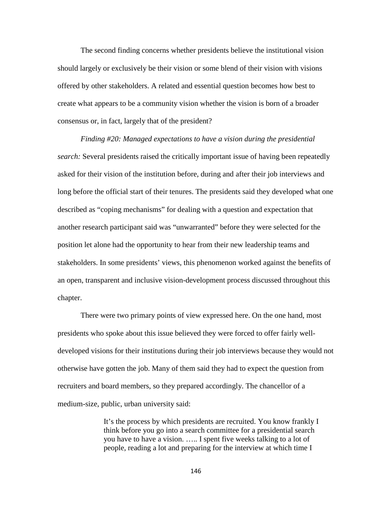The second finding concerns whether presidents believe the institutional vision should largely or exclusively be their vision or some blend of their vision with visions offered by other stakeholders. A related and essential question becomes how best to create what appears to be a community vision whether the vision is born of a broader consensus or, in fact, largely that of the president?

*Finding #20: Managed expectations to have a vision during the presidential search:* Several presidents raised the critically important issue of having been repeatedly asked for their vision of the institution before, during and after their job interviews and long before the official start of their tenures. The presidents said they developed what one described as "coping mechanisms" for dealing with a question and expectation that another research participant said was "unwarranted" before they were selected for the position let alone had the opportunity to hear from their new leadership teams and stakeholders. In some presidents' views, this phenomenon worked against the benefits of an open, transparent and inclusive vision-development process discussed throughout this chapter.

There were two primary points of view expressed here. On the one hand, most presidents who spoke about this issue believed they were forced to offer fairly welldeveloped visions for their institutions during their job interviews because they would not otherwise have gotten the job. Many of them said they had to expect the question from recruiters and board members, so they prepared accordingly. The chancellor of a medium-size, public, urban university said:

> It's the process by which presidents are recruited. You know frankly I think before you go into a search committee for a presidential search you have to have a vision. ….. I spent five weeks talking to a lot of people, reading a lot and preparing for the interview at which time I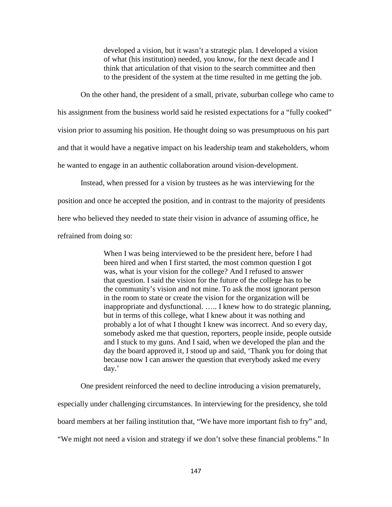developed a vision, but it wasn't a strategic plan. I developed a vision of what (his institution) needed, you know, for the next decade and I think that articulation of that vision to the search committee and then to the president of the system at the time resulted in me getting the job.

On the other hand, the president of a small, private, suburban college who came to his assignment from the business world said he resisted expectations for a "fully cooked" vision prior to assuming his position. He thought doing so was presumptuous on his part and that it would have a negative impact on his leadership team and stakeholders, whom he wanted to engage in an authentic collaboration around vision-development.

Instead, when pressed for a vision by trustees as he was interviewing for the position and once he accepted the position, and in contrast to the majority of presidents here who believed they needed to state their vision in advance of assuming office, he refrained from doing so:

> When I was being interviewed to be the president here, before I had been hired and when I first started, the most common question I got was, what is your vision for the college? And I refused to answer that question. I said the vision for the future of the college has to be the community's vision and not mine. To ask the most ignorant person in the room to state or create the vision for the organization will be inappropriate and dysfunctional. ….. I knew how to do strategic planning, but in terms of this college, what I knew about it was nothing and probably a lot of what I thought I knew was incorrect. And so every day, somebody asked me that question, reporters, people inside, people outside and I stuck to my guns. And I said, when we developed the plan and the day the board approved it, I stood up and said, 'Thank you for doing that because now I can answer the question that everybody asked me every day.'

One president reinforced the need to decline introducing a vision prematurely, especially under challenging circumstances. In interviewing for the presidency, she told board members at her failing institution that, "We have more important fish to fry" and, "We might not need a vision and strategy if we don't solve these financial problems." In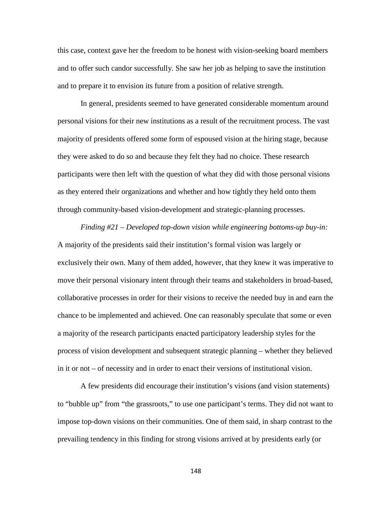this case, context gave her the freedom to be honest with vision-seeking board members and to offer such candor successfully. She saw her job as helping to save the institution and to prepare it to envision its future from a position of relative strength.

In general, presidents seemed to have generated considerable momentum around personal visions for their new institutions as a result of the recruitment process. The vast majority of presidents offered some form of espoused vision at the hiring stage, because they were asked to do so and because they felt they had no choice. These research participants were then left with the question of what they did with those personal visions as they entered their organizations and whether and how tightly they held onto them through community-based vision-development and strategic-planning processes.

*Finding #21 – Developed top-down vision while engineering bottoms-up buy-in:*  A majority of the presidents said their institution's formal vision was largely or exclusively their own. Many of them added, however, that they knew it was imperative to move their personal visionary intent through their teams and stakeholders in broad-based, collaborative processes in order for their visions to receive the needed buy in and earn the chance to be implemented and achieved. One can reasonably speculate that some or even a majority of the research participants enacted participatory leadership styles for the process of vision development and subsequent strategic planning – whether they believed in it or not – of necessity and in order to enact their versions of institutional vision.

A few presidents did encourage their institution's visions (and vision statements) to "bubble up" from "the grassroots," to use one participant's terms. They did not want to impose top-down visions on their communities. One of them said, in sharp contrast to the prevailing tendency in this finding for strong visions arrived at by presidents early (or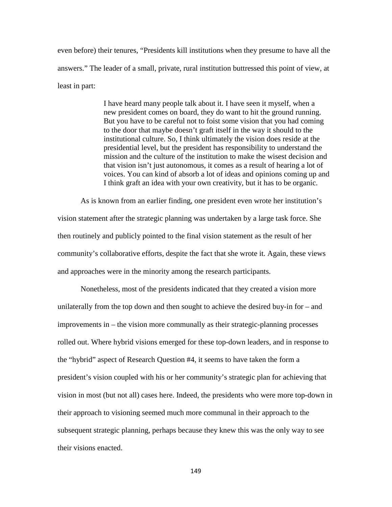even before) their tenures, "Presidents kill institutions when they presume to have all the answers." The leader of a small, private, rural institution buttressed this point of view, at least in part:

> I have heard many people talk about it. I have seen it myself, when a new president comes on board, they do want to hit the ground running. But you have to be careful not to foist some vision that you had coming to the door that maybe doesn't graft itself in the way it should to the institutional culture. So, I think ultimately the vision does reside at the presidential level, but the president has responsibility to understand the mission and the culture of the institution to make the wisest decision and that vision isn't just autonomous, it comes as a result of hearing a lot of voices. You can kind of absorb a lot of ideas and opinions coming up and I think graft an idea with your own creativity, but it has to be organic.

As is known from an earlier finding, one president even wrote her institution's vision statement after the strategic planning was undertaken by a large task force. She then routinely and publicly pointed to the final vision statement as the result of her community's collaborative efforts, despite the fact that she wrote it. Again, these views and approaches were in the minority among the research participants.

Nonetheless, most of the presidents indicated that they created a vision more unilaterally from the top down and then sought to achieve the desired buy-in for – and improvements in – the vision more communally as their strategic-planning processes rolled out. Where hybrid visions emerged for these top-down leaders, and in response to the "hybrid" aspect of Research Question #4, it seems to have taken the form a president's vision coupled with his or her community's strategic plan for achieving that vision in most (but not all) cases here. Indeed, the presidents who were more top-down in their approach to visioning seemed much more communal in their approach to the subsequent strategic planning, perhaps because they knew this was the only way to see their visions enacted.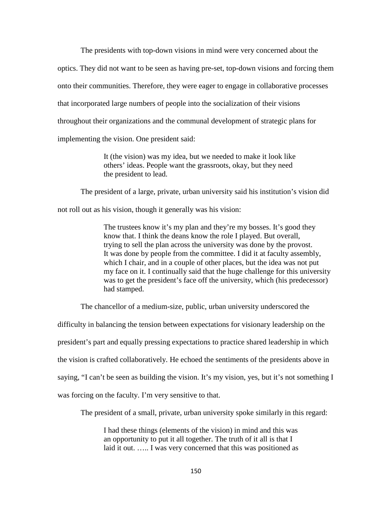The presidents with top-down visions in mind were very concerned about the

optics. They did not want to be seen as having pre-set, top-down visions and forcing them

onto their communities. Therefore, they were eager to engage in collaborative processes

that incorporated large numbers of people into the socialization of their visions

throughout their organizations and the communal development of strategic plans for

implementing the vision. One president said:

It (the vision) was my idea, but we needed to make it look like others' ideas. People want the grassroots, okay, but they need the president to lead.

The president of a large, private, urban university said his institution's vision did

not roll out as his vision, though it generally was his vision:

The trustees know it's my plan and they're my bosses. It's good they know that. I think the deans know the role I played. But overall, trying to sell the plan across the university was done by the provost. It was done by people from the committee. I did it at faculty assembly, which I chair, and in a couple of other places, but the idea was not put my face on it. I continually said that the huge challenge for this university was to get the president's face off the university, which (his predecessor) had stamped.

The chancellor of a medium-size, public, urban university underscored the

difficulty in balancing the tension between expectations for visionary leadership on the president's part and equally pressing expectations to practice shared leadership in which the vision is crafted collaboratively. He echoed the sentiments of the presidents above in saying, "I can't be seen as building the vision. It's my vision, yes, but it's not something I was forcing on the faculty. I'm very sensitive to that.

The president of a small, private, urban university spoke similarly in this regard:

I had these things (elements of the vision) in mind and this was an opportunity to put it all together. The truth of it all is that I laid it out. ….. I was very concerned that this was positioned as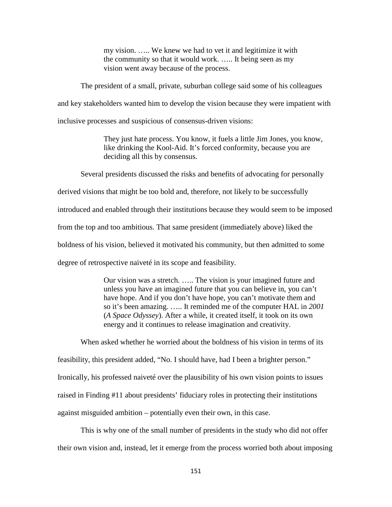my vision. ….. We knew we had to vet it and legitimize it with the community so that it would work. ….. It being seen as my vision went away because of the process.

The president of a small, private, suburban college said some of his colleagues and key stakeholders wanted him to develop the vision because they were impatient with inclusive processes and suspicious of consensus-driven visions:

> They just hate process. You know, it fuels a little Jim Jones, you know, like drinking the Kool-Aid. It's forced conformity, because you are deciding all this by consensus.

Several presidents discussed the risks and benefits of advocating for personally derived visions that might be too bold and, therefore, not likely to be successfully introduced and enabled through their institutions because they would seem to be imposed from the top and too ambitious. That same president (immediately above) liked the boldness of his vision, believed it motivated his community, but then admitted to some

degree of retrospective naiveté in its scope and feasibility.

Our vision was a stretch. ….. The vision is your imagined future and unless you have an imagined future that you can believe in, you can't have hope. And if you don't have hope, you can't motivate them and so it's been amazing. ….. It reminded me of the computer HAL in *2001*  (*A Space Odyssey*). After a while, it created itself, it took on its own energy and it continues to release imagination and creativity.

When asked whether he worried about the boldness of his vision in terms of its feasibility, this president added, "No. I should have, had I been a brighter person." Ironically, his professed naiveté over the plausibility of his own vision points to issues raised in Finding #11 about presidents' fiduciary roles in protecting their institutions against misguided ambition – potentially even their own, in this case.

This is why one of the small number of presidents in the study who did not offer their own vision and, instead, let it emerge from the process worried both about imposing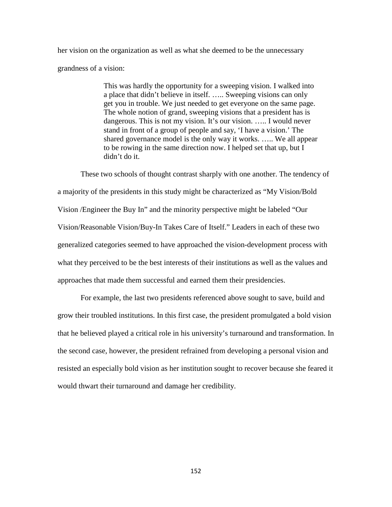her vision on the organization as well as what she deemed to be the unnecessary grandness of a vision:

> This was hardly the opportunity for a sweeping vision. I walked into a place that didn't believe in itself. ….. Sweeping visions can only get you in trouble. We just needed to get everyone on the same page. The whole notion of grand, sweeping visions that a president has is dangerous. This is not my vision. It's our vision. ..... I would never stand in front of a group of people and say, 'I have a vision.' The shared governance model is the only way it works. ….. We all appear to be rowing in the same direction now. I helped set that up, but I didn't do it.

These two schools of thought contrast sharply with one another. The tendency of a majority of the presidents in this study might be characterized as "My Vision/Bold Vision /Engineer the Buy In" and the minority perspective might be labeled "Our Vision/Reasonable Vision/Buy-In Takes Care of Itself." Leaders in each of these two generalized categories seemed to have approached the vision-development process with what they perceived to be the best interests of their institutions as well as the values and approaches that made them successful and earned them their presidencies.

For example, the last two presidents referenced above sought to save, build and grow their troubled institutions. In this first case, the president promulgated a bold vision that he believed played a critical role in his university's turnaround and transformation. In the second case, however, the president refrained from developing a personal vision and resisted an especially bold vision as her institution sought to recover because she feared it would thwart their turnaround and damage her credibility.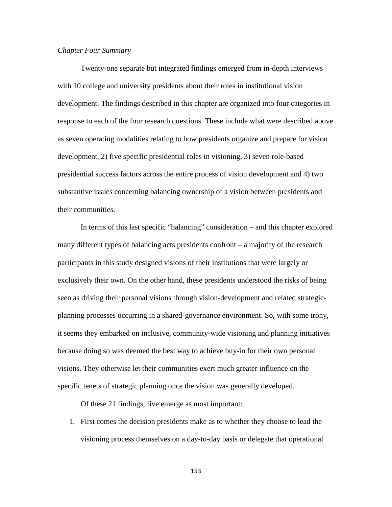## *Chapter Four Summary*

Twenty-one separate but integrated findings emerged from in-depth interviews with 10 college and university presidents about their roles in institutional vision development. The findings described in this chapter are organized into four categories in response to each of the four research questions. These include what were described above as seven operating modalities relating to how presidents organize and prepare for vision development, 2) five specific presidential roles in visioning, 3) seven role-based presidential success factors across the entire process of vision development and 4) two substantive issues concerning balancing ownership of a vision between presidents and their communities.

In terms of this last specific "balancing" consideration – and this chapter explored many different types of balancing acts presidents confront – a majority of the research participants in this study designed visions of their institutions that were largely or exclusively their own. On the other hand, these presidents understood the risks of being seen as driving their personal visions through vision-development and related strategicplanning processes occurring in a shared-governance environment. So, with some irony, it seems they embarked on inclusive, community-wide visioning and planning initiatives because doing so was deemed the best way to achieve buy-in for their own personal visions. They otherwise let their communities exert much greater influence on the specific tenets of strategic planning once the vision was generally developed.

Of these 21 findings, five emerge as most important:

1. First comes the decision presidents make as to whether they choose to lead the visioning process themselves on a day-to-day basis or delegate that operational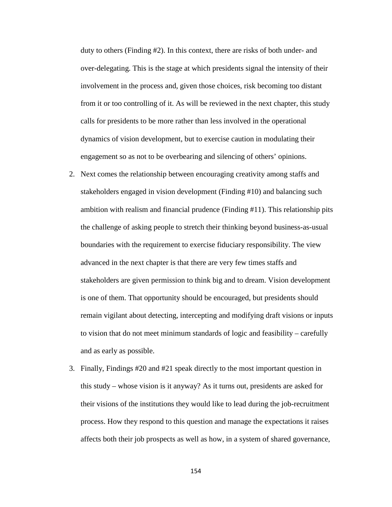duty to others (Finding #2). In this context, there are risks of both under- and over-delegating. This is the stage at which presidents signal the intensity of their involvement in the process and, given those choices, risk becoming too distant from it or too controlling of it. As will be reviewed in the next chapter, this study calls for presidents to be more rather than less involved in the operational dynamics of vision development, but to exercise caution in modulating their engagement so as not to be overbearing and silencing of others' opinions.

- 2. Next comes the relationship between encouraging creativity among staffs and stakeholders engaged in vision development (Finding #10) and balancing such ambition with realism and financial prudence (Finding #11). This relationship pits the challenge of asking people to stretch their thinking beyond business-as-usual boundaries with the requirement to exercise fiduciary responsibility. The view advanced in the next chapter is that there are very few times staffs and stakeholders are given permission to think big and to dream. Vision development is one of them. That opportunity should be encouraged, but presidents should remain vigilant about detecting, intercepting and modifying draft visions or inputs to vision that do not meet minimum standards of logic and feasibility – carefully and as early as possible.
- 3. Finally, Findings #20 and #21 speak directly to the most important question in this study – whose vision is it anyway? As it turns out, presidents are asked for their visions of the institutions they would like to lead during the job-recruitment process. How they respond to this question and manage the expectations it raises affects both their job prospects as well as how, in a system of shared governance,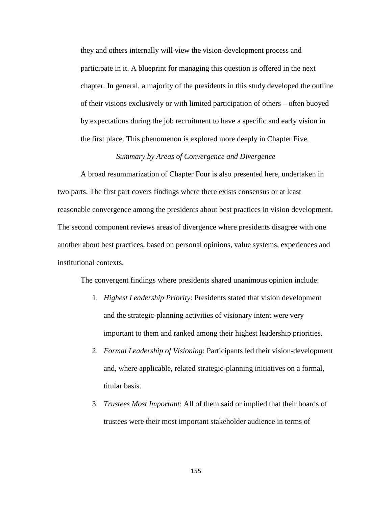they and others internally will view the vision-development process and participate in it. A blueprint for managing this question is offered in the next chapter. In general, a majority of the presidents in this study developed the outline of their visions exclusively or with limited participation of others – often buoyed by expectations during the job recruitment to have a specific and early vision in the first place. This phenomenon is explored more deeply in Chapter Five.

## *Summary by Areas of Convergence and Divergence*

A broad resummarization of Chapter Four is also presented here, undertaken in two parts. The first part covers findings where there exists consensus or at least reasonable convergence among the presidents about best practices in vision development. The second component reviews areas of divergence where presidents disagree with one another about best practices, based on personal opinions, value systems, experiences and institutional contexts.

The convergent findings where presidents shared unanimous opinion include:

- 1. *Highest Leadership Priority*: Presidents stated that vision development and the strategic-planning activities of visionary intent were very important to them and ranked among their highest leadership priorities.
- 2. *Formal Leadership of Visioning*: Participants led their vision-development and, where applicable, related strategic-planning initiatives on a formal, titular basis.
- 3. *Trustees Most Important*: All of them said or implied that their boards of trustees were their most important stakeholder audience in terms of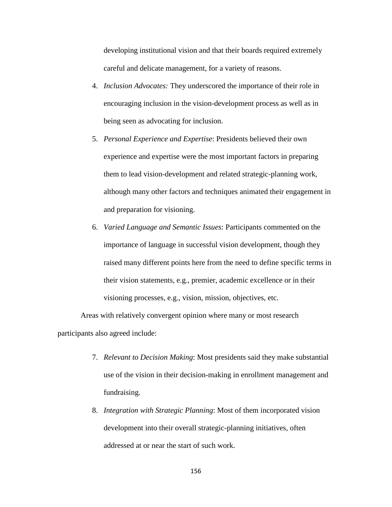developing institutional vision and that their boards required extremely careful and delicate management, for a variety of reasons.

- 4. *Inclusion Advocates:* They underscored the importance of their role in encouraging inclusion in the vision-development process as well as in being seen as advocating for inclusion.
- 5. *Personal Experience and Expertise*: Presidents believed their own experience and expertise were the most important factors in preparing them to lead vision-development and related strategic-planning work, although many other factors and techniques animated their engagement in and preparation for visioning.
- 6. *Varied Language and Semantic Issues*: Participants commented on the importance of language in successful vision development, though they raised many different points here from the need to define specific terms in their vision statements, e.g., premier, academic excellence or in their visioning processes, e.g., vision, mission, objectives, etc.

Areas with relatively convergent opinion where many or most research participants also agreed include:

- 7. *Relevant to Decision Making*: Most presidents said they make substantial use of the vision in their decision-making in enrollment management and fundraising.
- 8. *Integration with Strategic Planning*: Most of them incorporated vision development into their overall strategic-planning initiatives, often addressed at or near the start of such work.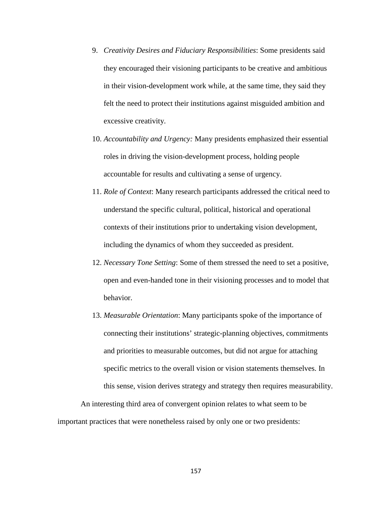- 9. *Creativity Desires and Fiduciary Responsibilities*: Some presidents said they encouraged their visioning participants to be creative and ambitious in their vision-development work while, at the same time, they said they felt the need to protect their institutions against misguided ambition and excessive creativity.
- 10. *Accountability and Urgency:* Many presidents emphasized their essential roles in driving the vision-development process, holding people accountable for results and cultivating a sense of urgency.
- 11. *Role of Context*: Many research participants addressed the critical need to understand the specific cultural, political, historical and operational contexts of their institutions prior to undertaking vision development, including the dynamics of whom they succeeded as president.
- 12. *Necessary Tone Setting*: Some of them stressed the need to set a positive, open and even-handed tone in their visioning processes and to model that behavior.
- 13. *Measurable Orientation*: Many participants spoke of the importance of connecting their institutions' strategic-planning objectives, commitments and priorities to measurable outcomes, but did not argue for attaching specific metrics to the overall vision or vision statements themselves. In this sense, vision derives strategy and strategy then requires measurability.

An interesting third area of convergent opinion relates to what seem to be important practices that were nonetheless raised by only one or two presidents: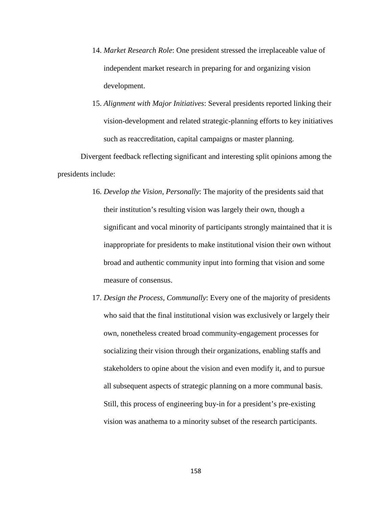- 14. *Market Research Role*: One president stressed the irreplaceable value of independent market research in preparing for and organizing vision development.
- 15. *Alignment with Major Initiatives*: Several presidents reported linking their vision-development and related strategic-planning efforts to key initiatives such as reaccreditation, capital campaigns or master planning.

Divergent feedback reflecting significant and interesting split opinions among the presidents include:

- 16. *Develop the Vision, Personally*: The majority of the presidents said that their institution's resulting vision was largely their own, though a significant and vocal minority of participants strongly maintained that it is inappropriate for presidents to make institutional vision their own without broad and authentic community input into forming that vision and some measure of consensus.
- 17. *Design the Process, Communally*: Every one of the majority of presidents who said that the final institutional vision was exclusively or largely their own, nonetheless created broad community-engagement processes for socializing their vision through their organizations, enabling staffs and stakeholders to opine about the vision and even modify it, and to pursue all subsequent aspects of strategic planning on a more communal basis. Still, this process of engineering buy-in for a president's pre-existing vision was anathema to a minority subset of the research participants.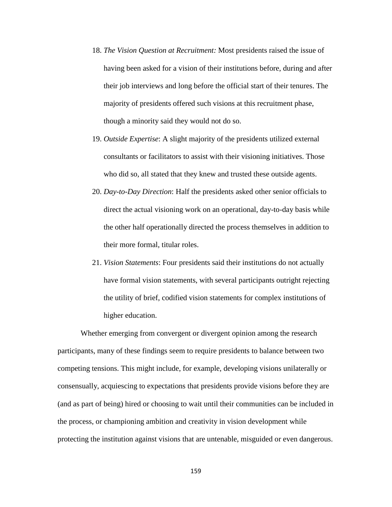- 18. *The Vision Question at Recruitment:* Most presidents raised the issue of having been asked for a vision of their institutions before, during and after their job interviews and long before the official start of their tenures. The majority of presidents offered such visions at this recruitment phase, though a minority said they would not do so.
- 19. *Outside Expertise*: A slight majority of the presidents utilized external consultants or facilitators to assist with their visioning initiatives. Those who did so, all stated that they knew and trusted these outside agents.
- 20. *Day-to-Day Direction*: Half the presidents asked other senior officials to direct the actual visioning work on an operational, day-to-day basis while the other half operationally directed the process themselves in addition to their more formal, titular roles.
- 21. *Vision Statements*: Four presidents said their institutions do not actually have formal vision statements, with several participants outright rejecting the utility of brief, codified vision statements for complex institutions of higher education.

Whether emerging from convergent or divergent opinion among the research participants, many of these findings seem to require presidents to balance between two competing tensions. This might include, for example, developing visions unilaterally or consensually, acquiescing to expectations that presidents provide visions before they are (and as part of being) hired or choosing to wait until their communities can be included in the process, or championing ambition and creativity in vision development while protecting the institution against visions that are untenable, misguided or even dangerous.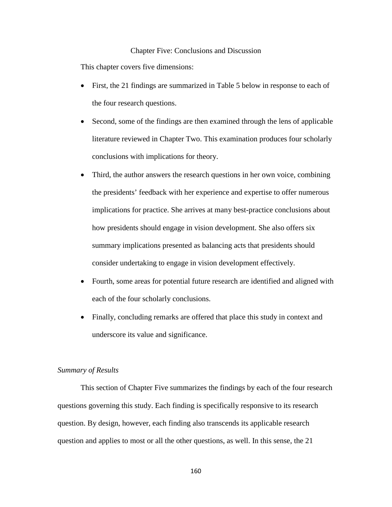## Chapter Five: Conclusions and Discussion

This chapter covers five dimensions:

- First, the 21 findings are summarized in Table 5 below in response to each of the four research questions.
- Second, some of the findings are then examined through the lens of applicable literature reviewed in Chapter Two. This examination produces four scholarly conclusions with implications for theory.
- Third, the author answers the research questions in her own voice, combining the presidents' feedback with her experience and expertise to offer numerous implications for practice. She arrives at many best-practice conclusions about how presidents should engage in vision development. She also offers six summary implications presented as balancing acts that presidents should consider undertaking to engage in vision development effectively.
- Fourth, some areas for potential future research are identified and aligned with each of the four scholarly conclusions.
- Finally, concluding remarks are offered that place this study in context and underscore its value and significance.

## *Summary of Results*

This section of Chapter Five summarizes the findings by each of the four research questions governing this study. Each finding is specifically responsive to its research question. By design, however, each finding also transcends its applicable research question and applies to most or all the other questions, as well. In this sense, the 21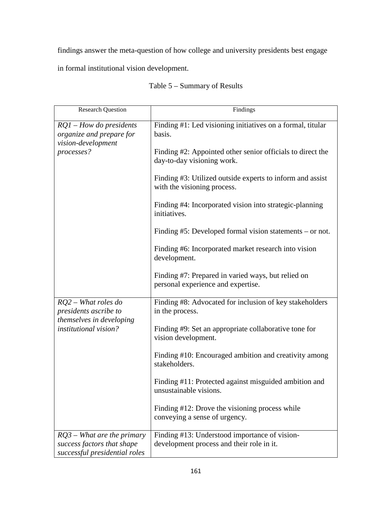findings answer the meta-question of how college and university presidents best engage

in formal institutional vision development.

| <b>Research Question</b>                                                                                   | Findings                                                                                   |
|------------------------------------------------------------------------------------------------------------|--------------------------------------------------------------------------------------------|
| $RQ1$ – How do presidents<br>organize and prepare for<br>vision-development<br>processes?                  | Finding #1: Led visioning initiatives on a formal, titular<br>basis.                       |
|                                                                                                            | Finding #2: Appointed other senior officials to direct the<br>day-to-day visioning work.   |
|                                                                                                            | Finding #3: Utilized outside experts to inform and assist<br>with the visioning process.   |
|                                                                                                            | Finding #4: Incorporated vision into strategic-planning<br>initiatives.                    |
|                                                                                                            | Finding $#5$ : Developed formal vision statements – or not.                                |
|                                                                                                            | Finding #6: Incorporated market research into vision<br>development.                       |
|                                                                                                            | Finding #7: Prepared in varied ways, but relied on<br>personal experience and expertise.   |
| $RQ2 - What$ roles do<br>presidents ascribe to<br>themselves in developing<br><i>institutional vision?</i> | Finding #8: Advocated for inclusion of key stakeholders<br>in the process.                 |
|                                                                                                            | Finding #9: Set an appropriate collaborative tone for<br>vision development.               |
|                                                                                                            | Finding #10: Encouraged ambition and creativity among<br>stakeholders.                     |
|                                                                                                            | Finding #11: Protected against misguided ambition and<br>unsustainable visions.            |
|                                                                                                            | Finding #12: Drove the visioning process while<br>conveying a sense of urgency.            |
| $RQ3$ – What are the primary<br>success factors that shape<br>successful presidential roles                | Finding #13: Understood importance of vision-<br>development process and their role in it. |

# Table 5 – Summary of Results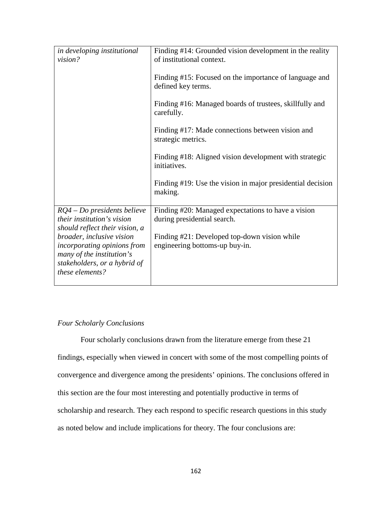| in developing institutional<br>vision?                                                                      | Finding #14: Grounded vision development in the reality<br>of institutional context. |
|-------------------------------------------------------------------------------------------------------------|--------------------------------------------------------------------------------------|
|                                                                                                             | Finding #15: Focused on the importance of language and<br>defined key terms.         |
|                                                                                                             | Finding #16: Managed boards of trustees, skillfully and<br>carefully.                |
|                                                                                                             | Finding #17: Made connections between vision and<br>strategic metrics.               |
|                                                                                                             | Finding #18: Aligned vision development with strategic<br>initiatives.               |
|                                                                                                             | Finding #19: Use the vision in major presidential decision<br>making.                |
| RQ4 - Do presidents believe<br>their institution's vision<br>should reflect their vision, a                 | Finding #20: Managed expectations to have a vision<br>during presidential search.    |
| broader, inclusive vision                                                                                   | Finding #21: Developed top-down vision while                                         |
| incorporating opinions from<br>many of the institution's<br>stakeholders, or a hybrid of<br>these elements? | engineering bottoms-up buy-in.                                                       |
|                                                                                                             |                                                                                      |

## *Four Scholarly Conclusions*

Four scholarly conclusions drawn from the literature emerge from these 21 findings, especially when viewed in concert with some of the most compelling points of convergence and divergence among the presidents' opinions. The conclusions offered in this section are the four most interesting and potentially productive in terms of scholarship and research. They each respond to specific research questions in this study as noted below and include implications for theory. The four conclusions are: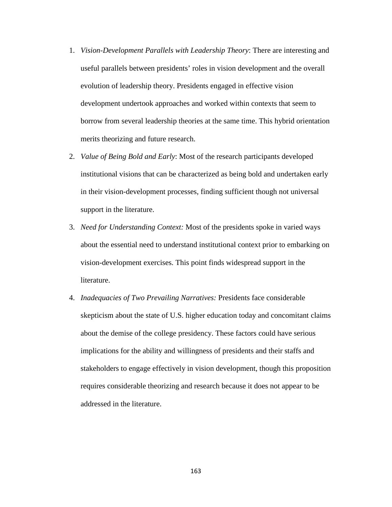- 1. *Vision-Development Parallels with Leadership Theory*: There are interesting and useful parallels between presidents' roles in vision development and the overall evolution of leadership theory. Presidents engaged in effective vision development undertook approaches and worked within contexts that seem to borrow from several leadership theories at the same time. This hybrid orientation merits theorizing and future research.
- 2. *Value of Being Bold and Early*: Most of the research participants developed institutional visions that can be characterized as being bold and undertaken early in their vision-development processes, finding sufficient though not universal support in the literature.
- 3. *Need for Understanding Context:* Most of the presidents spoke in varied ways about the essential need to understand institutional context prior to embarking on vision-development exercises. This point finds widespread support in the literature.
- 4. *Inadequacies of Two Prevailing Narratives:* Presidents face considerable skepticism about the state of U.S. higher education today and concomitant claims about the demise of the college presidency. These factors could have serious implications for the ability and willingness of presidents and their staffs and stakeholders to engage effectively in vision development, though this proposition requires considerable theorizing and research because it does not appear to be addressed in the literature.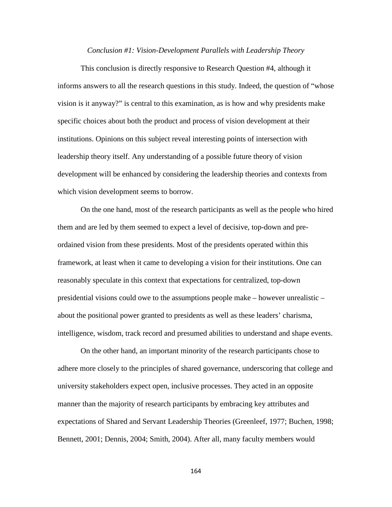### *Conclusion #1: Vision-Development Parallels with Leadership Theory*

This conclusion is directly responsive to Research Question #4, although it informs answers to all the research questions in this study. Indeed, the question of "whose vision is it anyway?" is central to this examination, as is how and why presidents make specific choices about both the product and process of vision development at their institutions. Opinions on this subject reveal interesting points of intersection with leadership theory itself. Any understanding of a possible future theory of vision development will be enhanced by considering the leadership theories and contexts from which vision development seems to borrow.

On the one hand, most of the research participants as well as the people who hired them and are led by them seemed to expect a level of decisive, top-down and preordained vision from these presidents. Most of the presidents operated within this framework, at least when it came to developing a vision for their institutions. One can reasonably speculate in this context that expectations for centralized, top-down presidential visions could owe to the assumptions people make – however unrealistic – about the positional power granted to presidents as well as these leaders' charisma, intelligence, wisdom, track record and presumed abilities to understand and shape events.

On the other hand, an important minority of the research participants chose to adhere more closely to the principles of shared governance, underscoring that college and university stakeholders expect open, inclusive processes. They acted in an opposite manner than the majority of research participants by embracing key attributes and expectations of Shared and Servant Leadership Theories (Greenleef, 1977; Buchen, 1998; Bennett, 2001; Dennis, 2004; Smith, 2004). After all, many faculty members would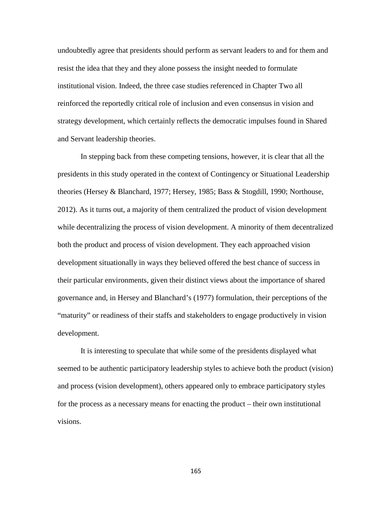undoubtedly agree that presidents should perform as servant leaders to and for them and resist the idea that they and they alone possess the insight needed to formulate institutional vision. Indeed, the three case studies referenced in Chapter Two all reinforced the reportedly critical role of inclusion and even consensus in vision and strategy development, which certainly reflects the democratic impulses found in Shared and Servant leadership theories.

In stepping back from these competing tensions, however, it is clear that all the presidents in this study operated in the context of Contingency or Situational Leadership theories (Hersey & Blanchard, 1977; Hersey, 1985; Bass & Stogdill, 1990; Northouse, 2012). As it turns out, a majority of them centralized the product of vision development while decentralizing the process of vision development. A minority of them decentralized both the product and process of vision development. They each approached vision development situationally in ways they believed offered the best chance of success in their particular environments, given their distinct views about the importance of shared governance and, in Hersey and Blanchard's (1977) formulation, their perceptions of the "maturity" or readiness of their staffs and stakeholders to engage productively in vision development.

It is interesting to speculate that while some of the presidents displayed what seemed to be authentic participatory leadership styles to achieve both the product (vision) and process (vision development), others appeared only to embrace participatory styles for the process as a necessary means for enacting the product – their own institutional visions.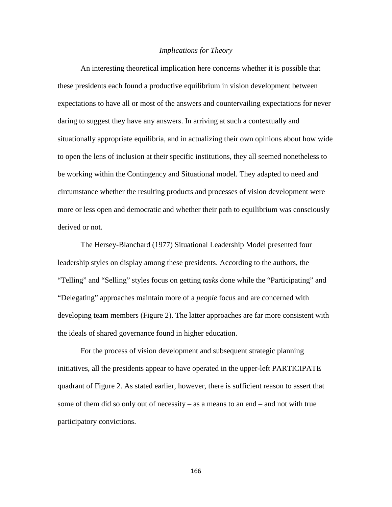## *Implications for Theory*

An interesting theoretical implication here concerns whether it is possible that these presidents each found a productive equilibrium in vision development between expectations to have all or most of the answers and countervailing expectations for never daring to suggest they have any answers. In arriving at such a contextually and situationally appropriate equilibria, and in actualizing their own opinions about how wide to open the lens of inclusion at their specific institutions, they all seemed nonetheless to be working within the Contingency and Situational model. They adapted to need and circumstance whether the resulting products and processes of vision development were more or less open and democratic and whether their path to equilibrium was consciously derived or not.

The Hersey-Blanchard (1977) Situational Leadership Model presented four leadership styles on display among these presidents. According to the authors, the "Telling" and "Selling" styles focus on getting *tasks* done while the "Participating" and "Delegating" approaches maintain more of a *people* focus and are concerned with developing team members (Figure 2). The latter approaches are far more consistent with the ideals of shared governance found in higher education.

For the process of vision development and subsequent strategic planning initiatives, all the presidents appear to have operated in the upper-left PARTICIPATE quadrant of Figure 2. As stated earlier, however, there is sufficient reason to assert that some of them did so only out of necessity – as a means to an end – and not with true participatory convictions.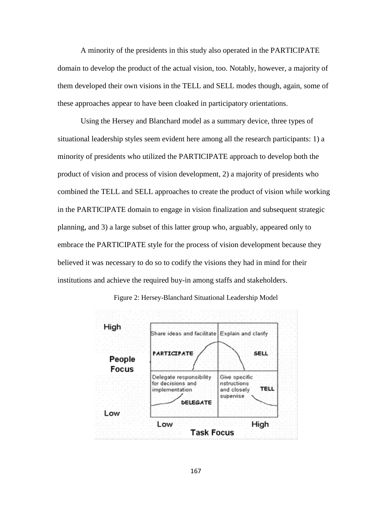A minority of the presidents in this study also operated in the PARTICIPATE domain to develop the product of the actual vision, too. Notably, however, a majority of them developed their own visions in the TELL and SELL modes though, again, some of these approaches appear to have been cloaked in participatory orientations.

Using the Hersey and Blanchard model as a summary device, three types of situational leadership styles seem evident here among all the research participants: 1) a minority of presidents who utilized the PARTICIPATE approach to develop both the product of vision and process of vision development, 2) a majority of presidents who combined the TELL and SELL approaches to create the product of vision while working in the PARTICIPATE domain to engage in vision finalization and subsequent strategic planning, and 3) a large subset of this latter group who, arguably, appeared only to embrace the PARTICIPATE style for the process of vision development because they believed it was necessary to do so to codify the visions they had in mind for their institutions and achieve the required buy-in among staffs and stakeholders.

Figure 2: Hersey-Blanchard Situational Leadership Model

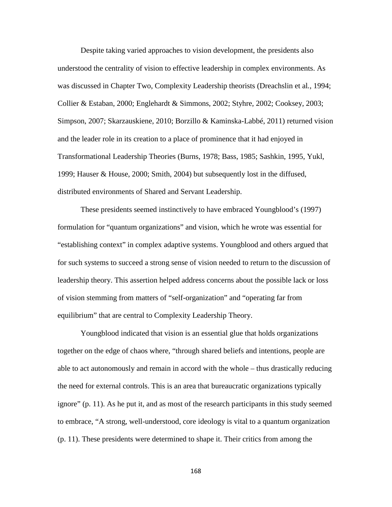Despite taking varied approaches to vision development, the presidents also understood the centrality of vision to effective leadership in complex environments. As was discussed in Chapter Two, Complexity Leadership theorists (Dreachslin et al*.*, 1994; Collier & Estaban, 2000; Englehardt & Simmons, 2002; Styhre, 2002; Cooksey, 2003; Simpson, 2007; Skarzauskiene, 2010; Borzillo & Kaminska-Labbé, 2011) returned vision and the leader role in its creation to a place of prominence that it had enjoyed in Transformational Leadership Theories (Burns, 1978; Bass, 1985; Sashkin, 1995, Yukl, 1999; Hauser & House, 2000; Smith, 2004) but subsequently lost in the diffused, distributed environments of Shared and Servant Leadership.

These presidents seemed instinctively to have embraced Youngblood's (1997) formulation for "quantum organizations" and vision, which he wrote was essential for "establishing context" in complex adaptive systems. Youngblood and others argued that for such systems to succeed a strong sense of vision needed to return to the discussion of leadership theory. This assertion helped address concerns about the possible lack or loss of vision stemming from matters of "self-organization" and "operating far from equilibrium" that are central to Complexity Leadership Theory.

Youngblood indicated that vision is an essential glue that holds organizations together on the edge of chaos where, "through shared beliefs and intentions, people are able to act autonomously and remain in accord with the whole – thus drastically reducing the need for external controls. This is an area that bureaucratic organizations typically ignore" (p. 11). As he put it, and as most of the research participants in this study seemed to embrace, "A strong, well-understood, core ideology is vital to a quantum organization (p. 11). These presidents were determined to shape it. Their critics from among the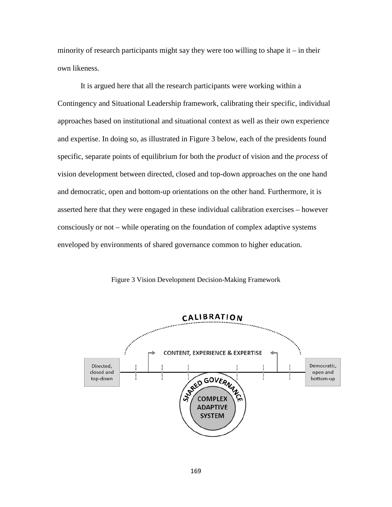minority of research participants might say they were too willing to shape it – in their own likeness.

It is argued here that all the research participants were working within a Contingency and Situational Leadership framework, calibrating their specific, individual approaches based on institutional and situational context as well as their own experience and expertise. In doing so, as illustrated in Figure 3 below, each of the presidents found specific, separate points of equilibrium for both the *product* of vision and the *process* of vision development between directed, closed and top-down approaches on the one hand and democratic, open and bottom-up orientations on the other hand. Furthermore, it is asserted here that they were engaged in these individual calibration exercises – however consciously or not – while operating on the foundation of complex adaptive systems enveloped by environments of shared governance common to higher education.



Figure 3 Vision Development Decision-Making Framework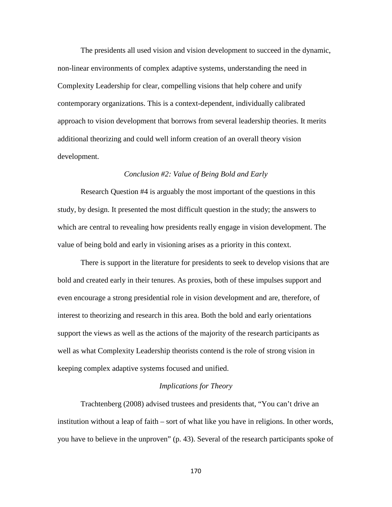The presidents all used vision and vision development to succeed in the dynamic, non-linear environments of complex adaptive systems, understanding the need in Complexity Leadership for clear, compelling visions that help cohere and unify contemporary organizations. This is a context-dependent, individually calibrated approach to vision development that borrows from several leadership theories. It merits additional theorizing and could well inform creation of an overall theory vision development.

## *Conclusion #2: Value of Being Bold and Early*

Research Question #4 is arguably the most important of the questions in this study, by design. It presented the most difficult question in the study; the answers to which are central to revealing how presidents really engage in vision development. The value of being bold and early in visioning arises as a priority in this context.

There is support in the literature for presidents to seek to develop visions that are bold and created early in their tenures. As proxies, both of these impulses support and even encourage a strong presidential role in vision development and are, therefore, of interest to theorizing and research in this area. Both the bold and early orientations support the views as well as the actions of the majority of the research participants as well as what Complexity Leadership theorists contend is the role of strong vision in keeping complex adaptive systems focused and unified.

## *Implications for Theory*

Trachtenberg (2008) advised trustees and presidents that, "You can't drive an institution without a leap of faith – sort of what like you have in religions. In other words, you have to believe in the unproven" (p. 43). Several of the research participants spoke of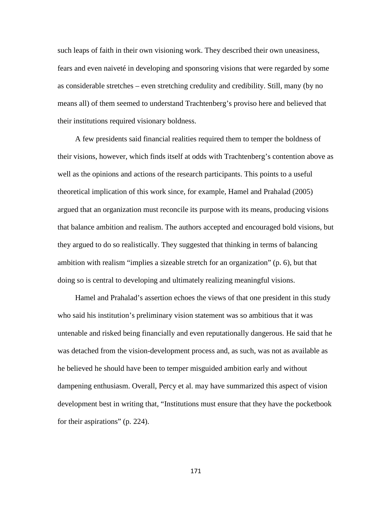such leaps of faith in their own visioning work. They described their own uneasiness, fears and even naiveté in developing and sponsoring visions that were regarded by some as considerable stretches – even stretching credulity and credibility. Still, many (by no means all) of them seemed to understand Trachtenberg's proviso here and believed that their institutions required visionary boldness.

A few presidents said financial realities required them to temper the boldness of their visions, however, which finds itself at odds with Trachtenberg's contention above as well as the opinions and actions of the research participants. This points to a useful theoretical implication of this work since, for example, Hamel and Prahalad (2005) argued that an organization must reconcile its purpose with its means, producing visions that balance ambition and realism. The authors accepted and encouraged bold visions, but they argued to do so realistically. They suggested that thinking in terms of balancing ambition with realism "implies a sizeable stretch for an organization" (p. 6), but that doing so is central to developing and ultimately realizing meaningful visions.

Hamel and Prahalad's assertion echoes the views of that one president in this study who said his institution's preliminary vision statement was so ambitious that it was untenable and risked being financially and even reputationally dangerous. He said that he was detached from the vision-development process and, as such, was not as available as he believed he should have been to temper misguided ambition early and without dampening enthusiasm. Overall, Percy et al. may have summarized this aspect of vision development best in writing that, "Institutions must ensure that they have the pocketbook for their aspirations" (p. 224).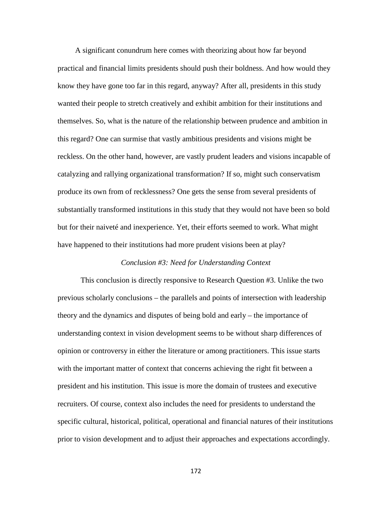A significant conundrum here comes with theorizing about how far beyond practical and financial limits presidents should push their boldness. And how would they know they have gone too far in this regard, anyway? After all, presidents in this study wanted their people to stretch creatively and exhibit ambition for their institutions and themselves. So, what is the nature of the relationship between prudence and ambition in this regard? One can surmise that vastly ambitious presidents and visions might be reckless. On the other hand, however, are vastly prudent leaders and visions incapable of catalyzing and rallying organizational transformation? If so, might such conservatism produce its own from of recklessness? One gets the sense from several presidents of substantially transformed institutions in this study that they would not have been so bold but for their naiveté and inexperience. Yet, their efforts seemed to work. What might have happened to their institutions had more prudent visions been at play?

#### *Conclusion #3: Need for Understanding Context*

This conclusion is directly responsive to Research Question #3. Unlike the two previous scholarly conclusions – the parallels and points of intersection with leadership theory and the dynamics and disputes of being bold and early – the importance of understanding context in vision development seems to be without sharp differences of opinion or controversy in either the literature or among practitioners. This issue starts with the important matter of context that concerns achieving the right fit between a president and his institution. This issue is more the domain of trustees and executive recruiters. Of course, context also includes the need for presidents to understand the specific cultural, historical, political, operational and financial natures of their institutions prior to vision development and to adjust their approaches and expectations accordingly.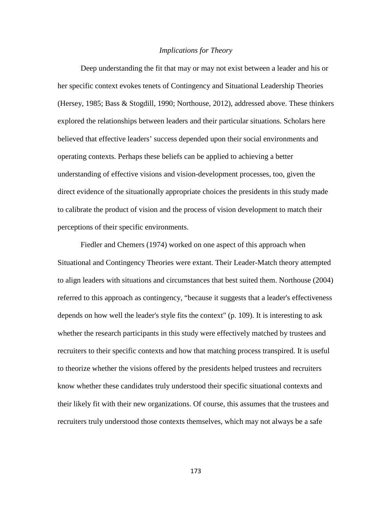### *Implications for Theory*

Deep understanding the fit that may or may not exist between a leader and his or her specific context evokes tenets of Contingency and Situational Leadership Theories (Hersey, 1985; Bass & Stogdill, 1990; Northouse, 2012), addressed above. These thinkers explored the relationships between leaders and their particular situations. Scholars here believed that effective leaders' success depended upon their social environments and operating contexts. Perhaps these beliefs can be applied to achieving a better understanding of effective visions and vision-development processes, too, given the direct evidence of the situationally appropriate choices the presidents in this study made to calibrate the product of vision and the process of vision development to match their perceptions of their specific environments.

Fiedler and Chemers (1974) worked on one aspect of this approach when Situational and Contingency Theories were extant. Their Leader-Match theory attempted to align leaders with situations and circumstances that best suited them. Northouse (2004) referred to this approach as contingency, "because it suggests that a leader's effectiveness depends on how well the leader's style fits the context" (p. 109). It is interesting to ask whether the research participants in this study were effectively matched by trustees and recruiters to their specific contexts and how that matching process transpired. It is useful to theorize whether the visions offered by the presidents helped trustees and recruiters know whether these candidates truly understood their specific situational contexts and their likely fit with their new organizations. Of course, this assumes that the trustees and recruiters truly understood those contexts themselves, which may not always be a safe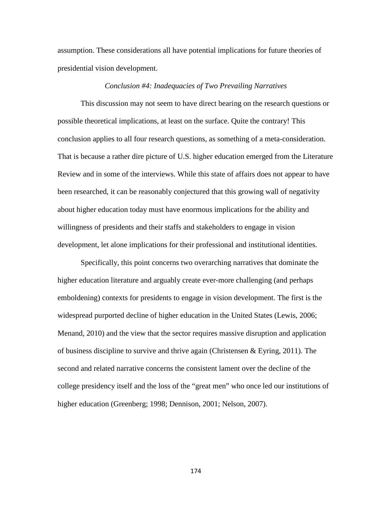assumption. These considerations all have potential implications for future theories of presidential vision development.

### *Conclusion #4: Inadequacies of Two Prevailing Narratives*

This discussion may not seem to have direct bearing on the research questions or possible theoretical implications, at least on the surface. Quite the contrary! This conclusion applies to all four research questions, as something of a meta-consideration. That is because a rather dire picture of U.S. higher education emerged from the Literature Review and in some of the interviews. While this state of affairs does not appear to have been researched, it can be reasonably conjectured that this growing wall of negativity about higher education today must have enormous implications for the ability and willingness of presidents and their staffs and stakeholders to engage in vision development, let alone implications for their professional and institutional identities.

Specifically, this point concerns two overarching narratives that dominate the higher education literature and arguably create ever-more challenging (and perhaps emboldening) contexts for presidents to engage in vision development. The first is the widespread purported decline of higher education in the United States (Lewis, 2006; Menand, 2010) and the view that the sector requires massive disruption and application of business discipline to survive and thrive again (Christensen  $\&$  Eyring, 2011). The second and related narrative concerns the consistent lament over the decline of the college presidency itself and the loss of the "great men" who once led our institutions of higher education (Greenberg; 1998; Dennison, 2001; Nelson, 2007).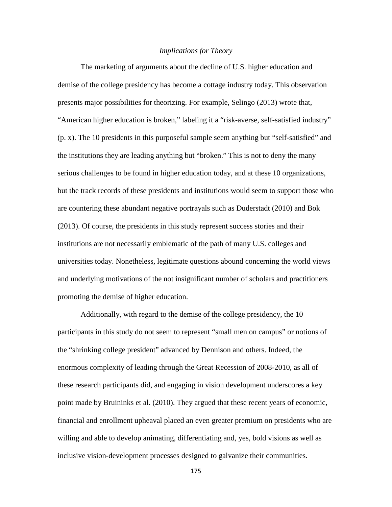## *Implications for Theory*

The marketing of arguments about the decline of U.S. higher education and demise of the college presidency has become a cottage industry today. This observation presents major possibilities for theorizing. For example, Selingo (2013) wrote that, "American higher education is broken," labeling it a "risk-averse, self-satisfied industry" (p. x). The 10 presidents in this purposeful sample seem anything but "self-satisfied" and the institutions they are leading anything but "broken." This is not to deny the many serious challenges to be found in higher education today, and at these 10 organizations, but the track records of these presidents and institutions would seem to support those who are countering these abundant negative portrayals such as Duderstadt (2010) and Bok (2013). Of course, the presidents in this study represent success stories and their institutions are not necessarily emblematic of the path of many U.S. colleges and universities today. Nonetheless, legitimate questions abound concerning the world views and underlying motivations of the not insignificant number of scholars and practitioners promoting the demise of higher education.

Additionally, with regard to the demise of the college presidency, the 10 participants in this study do not seem to represent "small men on campus" or notions of the "shrinking college president" advanced by Dennison and others. Indeed, the enormous complexity of leading through the Great Recession of 2008-2010, as all of these research participants did, and engaging in vision development underscores a key point made by Bruininks et al. (2010). They argued that these recent years of economic, financial and enrollment upheaval placed an even greater premium on presidents who are willing and able to develop animating, differentiating and, yes, bold visions as well as inclusive vision-development processes designed to galvanize their communities.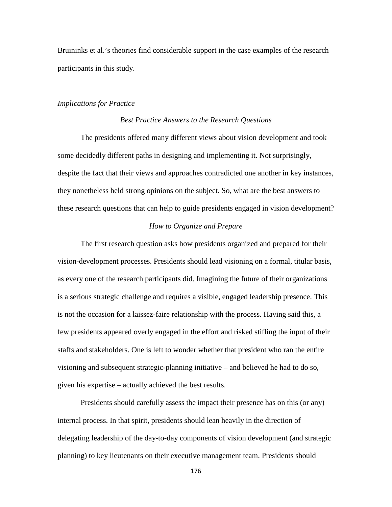Bruininks et al.'s theories find considerable support in the case examples of the research participants in this study.

## *Implications for Practice*

### *Best Practice Answers to the Research Questions*

The presidents offered many different views about vision development and took some decidedly different paths in designing and implementing it. Not surprisingly, despite the fact that their views and approaches contradicted one another in key instances, they nonetheless held strong opinions on the subject. So, what are the best answers to these research questions that can help to guide presidents engaged in vision development?

## *How to Organize and Prepare*

The first research question asks how presidents organized and prepared for their vision-development processes. Presidents should lead visioning on a formal, titular basis, as every one of the research participants did. Imagining the future of their organizations is a serious strategic challenge and requires a visible, engaged leadership presence. This is not the occasion for a laissez-faire relationship with the process. Having said this, a few presidents appeared overly engaged in the effort and risked stifling the input of their staffs and stakeholders. One is left to wonder whether that president who ran the entire visioning and subsequent strategic-planning initiative – and believed he had to do so, given his expertise – actually achieved the best results.

Presidents should carefully assess the impact their presence has on this (or any) internal process. In that spirit, presidents should lean heavily in the direction of delegating leadership of the day-to-day components of vision development (and strategic planning) to key lieutenants on their executive management team. Presidents should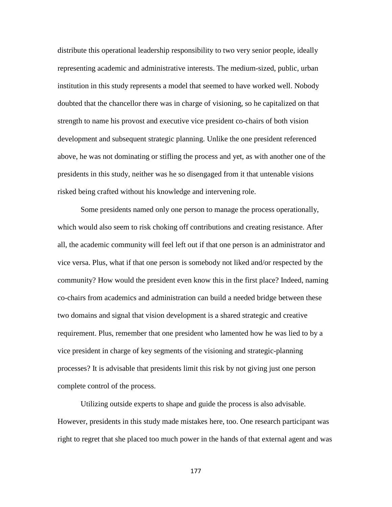distribute this operational leadership responsibility to two very senior people, ideally representing academic and administrative interests. The medium-sized, public, urban institution in this study represents a model that seemed to have worked well. Nobody doubted that the chancellor there was in charge of visioning, so he capitalized on that strength to name his provost and executive vice president co-chairs of both vision development and subsequent strategic planning. Unlike the one president referenced above, he was not dominating or stifling the process and yet, as with another one of the presidents in this study, neither was he so disengaged from it that untenable visions risked being crafted without his knowledge and intervening role.

Some presidents named only one person to manage the process operationally, which would also seem to risk choking off contributions and creating resistance. After all, the academic community will feel left out if that one person is an administrator and vice versa. Plus, what if that one person is somebody not liked and/or respected by the community? How would the president even know this in the first place? Indeed, naming co-chairs from academics and administration can build a needed bridge between these two domains and signal that vision development is a shared strategic and creative requirement. Plus, remember that one president who lamented how he was lied to by a vice president in charge of key segments of the visioning and strategic-planning processes? It is advisable that presidents limit this risk by not giving just one person complete control of the process.

Utilizing outside experts to shape and guide the process is also advisable. However, presidents in this study made mistakes here, too. One research participant was right to regret that she placed too much power in the hands of that external agent and was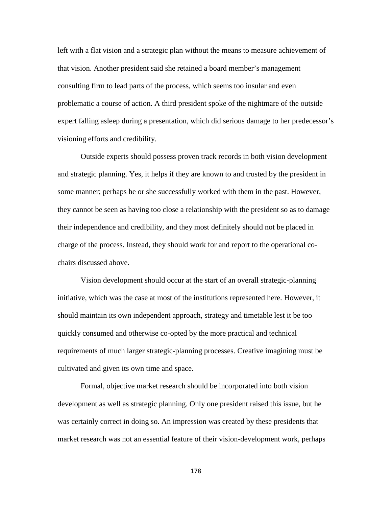left with a flat vision and a strategic plan without the means to measure achievement of that vision. Another president said she retained a board member's management consulting firm to lead parts of the process, which seems too insular and even problematic a course of action. A third president spoke of the nightmare of the outside expert falling asleep during a presentation, which did serious damage to her predecessor's visioning efforts and credibility.

Outside experts should possess proven track records in both vision development and strategic planning. Yes, it helps if they are known to and trusted by the president in some manner; perhaps he or she successfully worked with them in the past. However, they cannot be seen as having too close a relationship with the president so as to damage their independence and credibility, and they most definitely should not be placed in charge of the process. Instead, they should work for and report to the operational cochairs discussed above.

Vision development should occur at the start of an overall strategic-planning initiative, which was the case at most of the institutions represented here. However, it should maintain its own independent approach, strategy and timetable lest it be too quickly consumed and otherwise co-opted by the more practical and technical requirements of much larger strategic-planning processes. Creative imagining must be cultivated and given its own time and space.

Formal, objective market research should be incorporated into both vision development as well as strategic planning. Only one president raised this issue, but he was certainly correct in doing so. An impression was created by these presidents that market research was not an essential feature of their vision-development work, perhaps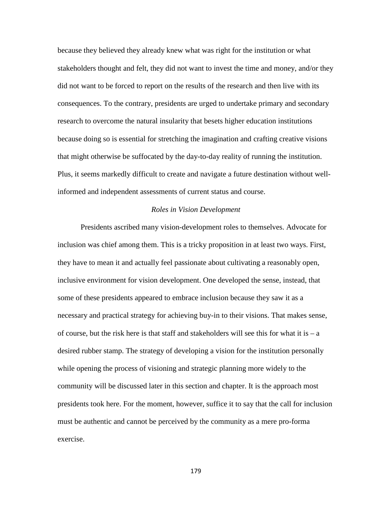because they believed they already knew what was right for the institution or what stakeholders thought and felt, they did not want to invest the time and money, and/or they did not want to be forced to report on the results of the research and then live with its consequences. To the contrary, presidents are urged to undertake primary and secondary research to overcome the natural insularity that besets higher education institutions because doing so is essential for stretching the imagination and crafting creative visions that might otherwise be suffocated by the day-to-day reality of running the institution. Plus, it seems markedly difficult to create and navigate a future destination without wellinformed and independent assessments of current status and course.

### *Roles in Vision Development*

Presidents ascribed many vision-development roles to themselves. Advocate for inclusion was chief among them. This is a tricky proposition in at least two ways. First, they have to mean it and actually feel passionate about cultivating a reasonably open, inclusive environment for vision development. One developed the sense, instead, that some of these presidents appeared to embrace inclusion because they saw it as a necessary and practical strategy for achieving buy-in to their visions. That makes sense, of course, but the risk here is that staff and stakeholders will see this for what it is  $-a$ desired rubber stamp. The strategy of developing a vision for the institution personally while opening the process of visioning and strategic planning more widely to the community will be discussed later in this section and chapter. It is the approach most presidents took here. For the moment, however, suffice it to say that the call for inclusion must be authentic and cannot be perceived by the community as a mere pro-forma exercise.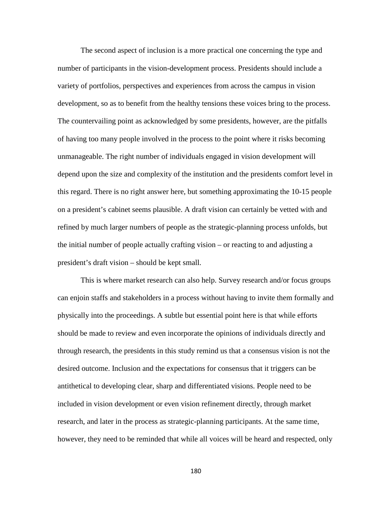The second aspect of inclusion is a more practical one concerning the type and number of participants in the vision-development process. Presidents should include a variety of portfolios, perspectives and experiences from across the campus in vision development, so as to benefit from the healthy tensions these voices bring to the process. The countervailing point as acknowledged by some presidents, however, are the pitfalls of having too many people involved in the process to the point where it risks becoming unmanageable. The right number of individuals engaged in vision development will depend upon the size and complexity of the institution and the presidents comfort level in this regard. There is no right answer here, but something approximating the 10-15 people on a president's cabinet seems plausible. A draft vision can certainly be vetted with and refined by much larger numbers of people as the strategic-planning process unfolds, but the initial number of people actually crafting vision – or reacting to and adjusting a president's draft vision – should be kept small.

This is where market research can also help. Survey research and/or focus groups can enjoin staffs and stakeholders in a process without having to invite them formally and physically into the proceedings. A subtle but essential point here is that while efforts should be made to review and even incorporate the opinions of individuals directly and through research, the presidents in this study remind us that a consensus vision is not the desired outcome. Inclusion and the expectations for consensus that it triggers can be antithetical to developing clear, sharp and differentiated visions. People need to be included in vision development or even vision refinement directly, through market research, and later in the process as strategic-planning participants. At the same time, however, they need to be reminded that while all voices will be heard and respected, only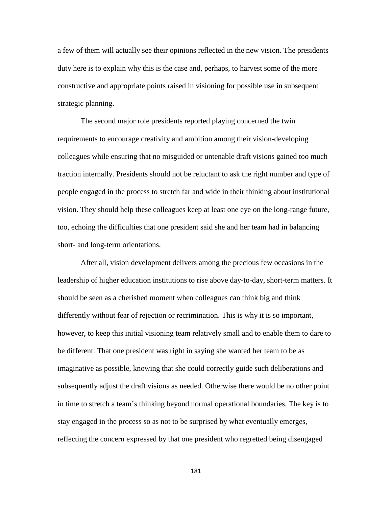a few of them will actually see their opinions reflected in the new vision. The presidents duty here is to explain why this is the case and, perhaps, to harvest some of the more constructive and appropriate points raised in visioning for possible use in subsequent strategic planning.

The second major role presidents reported playing concerned the twin requirements to encourage creativity and ambition among their vision-developing colleagues while ensuring that no misguided or untenable draft visions gained too much traction internally. Presidents should not be reluctant to ask the right number and type of people engaged in the process to stretch far and wide in their thinking about institutional vision. They should help these colleagues keep at least one eye on the long-range future, too, echoing the difficulties that one president said she and her team had in balancing short- and long-term orientations.

After all, vision development delivers among the precious few occasions in the leadership of higher education institutions to rise above day-to-day, short-term matters. It should be seen as a cherished moment when colleagues can think big and think differently without fear of rejection or recrimination. This is why it is so important, however, to keep this initial visioning team relatively small and to enable them to dare to be different. That one president was right in saying she wanted her team to be as imaginative as possible, knowing that she could correctly guide such deliberations and subsequently adjust the draft visions as needed. Otherwise there would be no other point in time to stretch a team's thinking beyond normal operational boundaries. The key is to stay engaged in the process so as not to be surprised by what eventually emerges, reflecting the concern expressed by that one president who regretted being disengaged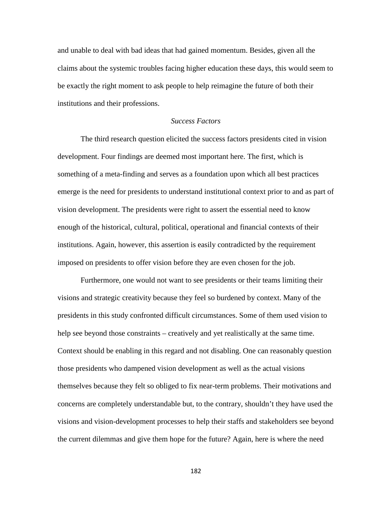and unable to deal with bad ideas that had gained momentum. Besides, given all the claims about the systemic troubles facing higher education these days, this would seem to be exactly the right moment to ask people to help reimagine the future of both their institutions and their professions.

# *Success Factors*

The third research question elicited the success factors presidents cited in vision development. Four findings are deemed most important here. The first, which is something of a meta-finding and serves as a foundation upon which all best practices emerge is the need for presidents to understand institutional context prior to and as part of vision development. The presidents were right to assert the essential need to know enough of the historical, cultural, political, operational and financial contexts of their institutions. Again, however, this assertion is easily contradicted by the requirement imposed on presidents to offer vision before they are even chosen for the job.

Furthermore, one would not want to see presidents or their teams limiting their visions and strategic creativity because they feel so burdened by context. Many of the presidents in this study confronted difficult circumstances. Some of them used vision to help see beyond those constraints – creatively and yet realistically at the same time. Context should be enabling in this regard and not disabling. One can reasonably question those presidents who dampened vision development as well as the actual visions themselves because they felt so obliged to fix near-term problems. Their motivations and concerns are completely understandable but, to the contrary, shouldn't they have used the visions and vision-development processes to help their staffs and stakeholders see beyond the current dilemmas and give them hope for the future? Again, here is where the need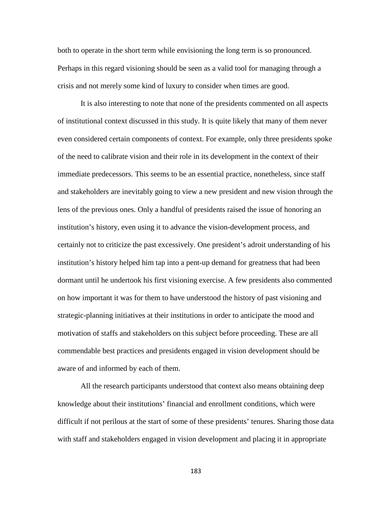both to operate in the short term while envisioning the long term is so pronounced. Perhaps in this regard visioning should be seen as a valid tool for managing through a crisis and not merely some kind of luxury to consider when times are good.

It is also interesting to note that none of the presidents commented on all aspects of institutional context discussed in this study. It is quite likely that many of them never even considered certain components of context. For example, only three presidents spoke of the need to calibrate vision and their role in its development in the context of their immediate predecessors. This seems to be an essential practice, nonetheless, since staff and stakeholders are inevitably going to view a new president and new vision through the lens of the previous ones. Only a handful of presidents raised the issue of honoring an institution's history, even using it to advance the vision-development process, and certainly not to criticize the past excessively. One president's adroit understanding of his institution's history helped him tap into a pent-up demand for greatness that had been dormant until he undertook his first visioning exercise. A few presidents also commented on how important it was for them to have understood the history of past visioning and strategic-planning initiatives at their institutions in order to anticipate the mood and motivation of staffs and stakeholders on this subject before proceeding. These are all commendable best practices and presidents engaged in vision development should be aware of and informed by each of them.

All the research participants understood that context also means obtaining deep knowledge about their institutions' financial and enrollment conditions, which were difficult if not perilous at the start of some of these presidents' tenures. Sharing those data with staff and stakeholders engaged in vision development and placing it in appropriate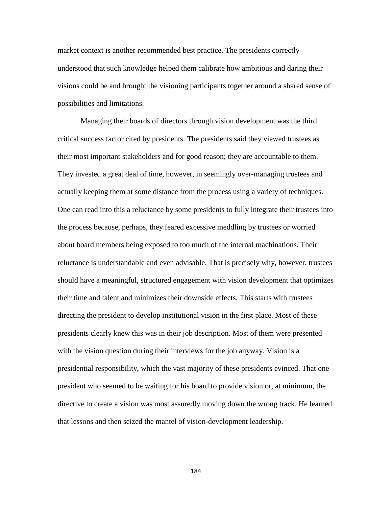market context is another recommended best practice. The presidents correctly understood that such knowledge helped them calibrate how ambitious and daring their visions could be and brought the visioning participants together around a shared sense of possibilities and limitations.

Managing their boards of directors through vision development was the third critical success factor cited by presidents. The presidents said they viewed trustees as their most important stakeholders and for good reason; they are accountable to them. They invested a great deal of time, however, in seemingly over-managing trustees and actually keeping them at some distance from the process using a variety of techniques. One can read into this a reluctance by some presidents to fully integrate their trustees into the process because, perhaps, they feared excessive meddling by trustees or worried about board members being exposed to too much of the internal machinations. Their reluctance is understandable and even advisable. That is precisely why, however, trustees should have a meaningful, structured engagement with vision development that optimizes their time and talent and minimizes their downside effects. This starts with trustees directing the president to develop institutional vision in the first place. Most of these presidents clearly knew this was in their job description. Most of them were presented with the vision question during their interviews for the job anyway. Vision is a presidential responsibility, which the vast majority of these presidents evinced. That one president who seemed to be waiting for his board to provide vision or, at minimum, the directive to create a vision was most assuredly moving down the wrong track. He learned that lessons and then seized the mantel of vision-development leadership.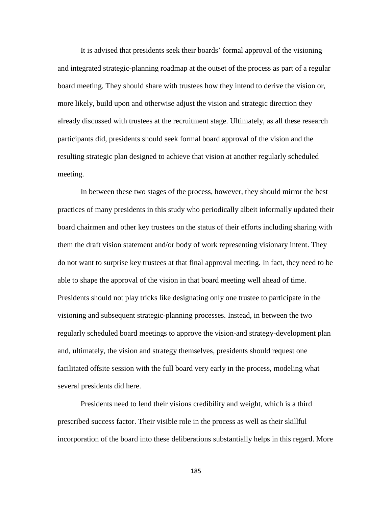It is advised that presidents seek their boards' formal approval of the visioning and integrated strategic-planning roadmap at the outset of the process as part of a regular board meeting. They should share with trustees how they intend to derive the vision or, more likely, build upon and otherwise adjust the vision and strategic direction they already discussed with trustees at the recruitment stage. Ultimately, as all these research participants did, presidents should seek formal board approval of the vision and the resulting strategic plan designed to achieve that vision at another regularly scheduled meeting.

In between these two stages of the process, however, they should mirror the best practices of many presidents in this study who periodically albeit informally updated their board chairmen and other key trustees on the status of their efforts including sharing with them the draft vision statement and/or body of work representing visionary intent. They do not want to surprise key trustees at that final approval meeting. In fact, they need to be able to shape the approval of the vision in that board meeting well ahead of time. Presidents should not play tricks like designating only one trustee to participate in the visioning and subsequent strategic-planning processes. Instead, in between the two regularly scheduled board meetings to approve the vision-and strategy-development plan and, ultimately, the vision and strategy themselves, presidents should request one facilitated offsite session with the full board very early in the process, modeling what several presidents did here.

Presidents need to lend their visions credibility and weight, which is a third prescribed success factor. Their visible role in the process as well as their skillful incorporation of the board into these deliberations substantially helps in this regard. More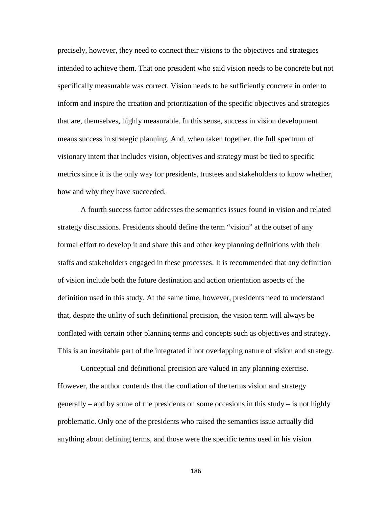precisely, however, they need to connect their visions to the objectives and strategies intended to achieve them. That one president who said vision needs to be concrete but not specifically measurable was correct. Vision needs to be sufficiently concrete in order to inform and inspire the creation and prioritization of the specific objectives and strategies that are, themselves, highly measurable. In this sense, success in vision development means success in strategic planning. And, when taken together, the full spectrum of visionary intent that includes vision, objectives and strategy must be tied to specific metrics since it is the only way for presidents, trustees and stakeholders to know whether, how and why they have succeeded.

A fourth success factor addresses the semantics issues found in vision and related strategy discussions. Presidents should define the term "vision" at the outset of any formal effort to develop it and share this and other key planning definitions with their staffs and stakeholders engaged in these processes. It is recommended that any definition of vision include both the future destination and action orientation aspects of the definition used in this study. At the same time, however, presidents need to understand that, despite the utility of such definitional precision, the vision term will always be conflated with certain other planning terms and concepts such as objectives and strategy. This is an inevitable part of the integrated if not overlapping nature of vision and strategy.

Conceptual and definitional precision are valued in any planning exercise. However, the author contends that the conflation of the terms vision and strategy generally – and by some of the presidents on some occasions in this study – is not highly problematic. Only one of the presidents who raised the semantics issue actually did anything about defining terms, and those were the specific terms used in his vision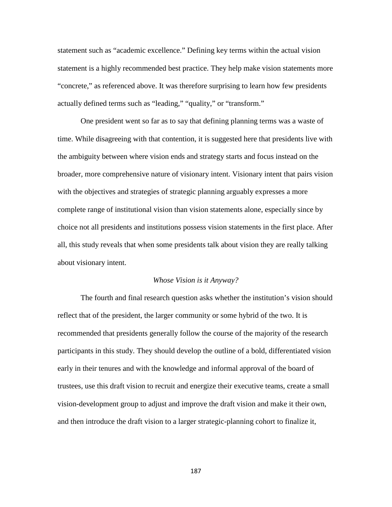statement such as "academic excellence." Defining key terms within the actual vision statement is a highly recommended best practice. They help make vision statements more "concrete," as referenced above. It was therefore surprising to learn how few presidents actually defined terms such as "leading," "quality," or "transform."

One president went so far as to say that defining planning terms was a waste of time. While disagreeing with that contention, it is suggested here that presidents live with the ambiguity between where vision ends and strategy starts and focus instead on the broader, more comprehensive nature of visionary intent. Visionary intent that pairs vision with the objectives and strategies of strategic planning arguably expresses a more complete range of institutional vision than vision statements alone, especially since by choice not all presidents and institutions possess vision statements in the first place. After all, this study reveals that when some presidents talk about vision they are really talking about visionary intent.

#### *Whose Vision is it Anyway?*

The fourth and final research question asks whether the institution's vision should reflect that of the president, the larger community or some hybrid of the two. It is recommended that presidents generally follow the course of the majority of the research participants in this study. They should develop the outline of a bold, differentiated vision early in their tenures and with the knowledge and informal approval of the board of trustees, use this draft vision to recruit and energize their executive teams, create a small vision-development group to adjust and improve the draft vision and make it their own, and then introduce the draft vision to a larger strategic-planning cohort to finalize it,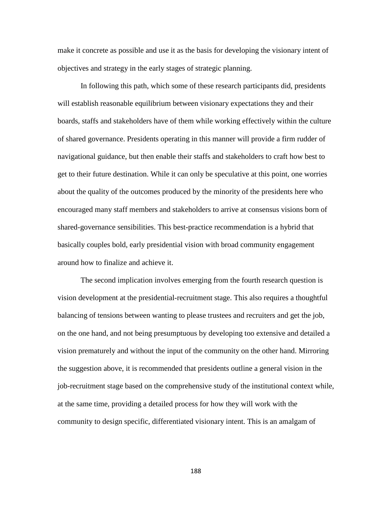make it concrete as possible and use it as the basis for developing the visionary intent of objectives and strategy in the early stages of strategic planning.

In following this path, which some of these research participants did, presidents will establish reasonable equilibrium between visionary expectations they and their boards, staffs and stakeholders have of them while working effectively within the culture of shared governance. Presidents operating in this manner will provide a firm rudder of navigational guidance, but then enable their staffs and stakeholders to craft how best to get to their future destination. While it can only be speculative at this point, one worries about the quality of the outcomes produced by the minority of the presidents here who encouraged many staff members and stakeholders to arrive at consensus visions born of shared-governance sensibilities. This best-practice recommendation is a hybrid that basically couples bold, early presidential vision with broad community engagement around how to finalize and achieve it.

The second implication involves emerging from the fourth research question is vision development at the presidential-recruitment stage. This also requires a thoughtful balancing of tensions between wanting to please trustees and recruiters and get the job, on the one hand, and not being presumptuous by developing too extensive and detailed a vision prematurely and without the input of the community on the other hand. Mirroring the suggestion above, it is recommended that presidents outline a general vision in the job-recruitment stage based on the comprehensive study of the institutional context while, at the same time, providing a detailed process for how they will work with the community to design specific, differentiated visionary intent. This is an amalgam of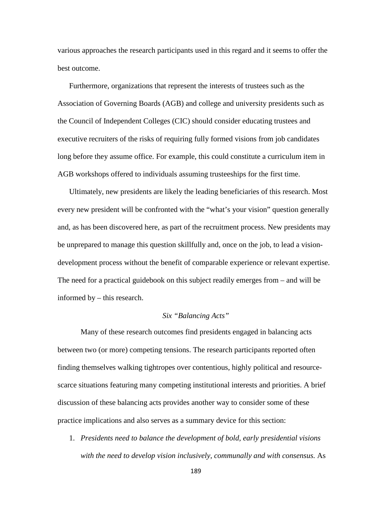various approaches the research participants used in this regard and it seems to offer the best outcome.

Furthermore, organizations that represent the interests of trustees such as the Association of Governing Boards (AGB) and college and university presidents such as the Council of Independent Colleges (CIC) should consider educating trustees and executive recruiters of the risks of requiring fully formed visions from job candidates long before they assume office. For example, this could constitute a curriculum item in AGB workshops offered to individuals assuming trusteeships for the first time.

Ultimately, new presidents are likely the leading beneficiaries of this research. Most every new president will be confronted with the "what's your vision" question generally and, as has been discovered here, as part of the recruitment process. New presidents may be unprepared to manage this question skillfully and, once on the job, to lead a visiondevelopment process without the benefit of comparable experience or relevant expertise. The need for a practical guidebook on this subject readily emerges from – and will be informed by – this research.

# *Six "Balancing Acts"*

Many of these research outcomes find presidents engaged in balancing acts between two (or more) competing tensions. The research participants reported often finding themselves walking tightropes over contentious, highly political and resourcescarce situations featuring many competing institutional interests and priorities. A brief discussion of these balancing acts provides another way to consider some of these practice implications and also serves as a summary device for this section:

1. *Presidents need to balance the development of bold, early presidential visions with the need to develop vision inclusively, communally and with consensus.* As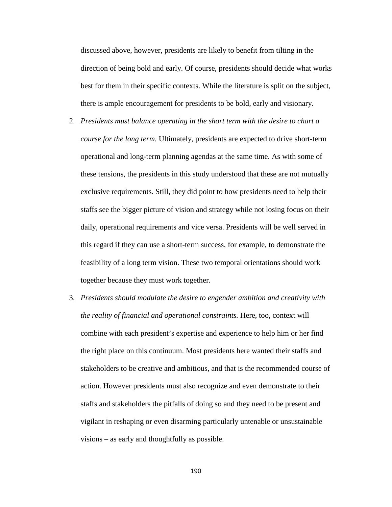discussed above, however, presidents are likely to benefit from tilting in the direction of being bold and early. Of course, presidents should decide what works best for them in their specific contexts. While the literature is split on the subject, there is ample encouragement for presidents to be bold, early and visionary.

- 2. *Presidents must balance operating in the short term with the desire to chart a course for the long term.* Ultimately, presidents are expected to drive short-term operational and long-term planning agendas at the same time. As with some of these tensions, the presidents in this study understood that these are not mutually exclusive requirements. Still, they did point to how presidents need to help their staffs see the bigger picture of vision and strategy while not losing focus on their daily, operational requirements and vice versa. Presidents will be well served in this regard if they can use a short-term success, for example, to demonstrate the feasibility of a long term vision. These two temporal orientations should work together because they must work together.
- 3. *Presidents should modulate the desire to engender ambition and creativity with the reality of financial and operational constraints.* Here, too, context will combine with each president's expertise and experience to help him or her find the right place on this continuum. Most presidents here wanted their staffs and stakeholders to be creative and ambitious, and that is the recommended course of action. However presidents must also recognize and even demonstrate to their staffs and stakeholders the pitfalls of doing so and they need to be present and vigilant in reshaping or even disarming particularly untenable or unsustainable visions – as early and thoughtfully as possible.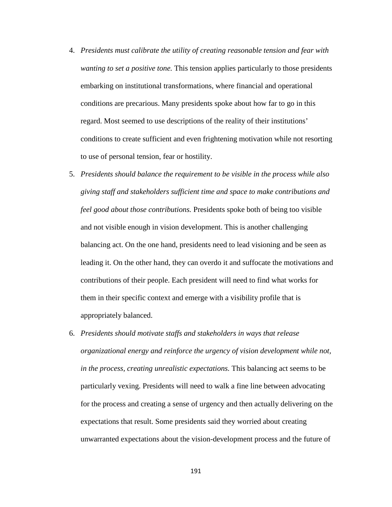- 4. *Presidents must calibrate the utility of creating reasonable tension and fear with wanting to set a positive tone.* This tension applies particularly to those presidents embarking on institutional transformations, where financial and operational conditions are precarious. Many presidents spoke about how far to go in this regard. Most seemed to use descriptions of the reality of their institutions' conditions to create sufficient and even frightening motivation while not resorting to use of personal tension, fear or hostility.
- 5. *Presidents should balance the requirement to be visible in the process while also giving staff and stakeholders sufficient time and space to make contributions and feel good about those contributions.* Presidents spoke both of being too visible and not visible enough in vision development. This is another challenging balancing act. On the one hand, presidents need to lead visioning and be seen as leading it. On the other hand, they can overdo it and suffocate the motivations and contributions of their people. Each president will need to find what works for them in their specific context and emerge with a visibility profile that is appropriately balanced.
- 6. *Presidents should motivate staffs and stakeholders in ways that release organizational energy and reinforce the urgency of vision development while not, in the process, creating unrealistic expectations.* This balancing act seems to be particularly vexing. Presidents will need to walk a fine line between advocating for the process and creating a sense of urgency and then actually delivering on the expectations that result. Some presidents said they worried about creating unwarranted expectations about the vision-development process and the future of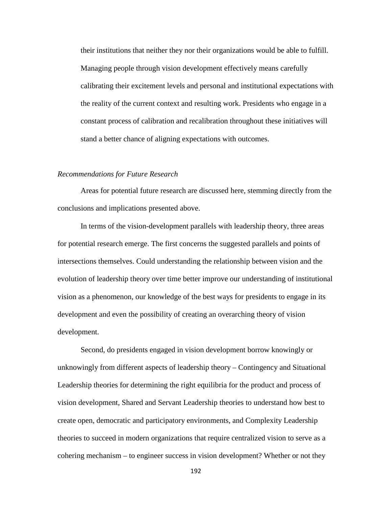their institutions that neither they nor their organizations would be able to fulfill. Managing people through vision development effectively means carefully calibrating their excitement levels and personal and institutional expectations with the reality of the current context and resulting work. Presidents who engage in a constant process of calibration and recalibration throughout these initiatives will stand a better chance of aligning expectations with outcomes.

# *Recommendations for Future Research*

Areas for potential future research are discussed here, stemming directly from the conclusions and implications presented above.

In terms of the vision-development parallels with leadership theory, three areas for potential research emerge. The first concerns the suggested parallels and points of intersections themselves. Could understanding the relationship between vision and the evolution of leadership theory over time better improve our understanding of institutional vision as a phenomenon, our knowledge of the best ways for presidents to engage in its development and even the possibility of creating an overarching theory of vision development.

Second, do presidents engaged in vision development borrow knowingly or unknowingly from different aspects of leadership theory – Contingency and Situational Leadership theories for determining the right equilibria for the product and process of vision development, Shared and Servant Leadership theories to understand how best to create open, democratic and participatory environments, and Complexity Leadership theories to succeed in modern organizations that require centralized vision to serve as a cohering mechanism – to engineer success in vision development? Whether or not they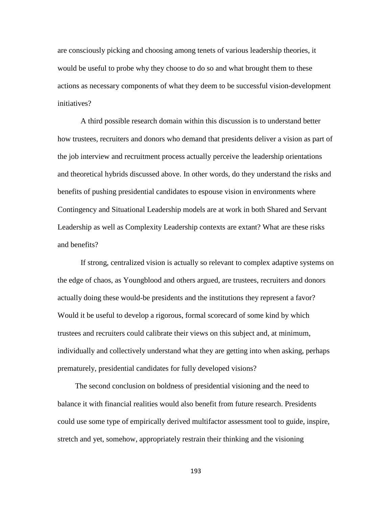are consciously picking and choosing among tenets of various leadership theories, it would be useful to probe why they choose to do so and what brought them to these actions as necessary components of what they deem to be successful vision-development initiatives?

A third possible research domain within this discussion is to understand better how trustees, recruiters and donors who demand that presidents deliver a vision as part of the job interview and recruitment process actually perceive the leadership orientations and theoretical hybrids discussed above. In other words, do they understand the risks and benefits of pushing presidential candidates to espouse vision in environments where Contingency and Situational Leadership models are at work in both Shared and Servant Leadership as well as Complexity Leadership contexts are extant? What are these risks and benefits?

If strong, centralized vision is actually so relevant to complex adaptive systems on the edge of chaos, as Youngblood and others argued, are trustees, recruiters and donors actually doing these would-be presidents and the institutions they represent a favor? Would it be useful to develop a rigorous, formal scorecard of some kind by which trustees and recruiters could calibrate their views on this subject and, at minimum, individually and collectively understand what they are getting into when asking, perhaps prematurely, presidential candidates for fully developed visions?

The second conclusion on boldness of presidential visioning and the need to balance it with financial realities would also benefit from future research. Presidents could use some type of empirically derived multifactor assessment tool to guide, inspire, stretch and yet, somehow, appropriately restrain their thinking and the visioning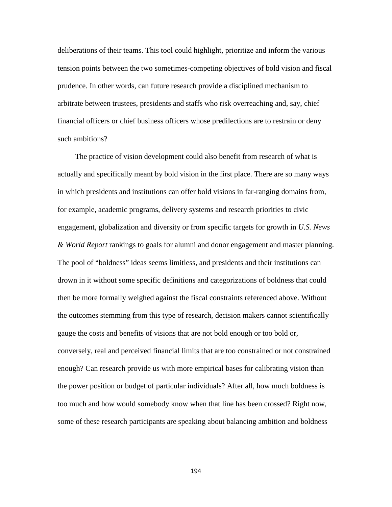deliberations of their teams. This tool could highlight, prioritize and inform the various tension points between the two sometimes-competing objectives of bold vision and fiscal prudence. In other words, can future research provide a disciplined mechanism to arbitrate between trustees, presidents and staffs who risk overreaching and, say, chief financial officers or chief business officers whose predilections are to restrain or deny such ambitions?

The practice of vision development could also benefit from research of what is actually and specifically meant by bold vision in the first place. There are so many ways in which presidents and institutions can offer bold visions in far-ranging domains from, for example, academic programs, delivery systems and research priorities to civic engagement, globalization and diversity or from specific targets for growth in *U.S. News & World Report* rankings to goals for alumni and donor engagement and master planning. The pool of "boldness" ideas seems limitless, and presidents and their institutions can drown in it without some specific definitions and categorizations of boldness that could then be more formally weighed against the fiscal constraints referenced above. Without the outcomes stemming from this type of research, decision makers cannot scientifically gauge the costs and benefits of visions that are not bold enough or too bold or, conversely, real and perceived financial limits that are too constrained or not constrained enough? Can research provide us with more empirical bases for calibrating vision than the power position or budget of particular individuals? After all, how much boldness is too much and how would somebody know when that line has been crossed? Right now, some of these research participants are speaking about balancing ambition and boldness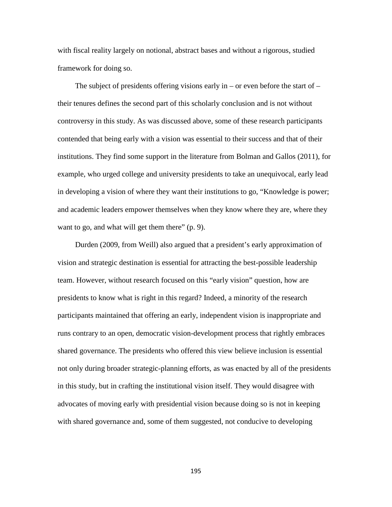with fiscal reality largely on notional, abstract bases and without a rigorous, studied framework for doing so.

The subject of presidents offering visions early in – or even before the start of  $$ their tenures defines the second part of this scholarly conclusion and is not without controversy in this study. As was discussed above, some of these research participants contended that being early with a vision was essential to their success and that of their institutions. They find some support in the literature from Bolman and Gallos (2011), for example, who urged college and university presidents to take an unequivocal, early lead in developing a vision of where they want their institutions to go, "Knowledge is power; and academic leaders empower themselves when they know where they are, where they want to go, and what will get them there" (p. 9).

Durden (2009, from Weill) also argued that a president's early approximation of vision and strategic destination is essential for attracting the best-possible leadership team. However, without research focused on this "early vision" question, how are presidents to know what is right in this regard? Indeed, a minority of the research participants maintained that offering an early, independent vision is inappropriate and runs contrary to an open, democratic vision-development process that rightly embraces shared governance. The presidents who offered this view believe inclusion is essential not only during broader strategic-planning efforts, as was enacted by all of the presidents in this study, but in crafting the institutional vision itself. They would disagree with advocates of moving early with presidential vision because doing so is not in keeping with shared governance and, some of them suggested, not conducive to developing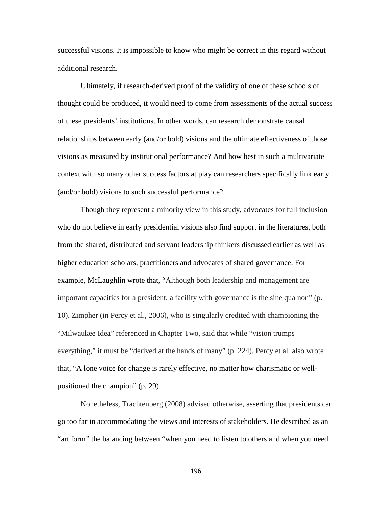successful visions. It is impossible to know who might be correct in this regard without additional research.

Ultimately, if research-derived proof of the validity of one of these schools of thought could be produced, it would need to come from assessments of the actual success of these presidents' institutions. In other words, can research demonstrate causal relationships between early (and/or bold) visions and the ultimate effectiveness of those visions as measured by institutional performance? And how best in such a multivariate context with so many other success factors at play can researchers specifically link early (and/or bold) visions to such successful performance?

Though they represent a minority view in this study, advocates for full inclusion who do not believe in early presidential visions also find support in the literatures, both from the shared, distributed and servant leadership thinkers discussed earlier as well as higher education scholars, practitioners and advocates of shared governance. For example, McLaughlin wrote that, "Although both leadership and management are important capacities for a president, a facility with governance is the sine qua non" (p. 10). Zimpher (in Percy et al., 2006), who is singularly credited with championing the "Milwaukee Idea" referenced in Chapter Two, said that while "vision trumps everything," it must be "derived at the hands of many" (p. 224). Percy et al. also wrote that, "A lone voice for change is rarely effective, no matter how charismatic or wellpositioned the champion" (p. 29).

Nonetheless, Trachtenberg (2008) advised otherwise, asserting that presidents can go too far in accommodating the views and interests of stakeholders. He described as an "art form" the balancing between "when you need to listen to others and when you need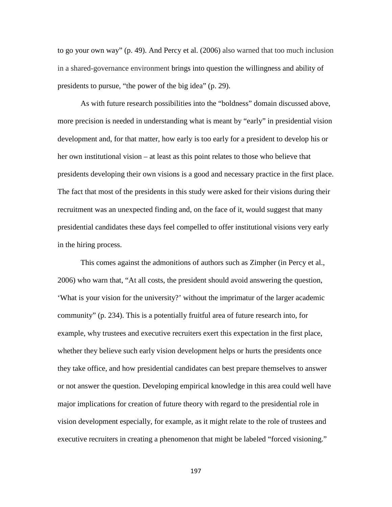to go your own way" (p. 49). And Percy et al. (2006) also warned that too much inclusion in a shared-governance environment brings into question the willingness and ability of presidents to pursue, "the power of the big idea" (p. 29).

As with future research possibilities into the "boldness" domain discussed above, more precision is needed in understanding what is meant by "early" in presidential vision development and, for that matter, how early is too early for a president to develop his or her own institutional vision – at least as this point relates to those who believe that presidents developing their own visions is a good and necessary practice in the first place. The fact that most of the presidents in this study were asked for their visions during their recruitment was an unexpected finding and, on the face of it, would suggest that many presidential candidates these days feel compelled to offer institutional visions very early in the hiring process.

This comes against the admonitions of authors such as Zimpher (in Percy et al., 2006) who warn that, "At all costs, the president should avoid answering the question, 'What is your vision for the university?' without the imprimatur of the larger academic community" (p. 234). This is a potentially fruitful area of future research into, for example, why trustees and executive recruiters exert this expectation in the first place, whether they believe such early vision development helps or hurts the presidents once they take office, and how presidential candidates can best prepare themselves to answer or not answer the question. Developing empirical knowledge in this area could well have major implications for creation of future theory with regard to the presidential role in vision development especially, for example, as it might relate to the role of trustees and executive recruiters in creating a phenomenon that might be labeled "forced visioning."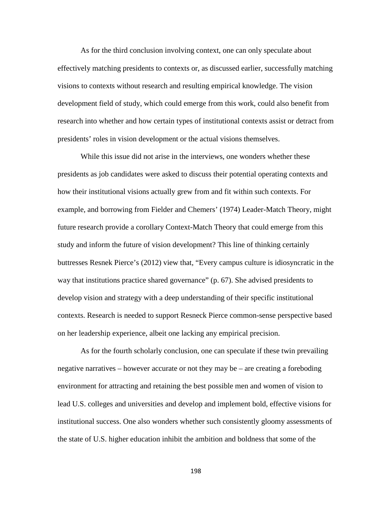As for the third conclusion involving context, one can only speculate about effectively matching presidents to contexts or, as discussed earlier, successfully matching visions to contexts without research and resulting empirical knowledge. The vision development field of study, which could emerge from this work, could also benefit from research into whether and how certain types of institutional contexts assist or detract from presidents' roles in vision development or the actual visions themselves.

While this issue did not arise in the interviews, one wonders whether these presidents as job candidates were asked to discuss their potential operating contexts and how their institutional visions actually grew from and fit within such contexts. For example, and borrowing from Fielder and Chemers' (1974) Leader-Match Theory, might future research provide a corollary Context-Match Theory that could emerge from this study and inform the future of vision development? This line of thinking certainly buttresses Resnek Pierce's (2012) view that, "Every campus culture is idiosyncratic in the way that institutions practice shared governance" (p. 67). She advised presidents to develop vision and strategy with a deep understanding of their specific institutional contexts. Research is needed to support Resneck Pierce common-sense perspective based on her leadership experience, albeit one lacking any empirical precision.

As for the fourth scholarly conclusion, one can speculate if these twin prevailing negative narratives – however accurate or not they may be – are creating a foreboding environment for attracting and retaining the best possible men and women of vision to lead U.S. colleges and universities and develop and implement bold, effective visions for institutional success. One also wonders whether such consistently gloomy assessments of the state of U.S. higher education inhibit the ambition and boldness that some of the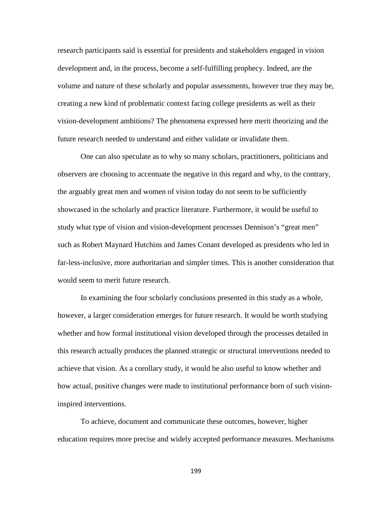research participants said is essential for presidents and stakeholders engaged in vision development and, in the process, become a self-fulfilling prophecy. Indeed, are the volume and nature of these scholarly and popular assessments, however true they may be, creating a new kind of problematic context facing college presidents as well as their vision-development ambitions? The phenomena expressed here merit theorizing and the future research needed to understand and either validate or invalidate them.

One can also speculate as to why so many scholars, practitioners, politicians and observers are choosing to accentuate the negative in this regard and why, to the contrary, the arguably great men and women of vision today do not seem to be sufficiently showcased in the scholarly and practice literature. Furthermore, it would be useful to study what type of vision and vision-development processes Dennison's "great men" such as Robert Maynard Hutchins and James Conant developed as presidents who led in far-less-inclusive, more authoritarian and simpler times. This is another consideration that would seem to merit future research.

In examining the four scholarly conclusions presented in this study as a whole, however, a larger consideration emerges for future research. It would be worth studying whether and how formal institutional vision developed through the processes detailed in this research actually produces the planned strategic or structural interventions needed to achieve that vision. As a corollary study, it would be also useful to know whether and how actual, positive changes were made to institutional performance born of such visioninspired interventions.

To achieve, document and communicate these outcomes, however, higher education requires more precise and widely accepted performance measures. Mechanisms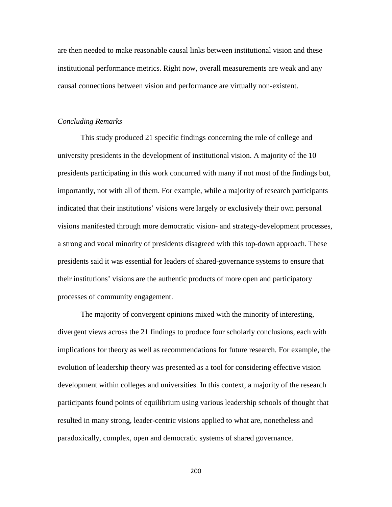are then needed to make reasonable causal links between institutional vision and these institutional performance metrics. Right now, overall measurements are weak and any causal connections between vision and performance are virtually non-existent.

#### *Concluding Remarks*

This study produced 21 specific findings concerning the role of college and university presidents in the development of institutional vision. A majority of the 10 presidents participating in this work concurred with many if not most of the findings but, importantly, not with all of them. For example, while a majority of research participants indicated that their institutions' visions were largely or exclusively their own personal visions manifested through more democratic vision- and strategy-development processes, a strong and vocal minority of presidents disagreed with this top-down approach. These presidents said it was essential for leaders of shared-governance systems to ensure that their institutions' visions are the authentic products of more open and participatory processes of community engagement.

The majority of convergent opinions mixed with the minority of interesting, divergent views across the 21 findings to produce four scholarly conclusions, each with implications for theory as well as recommendations for future research. For example, the evolution of leadership theory was presented as a tool for considering effective vision development within colleges and universities. In this context, a majority of the research participants found points of equilibrium using various leadership schools of thought that resulted in many strong, leader-centric visions applied to what are, nonetheless and paradoxically, complex, open and democratic systems of shared governance.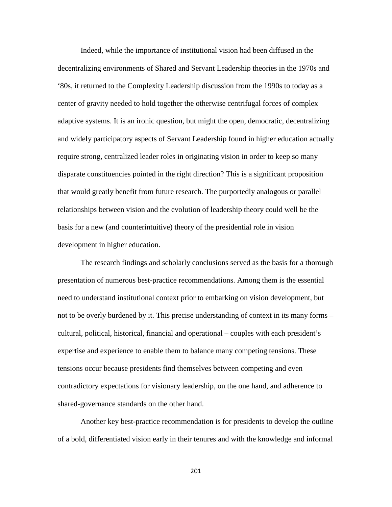Indeed, while the importance of institutional vision had been diffused in the decentralizing environments of Shared and Servant Leadership theories in the 1970s and '80s, it returned to the Complexity Leadership discussion from the 1990s to today as a center of gravity needed to hold together the otherwise centrifugal forces of complex adaptive systems. It is an ironic question, but might the open, democratic, decentralizing and widely participatory aspects of Servant Leadership found in higher education actually require strong, centralized leader roles in originating vision in order to keep so many disparate constituencies pointed in the right direction? This is a significant proposition that would greatly benefit from future research. The purportedly analogous or parallel relationships between vision and the evolution of leadership theory could well be the basis for a new (and counterintuitive) theory of the presidential role in vision development in higher education.

The research findings and scholarly conclusions served as the basis for a thorough presentation of numerous best-practice recommendations. Among them is the essential need to understand institutional context prior to embarking on vision development, but not to be overly burdened by it. This precise understanding of context in its many forms – cultural, political, historical, financial and operational – couples with each president's expertise and experience to enable them to balance many competing tensions. These tensions occur because presidents find themselves between competing and even contradictory expectations for visionary leadership, on the one hand, and adherence to shared-governance standards on the other hand.

Another key best-practice recommendation is for presidents to develop the outline of a bold, differentiated vision early in their tenures and with the knowledge and informal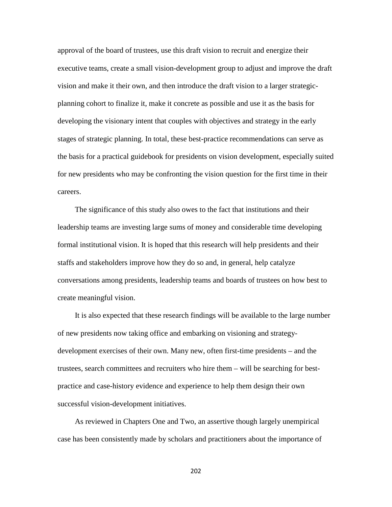approval of the board of trustees, use this draft vision to recruit and energize their executive teams, create a small vision-development group to adjust and improve the draft vision and make it their own, and then introduce the draft vision to a larger strategicplanning cohort to finalize it, make it concrete as possible and use it as the basis for developing the visionary intent that couples with objectives and strategy in the early stages of strategic planning. In total, these best-practice recommendations can serve as the basis for a practical guidebook for presidents on vision development, especially suited for new presidents who may be confronting the vision question for the first time in their careers.

The significance of this study also owes to the fact that institutions and their leadership teams are investing large sums of money and considerable time developing formal institutional vision. It is hoped that this research will help presidents and their staffs and stakeholders improve how they do so and, in general, help catalyze conversations among presidents, leadership teams and boards of trustees on how best to create meaningful vision.

It is also expected that these research findings will be available to the large number of new presidents now taking office and embarking on visioning and strategydevelopment exercises of their own. Many new, often first-time presidents – and the trustees, search committees and recruiters who hire them – will be searching for bestpractice and case-history evidence and experience to help them design their own successful vision-development initiatives.

As reviewed in Chapters One and Two, an assertive though largely unempirical case has been consistently made by scholars and practitioners about the importance of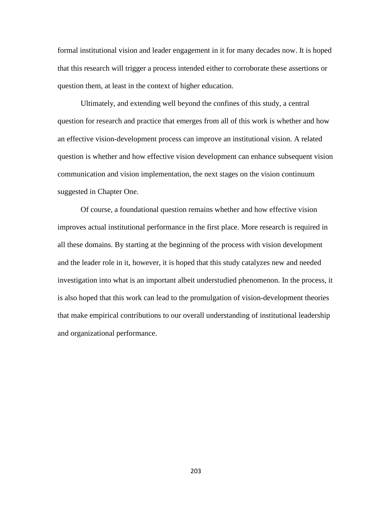formal institutional vision and leader engagement in it for many decades now. It is hoped that this research will trigger a process intended either to corroborate these assertions or question them, at least in the context of higher education.

Ultimately, and extending well beyond the confines of this study, a central question for research and practice that emerges from all of this work is whether and how an effective vision-development process can improve an institutional vision. A related question is whether and how effective vision development can enhance subsequent vision communication and vision implementation, the next stages on the vision continuum suggested in Chapter One.

Of course, a foundational question remains whether and how effective vision improves actual institutional performance in the first place. More research is required in all these domains. By starting at the beginning of the process with vision development and the leader role in it, however, it is hoped that this study catalyzes new and needed investigation into what is an important albeit understudied phenomenon. In the process, it is also hoped that this work can lead to the promulgation of vision-development theories that make empirical contributions to our overall understanding of institutional leadership and organizational performance.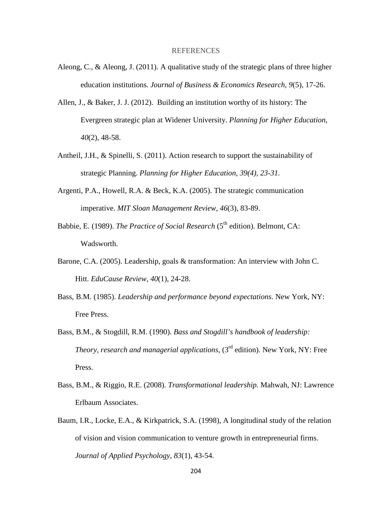### REFERENCES

- Aleong, C., & Aleong, J. (2011). A qualitative study of the strategic plans of three higher education institutions. *Journal of Business & Economics Research, 9*(5), 17-26.
- Allen, J., & Baker, J. J. (2012). Building an institution worthy of its history: The Evergreen strategic plan at Widener University. *Planning for Higher Education*, *40*(2), 48-58.
- Antheil, J.H., & Spinelli, S. (2011). Action research to support the sustainability of strategic Planning. *Planning for Higher Education, 39(4), 23-31.*
- Argenti, P.A., Howell, R.A. & Beck, K.A. (2005). The strategic communication imperative. *MIT Sloan Management Review*, *46*(3), 83-89.
- Babbie, E. (1989). *The Practice of Social Research* (5<sup>th</sup> edition). Belmont, CA: Wadsworth.
- Barone, C.A. (2005). Leadership, goals & transformation: An interview with John C. Hitt. *EduCause Review, 40*(1), 24-28.
- Bass, B.M. (1985). *Leadership and performance beyond expectations*. New York, NY: Free Press.
- Bass, B.M., & Stogdill, R.M. (1990). *Bass and Stogdill's handbook of leadership: Theory, research and managerial applications*, (3rd edition). New York, NY: Free Press.
- Bass, B.M., & Riggio, R.E. (2008). *Transformational leadership.* Mahwah, NJ: Lawrence Erlbaum Associates.
- Baum, I.R., Locke, E.A., & Kirkpatrick, S.A. (1998), A longitudinal study of the relation of vision and vision communication to venture growth in entrepreneurial firms. *Journal of Applied Psychology*, *83*(1), 43-54.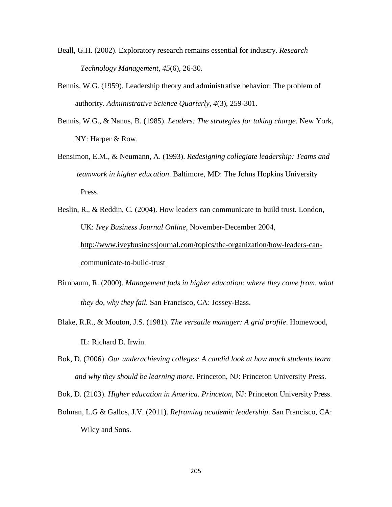- Beall, G.H. (2002). Exploratory research remains essential for industry. *Research Technology Management, 45*(6), 26-30.
- Bennis, W.G. (1959). Leadership theory and administrative behavior: The problem of authority. *Administrative Science Quarterly*, *4*(3), 259-301.
- Bennis, W.G., & Nanus, B. (1985). *Leaders: The strategies for taking charge.* New York, NY: Harper & Row.
- Bensimon, E.M., & Neumann, A. (1993). *Redesigning collegiate leadership: Teams and teamwork in higher education*. Baltimore, MD: The Johns Hopkins University Press.
- Beslin, R., & Reddin, C. (2004). How leaders can communicate to build trust. London, UK: *Ivey Business Journal Online*, November-December 2004, [http://www.iveybusinessjournal.com/topics/the-organization/how-leaders-can](http://www.iveybusinessjournal.com/topics/the-organization/how-leaders-can-)communicate-to-build-trust
- Birnbaum, R. (2000). *Management fads in higher education: where they come from, what they do, why they fail.* San Francisco, CA: Jossey-Bass.
- Blake, R.R., & Mouton, J.S. (1981). *The versatile manager: A grid profile*. Homewood, IL: Richard D. Irwin.
- Bok, D. (2006). *Our underachieving colleges: A candid look at how much students learn and why they should be learning more*. Princeton, NJ: Princeton University Press.

Bok, D. (2103). *Higher education in America. Princeton*, NJ: Princeton University Press.

Bolman, L.G & Gallos, J.V. (2011). *Reframing academic leadership*. San Francisco, CA: Wiley and Sons.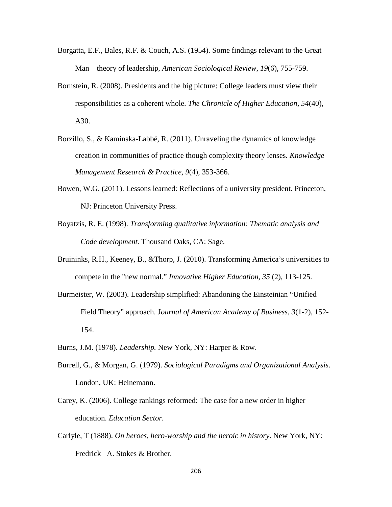- Borgatta, E.F., Bales, R.F. & Couch, A.S. (1954). Some findings relevant to the Great Man theory of leadership, *American Sociological Review*, *19*(6), 755-759.
- Bornstein, R. (2008). Presidents and the big picture: College leaders must view their responsibilities as a coherent whole. *The Chronicle of Higher Education*, *54*(40), A30.
- Borzillo, S., & Kaminska-Labbé, R. (2011). Unraveling the dynamics of knowledge creation in communities of practice though complexity theory lenses. *Knowledge Management Research & Practice, 9*(4), 353-366.
- Bowen, W.G. (2011). Lessons learned: Reflections of a university president. Princeton, NJ: Princeton University Press.
- Boyatzis, R. E. (1998). *Transforming qualitative information: Thematic analysis and Code development.* Thousand Oaks, CA: Sage.
- Bruininks, R.H., Keeney, B., &Thorp, J. (2010). Transforming America's universities to compete in the "new normal." *Innovative Higher Education, 35* (2), 113-125.
- Burmeister, W. (2003). Leadership simplified: Abandoning the Einsteinian "Unified Field Theory" approach. J*[ournal of American Academy of Business](http://search.proquest.com.proxygw.wrlc.org/pubidlinkhandler/sng/pubtitle/Journal+of+American+Academy+of+Business,+Cambridge/$N/26838/DocView/222859653/fulltext/13C6D57639063AFF778/8?accountid=11243)*, *3*(1-2), 152- 154.
- Burns, J.M. (1978). *Leadership.* New York, NY: Harper & Row.
- Burrell, G., & Morgan, G. (1979). *Sociological Paradigms and Organizational Analysis*. London, UK: Heinemann.
- Carey, K. (2006). College rankings reformed: The case for a new order in higher education. *Education Sector.*
- Carlyle, T (1888). *On heroes, hero-worship and the heroic in history*. New York, NY: Fredrick A. Stokes & Brother.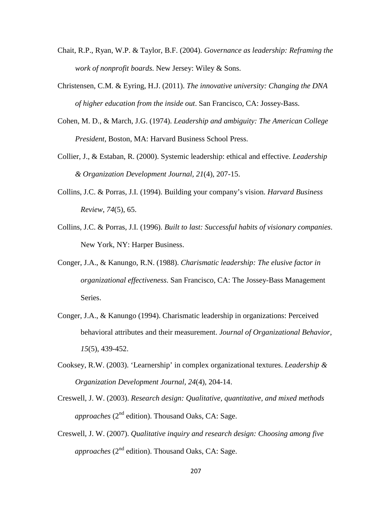- Chait, R.P., Ryan, W.P. & Taylor, B.F. (2004). *Governance as leadership: Reframing the work of nonprofit boards*. New Jersey: Wiley & Sons.
- Christensen, C.M. & Eyring, H.J. (2011). *The innovative university: Changing the DNA of higher education from the inside out*. San Francisco, CA: Jossey-Bass.
- Cohen, M. D., & March, J.G. (1974). *Leadership and ambiguity: The American College President*, Boston, MA: Harvard Business School Press.
- Collier, J., & Estaban, R. (2000). Systemic leadership: ethical and effective. *Leadership & Organization Development Journal*, *21*(4), 207-15.
- Collins, J.C. & Porras, J.I. (1994). Building your company's vision. *Harvard Business Review*, *74*(5), 65.
- Collins, J.C. & Porras, J.I. (1996). *Built to last: Successful habits of visionary companies*. New York, NY: Harper Business.
- Conger, J.A., & Kanungo, R.N. (1988). *Charismatic leadership: The elusive factor in organizational effectiveness*. San Francisco, CA: The Jossey-Bass Management Series.
- Conger, J.A., & Kanungo (1994). Charismatic leadership in organizations: Perceived behavioral attributes and their measurement. *Journal of Organizational Behavior*, *15*(5), 439-452.
- Cooksey, R.W. (2003). 'Learnership' in complex organizational textures. *Leadership & Organization Development Journal, 24*(4), 204-14.
- Creswell, J. W. (2003). *Research design: Qualitative, quantitative, and mixed methods approaches* (2nd edition). Thousand Oaks, CA: Sage.
- Creswell, J. W. (2007). *Qualitative inquiry and research design: Choosing among five approaches*  $(2^{nd}$  edition). Thousand Oaks, CA: Sage.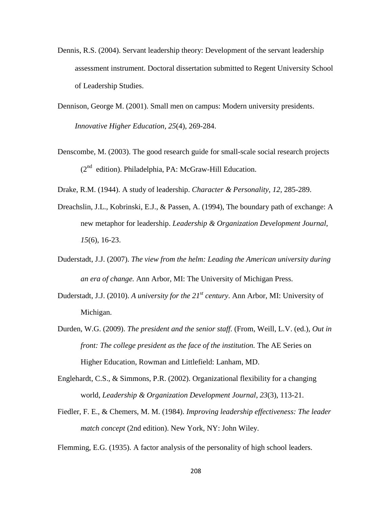- Dennis, R.S. (2004). Servant leadership theory: Development of the servant leadership assessment instrument. Doctoral dissertation submitted to Regent University School of Leadership Studies.
- Dennison, George M. (2001). Small men on campus: Modern university presidents. *Innovative Higher Education, 25*(4), 269-284.
- Denscombe, M. (2003). The good research guide for small-scale social research projects  $(2<sup>nd</sup> edition)$ . Philadelphia, PA: McGraw-Hill Education.
- Drake, R.M. (1944). A study of leadership. *Character & Personality*, *12*, 285-289.
- Dreachslin, J.L., Kobrinski, E.J., & Passen, A. (1994), The boundary path of exchange: A new metaphor for leadership. *Leadership & Organization Development Journal*, *15*(6), 16-23.
- Duderstadt, J.J. (2007). *The view from the helm: Leading the American university during an era of change.* Ann Arbor, MI: The University of Michigan Press.
- Duderstadt, J.J. (2010). *A university for the 21st century*. Ann Arbor, MI: University of Michigan.
- Durden, W.G. (2009). *The president and the senior staff.* (From, Weill, L.V. (ed.), *Out in front: The college president as the face of the institution.* The AE Series on Higher Education, Rowman and Littlefield: Lanham, MD.
- Englehardt, C.S., & Simmons, P.R. (2002). Organizational flexibility for a changing world, *Leadership & Organization Development Journal*, *23*(3), 113-21.
- Fiedler, F. E., & Chemers, M. M. (1984). *Improving leadership effectiveness: The leader match concept* (2nd edition). New York, NY: John Wiley.

Flemming, E.G. (1935). A factor analysis of the personality of high school leaders.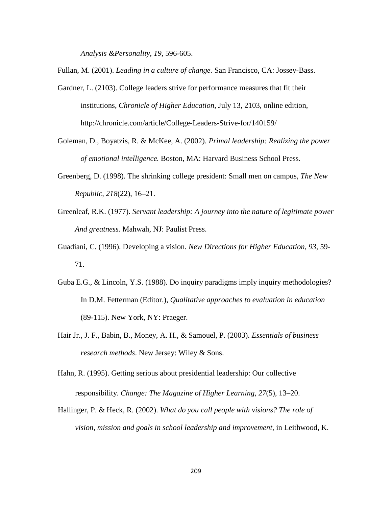*Analysis &Personality*, *19*, 596-605.

Fullan, M. (2001). *Leading in a culture of change.* San Francisco, CA: Jossey-Bass.

- Gardner, L. (2103). College leaders strive for performance measures that fit their institutions, *Chronicle of Higher Education*, July 13, 2103, online edition, <http://chronicle.com/article/College-Leaders-Strive-for/140159/>
- Goleman, D., Boyatzis, R. & McKee, A. (2002). *Primal leadership: Realizing the power of emotional intelligence.* Boston, MA: Harvard Business School Press.
- Greenberg, D. (1998). The shrinking college president: Small men on campus*, The New Republic, 218*(22), 16–21.
- Greenleaf, R.K. (1977). *Servant leadership: A journey into the nature of legitimate power And greatness.* Mahwah, NJ: Paulist Press.
- Guadiani, C. (1996). Developing a vision. *New Directions for Higher Education, 93*, 59- 71.
- Guba E.G., & Lincoln, Y.S. (1988). Do inquiry paradigms imply inquiry methodologies? In D.M. Fetterman (Editor.), *Qualitative approaches to evaluation in education* (89-115). New York, NY: Praeger.
- Hair Jr., J. F., Babin, B., Money, A. H., & Samouel, P. (2003). *Essentials of business research methods*. New Jersey: Wiley & Sons.
- Hahn, R. (1995). Getting serious about presidential leadership: Our collective responsibility. *Change: The Magazine of Higher Learning*, *27*(5), 13–20.
- Hallinger, P. & Heck, R. (2002). *What do you call people with visions? The role of vision, mission and goals in school leadership and improvement*, in Leithwood, K.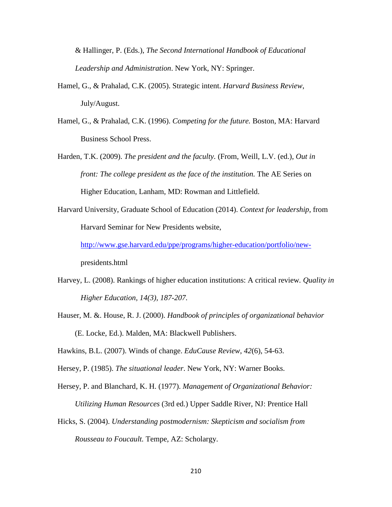& Hallinger, P. (Eds.), *The Second International Handbook of Educational Leadership and Administration*. New York, NY: Springer.

- Hamel, G., & Prahalad, C.K. (2005). Strategic intent. *Harvard Business Review*, July/August.
- Hamel, G., & Prahalad, C.K. (1996). *Competing for the future.* Boston, MA: Harvard Business School Press.
- Harden, T.K. (2009). *The president and the faculty.* (From, Weill, L.V. (ed.), *Out in front: The college president as the face of the institution.* The AE Series on Higher Education, Lanham, MD: Rowman and Littlefield.
- Harvard University, Graduate School of Education (2014). *Context for leadership*, from Harvard Seminar for New Presidents website,

[http://www.gse.harvard.edu/ppe/programs/higher-education/portfolio/new](http://www.gse.harvard.edu/ppe/programs/higher-education/portfolio/new-)presidents.html

- Harvey, L. (2008). Rankings of higher education institutions: A critical review*. Quality in Higher Education, 14(3), 187-207.*
- Hauser, M. &. House, R. J. (2000). *Handbook of principles of organizational behavior* (E. Locke, Ed.). Malden, MA: Blackwell Publishers.

Hawkins, B.L. (2007). Winds of change. *EduCause Review*, *42*(6), 54-63.

- Hersey, P. (1985). *The situational leader*. New York, NY: Warner Books.
- Hersey, P. and Blanchard, K. H. (1977). *Management of Organizational Behavior: Utilizing Human Resources* (3rd ed.) Upper Saddle River, NJ: Prentice Hall
- Hicks, S. (2004). *Understanding postmodernism: Skepticism and socialism from Rousseau to Foucault.* Tempe, AZ: Scholargy.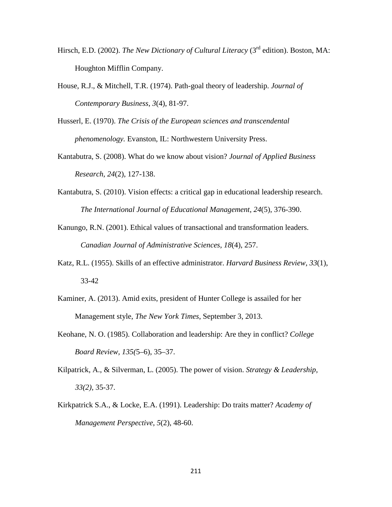- Hirsch, E.D. (2002). *The New Dictionary of Cultural Literacy* (3<sup>rd</sup> edition). Boston, MA: Houghton Mifflin Company.
- House, R.J., & Mitchell, T.R. (1974). Path-goal theory of leadership. *Journal of Contemporary Business*, *3*(4), 81-97.
- Husserl, E. (1970). *The Crisis of the European sciences and transcendental phenomenology.* Evanston, IL: Northwestern University Press.
- Kantabutra, S. (2008). What do we know about vision? *Journal of Applied Business Research*, *24*(2), 127-138.
- Kantabutra, S. (2010). Vision effects: a critical gap in educational leadership research. *The International Journal of Educational Management*, *24*(5), 376-390.
- Kanungo, R.N. (2001). Ethical values of transactional and transformation leaders. *Canadian Journal of Administrative Sciences*, *18*(4), 257.
- Katz, R.L. (1955). Skills of an effective administrator. *Harvard Business Review*, *33*(1), 33-42
- Kaminer, A. (2013). Amid exits, president of Hunter College is assailed for her Management style, *The New York Times*, September 3, 2013.
- Keohane, N. O. (1985). Collaboration and leadership: Are they in conflict? *College Board Review, 135(*5–6), 35–37.
- Kilpatrick, A., & [Silverman, L.](http://search.proquest.com.proxygw.wrlc.org/docview.lateralsearchlink:lateralsearch/sng/author/Silverman,+Les/$N?t:ac=194375176/abstract/135204CCCA96C3391AA/13&t:cp=maintain/resultcitationblocks) (2005). The power of vision. *[Strategy & Leadership,](http://search.proquest.com.proxygw.wrlc.org/docview.lateralsearchlinkbypubid:lateralsearch/sng/pubtitle/Strategy+$26+Leadership/$N/47464?t:ac=194375176/abstract/135204CCCA96C3391AA/13&t:cp=maintain/resultcitationblocks) 33(2),* 35-37.
- Kirkpatrick S.A., & Locke, E.A. (1991). Leadership: Do traits matter? *Academy of Management Perspective*, *5*(2), 48-60.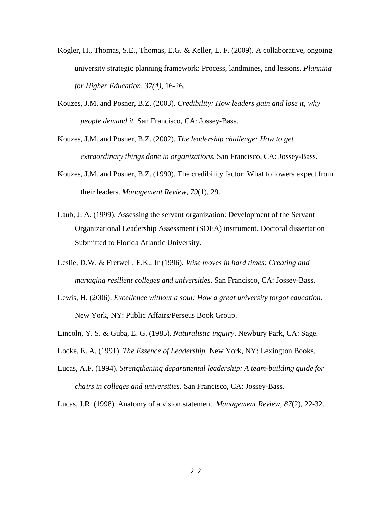- Kogler, H., Thomas, S.E., Thomas, E.G. & Keller, L. F. (2009). A collaborative, ongoing university strategic planning framework: Process, landmines, and lessons. *Planning for Higher Education, 37(4)*, 16-26.
- Kouzes, J.M. and Posner, B.Z. (2003). *Credibility: How leaders gain and lose it, why people demand it.* San Francisco, CA: Jossey-Bass.
- Kouzes, J.M. and Posner, B.Z. (2002). *The leadership challenge: How to get extraordinary things done in organizations.* San Francisco, CA: Jossey-Bass.
- Kouzes, J.M. and Posner, B.Z. (1990). The credibility factor: What followers expect from their leaders. *Management Review*, *79*(1), 29.
- Laub, J. A. (1999). Assessing the servant organization: Development of the Servant Organizational Leadership Assessment (SOEA) instrument. Doctoral dissertation Submitted to Florida Atlantic University.
- Leslie, D.W. & Fretwell, E.K., Jr (1996). *Wise moves in hard times: Creating and managing resilient colleges and universities*. San Francisco, CA: Jossey-Bass.
- Lewis, H. (2006). *Excellence without a soul: How a great university forgot education*. New York, NY: Public Affairs/Perseus Book Group.
- Lincoln, Y. S. & Guba, E. G. (1985). *Naturalistic inquiry*. Newbury Park, CA: Sage.
- Locke, E. A. (1991). *The Essence of Leadership*. New York, NY: Lexington Books.
- Lucas, A.F. (1994). *Strengthening departmental leadership: A team-building guide for chairs in colleges and universities*. San Francisco, CA: Jossey-Bass.

Lucas, J.R. (1998). Anatomy of a vision statement. *Management Review*, *87*(2), 22-32.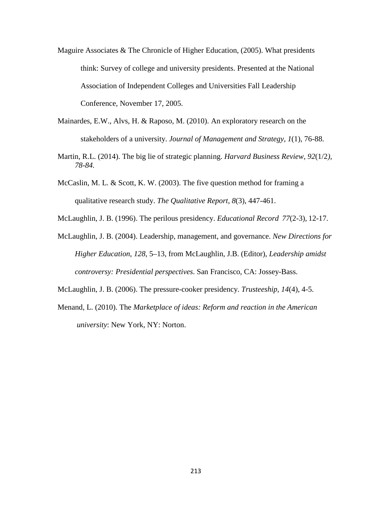- Maguire Associates & The Chronicle of Higher Education, (2005). What presidents think: Survey of college and university presidents. Presented at the National Association of Independent Colleges and Universities Fall Leadership Conference, November 17, 2005.
- Mainardes, E.W., Alvs, H. & Raposo, M. (2010). An exploratory research on the stakeholders of a university. *[Journal of Management and Strategy,](http://search.proquest.com.proxygw.wrlc.org/pubidlinkhandler/sng/pubtitle/Journal+of+Management+and+Strategy/$N/1046410/DocView/1030091086/abstract/13CDE19F58A55F1F11D/11?accountid=11243) 1*(1), 76-88.
- Martin, R.L. (2014). The big lie of strategic planning. *Harvard Business Review, 92*(1/2*), 78-84.*
- McCaslin, M. L. & Scott, K. W. (2003). The five question method for framing a qualitative research study. *The Qualitative Report*, *8*(3), 447-461.
- [McLaughlin, J. B.](http://search.proquest.com.proxygw.wrlc.org/docview.lateralsearchlink:lateralsearch/sng/author/McLaughlin,+Judith+Block/$N?t:ac=62685720/abstract/135D42AF0577838ED01/1&t:cp=maintain/resultcitationblocks) (1996). The perilous presidency. *[Educational Record](http://search.proquest.com.proxygw.wrlc.org/docview.lateralsearchlink_1:lateralsearch/sng/pubtitle/Educational+Record/$N?t:ac=62685720/abstract/135D42AF0577838ED01/1&t:cp=maintain/resultcitationblocks) 77*[\(2-3\)](http://search.proquest.com.proxygw.wrlc.org/docview.lateralsearchlink_1:lateralsearch/sng/pubtitle/Educational+Record/$N?t:ac=62685720/abstract/135D42AF0577838ED01/1&t:cp=maintain/resultcitationblocks)*,* 12-17.
- McLaughlin, J. B. (2004). Leadership, management, and governance. *New Directions for Higher Education*, *128*, 5–13, from McLaughlin, J.B. (Editor), *Leadership amidst controversy: Presidential perspectives*. San Francisco, CA: Jossey-Bass.
- [McLaughlin, J. B.](http://search.proquest.com.proxygw.wrlc.org/docview.lateralsearchlink:lateralsearch/sng/author/McLaughlin,+Judith+Block/$N?t:ac=62028045/abstract/135D42AF0577838ED01/2&t:cp=maintain/resultcitationblocks) (2006). The pressure-cooker presidency. *Trusteeship*, *14*(4), 4-5.
- Menand, L. (2010). The *Marketplace of ideas: Reform and reaction in the American university*: New York, NY: Norton.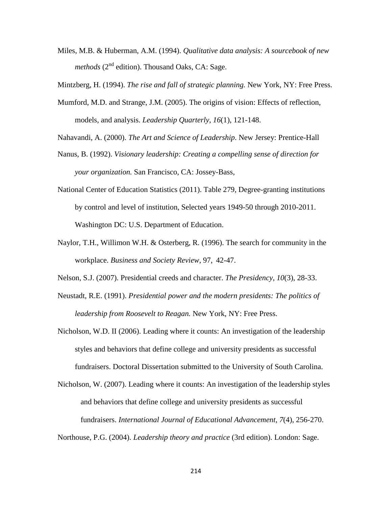Miles, M.B. & Huberman, A.M. (1994). *Qualitative data analysis: A sourcebook of new methods* ( $2<sup>nd</sup>$  edition). Thousand Oaks, CA: Sage.

Mintzberg, H. (1994). *The rise and fall of strategic planning.* New York, NY: Free Press.

- Mumford, M.D. and Strange, J.M. (2005). The origins of vision: Effects of reflection, models, and analysis. *Leadership Quarterly*, *16*(1), 121-148.
- Nahavandi, A. (2000). *The Art and Science of Leadership*. New Jersey: Prentice-Hall
- Nanus, B. (1992). *Visionary leadership: Creating a compelling sense of direction for your organization.* San Francisco, CA: Jossey-Bass,
- National Center of Education Statistics (2011). Table 279, Degree-granting institutions by control and level of institution, Selected years 1949-50 through 2010-2011. Washington DC: U.S. Department of Education.
- Naylor, T.H., Willimon W.H. & Osterberg, R. (1996). The search for community in the workplace. *Business and Society Review,* 97, 42-47.
- Nelson, S.J. (2007). Presidential creeds and character. *The Presidency*, *10*(3), 28-33.
- Neustadt, R.E. (1991). *Presidential power and the modern presidents: The politics of leadership from Roosevelt to Reagan.* New York, NY: Free Press.
- Nicholson, W.D. II (2006). Leading where it counts: An investigation of the leadership styles and behaviors that define college and university presidents as successful fundraisers. Doctoral Dissertation submitted to the University of South Carolina.
- Nicholson, W. (2007). Leading where it counts: An investigation of the leadership styles and behaviors that define college and university presidents as successful fundraisers. *International Journal of Educational Advancement*, *7*(4), 256-270.

Northouse, P.G. (2004). *Leadership theory and practice* (3rd edition). London: Sage.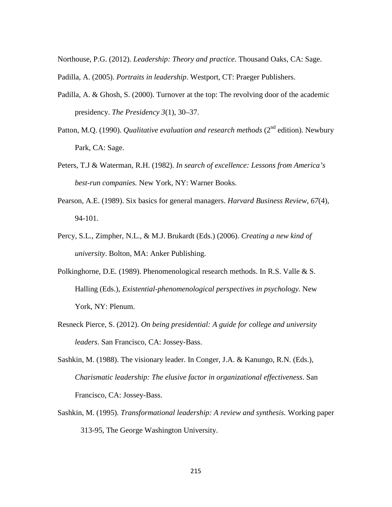Northouse, P.G. (2012). *Leadership: Theory and practice*. Thousand Oaks, CA: Sage.

- Padilla, A. (2005). *Portraits in leadership*. Westport, CT: Praeger Publishers.
- Padilla, A. & Ghosh, S. (2000). Turnover at the top: The revolving door of the academic presidency. *The Presidency 3*(1), 30–37.
- Patton, M.Q. (1990). *Qualitative evaluation and research methods* (2<sup>nd</sup> edition). Newbury Park, CA: Sage.
- Peters, T.J & Waterman, R.H. (1982). *In search of excellence: Lessons from America's best-run companies.* New York, NY: Warner Books.
- Pearson, A.E. (1989). Six basics for general managers. *Harvard Business Review, 67*(4), 94-101.
- Percy, S.L., Zimpher, N.L., & M.J. Brukardt (Eds.) (2006). *Creating a new kind of university*. Bolton, MA: Anker Publishing.
- Polkinghorne, D.E. (1989). Phenomenological research methods. In R.S. Valle & S. Halling (Eds.), *Existential-phenomenological perspectives in psychology.* New York, NY: Plenum.
- Resneck Pierce, S. (2012). *On being presidential: A guide for college and university leaders*. San Francisco, CA: Jossey-Bass.
- Sashkin, M. (1988). The visionary leader. In Conger, J.A. & Kanungo, R.N. (Eds.), *Charismatic leadership: The elusive factor in organizational effectiveness*. San Francisco, CA: Jossey-Bass.
- Sashkin, M. (1995). *Transformational leadership: A review and synthesis*. Working paper 313-95, The George Washington University.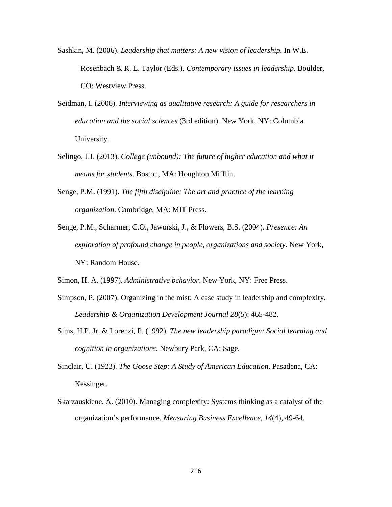- Sashkin, M. (2006). *Leadership that matters: A new vision of leadership*. In W.E. Rosenbach & R. L. Taylor (Eds.), *Contemporary issues in leadership*. Boulder, CO: Westview Press.
- Seidman, I. (2006). *Interviewing as qualitative research: A guide for researchers in education and the social sciences* (3rd edition). New York, NY: Columbia University.
- Selingo, J.J. (2013). *College (unbound): The future of higher education and what it means for students*. Boston, MA: Houghton Mifflin.
- Senge, P.M. (1991). *The fifth discipline: The art and practice of the learning organization*. Cambridge, MA: MIT Press.
- Senge, P.M., Scharmer, C.O., Jaworski, J., & Flowers, B.S. (2004). *Presence: An exploration of profound change in people, organizations and society.* New York, NY: Random House.

Simon, H. A. (1997). *Administrative behavior*. New York, NY: Free Press.

- Simpson, P. (2007). Organizing in the mist: A case study in leadership and complexity. *Leadership & Organization Development Journal 28*(5): 465-482.
- Sims, H.P. Jr. & Lorenzi, P. (1992). *The new leadership paradigm: Social learning and cognition in organizations*. Newbury Park, CA: Sage.
- Sinclair, U. (1923). *The Goose Step: A Study of American Education*. Pasadena, CA: Kessinger.
- Skarzauskiene, A. (2010). Managing complexity: Systems thinking as a catalyst of the organization's performance. *Measuring Business Excellence*, *14*(4), 49-64.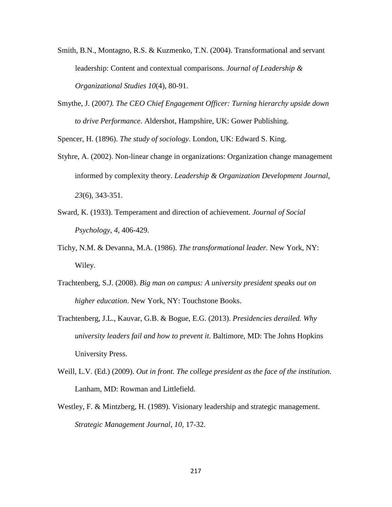- Smith, B.N., Montagno, R.S. & Kuzmenko, T.N. (2004). Transformational and servant leadership: Content and contextual comparisons. *Journal of Leadership & Organizational Studies 10*(4), 80-91.
- Smythe, J. (2007*). The CEO Chief Engagement Officer: Turning hierarchy upside down to drive Performance*. Aldershot, Hampshire, UK: Gower Publishing.

Spencer, H. (1896). *The study of sociology*. London, UK: Edward S. King.

- Styhre, A. (2002). Non-linear change in organizations: Organization change management informed by complexity theory. *Leadership & Organization Development Journal*, *23*(6), 343-351.
- Sward, K. (1933). Temperament and direction of achievement. *Journal of Social Psychology*, *4,* 406-429.
- Tichy, N.M. & Devanna, M.A. (1986). *The transformational leader.* New York, NY: Wiley.
- Trachtenberg, S.J. (2008). *Big man on campus: A university president speaks out on higher education*. New York, NY: Touchstone Books.
- Trachtenberg, J.L., Kauvar, G.B. & Bogue, E.G. (2013). *Presidencies derailed. Why university leaders fail and how to prevent it*. Baltimore, MD: The Johns Hopkins University Press.
- Weill, L.V. (Ed.) (2009). *Out in front. The college president as the face of the institution*. Lanham, MD: Rowman and Littlefield.
- Westley, F. & Mintzberg, H. (1989). Visionary leadership and strategic management. *Strategic Management Journal, 10,* 17-32.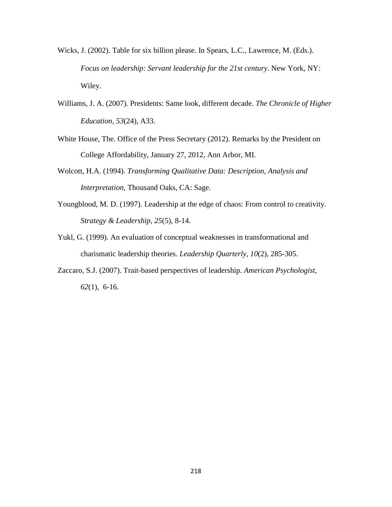- Wicks, J. (2002). Table for six billion please. In Spears, L.C., Lawrence, M. (Eds.). *Focus on leadership: Servant leadership for the 21st century*. New York, NY: Wiley.
- Williams, J. A. (2007). Presidents: Same look, different decade. *The Chronicle of Higher Education, 53*(24), A33.
- White House, The. Office of the Press Secretary (2012). Remarks by the President on College Affordability, January 27, 2012, Ann Arbor, MI.
- Wolcott, H.A. (1994). *Transforming Qualitative Data: Description, Analysis and Interpretation*, Thousand Oaks, CA: Sage.
- Youngblood, M. D. (1997). Leadership at the edge of chaos: From control to creativity. *Strategy & Leadership, 25*(5), 8-14.
- Yukl, G. (1999). An evaluation of conceptual weaknesses in transformational and charismatic leadership theories. *Leadership Quarterly*, *10*(2), 285-305.
- Zaccaro, S.J. (2007). Trait-based perspectives of leadership. *American Psychologist*, *62*(1), 6-16.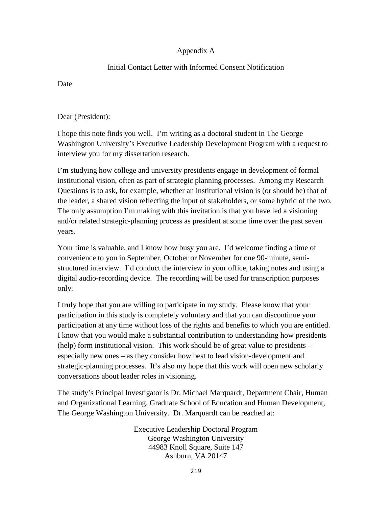# Appendix A

## Initial Contact Letter with Informed Consent Notification

Date

Dear (President):

I hope this note finds you well. I'm writing as a doctoral student in The George Washington University's Executive Leadership Development Program with a request to interview you for my dissertation research.

I'm studying how college and university presidents engage in development of formal institutional vision, often as part of strategic planning processes. Among my Research Questions is to ask, for example, whether an institutional vision is (or should be) that of the leader, a shared vision reflecting the input of stakeholders, or some hybrid of the two. The only assumption I'm making with this invitation is that you have led a visioning and/or related strategic-planning process as president at some time over the past seven years.

Your time is valuable, and I know how busy you are. I'd welcome finding a time of convenience to you in September, October or November for one 90-minute, semistructured interview. I'd conduct the interview in your office, taking notes and using a digital audio-recording device. The recording will be used for transcription purposes only.

I truly hope that you are willing to participate in my study. Please know that your participation in this study is completely voluntary and that you can discontinue your participation at any time without loss of the rights and benefits to which you are entitled. I know that you would make a substantial contribution to understanding how presidents (help) form institutional vision. This work should be of great value to presidents – especially new ones – as they consider how best to lead vision-development and strategic-planning processes. It's also my hope that this work will open new scholarly conversations about leader roles in visioning.

The study's Principal Investigator is Dr. Michael Marquardt, Department Chair, Human and Organizational Learning, Graduate School of Education and Human Development, The George Washington University. Dr. Marquardt can be reached at:

> Executive Leadership Doctoral Program George Washington University 44983 Knoll Square, Suite 147 Ashburn, VA 20147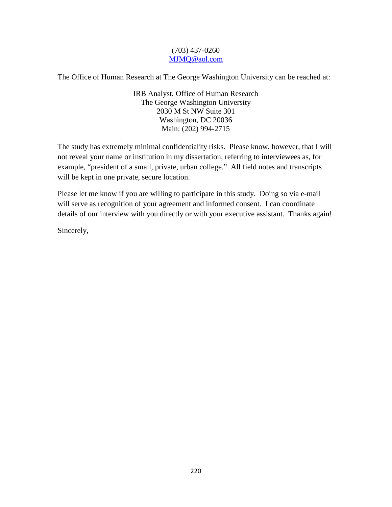### (703) 437-0260 [MJMQ@aol.com](mailto:MJMQ@aol.com)

The Office of Human Research at The George Washington University can be reached at:

IRB Analyst, Office of Human Research The George Washington University 2030 M St NW Suite 301 Washington, DC 20036 Main: (202) 994-2715

The study has extremely minimal confidentiality risks. Please know, however, that I will not reveal your name or institution in my dissertation, referring to interviewees as, for example, "president of a small, private, urban college." All field notes and transcripts will be kept in one private, secure location.

Please let me know if you are willing to participate in this study. Doing so via e-mail will serve as recognition of your agreement and informed consent. I can coordinate details of our interview with you directly or with your executive assistant. Thanks again!

Sincerely,